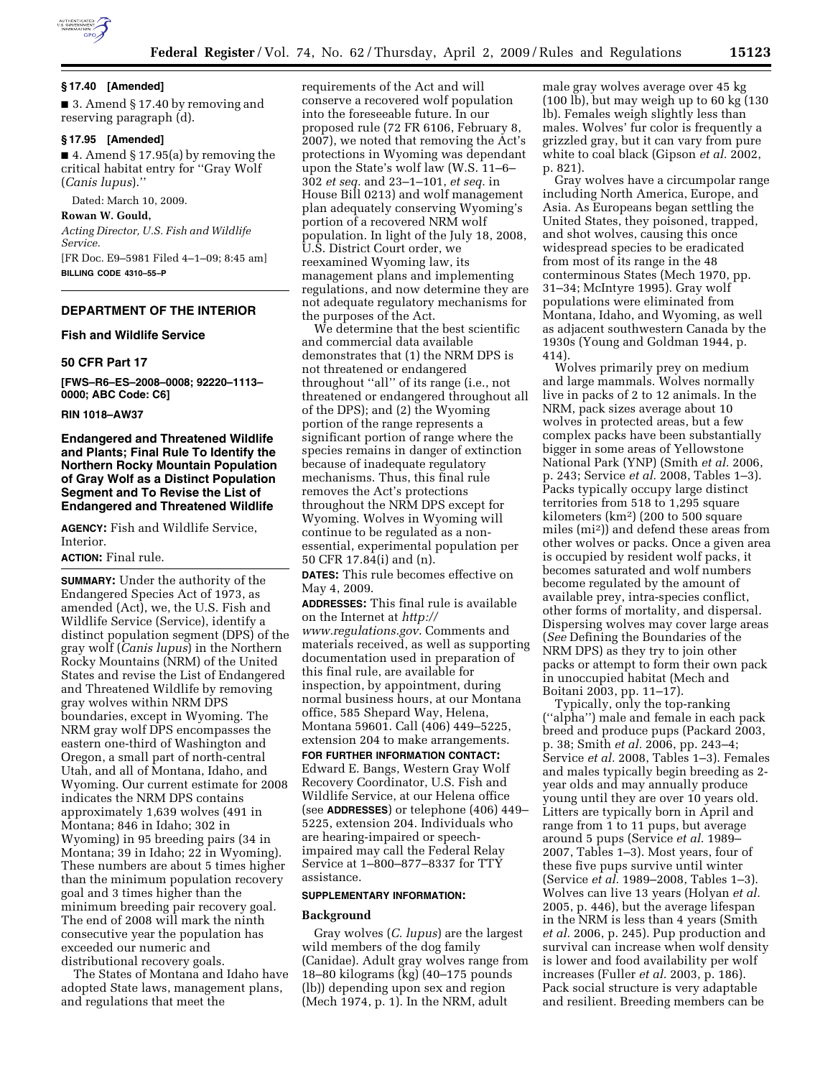

### **§ 17.40 [Amended]**

■ 3. Amend § 17.40 by removing and reserving paragraph (d).

# **§ 17.95 [Amended]**

 $\blacksquare$  4. Amend § 17.95(a) by removing the critical habitat entry for ''Gray Wolf (*Canis lupus*).''

Dated: March 10, 2009.

**Rowan W. Gould,**  *Acting Director, U.S. Fish and Wildlife Service.*  [FR Doc. E9–5981 Filed 4–1–09; 8:45 am]

**BILLING CODE 4310–55–P** 

### **DEPARTMENT OF THE INTERIOR**

### **Fish and Wildlife Service**

#### **50 CFR Part 17**

**[FWS–R6–ES–2008–0008; 92220–1113– 0000; ABC Code: C6]** 

### **RIN 1018–AW37**

# **Endangered and Threatened Wildlife and Plants; Final Rule To Identify the Northern Rocky Mountain Population of Gray Wolf as a Distinct Population Segment and To Revise the List of Endangered and Threatened Wildlife**

**AGENCY:** Fish and Wildlife Service, Interior.

### **ACTION:** Final rule.

**SUMMARY:** Under the authority of the Endangered Species Act of 1973, as amended (Act), we, the U.S. Fish and Wildlife Service (Service), identify a distinct population segment (DPS) of the gray wolf (*Canis lupus*) in the Northern Rocky Mountains (NRM) of the United States and revise the List of Endangered and Threatened Wildlife by removing gray wolves within NRM DPS boundaries, except in Wyoming. The NRM gray wolf DPS encompasses the eastern one-third of Washington and Oregon, a small part of north-central Utah, and all of Montana, Idaho, and Wyoming. Our current estimate for 2008 indicates the NRM DPS contains approximately 1,639 wolves (491 in Montana; 846 in Idaho; 302 in Wyoming) in 95 breeding pairs (34 in Montana; 39 in Idaho; 22 in Wyoming). These numbers are about 5 times higher than the minimum population recovery goal and 3 times higher than the minimum breeding pair recovery goal. The end of 2008 will mark the ninth consecutive year the population has exceeded our numeric and distributional recovery goals.

The States of Montana and Idaho have adopted State laws, management plans, and regulations that meet the

requirements of the Act and will conserve a recovered wolf population into the foreseeable future. In our proposed rule (72 FR 6106, February 8, 2007), we noted that removing the Act's protections in Wyoming was dependant upon the State's wolf law (W.S. 11–6– 302 *et seq.* and 23–1–101, *et seq.* in House Bill 0213) and wolf management plan adequately conserving Wyoming's portion of a recovered NRM wolf population. In light of the July 18, 2008, U.S. District Court order, we reexamined Wyoming law, its management plans and implementing regulations, and now determine they are not adequate regulatory mechanisms for the purposes of the Act.

We determine that the best scientific and commercial data available demonstrates that (1) the NRM DPS is not threatened or endangered throughout ''all'' of its range (i.e., not threatened or endangered throughout all of the DPS); and (2) the Wyoming portion of the range represents a significant portion of range where the species remains in danger of extinction because of inadequate regulatory mechanisms. Thus, this final rule removes the Act's protections throughout the NRM DPS except for Wyoming. Wolves in Wyoming will continue to be regulated as a nonessential, experimental population per 50 CFR 17.84(i) and (n).

**DATES:** This rule becomes effective on May 4, 2009.

**ADDRESSES:** This final rule is available on the Internet at *http:// www.regulations.gov*. Comments and materials received, as well as supporting documentation used in preparation of this final rule, are available for inspection, by appointment, during normal business hours, at our Montana office, 585 Shepard Way, Helena, Montana 59601. Call (406) 449–5225, extension 204 to make arrangements.

### **FOR FURTHER INFORMATION CONTACT:**

Edward E. Bangs, Western Gray Wolf Recovery Coordinator, U.S. Fish and Wildlife Service, at our Helena office (see **ADDRESSES**) or telephone (406) 449– 5225, extension 204. Individuals who are hearing-impaired or speechimpaired may call the Federal Relay Service at 1–800–877–8337 for TTY assistance.

#### **SUPPLEMENTARY INFORMATION:**

#### **Background**

Gray wolves (*C. lupus*) are the largest wild members of the dog family (Canidae). Adult gray wolves range from 18–80 kilograms (kg) (40–175 pounds (lb)) depending upon sex and region (Mech 1974, p. 1). In the NRM, adult

male gray wolves average over 45 kg (100 lb), but may weigh up to 60 kg (130 lb). Females weigh slightly less than males. Wolves' fur color is frequently a grizzled gray, but it can vary from pure white to coal black (Gipson *et al.* 2002, p. 821).

Gray wolves have a circumpolar range including North America, Europe, and Asia. As Europeans began settling the United States, they poisoned, trapped, and shot wolves, causing this once widespread species to be eradicated from most of its range in the 48 conterminous States (Mech 1970, pp. 31–34; McIntyre 1995). Gray wolf populations were eliminated from Montana, Idaho, and Wyoming, as well as adjacent southwestern Canada by the 1930s (Young and Goldman 1944, p. 414).

Wolves primarily prey on medium and large mammals. Wolves normally live in packs of 2 to 12 animals. In the NRM, pack sizes average about 10 wolves in protected areas, but a few complex packs have been substantially bigger in some areas of Yellowstone National Park (YNP) (Smith *et al.* 2006, p. 243; Service *et al.* 2008, Tables 1–3). Packs typically occupy large distinct territories from 518 to 1,295 square kilometers (km2) (200 to 500 square miles (mi2)) and defend these areas from other wolves or packs. Once a given area is occupied by resident wolf packs, it becomes saturated and wolf numbers become regulated by the amount of available prey, intra-species conflict, other forms of mortality, and dispersal. Dispersing wolves may cover large areas (*See* Defining the Boundaries of the NRM DPS) as they try to join other packs or attempt to form their own pack in unoccupied habitat (Mech and Boitani 2003, pp. 11–17).

Typically, only the top-ranking (''alpha'') male and female in each pack breed and produce pups (Packard 2003, p. 38; Smith *et al.* 2006, pp. 243–4; Service *et al.* 2008, Tables 1–3). Females and males typically begin breeding as 2 year olds and may annually produce young until they are over 10 years old. Litters are typically born in April and range from 1 to 11 pups, but average around 5 pups (Service *et al.* 1989– 2007, Tables 1–3). Most years, four of these five pups survive until winter (Service *et al.* 1989–2008, Tables 1–3). Wolves can live 13 years (Holyan *et al.*  2005, p. 446), but the average lifespan in the NRM is less than 4 years (Smith *et al.* 2006, p. 245). Pup production and survival can increase when wolf density is lower and food availability per wolf increases (Fuller *et al.* 2003, p. 186). Pack social structure is very adaptable and resilient. Breeding members can be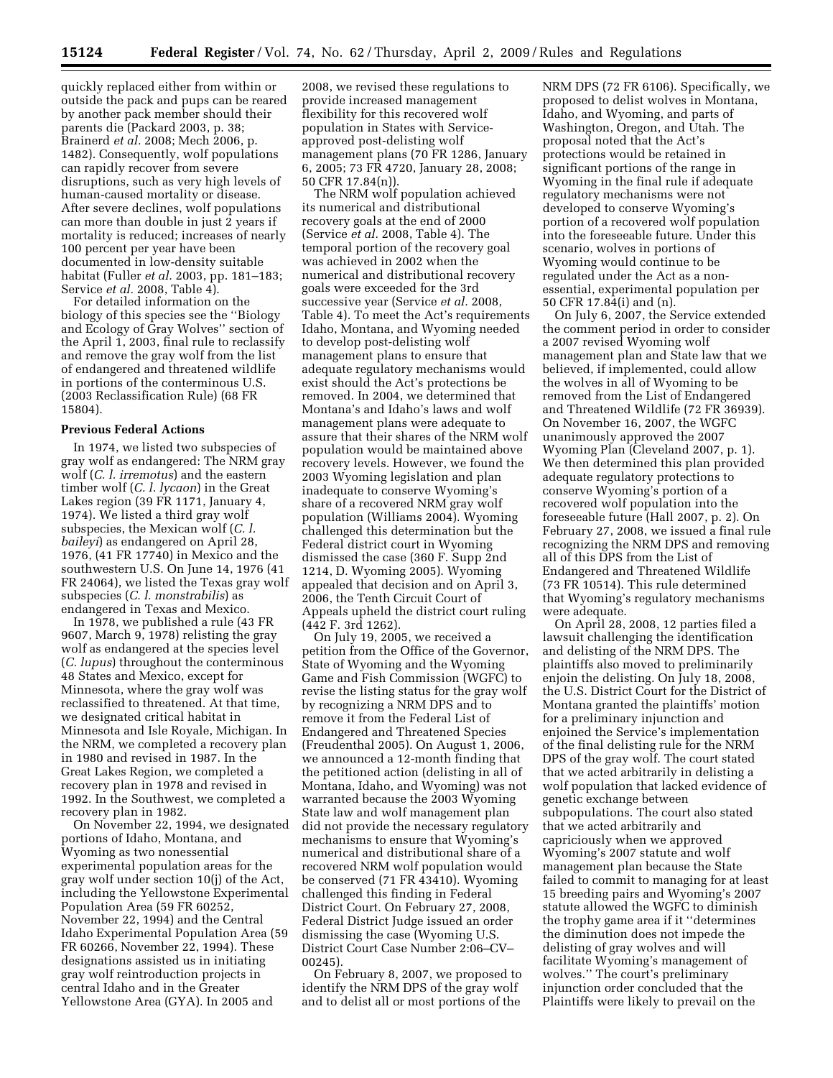quickly replaced either from within or outside the pack and pups can be reared by another pack member should their parents die (Packard 2003, p. 38; Brainerd *et al.* 2008; Mech 2006, p. 1482). Consequently, wolf populations can rapidly recover from severe disruptions, such as very high levels of human-caused mortality or disease. After severe declines, wolf populations can more than double in just 2 years if mortality is reduced; increases of nearly 100 percent per year have been documented in low-density suitable habitat (Fuller *et al.* 2003, pp. 181–183; Service *et al.* 2008, Table 4).

For detailed information on the biology of this species see the ''Biology and Ecology of Gray Wolves'' section of the April 1, 2003, final rule to reclassify and remove the gray wolf from the list of endangered and threatened wildlife in portions of the conterminous U.S. (2003 Reclassification Rule) (68 FR 15804).

#### **Previous Federal Actions**

In 1974, we listed two subspecies of gray wolf as endangered: The NRM gray wolf (*C. l. irremotus*) and the eastern timber wolf (*C. l. lycaon*) in the Great Lakes region (39 FR 1171, January 4, 1974). We listed a third gray wolf subspecies, the Mexican wolf (*C. l. baileyi*) as endangered on April 28, 1976, (41 FR 17740) in Mexico and the southwestern U.S. On June 14, 1976 (41 FR 24064), we listed the Texas gray wolf subspecies (*C. l. monstrabilis*) as endangered in Texas and Mexico.

In 1978, we published a rule (43 FR 9607, March 9, 1978) relisting the gray wolf as endangered at the species level (*C. lupus*) throughout the conterminous 48 States and Mexico, except for Minnesota, where the gray wolf was reclassified to threatened. At that time, we designated critical habitat in Minnesota and Isle Royale, Michigan. In the NRM, we completed a recovery plan in 1980 and revised in 1987. In the Great Lakes Region, we completed a recovery plan in 1978 and revised in 1992. In the Southwest, we completed a recovery plan in 1982.

On November 22, 1994, we designated portions of Idaho, Montana, and Wyoming as two nonessential experimental population areas for the gray wolf under section 10(j) of the Act, including the Yellowstone Experimental Population Area (59 FR 60252, November 22, 1994) and the Central Idaho Experimental Population Area (59 FR 60266, November 22, 1994). These designations assisted us in initiating gray wolf reintroduction projects in central Idaho and in the Greater Yellowstone Area (GYA). In 2005 and

2008, we revised these regulations to provide increased management flexibility for this recovered wolf population in States with Serviceapproved post-delisting wolf management plans (70 FR 1286, January 6, 2005; 73 FR 4720, January 28, 2008; 50 CFR 17.84(n)).

The NRM wolf population achieved its numerical and distributional recovery goals at the end of 2000 (Service *et al.* 2008, Table 4). The temporal portion of the recovery goal was achieved in 2002 when the numerical and distributional recovery goals were exceeded for the 3rd successive year (Service *et al.* 2008, Table 4). To meet the Act's requirements Idaho, Montana, and Wyoming needed to develop post-delisting wolf management plans to ensure that adequate regulatory mechanisms would exist should the Act's protections be removed. In 2004, we determined that Montana's and Idaho's laws and wolf management plans were adequate to assure that their shares of the NRM wolf population would be maintained above recovery levels. However, we found the 2003 Wyoming legislation and plan inadequate to conserve Wyoming's share of a recovered NRM gray wolf population (Williams 2004). Wyoming challenged this determination but the Federal district court in Wyoming dismissed the case (360 F. Supp 2nd 1214, D. Wyoming 2005). Wyoming appealed that decision and on April 3, 2006, the Tenth Circuit Court of Appeals upheld the district court ruling (442 F. 3rd 1262).

On July 19, 2005, we received a petition from the Office of the Governor, State of Wyoming and the Wyoming Game and Fish Commission (WGFC) to revise the listing status for the gray wolf by recognizing a NRM DPS and to remove it from the Federal List of Endangered and Threatened Species (Freudenthal 2005). On August 1, 2006, we announced a 12-month finding that the petitioned action (delisting in all of Montana, Idaho, and Wyoming) was not warranted because the 2003 Wyoming State law and wolf management plan did not provide the necessary regulatory mechanisms to ensure that Wyoming's numerical and distributional share of a recovered NRM wolf population would be conserved (71 FR 43410). Wyoming challenged this finding in Federal District Court. On February 27, 2008, Federal District Judge issued an order dismissing the case (Wyoming U.S. District Court Case Number 2:06–CV– 00245).

On February 8, 2007, we proposed to identify the NRM DPS of the gray wolf and to delist all or most portions of the NRM DPS (72 FR 6106). Specifically, we proposed to delist wolves in Montana, Idaho, and Wyoming, and parts of Washington, Oregon, and Utah. The proposal noted that the Act's protections would be retained in significant portions of the range in Wyoming in the final rule if adequate regulatory mechanisms were not developed to conserve Wyoming's portion of a recovered wolf population into the foreseeable future. Under this scenario, wolves in portions of Wyoming would continue to be regulated under the Act as a nonessential, experimental population per 50 CFR 17.84(i) and (n).

On July 6, 2007, the Service extended the comment period in order to consider a 2007 revised Wyoming wolf management plan and State law that we believed, if implemented, could allow the wolves in all of Wyoming to be removed from the List of Endangered and Threatened Wildlife (72 FR 36939). On November 16, 2007, the WGFC unanimously approved the 2007 Wyoming Plan (Cleveland 2007, p. 1). We then determined this plan provided adequate regulatory protections to conserve Wyoming's portion of a recovered wolf population into the foreseeable future (Hall 2007, p. 2). On February 27, 2008, we issued a final rule recognizing the NRM DPS and removing all of this DPS from the List of Endangered and Threatened Wildlife (73 FR 10514). This rule determined that Wyoming's regulatory mechanisms were adequate.

On April 28, 2008, 12 parties filed a lawsuit challenging the identification and delisting of the NRM DPS. The plaintiffs also moved to preliminarily enjoin the delisting. On July 18, 2008, the U.S. District Court for the District of Montana granted the plaintiffs' motion for a preliminary injunction and enjoined the Service's implementation of the final delisting rule for the NRM DPS of the gray wolf. The court stated that we acted arbitrarily in delisting a wolf population that lacked evidence of genetic exchange between subpopulations. The court also stated that we acted arbitrarily and capriciously when we approved Wyoming's 2007 statute and wolf management plan because the State failed to commit to managing for at least 15 breeding pairs and Wyoming's 2007 statute allowed the WGFC to diminish the trophy game area if it ''determines the diminution does not impede the delisting of gray wolves and will facilitate Wyoming's management of wolves.'' The court's preliminary injunction order concluded that the Plaintiffs were likely to prevail on the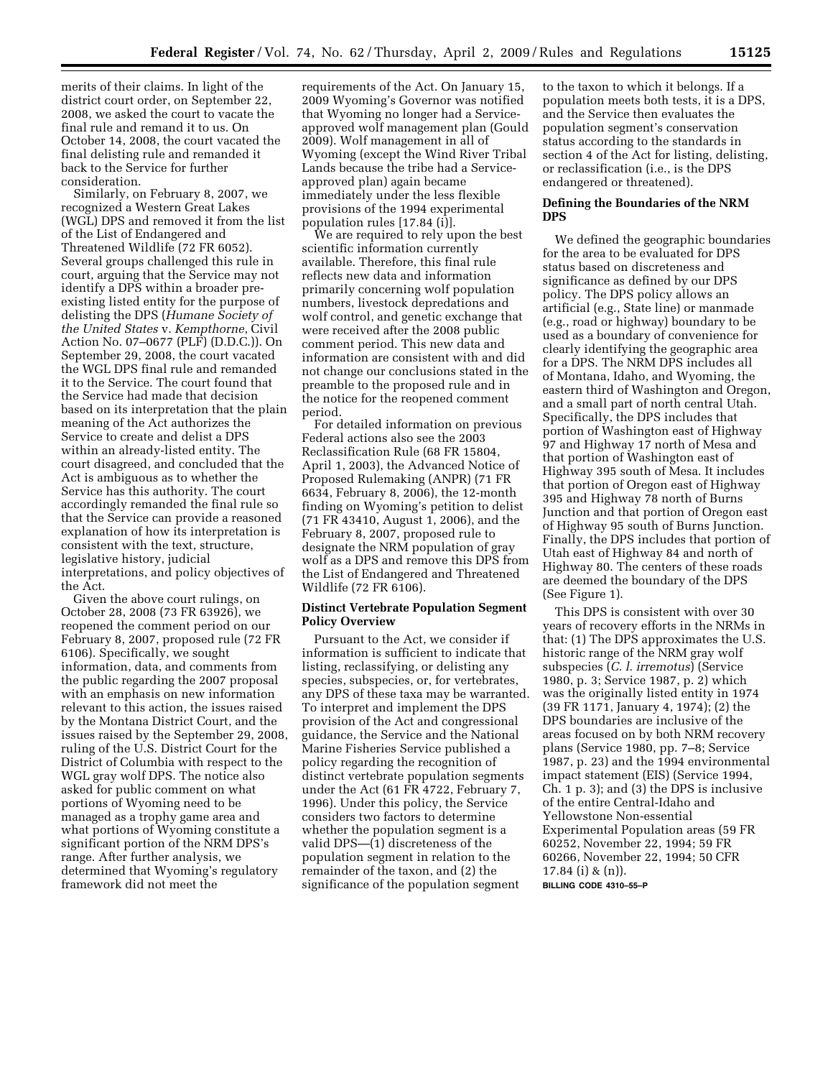merits of their claims. In light of the district court order, on September 22, 2008, we asked the court to vacate the final rule and remand it to us. On October 14, 2008, the court vacated the final delisting rule and remanded it back to the Service for further consideration.

Similarly, on February 8, 2007, we recognized a Western Great Lakes (WGL) DPS and removed it from the list of the List of Endangered and Threatened Wildlife (72 FR 6052). Several groups challenged this rule in court, arguing that the Service may not identify a DPS within a broader preexisting listed entity for the purpose of delisting the DPS (*Humane Society of the United States* v. *Kempthorne*, Civil Action No. 07–0677 (PLF) (D.D.C.)). On September 29, 2008, the court vacated the WGL DPS final rule and remanded it to the Service. The court found that the Service had made that decision based on its interpretation that the plain meaning of the Act authorizes the Service to create and delist a DPS within an already-listed entity. The court disagreed, and concluded that the Act is ambiguous as to whether the Service has this authority. The court accordingly remanded the final rule so that the Service can provide a reasoned explanation of how its interpretation is consistent with the text, structure, legislative history, judicial interpretations, and policy objectives of the Act.

Given the above court rulings, on October 28, 2008 (73 FR 63926), we reopened the comment period on our February 8, 2007, proposed rule (72 FR 6106). Specifically, we sought information, data, and comments from the public regarding the 2007 proposal with an emphasis on new information relevant to this action, the issues raised by the Montana District Court, and the issues raised by the September 29, 2008, ruling of the U.S. District Court for the District of Columbia with respect to the WGL gray wolf DPS. The notice also asked for public comment on what portions of Wyoming need to be managed as a trophy game area and what portions of Wyoming constitute a significant portion of the NRM DPS's range. After further analysis, we determined that Wyoming's regulatory framework did not meet the

requirements of the Act. On January 15, 2009 Wyoming's Governor was notified that Wyoming no longer had a Serviceapproved wolf management plan (Gould 2009). Wolf management in all of Wyoming (except the Wind River Tribal Lands because the tribe had a Serviceapproved plan) again became immediately under the less flexible provisions of the 1994 experimental population rules [17.84 (i)].

We are required to rely upon the best scientific information currently available. Therefore, this final rule reflects new data and information primarily concerning wolf population numbers, livestock depredations and wolf control, and genetic exchange that were received after the 2008 public comment period. This new data and information are consistent with and did not change our conclusions stated in the preamble to the proposed rule and in the notice for the reopened comment period.

For detailed information on previous Federal actions also see the 2003 Reclassification Rule (68 FR 15804, April 1, 2003), the Advanced Notice of Proposed Rulemaking (ANPR) (71 FR 6634, February 8, 2006), the 12-month finding on Wyoming's petition to delist (71 FR 43410, August 1, 2006), and the February 8, 2007, proposed rule to designate the NRM population of gray wolf as a DPS and remove this DPS from the List of Endangered and Threatened Wildlife (72 FR 6106).

### **Distinct Vertebrate Population Segment Policy Overview**

Pursuant to the Act, we consider if information is sufficient to indicate that listing, reclassifying, or delisting any species, subspecies, or, for vertebrates, any DPS of these taxa may be warranted. To interpret and implement the DPS provision of the Act and congressional guidance, the Service and the National Marine Fisheries Service published a policy regarding the recognition of distinct vertebrate population segments under the Act (61 FR 4722, February 7, 1996). Under this policy, the Service considers two factors to determine whether the population segment is a valid DPS—(1) discreteness of the population segment in relation to the remainder of the taxon, and (2) the significance of the population segment

to the taxon to which it belongs. If a population meets both tests, it is a DPS, and the Service then evaluates the population segment's conservation status according to the standards in section 4 of the Act for listing, delisting, or reclassification (i.e., is the DPS endangered or threatened).

## **Defining the Boundaries of the NRM DPS**

We defined the geographic boundaries for the area to be evaluated for DPS status based on discreteness and significance as defined by our DPS policy. The DPS policy allows an artificial (e.g., State line) or manmade (e.g., road or highway) boundary to be used as a boundary of convenience for clearly identifying the geographic area for a DPS. The NRM DPS includes all of Montana, Idaho, and Wyoming, the eastern third of Washington and Oregon, and a small part of north central Utah. Specifically, the DPS includes that portion of Washington east of Highway 97 and Highway 17 north of Mesa and that portion of Washington east of Highway 395 south of Mesa. It includes that portion of Oregon east of Highway 395 and Highway 78 north of Burns Junction and that portion of Oregon east of Highway 95 south of Burns Junction. Finally, the DPS includes that portion of Utah east of Highway 84 and north of Highway 80. The centers of these roads are deemed the boundary of the DPS (See Figure 1).

This DPS is consistent with over 30 years of recovery efforts in the NRMs in that: (1) The DPS approximates the U.S. historic range of the NRM gray wolf subspecies (*C. l. irremotus*) (Service 1980, p. 3; Service 1987, p. 2) which was the originally listed entity in 1974 (39 FR 1171, January 4, 1974); (2) the DPS boundaries are inclusive of the areas focused on by both NRM recovery plans (Service 1980, pp. 7–8; Service 1987, p. 23) and the 1994 environmental impact statement (EIS) (Service 1994, Ch. 1 p. 3); and (3) the DPS is inclusive of the entire Central-Idaho and Yellowstone Non-essential Experimental Population areas (59 FR 60252, November 22, 1994; 59 FR 60266, November 22, 1994; 50 CFR 17.84 (i) & (n)). **BILLING CODE 4310–55–P**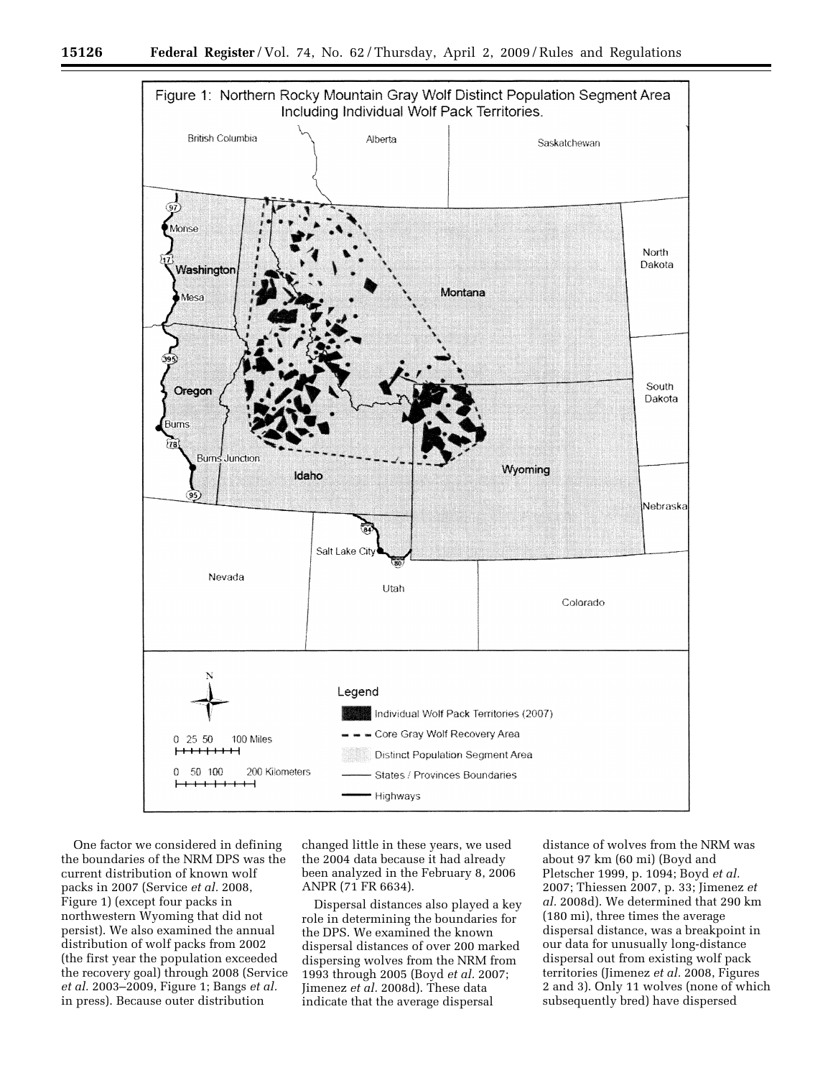

One factor we considered in defining the boundaries of the NRM DPS was the current distribution of known wolf packs in 2007 (Service *et al.* 2008, Figure 1) (except four packs in northwestern Wyoming that did not persist). We also examined the annual distribution of wolf packs from 2002 (the first year the population exceeded the recovery goal) through 2008 (Service *et al.* 2003–2009, Figure 1; Bangs *et al.*  in press). Because outer distribution

changed little in these years, we used the 2004 data because it had already been analyzed in the February 8, 2006 ANPR (71 FR 6634).

Dispersal distances also played a key role in determining the boundaries for the DPS. We examined the known dispersal distances of over 200 marked dispersing wolves from the NRM from 1993 through 2005 (Boyd *et al.* 2007; Jimenez *et al.* 2008d). These data indicate that the average dispersal

distance of wolves from the NRM was about 97 km (60 mi) (Boyd and Pletscher 1999, p. 1094; Boyd *et al.*  2007; Thiessen 2007, p. 33; Jimenez *et al.* 2008d). We determined that 290 km (180 mi), three times the average dispersal distance, was a breakpoint in our data for unusually long-distance dispersal out from existing wolf pack territories (Jimenez *et al.* 2008, Figures 2 and 3). Only 11 wolves (none of which subsequently bred) have dispersed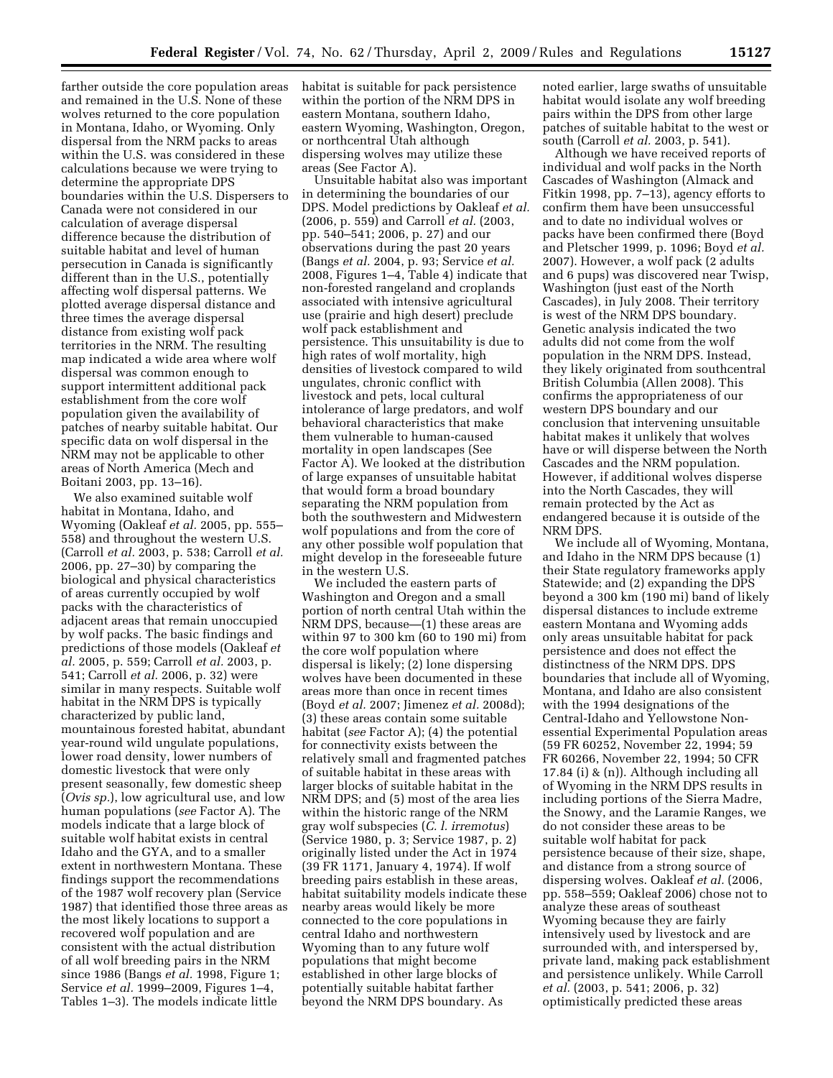farther outside the core population areas and remained in the U.S. None of these wolves returned to the core population in Montana, Idaho, or Wyoming. Only dispersal from the NRM packs to areas within the U.S. was considered in these calculations because we were trying to determine the appropriate DPS boundaries within the U.S. Dispersers to Canada were not considered in our calculation of average dispersal difference because the distribution of suitable habitat and level of human persecution in Canada is significantly different than in the U.S., potentially affecting wolf dispersal patterns. We plotted average dispersal distance and three times the average dispersal distance from existing wolf pack territories in the NRM. The resulting map indicated a wide area where wolf dispersal was common enough to support intermittent additional pack establishment from the core wolf population given the availability of patches of nearby suitable habitat. Our specific data on wolf dispersal in the NRM may not be applicable to other areas of North America (Mech and Boitani 2003, pp. 13–16).

We also examined suitable wolf habitat in Montana, Idaho, and Wyoming (Oakleaf *et al.* 2005, pp. 555– 558) and throughout the western U.S. (Carroll *et al.* 2003, p. 538; Carroll *et al.*  2006, pp. 27–30) by comparing the biological and physical characteristics of areas currently occupied by wolf packs with the characteristics of adjacent areas that remain unoccupied by wolf packs. The basic findings and predictions of those models (Oakleaf *et al.* 2005, p. 559; Carroll *et al.* 2003, p. 541; Carroll *et al.* 2006, p. 32) were similar in many respects. Suitable wolf habitat in the NRM DPS is typically characterized by public land, mountainous forested habitat, abundant year-round wild ungulate populations, lower road density, lower numbers of domestic livestock that were only present seasonally, few domestic sheep (*Ovis sp.*), low agricultural use, and low human populations (*see* Factor A). The models indicate that a large block of suitable wolf habitat exists in central Idaho and the GYA, and to a smaller extent in northwestern Montana. These findings support the recommendations of the 1987 wolf recovery plan (Service 1987) that identified those three areas as the most likely locations to support a recovered wolf population and are consistent with the actual distribution of all wolf breeding pairs in the NRM since 1986 (Bangs *et al.* 1998, Figure 1; Service *et al.* 1999–2009, Figures 1–4, Tables 1–3). The models indicate little

habitat is suitable for pack persistence within the portion of the NRM DPS in eastern Montana, southern Idaho, eastern Wyoming, Washington, Oregon, or northcentral Utah although dispersing wolves may utilize these areas (See Factor A).

Unsuitable habitat also was important in determining the boundaries of our DPS. Model predictions by Oakleaf *et al.*  (2006, p. 559) and Carroll *et al.* (2003, pp. 540–541; 2006, p. 27) and our observations during the past 20 years (Bangs *et al.* 2004, p. 93; Service *et al.*  2008, Figures 1–4, Table 4) indicate that non-forested rangeland and croplands associated with intensive agricultural use (prairie and high desert) preclude wolf pack establishment and persistence. This unsuitability is due to high rates of wolf mortality, high densities of livestock compared to wild ungulates, chronic conflict with livestock and pets, local cultural intolerance of large predators, and wolf behavioral characteristics that make them vulnerable to human-caused mortality in open landscapes (See Factor A). We looked at the distribution of large expanses of unsuitable habitat that would form a broad boundary separating the NRM population from both the southwestern and Midwestern wolf populations and from the core of any other possible wolf population that might develop in the foreseeable future in the western U.S.

We included the eastern parts of Washington and Oregon and a small portion of north central Utah within the NRM DPS, because—(1) these areas are within 97 to 300 km (60 to 190 mi) from the core wolf population where dispersal is likely; (2) lone dispersing wolves have been documented in these areas more than once in recent times (Boyd *et al.* 2007; Jimenez *et al.* 2008d); (3) these areas contain some suitable habitat (*see* Factor A); (4) the potential for connectivity exists between the relatively small and fragmented patches of suitable habitat in these areas with larger blocks of suitable habitat in the NRM DPS; and (5) most of the area lies within the historic range of the NRM gray wolf subspecies (*C. l. irremotus*) (Service 1980, p. 3; Service 1987, p. 2) originally listed under the Act in 1974 (39 FR 1171, January 4, 1974). If wolf breeding pairs establish in these areas, habitat suitability models indicate these nearby areas would likely be more connected to the core populations in central Idaho and northwestern Wyoming than to any future wolf populations that might become established in other large blocks of potentially suitable habitat farther beyond the NRM DPS boundary. As

noted earlier, large swaths of unsuitable habitat would isolate any wolf breeding pairs within the DPS from other large patches of suitable habitat to the west or south (Carroll *et al.* 2003, p. 541).

Although we have received reports of individual and wolf packs in the North Cascades of Washington (Almack and Fitkin 1998, pp. 7–13), agency efforts to confirm them have been unsuccessful and to date no individual wolves or packs have been confirmed there (Boyd and Pletscher 1999, p. 1096; Boyd *et al.*  2007). However, a wolf pack (2 adults and 6 pups) was discovered near Twisp, Washington (just east of the North Cascades), in July 2008. Their territory is west of the NRM DPS boundary. Genetic analysis indicated the two adults did not come from the wolf population in the NRM DPS. Instead, they likely originated from southcentral British Columbia (Allen 2008). This confirms the appropriateness of our western DPS boundary and our conclusion that intervening unsuitable habitat makes it unlikely that wolves have or will disperse between the North Cascades and the NRM population. However, if additional wolves disperse into the North Cascades, they will remain protected by the Act as endangered because it is outside of the NRM DPS.

We include all of Wyoming, Montana, and Idaho in the NRM DPS because (1) their State regulatory frameworks apply Statewide; and (2) expanding the DPS beyond a 300 km (190 mi) band of likely dispersal distances to include extreme eastern Montana and Wyoming adds only areas unsuitable habitat for pack persistence and does not effect the distinctness of the NRM DPS. DPS boundaries that include all of Wyoming, Montana, and Idaho are also consistent with the 1994 designations of the Central-Idaho and Yellowstone Nonessential Experimental Population areas (59 FR 60252, November 22, 1994; 59 FR 60266, November 22, 1994; 50 CFR 17.84 (i) & (n)). Although including all of Wyoming in the NRM DPS results in including portions of the Sierra Madre, the Snowy, and the Laramie Ranges, we do not consider these areas to be suitable wolf habitat for pack persistence because of their size, shape, and distance from a strong source of dispersing wolves. Oakleaf *et al.* (2006, pp. 558–559; Oakleaf 2006) chose not to analyze these areas of southeast Wyoming because they are fairly intensively used by livestock and are surrounded with, and interspersed by, private land, making pack establishment and persistence unlikely. While Carroll *et al.* (2003, p. 541; 2006, p. 32) optimistically predicted these areas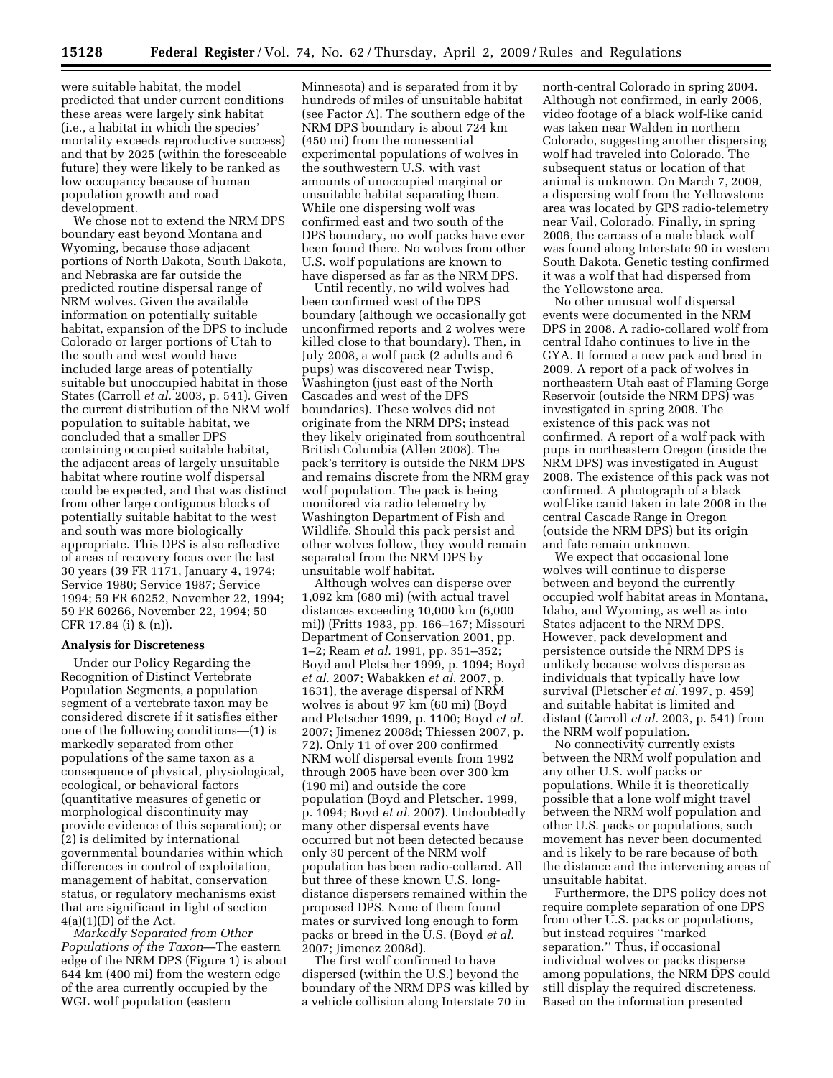were suitable habitat, the model predicted that under current conditions these areas were largely sink habitat (i.e., a habitat in which the species' mortality exceeds reproductive success) and that by 2025 (within the foreseeable future) they were likely to be ranked as low occupancy because of human population growth and road development.

We chose not to extend the NRM DPS boundary east beyond Montana and Wyoming, because those adjacent portions of North Dakota, South Dakota, and Nebraska are far outside the predicted routine dispersal range of NRM wolves. Given the available information on potentially suitable habitat, expansion of the DPS to include Colorado or larger portions of Utah to the south and west would have included large areas of potentially suitable but unoccupied habitat in those States (Carroll *et al.* 2003, p. 541). Given the current distribution of the NRM wolf population to suitable habitat, we concluded that a smaller DPS containing occupied suitable habitat, the adjacent areas of largely unsuitable habitat where routine wolf dispersal could be expected, and that was distinct from other large contiguous blocks of potentially suitable habitat to the west and south was more biologically appropriate. This DPS is also reflective of areas of recovery focus over the last 30 years (39 FR 1171, January 4, 1974; Service 1980; Service 1987; Service 1994; 59 FR 60252, November 22, 1994; 59 FR 60266, November 22, 1994; 50 CFR 17.84 (i) & (n)).

### **Analysis for Discreteness**

Under our Policy Regarding the Recognition of Distinct Vertebrate Population Segments, a population segment of a vertebrate taxon may be considered discrete if it satisfies either one of the following conditions—(1) is markedly separated from other populations of the same taxon as a consequence of physical, physiological, ecological, or behavioral factors (quantitative measures of genetic or morphological discontinuity may provide evidence of this separation); or (2) is delimited by international governmental boundaries within which differences in control of exploitation, management of habitat, conservation status, or regulatory mechanisms exist that are significant in light of section  $4(a)(1)(D)$  of the Act.

*Markedly Separated from Other Populations of the Taxon*—The eastern edge of the NRM DPS (Figure 1) is about 644 km (400 mi) from the western edge of the area currently occupied by the WGL wolf population (eastern

Minnesota) and is separated from it by hundreds of miles of unsuitable habitat (see Factor A). The southern edge of the NRM DPS boundary is about 724 km (450 mi) from the nonessential experimental populations of wolves in the southwestern U.S. with vast amounts of unoccupied marginal or unsuitable habitat separating them. While one dispersing wolf was confirmed east and two south of the DPS boundary, no wolf packs have ever been found there. No wolves from other U.S. wolf populations are known to have dispersed as far as the NRM DPS.

Until recently, no wild wolves had been confirmed west of the DPS boundary (although we occasionally got unconfirmed reports and 2 wolves were killed close to that boundary). Then, in July 2008, a wolf pack (2 adults and 6 pups) was discovered near Twisp, Washington (just east of the North Cascades and west of the DPS boundaries). These wolves did not originate from the NRM DPS; instead they likely originated from southcentral British Columbia (Allen 2008). The pack's territory is outside the NRM DPS and remains discrete from the NRM gray wolf population. The pack is being monitored via radio telemetry by Washington Department of Fish and Wildlife. Should this pack persist and other wolves follow, they would remain separated from the NRM DPS by unsuitable wolf habitat.

Although wolves can disperse over 1,092 km (680 mi) (with actual travel distances exceeding 10,000 km (6,000 mi)) (Fritts 1983, pp. 166–167; Missouri Department of Conservation 2001, pp. 1–2; Ream *et al.* 1991, pp. 351–352; Boyd and Pletscher 1999, p. 1094; Boyd *et al.* 2007; Wabakken *et al.* 2007, p. 1631), the average dispersal of NRM wolves is about 97 km (60 mi) (Boyd and Pletscher 1999, p. 1100; Boyd *et al.*  2007; Jimenez 2008d; Thiessen 2007, p. 72). Only 11 of over 200 confirmed NRM wolf dispersal events from 1992 through 2005 have been over 300 km (190 mi) and outside the core population (Boyd and Pletscher. 1999, p. 1094; Boyd *et al.* 2007). Undoubtedly many other dispersal events have occurred but not been detected because only 30 percent of the NRM wolf population has been radio-collared. All but three of these known U.S. longdistance dispersers remained within the proposed DPS. None of them found mates or survived long enough to form packs or breed in the U.S. (Boyd *et al.*  2007; Jimenez 2008d).

The first wolf confirmed to have dispersed (within the U.S.) beyond the boundary of the NRM DPS was killed by a vehicle collision along Interstate 70 in

north-central Colorado in spring 2004. Although not confirmed, in early 2006, video footage of a black wolf-like canid was taken near Walden in northern Colorado, suggesting another dispersing wolf had traveled into Colorado. The subsequent status or location of that animal is unknown. On March 7, 2009, a dispersing wolf from the Yellowstone area was located by GPS radio-telemetry near Vail, Colorado. Finally, in spring 2006, the carcass of a male black wolf was found along Interstate 90 in western South Dakota. Genetic testing confirmed it was a wolf that had dispersed from the Yellowstone area.

No other unusual wolf dispersal events were documented in the NRM DPS in 2008. A radio-collared wolf from central Idaho continues to live in the GYA. It formed a new pack and bred in 2009. A report of a pack of wolves in northeastern Utah east of Flaming Gorge Reservoir (outside the NRM DPS) was investigated in spring 2008. The existence of this pack was not confirmed. A report of a wolf pack with pups in northeastern Oregon (inside the NRM DPS) was investigated in August 2008. The existence of this pack was not confirmed. A photograph of a black wolf-like canid taken in late 2008 in the central Cascade Range in Oregon (outside the NRM DPS) but its origin and fate remain unknown.

We expect that occasional lone wolves will continue to disperse between and beyond the currently occupied wolf habitat areas in Montana, Idaho, and Wyoming, as well as into States adjacent to the NRM DPS. However, pack development and persistence outside the NRM DPS is unlikely because wolves disperse as individuals that typically have low survival (Pletscher *et al.* 1997, p. 459) and suitable habitat is limited and distant (Carroll *et al.* 2003, p. 541) from the NRM wolf population.

No connectivity currently exists between the NRM wolf population and any other U.S. wolf packs or populations. While it is theoretically possible that a lone wolf might travel between the NRM wolf population and other U.S. packs or populations, such movement has never been documented and is likely to be rare because of both the distance and the intervening areas of unsuitable habitat.

Furthermore, the DPS policy does not require complete separation of one DPS from other U.S. packs or populations, but instead requires ''marked separation.'' Thus, if occasional individual wolves or packs disperse among populations, the NRM DPS could still display the required discreteness. Based on the information presented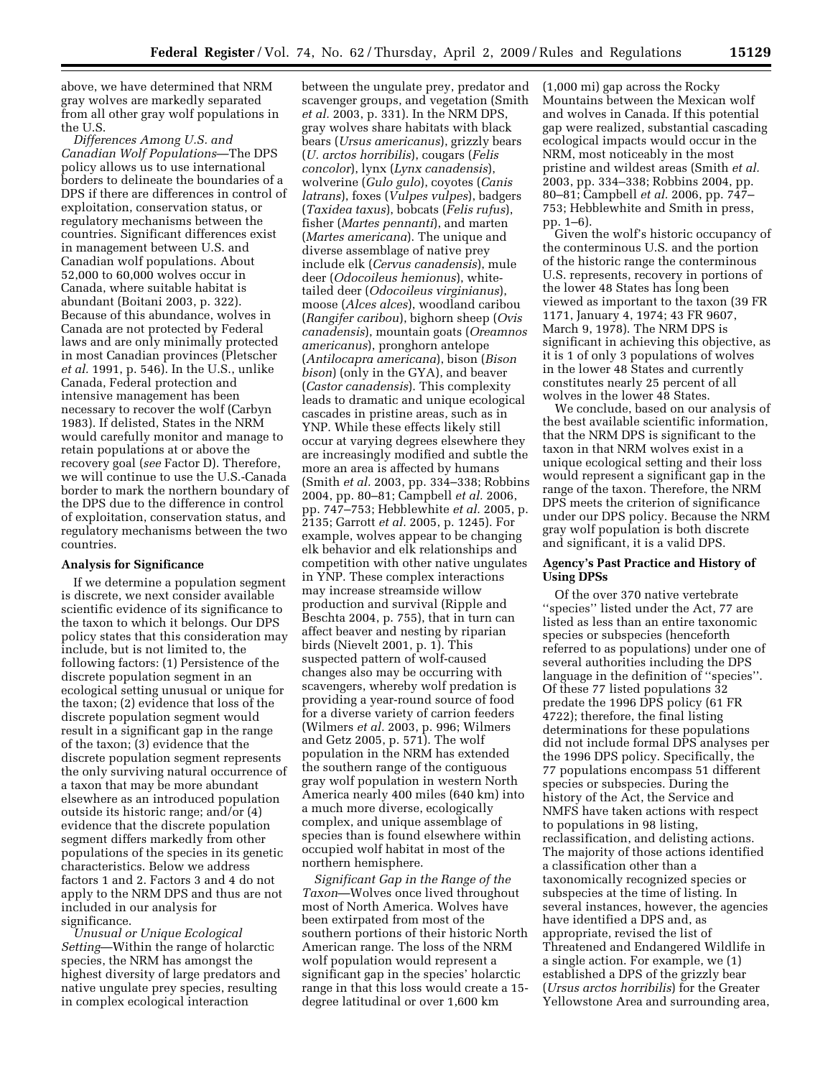above, we have determined that NRM gray wolves are markedly separated from all other gray wolf populations in the U.S.

*Differences Among U.S. and Canadian Wolf Populations*—The DPS policy allows us to use international borders to delineate the boundaries of a DPS if there are differences in control of exploitation, conservation status, or regulatory mechanisms between the countries. Significant differences exist in management between U.S. and Canadian wolf populations. About 52,000 to 60,000 wolves occur in Canada, where suitable habitat is abundant (Boitani 2003, p. 322). Because of this abundance, wolves in Canada are not protected by Federal laws and are only minimally protected in most Canadian provinces (Pletscher *et al.* 1991, p. 546). In the U.S., unlike Canada, Federal protection and intensive management has been necessary to recover the wolf (Carbyn 1983). If delisted, States in the NRM would carefully monitor and manage to retain populations at or above the recovery goal (*see* Factor D). Therefore, we will continue to use the U.S.-Canada border to mark the northern boundary of the DPS due to the difference in control of exploitation, conservation status, and regulatory mechanisms between the two countries.

#### **Analysis for Significance**

If we determine a population segment is discrete, we next consider available scientific evidence of its significance to the taxon to which it belongs. Our DPS policy states that this consideration may include, but is not limited to, the following factors: (1) Persistence of the discrete population segment in an ecological setting unusual or unique for the taxon; (2) evidence that loss of the discrete population segment would result in a significant gap in the range of the taxon; (3) evidence that the discrete population segment represents the only surviving natural occurrence of a taxon that may be more abundant elsewhere as an introduced population outside its historic range; and/or (4) evidence that the discrete population segment differs markedly from other populations of the species in its genetic characteristics. Below we address factors 1 and 2. Factors 3 and 4 do not apply to the NRM DPS and thus are not included in our analysis for significance.

*Unusual or Unique Ecological Setting*—Within the range of holarctic species, the NRM has amongst the highest diversity of large predators and native ungulate prey species, resulting in complex ecological interaction

between the ungulate prey, predator and scavenger groups, and vegetation (Smith *et al.* 2003, p. 331). In the NRM DPS, gray wolves share habitats with black bears (*Ursus americanus*), grizzly bears (*U. arctos horribilis*), cougars (*Felis concolor*), lynx (*Lynx canadensis*), wolverine (*Gulo gulo*), coyotes (*Canis latrans*), foxes (*Vulpes vulpes*), badgers (*Taxidea taxus*), bobcats (*Felis rufus*), fisher (*Martes pennanti*), and marten (*Martes americana*). The unique and diverse assemblage of native prey include elk (*Cervus canadensis*), mule deer (*Odocoileus hemionus*), whitetailed deer (*Odocoileus virginianus*), moose (*Alces alces*), woodland caribou (*Rangifer caribou*), bighorn sheep (*Ovis canadensis*), mountain goats (*Oreamnos americanus*), pronghorn antelope (*Antilocapra americana*), bison (*Bison bison*) (only in the GYA), and beaver (*Castor canadensis*). This complexity leads to dramatic and unique ecological cascades in pristine areas, such as in YNP. While these effects likely still occur at varying degrees elsewhere they are increasingly modified and subtle the more an area is affected by humans (Smith *et al.* 2003, pp. 334–338; Robbins 2004, pp. 80–81; Campbell *et al.* 2006, pp. 747–753; Hebblewhite *et al.* 2005, p. 2135; Garrott *et al.* 2005, p. 1245). For example, wolves appear to be changing elk behavior and elk relationships and competition with other native ungulates in YNP. These complex interactions may increase streamside willow production and survival (Ripple and Beschta 2004, p. 755), that in turn can affect beaver and nesting by riparian birds (Nievelt 2001, p. 1). This suspected pattern of wolf-caused changes also may be occurring with scavengers, whereby wolf predation is providing a year-round source of food for a diverse variety of carrion feeders (Wilmers *et al.* 2003, p. 996; Wilmers and Getz 2005, p. 571). The wolf population in the NRM has extended the southern range of the contiguous gray wolf population in western North America nearly 400 miles (640 km) into a much more diverse, ecologically complex, and unique assemblage of species than is found elsewhere within occupied wolf habitat in most of the northern hemisphere.

*Significant Gap in the Range of the Taxon*—Wolves once lived throughout most of North America. Wolves have been extirpated from most of the southern portions of their historic North American range. The loss of the NRM wolf population would represent a significant gap in the species' holarctic range in that this loss would create a 15 degree latitudinal or over 1,600 km

(1,000 mi) gap across the Rocky Mountains between the Mexican wolf and wolves in Canada. If this potential gap were realized, substantial cascading ecological impacts would occur in the NRM, most noticeably in the most pristine and wildest areas (Smith *et al.*  2003, pp. 334–338; Robbins 2004, pp. 80–81; Campbell *et al.* 2006, pp. 747– 753; Hebblewhite and Smith in press, pp. 1–6).

Given the wolf's historic occupancy of the conterminous U.S. and the portion of the historic range the conterminous U.S. represents, recovery in portions of the lower 48 States has long been viewed as important to the taxon (39 FR 1171, January 4, 1974; 43 FR 9607, March 9, 1978). The NRM DPS is significant in achieving this objective, as it is 1 of only 3 populations of wolves in the lower 48 States and currently constitutes nearly 25 percent of all wolves in the lower 48 States.

We conclude, based on our analysis of the best available scientific information, that the NRM DPS is significant to the taxon in that NRM wolves exist in a unique ecological setting and their loss would represent a significant gap in the range of the taxon. Therefore, the NRM DPS meets the criterion of significance under our DPS policy. Because the NRM gray wolf population is both discrete and significant, it is a valid DPS.

## **Agency's Past Practice and History of Using DPSs**

Of the over 370 native vertebrate ''species'' listed under the Act, 77 are listed as less than an entire taxonomic species or subspecies (henceforth referred to as populations) under one of several authorities including the DPS language in the definition of ''species''. Of these 77 listed populations 32 predate the 1996 DPS policy (61 FR 4722); therefore, the final listing determinations for these populations did not include formal DPS analyses per the 1996 DPS policy. Specifically, the 77 populations encompass 51 different species or subspecies. During the history of the Act, the Service and NMFS have taken actions with respect to populations in 98 listing, reclassification, and delisting actions. The majority of those actions identified a classification other than a taxonomically recognized species or subspecies at the time of listing. In several instances, however, the agencies have identified a DPS and, as appropriate, revised the list of Threatened and Endangered Wildlife in a single action. For example, we (1) established a DPS of the grizzly bear (*Ursus arctos horribilis*) for the Greater Yellowstone Area and surrounding area,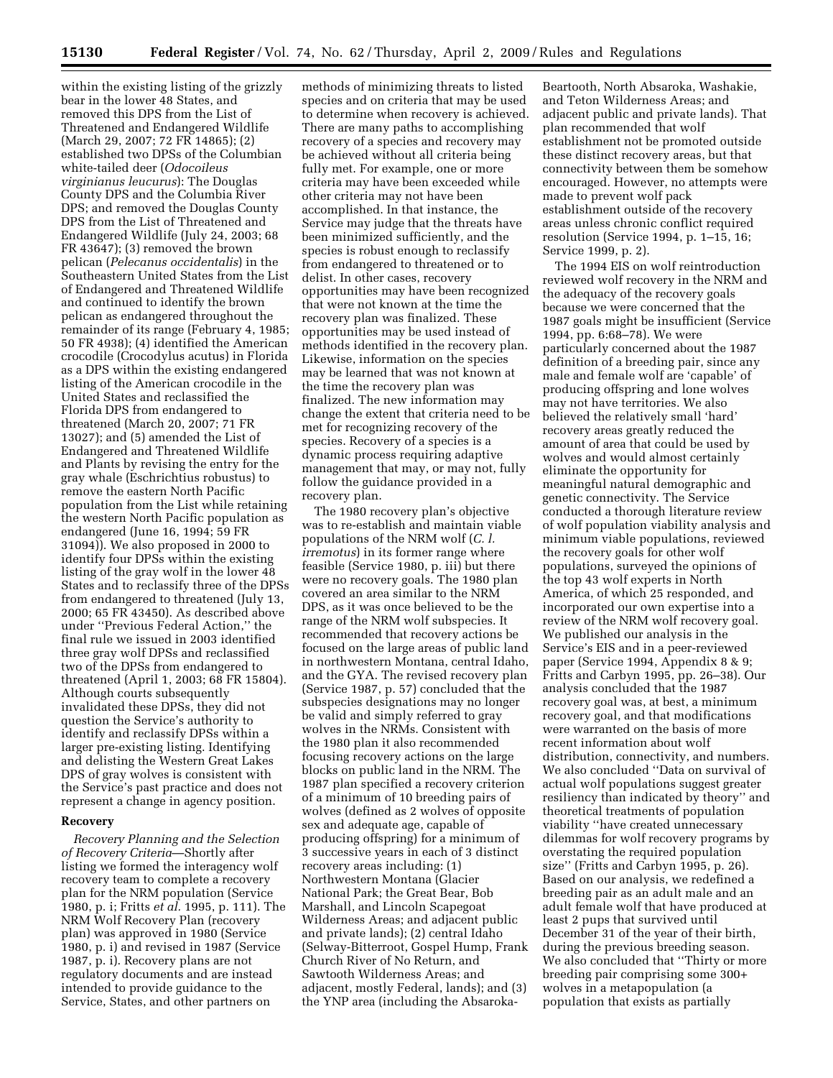within the existing listing of the grizzly bear in the lower 48 States, and removed this DPS from the List of Threatened and Endangered Wildlife (March 29, 2007; 72 FR 14865); (2) established two DPSs of the Columbian white-tailed deer (*Odocoileus virginianus leucurus*): The Douglas County DPS and the Columbia River DPS; and removed the Douglas County DPS from the List of Threatened and Endangered Wildlife (July 24, 2003; 68 FR 43647); (3) removed the brown pelican (*Pelecanus occidentalis*) in the Southeastern United States from the List of Endangered and Threatened Wildlife and continued to identify the brown pelican as endangered throughout the remainder of its range (February 4, 1985; 50 FR 4938); (4) identified the American crocodile (Crocodylus acutus) in Florida as a DPS within the existing endangered listing of the American crocodile in the United States and reclassified the Florida DPS from endangered to threatened (March 20, 2007; 71 FR 13027); and (5) amended the List of Endangered and Threatened Wildlife and Plants by revising the entry for the gray whale (Eschrichtius robustus) to remove the eastern North Pacific population from the List while retaining the western North Pacific population as endangered (June 16, 1994; 59 FR 31094)). We also proposed in 2000 to identify four DPSs within the existing listing of the gray wolf in the lower 48 States and to reclassify three of the DPSs from endangered to threatened (July 13, 2000; 65 FR 43450). As described above under ''Previous Federal Action,'' the final rule we issued in 2003 identified three gray wolf DPSs and reclassified two of the DPSs from endangered to threatened (April 1, 2003; 68 FR 15804). Although courts subsequently invalidated these DPSs, they did not question the Service's authority to identify and reclassify DPSs within a larger pre-existing listing. Identifying and delisting the Western Great Lakes DPS of gray wolves is consistent with the Service's past practice and does not represent a change in agency position.

# **Recovery**

*Recovery Planning and the Selection of Recovery Criteria*—Shortly after listing we formed the interagency wolf recovery team to complete a recovery plan for the NRM population (Service 1980, p. i; Fritts *et al.* 1995, p. 111). The NRM Wolf Recovery Plan (recovery plan) was approved in 1980 (Service 1980, p. i) and revised in 1987 (Service 1987, p. i). Recovery plans are not regulatory documents and are instead intended to provide guidance to the Service, States, and other partners on

methods of minimizing threats to listed species and on criteria that may be used to determine when recovery is achieved. There are many paths to accomplishing recovery of a species and recovery may be achieved without all criteria being fully met. For example, one or more criteria may have been exceeded while other criteria may not have been accomplished. In that instance, the Service may judge that the threats have been minimized sufficiently, and the species is robust enough to reclassify from endangered to threatened or to delist. In other cases, recovery opportunities may have been recognized that were not known at the time the recovery plan was finalized. These opportunities may be used instead of methods identified in the recovery plan. Likewise, information on the species may be learned that was not known at the time the recovery plan was finalized. The new information may change the extent that criteria need to be met for recognizing recovery of the species. Recovery of a species is a dynamic process requiring adaptive management that may, or may not, fully follow the guidance provided in a recovery plan.

The 1980 recovery plan's objective was to re-establish and maintain viable populations of the NRM wolf (*C. l. irremotus*) in its former range where feasible (Service 1980, p. iii) but there were no recovery goals. The 1980 plan covered an area similar to the NRM DPS, as it was once believed to be the range of the NRM wolf subspecies. It recommended that recovery actions be focused on the large areas of public land in northwestern Montana, central Idaho, and the GYA. The revised recovery plan (Service 1987, p. 57) concluded that the subspecies designations may no longer be valid and simply referred to gray wolves in the NRMs. Consistent with the 1980 plan it also recommended focusing recovery actions on the large blocks on public land in the NRM. The 1987 plan specified a recovery criterion of a minimum of 10 breeding pairs of wolves (defined as 2 wolves of opposite sex and adequate age, capable of producing offspring) for a minimum of 3 successive years in each of 3 distinct recovery areas including: (1) Northwestern Montana (Glacier National Park; the Great Bear, Bob Marshall, and Lincoln Scapegoat Wilderness Areas; and adjacent public and private lands); (2) central Idaho (Selway-Bitterroot, Gospel Hump, Frank Church River of No Return, and Sawtooth Wilderness Areas; and adjacent, mostly Federal, lands); and (3) the YNP area (including the Absaroka-

Beartooth, North Absaroka, Washakie, and Teton Wilderness Areas; and adjacent public and private lands). That plan recommended that wolf establishment not be promoted outside these distinct recovery areas, but that connectivity between them be somehow encouraged. However, no attempts were made to prevent wolf pack establishment outside of the recovery areas unless chronic conflict required resolution (Service 1994, p. 1–15, 16; Service 1999, p. 2).

The 1994 EIS on wolf reintroduction reviewed wolf recovery in the NRM and the adequacy of the recovery goals because we were concerned that the 1987 goals might be insufficient (Service 1994, pp. 6:68–78). We were particularly concerned about the 1987 definition of a breeding pair, since any male and female wolf are 'capable' of producing offspring and lone wolves may not have territories. We also believed the relatively small 'hard' recovery areas greatly reduced the amount of area that could be used by wolves and would almost certainly eliminate the opportunity for meaningful natural demographic and genetic connectivity. The Service conducted a thorough literature review of wolf population viability analysis and minimum viable populations, reviewed the recovery goals for other wolf populations, surveyed the opinions of the top 43 wolf experts in North America, of which 25 responded, and incorporated our own expertise into a review of the NRM wolf recovery goal. We published our analysis in the Service's EIS and in a peer-reviewed paper (Service 1994, Appendix 8 & 9; Fritts and Carbyn 1995, pp. 26–38). Our analysis concluded that the 1987 recovery goal was, at best, a minimum recovery goal, and that modifications were warranted on the basis of more recent information about wolf distribution, connectivity, and numbers. We also concluded ''Data on survival of actual wolf populations suggest greater resiliency than indicated by theory'' and theoretical treatments of population viability ''have created unnecessary dilemmas for wolf recovery programs by overstating the required population size'' (Fritts and Carbyn 1995, p. 26). Based on our analysis, we redefined a breeding pair as an adult male and an adult female wolf that have produced at least 2 pups that survived until December 31 of the year of their birth, during the previous breeding season. We also concluded that ''Thirty or more breeding pair comprising some 300+ wolves in a metapopulation (a population that exists as partially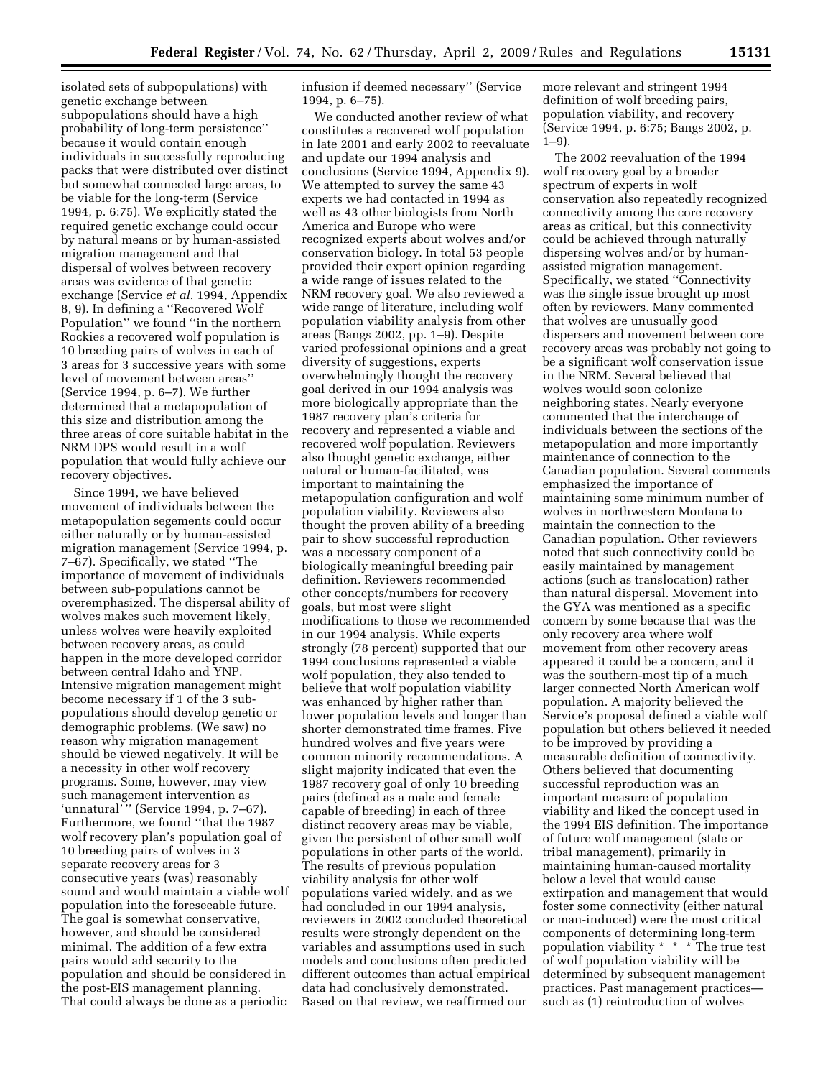isolated sets of subpopulations) with genetic exchange between subpopulations should have a high probability of long-term persistence'' because it would contain enough individuals in successfully reproducing packs that were distributed over distinct but somewhat connected large areas, to be viable for the long-term (Service 1994, p. 6:75). We explicitly stated the required genetic exchange could occur by natural means or by human-assisted migration management and that dispersal of wolves between recovery areas was evidence of that genetic exchange (Service *et al.* 1994, Appendix 8, 9). In defining a ''Recovered Wolf Population'' we found ''in the northern Rockies a recovered wolf population is 10 breeding pairs of wolves in each of 3 areas for 3 successive years with some level of movement between areas'' (Service 1994, p. 6–7). We further determined that a metapopulation of this size and distribution among the three areas of core suitable habitat in the NRM DPS would result in a wolf population that would fully achieve our recovery objectives.

Since 1994, we have believed movement of individuals between the metapopulation segements could occur either naturally or by human-assisted migration management (Service 1994, p. 7–67). Specifically, we stated ''The importance of movement of individuals between sub-populations cannot be overemphasized. The dispersal ability of wolves makes such movement likely, unless wolves were heavily exploited between recovery areas, as could happen in the more developed corridor between central Idaho and YNP. Intensive migration management might become necessary if 1 of the 3 subpopulations should develop genetic or demographic problems. (We saw) no reason why migration management should be viewed negatively. It will be a necessity in other wolf recovery programs. Some, however, may view such management intervention as 'unnatural'" (Service 1994, p. 7-67). Furthermore, we found ''that the 1987 wolf recovery plan's population goal of 10 breeding pairs of wolves in 3 separate recovery areas for 3 consecutive years (was) reasonably sound and would maintain a viable wolf population into the foreseeable future. The goal is somewhat conservative, however, and should be considered minimal. The addition of a few extra pairs would add security to the population and should be considered in the post-EIS management planning. That could always be done as a periodic

infusion if deemed necessary'' (Service 1994, p. 6–75).

We conducted another review of what constitutes a recovered wolf population in late 2001 and early 2002 to reevaluate and update our 1994 analysis and conclusions (Service 1994, Appendix 9). We attempted to survey the same 43 experts we had contacted in 1994 as well as 43 other biologists from North America and Europe who were recognized experts about wolves and/or conservation biology. In total 53 people provided their expert opinion regarding a wide range of issues related to the NRM recovery goal. We also reviewed a wide range of literature, including wolf population viability analysis from other areas (Bangs 2002, pp. 1–9). Despite varied professional opinions and a great diversity of suggestions, experts overwhelmingly thought the recovery goal derived in our 1994 analysis was more biologically appropriate than the 1987 recovery plan's criteria for recovery and represented a viable and recovered wolf population. Reviewers also thought genetic exchange, either natural or human-facilitated, was important to maintaining the metapopulation configuration and wolf population viability. Reviewers also thought the proven ability of a breeding pair to show successful reproduction was a necessary component of a biologically meaningful breeding pair definition. Reviewers recommended other concepts/numbers for recovery goals, but most were slight modifications to those we recommended in our 1994 analysis. While experts strongly (78 percent) supported that our 1994 conclusions represented a viable wolf population, they also tended to believe that wolf population viability was enhanced by higher rather than lower population levels and longer than shorter demonstrated time frames. Five hundred wolves and five years were common minority recommendations. A slight majority indicated that even the 1987 recovery goal of only 10 breeding pairs (defined as a male and female capable of breeding) in each of three distinct recovery areas may be viable, given the persistent of other small wolf populations in other parts of the world. The results of previous population viability analysis for other wolf populations varied widely, and as we had concluded in our 1994 analysis, reviewers in 2002 concluded theoretical results were strongly dependent on the variables and assumptions used in such models and conclusions often predicted different outcomes than actual empirical data had conclusively demonstrated. Based on that review, we reaffirmed our

more relevant and stringent 1994 definition of wolf breeding pairs, population viability, and recovery (Service 1994, p. 6:75; Bangs 2002, p.  $1-9$ ).

The 2002 reevaluation of the 1994 wolf recovery goal by a broader spectrum of experts in wolf conservation also repeatedly recognized connectivity among the core recovery areas as critical, but this connectivity could be achieved through naturally dispersing wolves and/or by humanassisted migration management. Specifically, we stated ''Connectivity was the single issue brought up most often by reviewers. Many commented that wolves are unusually good dispersers and movement between core recovery areas was probably not going to be a significant wolf conservation issue in the NRM. Several believed that wolves would soon colonize neighboring states. Nearly everyone commented that the interchange of individuals between the sections of the metapopulation and more importantly maintenance of connection to the Canadian population. Several comments emphasized the importance of maintaining some minimum number of wolves in northwestern Montana to maintain the connection to the Canadian population. Other reviewers noted that such connectivity could be easily maintained by management actions (such as translocation) rather than natural dispersal. Movement into the GYA was mentioned as a specific concern by some because that was the only recovery area where wolf movement from other recovery areas appeared it could be a concern, and it was the southern-most tip of a much larger connected North American wolf population. A majority believed the Service's proposal defined a viable wolf population but others believed it needed to be improved by providing a measurable definition of connectivity. Others believed that documenting successful reproduction was an important measure of population viability and liked the concept used in the 1994 EIS definition. The importance of future wolf management (state or tribal management), primarily in maintaining human-caused mortality below a level that would cause extirpation and management that would foster some connectivity (either natural or man-induced) were the most critical components of determining long-term population viability \* \* \* The true test of wolf population viability will be determined by subsequent management practices. Past management practices such as (1) reintroduction of wolves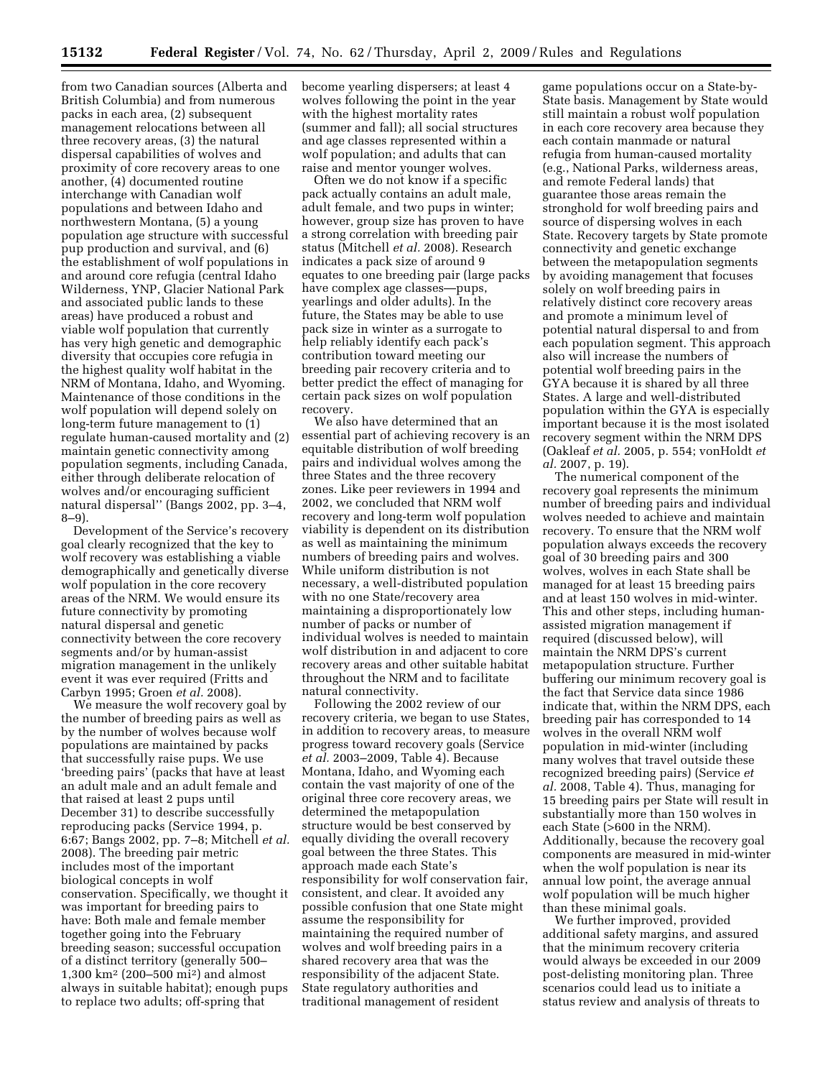from two Canadian sources (Alberta and British Columbia) and from numerous packs in each area, (2) subsequent management relocations between all three recovery areas, (3) the natural dispersal capabilities of wolves and proximity of core recovery areas to one another, (4) documented routine interchange with Canadian wolf populations and between Idaho and northwestern Montana, (5) a young population age structure with successful pup production and survival, and (6) the establishment of wolf populations in and around core refugia (central Idaho Wilderness, YNP, Glacier National Park and associated public lands to these areas) have produced a robust and viable wolf population that currently has very high genetic and demographic diversity that occupies core refugia in the highest quality wolf habitat in the NRM of Montana, Idaho, and Wyoming. Maintenance of those conditions in the wolf population will depend solely on long-term future management to (1) regulate human-caused mortality and (2) maintain genetic connectivity among population segments, including Canada, either through deliberate relocation of wolves and/or encouraging sufficient natural dispersal'' (Bangs 2002, pp. 3–4, 8–9).

Development of the Service's recovery goal clearly recognized that the key to wolf recovery was establishing a viable demographically and genetically diverse wolf population in the core recovery areas of the NRM. We would ensure its future connectivity by promoting natural dispersal and genetic connectivity between the core recovery segments and/or by human-assist migration management in the unlikely event it was ever required (Fritts and Carbyn 1995; Groen *et al.* 2008).

We measure the wolf recovery goal by the number of breeding pairs as well as by the number of wolves because wolf populations are maintained by packs that successfully raise pups. We use 'breeding pairs' (packs that have at least an adult male and an adult female and that raised at least 2 pups until December 31) to describe successfully reproducing packs (Service 1994, p. 6:67; Bangs 2002, pp. 7–8; Mitchell *et al.*  2008). The breeding pair metric includes most of the important biological concepts in wolf conservation. Specifically, we thought it was important for breeding pairs to have: Both male and female member together going into the February breeding season; successful occupation of a distinct territory (generally 500– 1,300 km2 (200–500 mi2) and almost always in suitable habitat); enough pups to replace two adults; off-spring that

become yearling dispersers; at least 4 wolves following the point in the year with the highest mortality rates (summer and fall); all social structures and age classes represented within a wolf population; and adults that can raise and mentor younger wolves.

Often we do not know if a specific pack actually contains an adult male, adult female, and two pups in winter; however, group size has proven to have a strong correlation with breeding pair status (Mitchell *et al.* 2008). Research indicates a pack size of around 9 equates to one breeding pair (large packs have complex age classes—pups, yearlings and older adults). In the future, the States may be able to use pack size in winter as a surrogate to help reliably identify each pack's contribution toward meeting our breeding pair recovery criteria and to better predict the effect of managing for certain pack sizes on wolf population recovery.

We also have determined that an essential part of achieving recovery is an equitable distribution of wolf breeding pairs and individual wolves among the three States and the three recovery zones. Like peer reviewers in 1994 and 2002, we concluded that NRM wolf recovery and long-term wolf population viability is dependent on its distribution as well as maintaining the minimum numbers of breeding pairs and wolves. While uniform distribution is not necessary, a well-distributed population with no one State/recovery area maintaining a disproportionately low number of packs or number of individual wolves is needed to maintain wolf distribution in and adjacent to core recovery areas and other suitable habitat throughout the NRM and to facilitate natural connectivity.

Following the 2002 review of our recovery criteria, we began to use States, in addition to recovery areas, to measure progress toward recovery goals (Service *et al.* 2003–2009, Table 4). Because Montana, Idaho, and Wyoming each contain the vast majority of one of the original three core recovery areas, we determined the metapopulation structure would be best conserved by equally dividing the overall recovery goal between the three States. This approach made each State's responsibility for wolf conservation fair, consistent, and clear. It avoided any possible confusion that one State might assume the responsibility for maintaining the required number of wolves and wolf breeding pairs in a shared recovery area that was the responsibility of the adjacent State. State regulatory authorities and traditional management of resident

game populations occur on a State-by-State basis. Management by State would still maintain a robust wolf population in each core recovery area because they each contain manmade or natural refugia from human-caused mortality (e.g., National Parks, wilderness areas, and remote Federal lands) that guarantee those areas remain the stronghold for wolf breeding pairs and source of dispersing wolves in each State. Recovery targets by State promote connectivity and genetic exchange between the metapopulation segments by avoiding management that focuses solely on wolf breeding pairs in relatively distinct core recovery areas and promote a minimum level of potential natural dispersal to and from each population segment. This approach also will increase the numbers of potential wolf breeding pairs in the GYA because it is shared by all three States. A large and well-distributed population within the GYA is especially important because it is the most isolated recovery segment within the NRM DPS (Oakleaf *et al.* 2005, p. 554; vonHoldt *et al.* 2007, p. 19).

The numerical component of the recovery goal represents the minimum number of breeding pairs and individual wolves needed to achieve and maintain recovery. To ensure that the NRM wolf population always exceeds the recovery goal of 30 breeding pairs and 300 wolves, wolves in each State shall be managed for at least 15 breeding pairs and at least 150 wolves in mid-winter. This and other steps, including humanassisted migration management if required (discussed below), will maintain the NRM DPS's current metapopulation structure. Further buffering our minimum recovery goal is the fact that Service data since 1986 indicate that, within the NRM DPS, each breeding pair has corresponded to 14 wolves in the overall NRM wolf population in mid-winter (including many wolves that travel outside these recognized breeding pairs) (Service *et al.* 2008, Table 4). Thus, managing for 15 breeding pairs per State will result in substantially more than 150 wolves in each State (>600 in the NRM). Additionally, because the recovery goal components are measured in mid-winter when the wolf population is near its annual low point, the average annual wolf population will be much higher than these minimal goals.

We further improved, provided additional safety margins, and assured that the minimum recovery criteria would always be exceeded in our 2009 post-delisting monitoring plan. Three scenarios could lead us to initiate a status review and analysis of threats to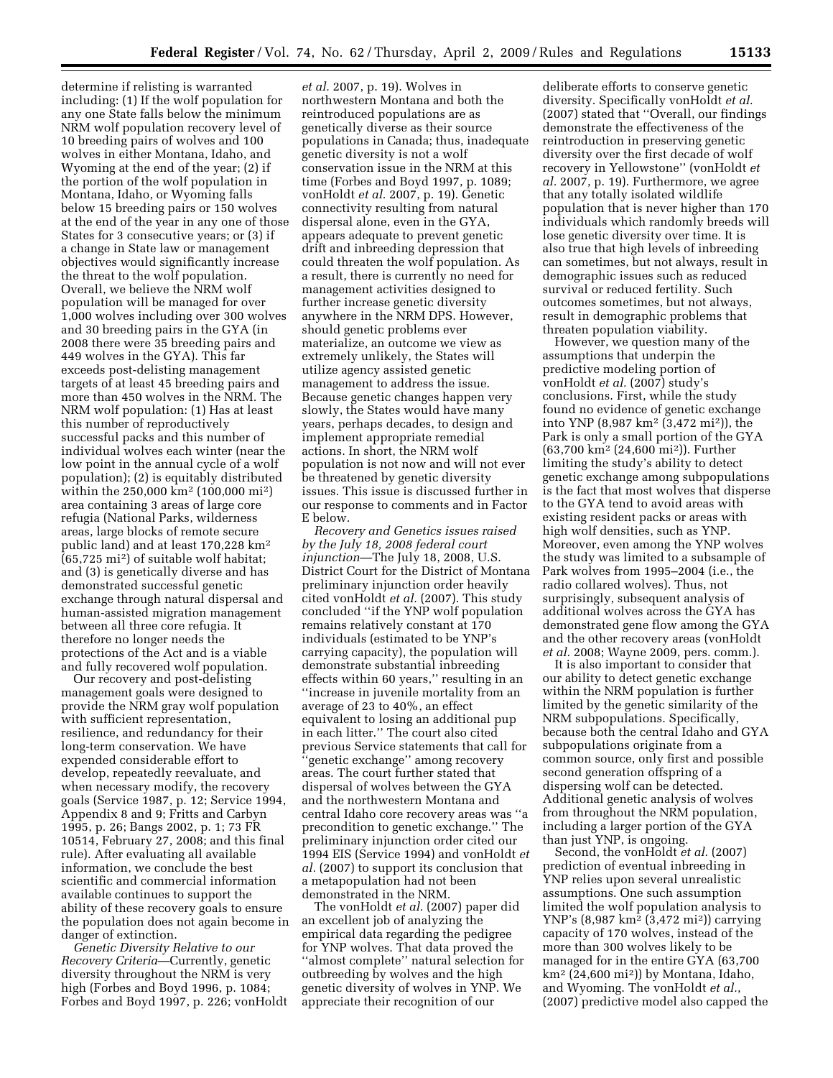determine if relisting is warranted including: (1) If the wolf population for any one State falls below the minimum NRM wolf population recovery level of 10 breeding pairs of wolves and 100 wolves in either Montana, Idaho, and Wyoming at the end of the year; (2) if the portion of the wolf population in Montana, Idaho, or Wyoming falls below 15 breeding pairs or 150 wolves at the end of the year in any one of those States for 3 consecutive years; or (3) if a change in State law or management objectives would significantly increase the threat to the wolf population. Overall, we believe the NRM wolf population will be managed for over 1,000 wolves including over 300 wolves and 30 breeding pairs in the GYA (in 2008 there were 35 breeding pairs and 449 wolves in the GYA). This far exceeds post-delisting management targets of at least 45 breeding pairs and more than 450 wolves in the NRM. The NRM wolf population: (1) Has at least this number of reproductively successful packs and this number of individual wolves each winter (near the low point in the annual cycle of a wolf population); (2) is equitably distributed within the 250,000 km2 (100,000 mi2) area containing 3 areas of large core refugia (National Parks, wilderness areas, large blocks of remote secure public land) and at least 170,228 km2 (65,725 mi2) of suitable wolf habitat; and (3) is genetically diverse and has demonstrated successful genetic exchange through natural dispersal and human-assisted migration management between all three core refugia. It therefore no longer needs the protections of the Act and is a viable and fully recovered wolf population.

Our recovery and post-delisting management goals were designed to provide the NRM gray wolf population with sufficient representation, resilience, and redundancy for their long-term conservation. We have expended considerable effort to develop, repeatedly reevaluate, and when necessary modify, the recovery goals (Service 1987, p. 12; Service 1994, Appendix 8 and 9; Fritts and Carbyn 1995, p. 26; Bangs 2002, p. 1; 73 FR 10514, February 27, 2008; and this final rule). After evaluating all available information, we conclude the best scientific and commercial information available continues to support the ability of these recovery goals to ensure the population does not again become in danger of extinction.

*Genetic Diversity Relative to our Recovery Criteria*—Currently, genetic diversity throughout the NRM is very high (Forbes and Boyd 1996, p. 1084; Forbes and Boyd 1997, p. 226; vonHoldt

*et al.* 2007, p. 19). Wolves in northwestern Montana and both the reintroduced populations are as genetically diverse as their source populations in Canada; thus, inadequate genetic diversity is not a wolf conservation issue in the NRM at this time (Forbes and Boyd 1997, p. 1089; vonHoldt *et al.* 2007, p. 19). Genetic connectivity resulting from natural dispersal alone, even in the GYA, appears adequate to prevent genetic drift and inbreeding depression that could threaten the wolf population. As a result, there is currently no need for management activities designed to further increase genetic diversity anywhere in the NRM DPS. However, should genetic problems ever materialize, an outcome we view as extremely unlikely, the States will utilize agency assisted genetic management to address the issue. Because genetic changes happen very slowly, the States would have many years, perhaps decades, to design and implement appropriate remedial actions. In short, the NRM wolf population is not now and will not ever be threatened by genetic diversity issues. This issue is discussed further in our response to comments and in Factor E below.

*Recovery and Genetics issues raised by the July 18, 2008 federal court injunction*—The July 18, 2008, U.S. District Court for the District of Montana preliminary injunction order heavily cited vonHoldt *et al.* (2007). This study concluded ''if the YNP wolf population remains relatively constant at 170 individuals (estimated to be YNP's carrying capacity), the population will demonstrate substantial inbreeding effects within 60 years,'' resulting in an ''increase in juvenile mortality from an average of 23 to 40%, an effect equivalent to losing an additional pup in each litter.'' The court also cited previous Service statements that call for 'genetic exchange'' among recovery areas. The court further stated that dispersal of wolves between the GYA and the northwestern Montana and central Idaho core recovery areas was ''a precondition to genetic exchange.'' The preliminary injunction order cited our 1994 EIS (Service 1994) and vonHoldt *et al.* (2007) to support its conclusion that a metapopulation had not been demonstrated in the NRM.

The vonHoldt *et al.* (2007) paper did an excellent job of analyzing the empirical data regarding the pedigree for YNP wolves. That data proved the ''almost complete'' natural selection for outbreeding by wolves and the high genetic diversity of wolves in YNP. We appreciate their recognition of our

deliberate efforts to conserve genetic diversity. Specifically vonHoldt *et al.*  (2007) stated that ''Overall, our findings demonstrate the effectiveness of the reintroduction in preserving genetic diversity over the first decade of wolf recovery in Yellowstone'' (vonHoldt *et al.* 2007, p. 19). Furthermore, we agree that any totally isolated wildlife population that is never higher than 170 individuals which randomly breeds will lose genetic diversity over time. It is also true that high levels of inbreeding can sometimes, but not always, result in demographic issues such as reduced survival or reduced fertility. Such outcomes sometimes, but not always, result in demographic problems that threaten population viability.

However, we question many of the assumptions that underpin the predictive modeling portion of vonHoldt *et al.* (2007) study's conclusions. First, while the study found no evidence of genetic exchange into YNP (8,987 km2 (3,472 mi2)), the Park is only a small portion of the GYA (63,700 km2 (24,600 mi2)). Further limiting the study's ability to detect genetic exchange among subpopulations is the fact that most wolves that disperse to the GYA tend to avoid areas with existing resident packs or areas with high wolf densities, such as YNP. Moreover, even among the YNP wolves the study was limited to a subsample of Park wolves from 1995–2004 (i.e., the radio collared wolves). Thus, not surprisingly, subsequent analysis of additional wolves across the GYA has demonstrated gene flow among the GYA and the other recovery areas (vonHoldt *et al.* 2008; Wayne 2009, pers. comm.).

It is also important to consider that our ability to detect genetic exchange within the NRM population is further limited by the genetic similarity of the NRM subpopulations. Specifically, because both the central Idaho and GYA subpopulations originate from a common source, only first and possible second generation offspring of a dispersing wolf can be detected. Additional genetic analysis of wolves from throughout the NRM population, including a larger portion of the GYA than just YNP, is ongoing.

Second, the vonHoldt *et al.* (2007) prediction of eventual inbreeding in YNP relies upon several unrealistic assumptions. One such assumption limited the wolf population analysis to YNP's (8,987 km<sup>2</sup> (3,472 mi<sup>2</sup>)) carrying capacity of 170 wolves, instead of the more than 300 wolves likely to be managed for in the entire GYA (63,700 km2 (24,600 mi2)) by Montana, Idaho, and Wyoming. The vonHoldt *et al.*, (2007) predictive model also capped the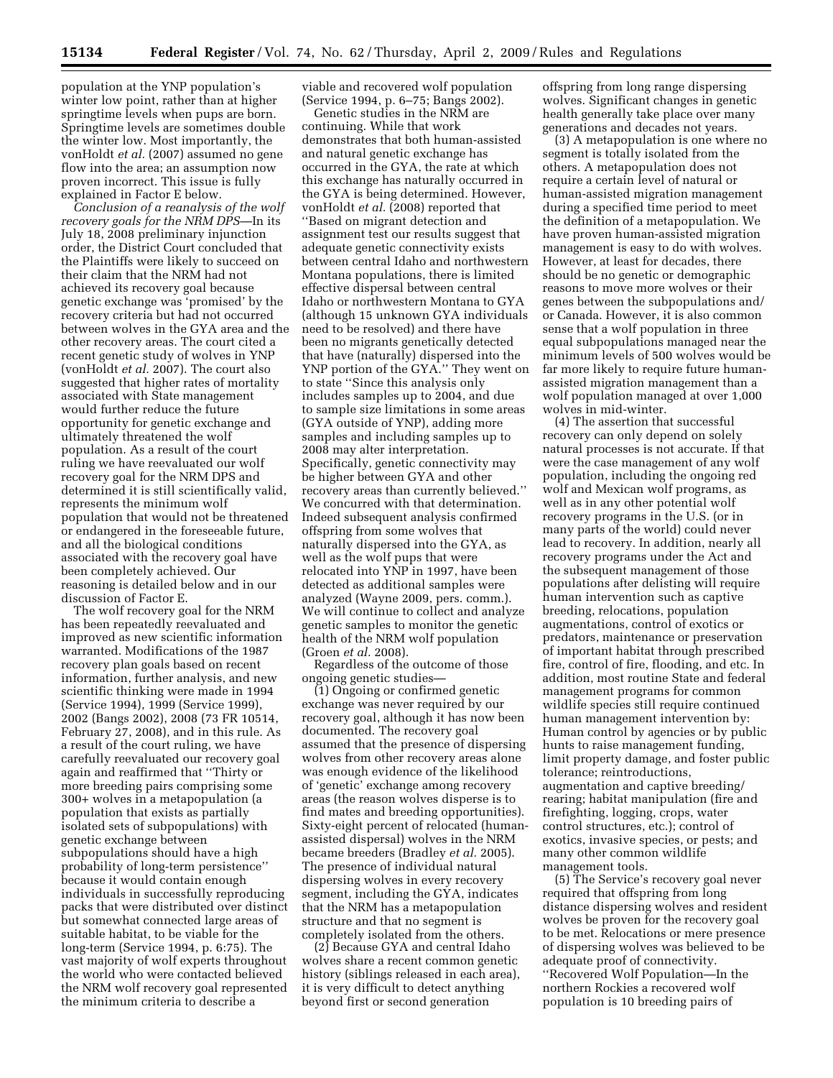population at the YNP population's winter low point, rather than at higher springtime levels when pups are born. Springtime levels are sometimes double the winter low. Most importantly, the vonHoldt *et al.* (2007) assumed no gene flow into the area; an assumption now proven incorrect. This issue is fully explained in Factor E below.

*Conclusion of a reanalysis of the wolf recovery goals for the NRM DPS*—In its July 18, 2008 preliminary injunction order, the District Court concluded that the Plaintiffs were likely to succeed on their claim that the NRM had not achieved its recovery goal because genetic exchange was 'promised' by the recovery criteria but had not occurred between wolves in the GYA area and the other recovery areas. The court cited a recent genetic study of wolves in YNP (vonHoldt *et al.* 2007). The court also suggested that higher rates of mortality associated with State management would further reduce the future opportunity for genetic exchange and ultimately threatened the wolf population. As a result of the court ruling we have reevaluated our wolf recovery goal for the NRM DPS and determined it is still scientifically valid, represents the minimum wolf population that would not be threatened or endangered in the foreseeable future, and all the biological conditions associated with the recovery goal have been completely achieved. Our reasoning is detailed below and in our discussion of Factor E.

The wolf recovery goal for the NRM has been repeatedly reevaluated and improved as new scientific information warranted. Modifications of the 1987 recovery plan goals based on recent information, further analysis, and new scientific thinking were made in 1994 (Service 1994), 1999 (Service 1999), 2002 (Bangs 2002), 2008 (73 FR 10514, February 27, 2008), and in this rule. As a result of the court ruling, we have carefully reevaluated our recovery goal again and reaffirmed that ''Thirty or more breeding pairs comprising some 300+ wolves in a metapopulation (a population that exists as partially isolated sets of subpopulations) with genetic exchange between subpopulations should have a high probability of long-term persistence'' because it would contain enough individuals in successfully reproducing packs that were distributed over distinct but somewhat connected large areas of suitable habitat, to be viable for the long-term (Service 1994, p. 6:75). The vast majority of wolf experts throughout the world who were contacted believed the NRM wolf recovery goal represented the minimum criteria to describe a

viable and recovered wolf population (Service 1994, p. 6–75; Bangs 2002).

Genetic studies in the NRM are continuing. While that work demonstrates that both human-assisted and natural genetic exchange has occurred in the GYA, the rate at which this exchange has naturally occurred in the GYA is being determined. However, vonHoldt *et al.* (2008) reported that ''Based on migrant detection and assignment test our results suggest that adequate genetic connectivity exists between central Idaho and northwestern Montana populations, there is limited effective dispersal between central Idaho or northwestern Montana to GYA (although 15 unknown GYA individuals need to be resolved) and there have been no migrants genetically detected that have (naturally) dispersed into the YNP portion of the GYA.'' They went on to state ''Since this analysis only includes samples up to 2004, and due to sample size limitations in some areas (GYA outside of YNP), adding more samples and including samples up to 2008 may alter interpretation. Specifically, genetic connectivity may be higher between GYA and other recovery areas than currently believed.'' We concurred with that determination. Indeed subsequent analysis confirmed offspring from some wolves that naturally dispersed into the GYA, as well as the wolf pups that were relocated into YNP in 1997, have been detected as additional samples were analyzed (Wayne 2009, pers. comm.). We will continue to collect and analyze genetic samples to monitor the genetic health of the NRM wolf population (Groen *et al.* 2008).

Regardless of the outcome of those ongoing genetic studies—

(1) Ongoing or confirmed genetic exchange was never required by our recovery goal, although it has now been documented. The recovery goal assumed that the presence of dispersing wolves from other recovery areas alone was enough evidence of the likelihood of 'genetic' exchange among recovery areas (the reason wolves disperse is to find mates and breeding opportunities). Sixty-eight percent of relocated (humanassisted dispersal) wolves in the NRM became breeders (Bradley *et al.* 2005). The presence of individual natural dispersing wolves in every recovery segment, including the GYA, indicates that the NRM has a metapopulation structure and that no segment is completely isolated from the others.

(2) Because GYA and central Idaho wolves share a recent common genetic history (siblings released in each area), it is very difficult to detect anything beyond first or second generation

offspring from long range dispersing wolves. Significant changes in genetic health generally take place over many generations and decades not years.

(3) A metapopulation is one where no segment is totally isolated from the others. A metapopulation does not require a certain level of natural or human-assisted migration management during a specified time period to meet the definition of a metapopulation. We have proven human-assisted migration management is easy to do with wolves. However, at least for decades, there should be no genetic or demographic reasons to move more wolves or their genes between the subpopulations and/ or Canada. However, it is also common sense that a wolf population in three equal subpopulations managed near the minimum levels of 500 wolves would be far more likely to require future humanassisted migration management than a wolf population managed at over 1,000 wolves in mid-winter.

(4) The assertion that successful recovery can only depend on solely natural processes is not accurate. If that were the case management of any wolf population, including the ongoing red wolf and Mexican wolf programs, as well as in any other potential wolf recovery programs in the U.S. (or in many parts of the world) could never lead to recovery. In addition, nearly all recovery programs under the Act and the subsequent management of those populations after delisting will require human intervention such as captive breeding, relocations, population augmentations, control of exotics or predators, maintenance or preservation of important habitat through prescribed fire, control of fire, flooding, and etc. In addition, most routine State and federal management programs for common wildlife species still require continued human management intervention by: Human control by agencies or by public hunts to raise management funding, limit property damage, and foster public tolerance; reintroductions, augmentation and captive breeding/ rearing; habitat manipulation (fire and firefighting, logging, crops, water control structures, etc.); control of exotics, invasive species, or pests; and many other common wildlife management tools.

(5) The Service's recovery goal never required that offspring from long distance dispersing wolves and resident wolves be proven for the recovery goal to be met. Relocations or mere presence of dispersing wolves was believed to be adequate proof of connectivity. ''Recovered Wolf Population—In the northern Rockies a recovered wolf population is 10 breeding pairs of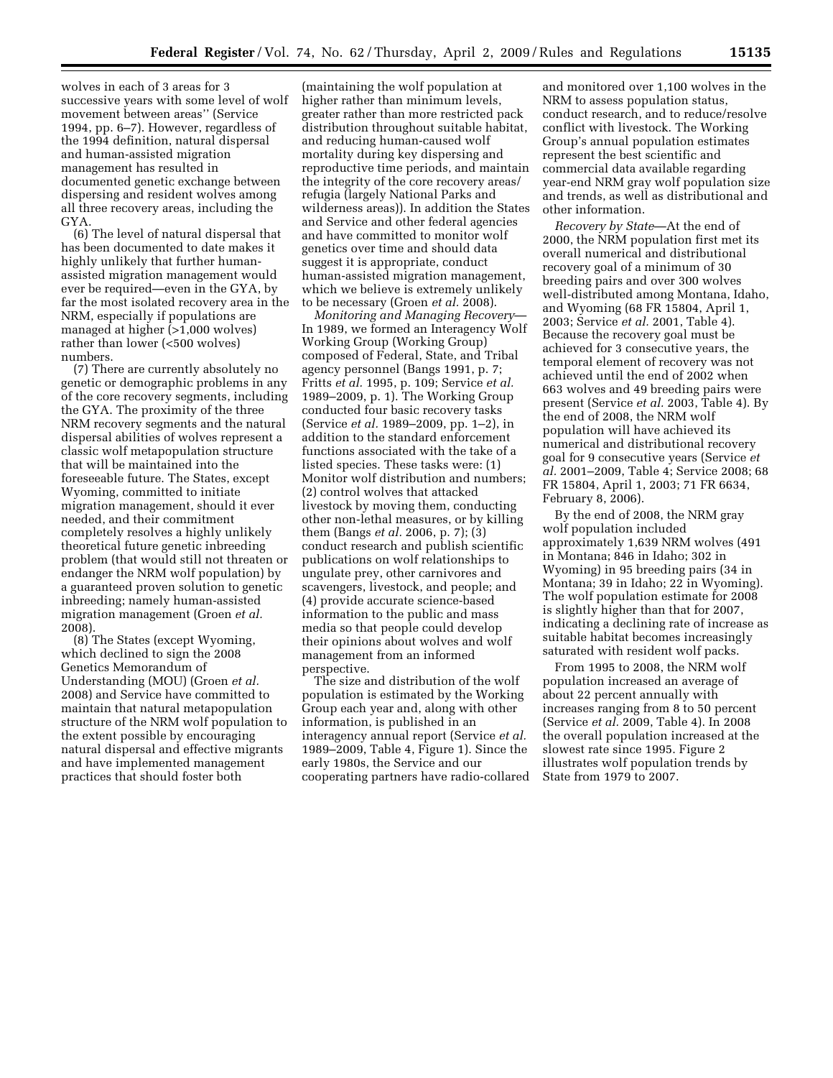wolves in each of 3 areas for 3 successive years with some level of wolf movement between areas'' (Service 1994, pp. 6–7). However, regardless of the 1994 definition, natural dispersal and human-assisted migration management has resulted in documented genetic exchange between dispersing and resident wolves among all three recovery areas, including the GYA.

(6) The level of natural dispersal that has been documented to date makes it highly unlikely that further humanassisted migration management would ever be required—even in the GYA, by far the most isolated recovery area in the NRM, especially if populations are managed at higher (>1,000 wolves) rather than lower (<500 wolves) numbers.

(7) There are currently absolutely no genetic or demographic problems in any of the core recovery segments, including the GYA. The proximity of the three NRM recovery segments and the natural dispersal abilities of wolves represent a classic wolf metapopulation structure that will be maintained into the foreseeable future. The States, except Wyoming, committed to initiate migration management, should it ever needed, and their commitment completely resolves a highly unlikely theoretical future genetic inbreeding problem (that would still not threaten or endanger the NRM wolf population) by a guaranteed proven solution to genetic inbreeding; namely human-assisted migration management (Groen *et al.*  2008).

(8) The States (except Wyoming, which declined to sign the 2008 Genetics Memorandum of Understanding (MOU) (Groen *et al.*  2008) and Service have committed to maintain that natural metapopulation structure of the NRM wolf population to the extent possible by encouraging natural dispersal and effective migrants and have implemented management practices that should foster both

(maintaining the wolf population at higher rather than minimum levels, greater rather than more restricted pack distribution throughout suitable habitat, and reducing human-caused wolf mortality during key dispersing and reproductive time periods, and maintain the integrity of the core recovery areas/ refugia (largely National Parks and wilderness areas)). In addition the States and Service and other federal agencies and have committed to monitor wolf genetics over time and should data suggest it is appropriate, conduct human-assisted migration management, which we believe is extremely unlikely to be necessary (Groen *et al.* 2008).

*Monitoring and Managing Recovery*— In 1989, we formed an Interagency Wolf Working Group (Working Group) composed of Federal, State, and Tribal agency personnel (Bangs 1991, p. 7; Fritts *et al.* 1995, p. 109; Service *et al.*  1989–2009, p. 1). The Working Group conducted four basic recovery tasks (Service *et al.* 1989–2009, pp. 1–2), in addition to the standard enforcement functions associated with the take of a listed species. These tasks were: (1) Monitor wolf distribution and numbers; (2) control wolves that attacked livestock by moving them, conducting other non-lethal measures, or by killing them (Bangs *et al.* 2006, p. 7); (3) conduct research and publish scientific publications on wolf relationships to ungulate prey, other carnivores and scavengers, livestock, and people; and (4) provide accurate science-based information to the public and mass media so that people could develop their opinions about wolves and wolf management from an informed perspective.

The size and distribution of the wolf population is estimated by the Working Group each year and, along with other information, is published in an interagency annual report (Service *et al.*  1989–2009, Table 4, Figure 1). Since the early 1980s, the Service and our cooperating partners have radio-collared

and monitored over 1,100 wolves in the NRM to assess population status, conduct research, and to reduce/resolve conflict with livestock. The Working Group's annual population estimates represent the best scientific and commercial data available regarding year-end NRM gray wolf population size and trends, as well as distributional and other information.

*Recovery by State*—At the end of 2000, the NRM population first met its overall numerical and distributional recovery goal of a minimum of 30 breeding pairs and over 300 wolves well-distributed among Montana, Idaho, and Wyoming (68 FR 15804, April 1, 2003; Service *et al.* 2001, Table 4). Because the recovery goal must be achieved for 3 consecutive years, the temporal element of recovery was not achieved until the end of 2002 when 663 wolves and 49 breeding pairs were present (Service *et al.* 2003, Table 4). By the end of 2008, the NRM wolf population will have achieved its numerical and distributional recovery goal for 9 consecutive years (Service *et al.* 2001–2009, Table 4; Service 2008; 68 FR 15804, April 1, 2003; 71 FR 6634, February 8, 2006).

By the end of 2008, the NRM gray wolf population included approximately 1,639 NRM wolves (491 in Montana; 846 in Idaho; 302 in Wyoming) in 95 breeding pairs (34 in Montana; 39 in Idaho; 22 in Wyoming). The wolf population estimate for 2008 is slightly higher than that for 2007, indicating a declining rate of increase as suitable habitat becomes increasingly saturated with resident wolf packs.

From 1995 to 2008, the NRM wolf population increased an average of about 22 percent annually with increases ranging from 8 to 50 percent (Service *et al.* 2009, Table 4). In 2008 the overall population increased at the slowest rate since 1995. Figure 2 illustrates wolf population trends by State from 1979 to 2007.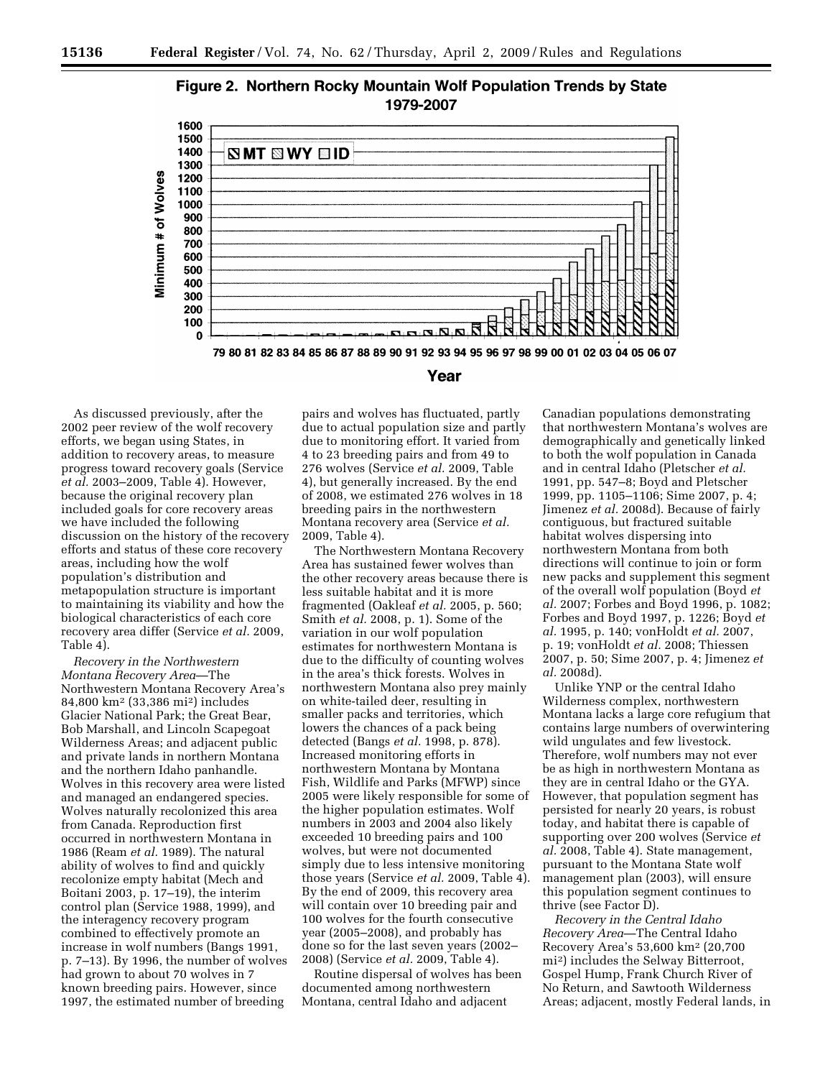



As discussed previously, after the 2002 peer review of the wolf recovery efforts, we began using States, in addition to recovery areas, to measure progress toward recovery goals (Service *et al.* 2003–2009, Table 4). However, because the original recovery plan included goals for core recovery areas we have included the following discussion on the history of the recovery efforts and status of these core recovery areas, including how the wolf population's distribution and metapopulation structure is important to maintaining its viability and how the biological characteristics of each core recovery area differ (Service *et al.* 2009, Table 4).

*Recovery in the Northwestern Montana Recovery Area*—The Northwestern Montana Recovery Area's 84,800 km2 (33,386 mi2) includes Glacier National Park; the Great Bear, Bob Marshall, and Lincoln Scapegoat Wilderness Areas; and adjacent public and private lands in northern Montana and the northern Idaho panhandle. Wolves in this recovery area were listed and managed an endangered species. Wolves naturally recolonized this area from Canada. Reproduction first occurred in northwestern Montana in 1986 (Ream *et al.* 1989). The natural ability of wolves to find and quickly recolonize empty habitat (Mech and Boitani 2003, p. 17–19), the interim control plan (Service 1988, 1999), and the interagency recovery program combined to effectively promote an increase in wolf numbers (Bangs 1991, p. 7–13). By 1996, the number of wolves had grown to about 70 wolves in 7 known breeding pairs. However, since 1997, the estimated number of breeding

pairs and wolves has fluctuated, partly due to actual population size and partly due to monitoring effort. It varied from 4 to 23 breeding pairs and from 49 to 276 wolves (Service *et al.* 2009, Table 4), but generally increased. By the end of 2008, we estimated 276 wolves in 18 breeding pairs in the northwestern Montana recovery area (Service *et al.*  2009, Table 4).

The Northwestern Montana Recovery Area has sustained fewer wolves than the other recovery areas because there is less suitable habitat and it is more fragmented (Oakleaf *et al.* 2005, p. 560; Smith *et al.* 2008, p. 1). Some of the variation in our wolf population estimates for northwestern Montana is due to the difficulty of counting wolves in the area's thick forests. Wolves in northwestern Montana also prey mainly on white-tailed deer, resulting in smaller packs and territories, which lowers the chances of a pack being detected (Bangs *et al.* 1998, p. 878). Increased monitoring efforts in northwestern Montana by Montana Fish, Wildlife and Parks (MFWP) since 2005 were likely responsible for some of the higher population estimates. Wolf numbers in 2003 and 2004 also likely exceeded 10 breeding pairs and 100 wolves, but were not documented simply due to less intensive monitoring those years (Service *et al.* 2009, Table 4). By the end of 2009, this recovery area will contain over 10 breeding pair and 100 wolves for the fourth consecutive year (2005–2008), and probably has done so for the last seven years (2002– 2008) (Service *et al.* 2009, Table 4).

Routine dispersal of wolves has been documented among northwestern Montana, central Idaho and adjacent

Canadian populations demonstrating that northwestern Montana's wolves are demographically and genetically linked to both the wolf population in Canada and in central Idaho (Pletscher *et al.*  1991, pp. 547–8; Boyd and Pletscher 1999, pp. 1105–1106; Sime 2007, p. 4; Jimenez *et al.* 2008d). Because of fairly contiguous, but fractured suitable habitat wolves dispersing into northwestern Montana from both directions will continue to join or form new packs and supplement this segment of the overall wolf population (Boyd *et al.* 2007; Forbes and Boyd 1996, p. 1082; Forbes and Boyd 1997, p. 1226; Boyd *et al.* 1995, p. 140; vonHoldt *et al.* 2007, p. 19; vonHoldt *et al.* 2008; Thiessen 2007, p. 50; Sime 2007, p. 4; Jimenez *et al.* 2008d).

Unlike YNP or the central Idaho Wilderness complex, northwestern Montana lacks a large core refugium that contains large numbers of overwintering wild ungulates and few livestock. Therefore, wolf numbers may not ever be as high in northwestern Montana as they are in central Idaho or the GYA. However, that population segment has persisted for nearly 20 years, is robust today, and habitat there is capable of supporting over 200 wolves (Service *et al.* 2008, Table 4). State management, pursuant to the Montana State wolf management plan (2003), will ensure this population segment continues to thrive (see Factor D).

*Recovery in the Central Idaho Recovery Area*—The Central Idaho Recovery Area's 53,600 km2 (20,700 mi2) includes the Selway Bitterroot, Gospel Hump, Frank Church River of No Return, and Sawtooth Wilderness Areas; adjacent, mostly Federal lands, in

# Year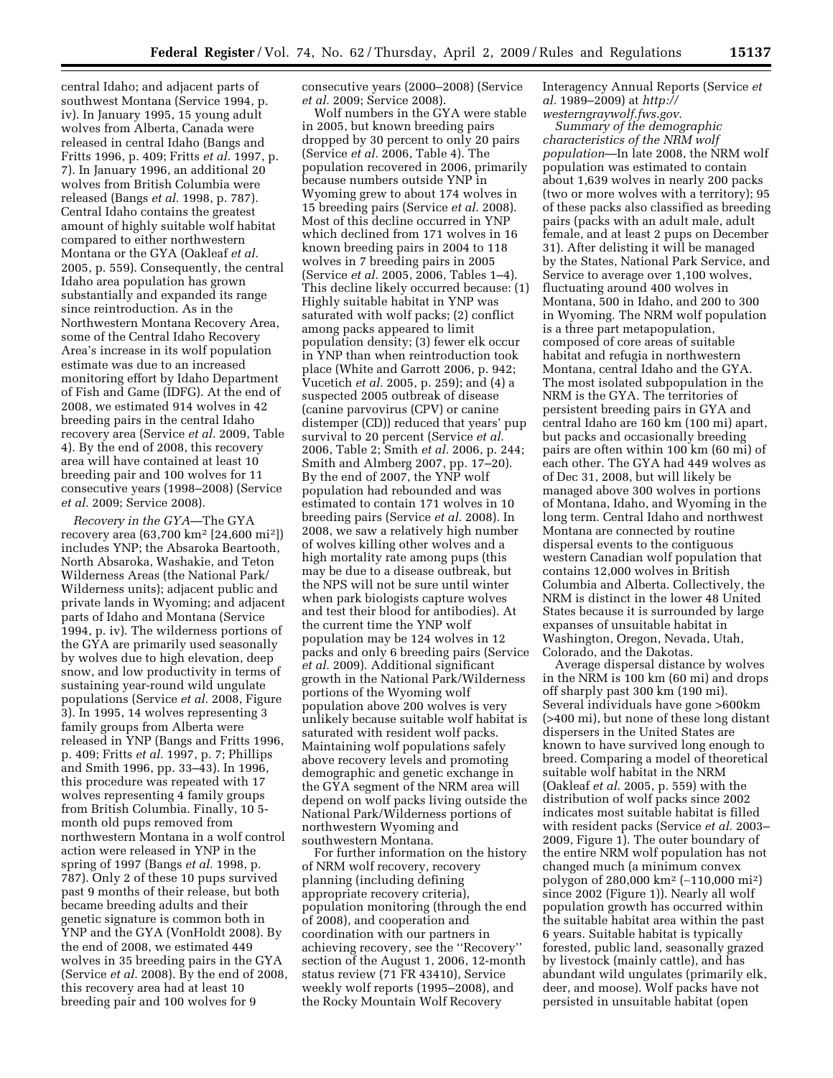central Idaho; and adjacent parts of southwest Montana (Service 1994, p. iv). In January 1995, 15 young adult wolves from Alberta, Canada were released in central Idaho (Bangs and Fritts 1996, p. 409; Fritts *et al.* 1997, p. 7). In January 1996, an additional 20 wolves from British Columbia were released (Bangs *et al.* 1998, p. 787). Central Idaho contains the greatest amount of highly suitable wolf habitat compared to either northwestern Montana or the GYA (Oakleaf *et al.*  2005, p. 559). Consequently, the central Idaho area population has grown substantially and expanded its range since reintroduction. As in the Northwestern Montana Recovery Area, some of the Central Idaho Recovery Area's increase in its wolf population estimate was due to an increased monitoring effort by Idaho Department of Fish and Game (IDFG). At the end of 2008, we estimated 914 wolves in 42 breeding pairs in the central Idaho recovery area (Service *et al.* 2009, Table 4). By the end of 2008, this recovery area will have contained at least 10 breeding pair and 100 wolves for 11 consecutive years (1998–2008) (Service *et al.* 2009; Service 2008).

*Recovery in the GYA*—The GYA recovery area (63,700 km2 [24,600 mi2]) includes YNP; the Absaroka Beartooth, North Absaroka, Washakie, and Teton Wilderness Areas (the National Park/ Wilderness units); adjacent public and private lands in Wyoming; and adjacent parts of Idaho and Montana (Service 1994, p. iv). The wilderness portions of the GYA are primarily used seasonally by wolves due to high elevation, deep snow, and low productivity in terms of sustaining year-round wild ungulate populations (Service *et al.* 2008, Figure 3). In 1995, 14 wolves representing 3 family groups from Alberta were released in YNP (Bangs and Fritts 1996, p. 409; Fritts *et al.* 1997, p. 7; Phillips and Smith 1996, pp. 33–43). In 1996, this procedure was repeated with 17 wolves representing 4 family groups from British Columbia. Finally, 10 5 month old pups removed from northwestern Montana in a wolf control action were released in YNP in the spring of 1997 (Bangs *et al.* 1998, p. 787). Only 2 of these 10 pups survived past 9 months of their release, but both became breeding adults and their genetic signature is common both in YNP and the GYA (VonHoldt 2008). By the end of 2008, we estimated 449 wolves in 35 breeding pairs in the GYA (Service *et al.* 2008). By the end of 2008, this recovery area had at least 10 breeding pair and 100 wolves for 9

consecutive years (2000–2008) (Service *et al.* 2009; Service 2008).

Wolf numbers in the GYA were stable in 2005, but known breeding pairs dropped by 30 percent to only 20 pairs (Service *et al.* 2006, Table 4). The population recovered in 2006, primarily because numbers outside YNP in Wyoming grew to about 174 wolves in 15 breeding pairs (Service *et al.* 2008). Most of this decline occurred in YNP which declined from 171 wolves in 16 known breeding pairs in 2004 to 118 wolves in 7 breeding pairs in 2005 (Service *et al.* 2005, 2006, Tables 1–4). This decline likely occurred because: (1) Highly suitable habitat in YNP was saturated with wolf packs; (2) conflict among packs appeared to limit population density; (3) fewer elk occur in YNP than when reintroduction took place (White and Garrott 2006, p. 942; Vucetich *et al.* 2005, p. 259); and (4) a suspected 2005 outbreak of disease (canine parvovirus (CPV) or canine distemper (CD)) reduced that years' pup survival to 20 percent (Service *et al.*  2006, Table 2; Smith *et al.* 2006, p. 244; Smith and Almberg 2007, pp. 17–20). By the end of 2007, the YNP wolf population had rebounded and was estimated to contain 171 wolves in 10 breeding pairs (Service *et al.* 2008). In 2008, we saw a relatively high number of wolves killing other wolves and a high mortality rate among pups (this may be due to a disease outbreak, but the NPS will not be sure until winter when park biologists capture wolves and test their blood for antibodies). At the current time the YNP wolf population may be 124 wolves in 12 packs and only 6 breeding pairs (Service *et al.* 2009). Additional significant growth in the National Park/Wilderness portions of the Wyoming wolf population above 200 wolves is very unlikely because suitable wolf habitat is saturated with resident wolf packs. Maintaining wolf populations safely above recovery levels and promoting demographic and genetic exchange in the GYA segment of the NRM area will depend on wolf packs living outside the National Park/Wilderness portions of northwestern Wyoming and southwestern Montana.

For further information on the history of NRM wolf recovery, recovery planning (including defining appropriate recovery criteria), population monitoring (through the end of 2008), and cooperation and coordination with our partners in achieving recovery, see the ''Recovery'' section of the August 1, 2006, 12-month status review (71 FR 43410), Service weekly wolf reports (1995–2008), and the Rocky Mountain Wolf Recovery

Interagency Annual Reports (Service *et al.* 1989–2009) at *http:// westerngraywolf.fws.gov*.

*Summary of the demographic characteristics of the NRM wolf population*—In late 2008, the NRM wolf population was estimated to contain about 1,639 wolves in nearly 200 packs (two or more wolves with a territory); 95 of these packs also classified as breeding pairs (packs with an adult male, adult female, and at least 2 pups on December 31). After delisting it will be managed by the States, National Park Service, and Service to average over 1,100 wolves, fluctuating around 400 wolves in Montana, 500 in Idaho, and 200 to 300 in Wyoming. The NRM wolf population is a three part metapopulation, composed of core areas of suitable habitat and refugia in northwestern Montana, central Idaho and the GYA. The most isolated subpopulation in the NRM is the GYA. The territories of persistent breeding pairs in GYA and central Idaho are 160 km (100 mi) apart, but packs and occasionally breeding pairs are often within 100 km (60 mi) of each other. The GYA had 449 wolves as of Dec 31, 2008, but will likely be managed above 300 wolves in portions of Montana, Idaho, and Wyoming in the long term. Central Idaho and northwest Montana are connected by routine dispersal events to the contiguous western Canadian wolf population that contains 12,000 wolves in British Columbia and Alberta. Collectively, the NRM is distinct in the lower 48 United States because it is surrounded by large expanses of unsuitable habitat in Washington, Oregon, Nevada, Utah, Colorado, and the Dakotas.

Average dispersal distance by wolves in the NRM is 100 km (60 mi) and drops off sharply past 300 km (190 mi). Several individuals have gone >600km (>400 mi), but none of these long distant dispersers in the United States are known to have survived long enough to breed. Comparing a model of theoretical suitable wolf habitat in the NRM (Oakleaf *et al.* 2005, p. 559) with the distribution of wolf packs since 2002 indicates most suitable habitat is filled with resident packs (Service *et al.* 2003– 2009, Figure 1). The outer boundary of the entire NRM wolf population has not changed much (a minimum convex polygon of 280,000 km2 (∼110,000 mi2) since 2002 (Figure 1)). Nearly all wolf population growth has occurred within the suitable habitat area within the past 6 years. Suitable habitat is typically forested, public land, seasonally grazed by livestock (mainly cattle), and has abundant wild ungulates (primarily elk, deer, and moose). Wolf packs have not persisted in unsuitable habitat (open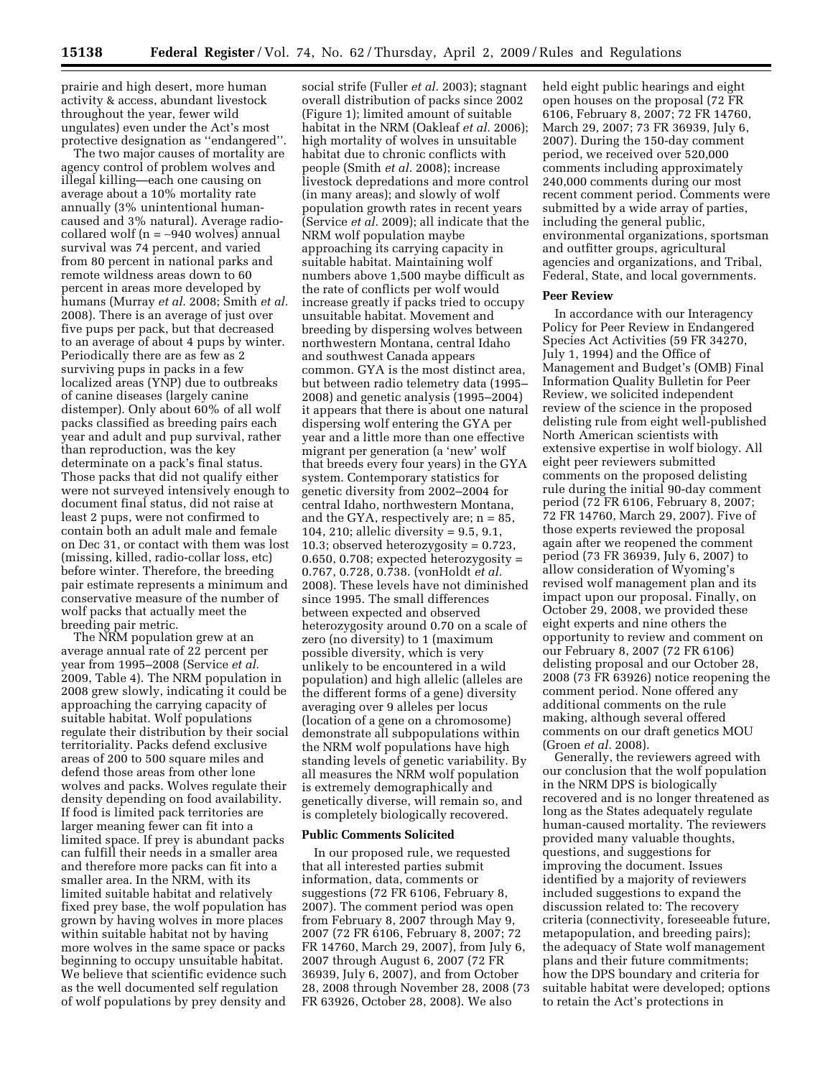prairie and high desert, more human activity & access, abundant livestock throughout the year, fewer wild ungulates) even under the Act's most protective designation as ''endangered''.

The two major causes of mortality are agency control of problem wolves and illegal killing—each one causing on average about a 10% mortality rate annually (3% unintentional humancaused and 3% natural). Average radiocollared wolf (n = ∼940 wolves) annual survival was 74 percent, and varied from 80 percent in national parks and remote wildness areas down to 60 percent in areas more developed by humans (Murray *et al.* 2008; Smith *et al.*  2008). There is an average of just over five pups per pack, but that decreased to an average of about 4 pups by winter. Periodically there are as few as 2 surviving pups in packs in a few localized areas (YNP) due to outbreaks of canine diseases (largely canine distemper). Only about 60% of all wolf packs classified as breeding pairs each year and adult and pup survival, rather than reproduction, was the key determinate on a pack's final status. Those packs that did not qualify either were not surveyed intensively enough to document final status, did not raise at least 2 pups, were not confirmed to contain both an adult male and female on Dec 31, or contact with them was lost (missing, killed, radio-collar loss, etc) before winter. Therefore, the breeding pair estimate represents a minimum and conservative measure of the number of wolf packs that actually meet the breeding pair metric.

The NRM population grew at an average annual rate of 22 percent per year from 1995–2008 (Service *et al.*  2009, Table 4). The NRM population in 2008 grew slowly, indicating it could be approaching the carrying capacity of suitable habitat. Wolf populations regulate their distribution by their social territoriality. Packs defend exclusive areas of 200 to 500 square miles and defend those areas from other lone wolves and packs. Wolves regulate their density depending on food availability. If food is limited pack territories are larger meaning fewer can fit into a limited space. If prey is abundant packs can fulfill their needs in a smaller area and therefore more packs can fit into a smaller area. In the NRM, with its limited suitable habitat and relatively fixed prey base, the wolf population has grown by having wolves in more places within suitable habitat not by having more wolves in the same space or packs beginning to occupy unsuitable habitat. We believe that scientific evidence such as the well documented self regulation of wolf populations by prey density and

social strife (Fuller *et al.* 2003); stagnant overall distribution of packs since 2002 (Figure 1); limited amount of suitable habitat in the NRM (Oakleaf *et al.* 2006); high mortality of wolves in unsuitable habitat due to chronic conflicts with people (Smith *et al.* 2008); increase livestock depredations and more control (in many areas); and slowly of wolf population growth rates in recent years (Service *et al.* 2009); all indicate that the NRM wolf population maybe approaching its carrying capacity in suitable habitat. Maintaining wolf numbers above 1,500 maybe difficult as the rate of conflicts per wolf would increase greatly if packs tried to occupy unsuitable habitat. Movement and breeding by dispersing wolves between northwestern Montana, central Idaho and southwest Canada appears common. GYA is the most distinct area, but between radio telemetry data (1995– 2008) and genetic analysis (1995–2004) it appears that there is about one natural dispersing wolf entering the GYA per year and a little more than one effective migrant per generation (a 'new' wolf that breeds every four years) in the GYA system. Contemporary statistics for genetic diversity from 2002–2004 for central Idaho, northwestern Montana, and the GYA, respectively are; n = 85, 104, 210; allelic diversity = 9.5, 9.1, 10.3; observed heterozygosity = 0.723, 0.650, 0.708; expected heterozygosity = 0.767, 0.728, 0.738. (vonHoldt *et al.*  2008). These levels have not diminished since 1995. The small differences between expected and observed heterozygosity around 0.70 on a scale of zero (no diversity) to 1 (maximum possible diversity, which is very unlikely to be encountered in a wild population) and high allelic (alleles are the different forms of a gene) diversity averaging over 9 alleles per locus (location of a gene on a chromosome) demonstrate all subpopulations within the NRM wolf populations have high standing levels of genetic variability. By all measures the NRM wolf population is extremely demographically and genetically diverse, will remain so, and is completely biologically recovered.

# **Public Comments Solicited**

In our proposed rule, we requested that all interested parties submit information, data, comments or suggestions (72 FR 6106, February 8, 2007). The comment period was open from February 8, 2007 through May 9, 2007 (72 FR 6106, February 8, 2007; 72 FR 14760, March 29, 2007), from July 6, 2007 through August 6, 2007 (72 FR 36939, July 6, 2007), and from October 28, 2008 through November 28, 2008 (73 FR 63926, October 28, 2008). We also

held eight public hearings and eight open houses on the proposal (72 FR 6106, February 8, 2007; 72 FR 14760, March 29, 2007; 73 FR 36939, July 6, 2007). During the 150-day comment period, we received over 520,000 comments including approximately 240,000 comments during our most recent comment period. Comments were submitted by a wide array of parties, including the general public, environmental organizations, sportsman and outfitter groups, agricultural agencies and organizations, and Tribal, Federal, State, and local governments.

#### **Peer Review**

In accordance with our Interagency Policy for Peer Review in Endangered Species Act Activities (59 FR 34270, July 1, 1994) and the Office of Management and Budget's (OMB) Final Information Quality Bulletin for Peer Review, we solicited independent review of the science in the proposed delisting rule from eight well-published North American scientists with extensive expertise in wolf biology. All eight peer reviewers submitted comments on the proposed delisting rule during the initial 90-day comment period (72 FR 6106, February 8, 2007; 72 FR 14760, March 29, 2007). Five of those experts reviewed the proposal again after we reopened the comment period (73 FR 36939, July 6, 2007) to allow consideration of Wyoming's revised wolf management plan and its impact upon our proposal. Finally, on October 29, 2008, we provided these eight experts and nine others the opportunity to review and comment on our February 8, 2007 (72 FR 6106) delisting proposal and our October 28, 2008 (73 FR 63926) notice reopening the comment period. None offered any additional comments on the rule making, although several offered comments on our draft genetics MOU (Groen *et al.* 2008).

Generally, the reviewers agreed with our conclusion that the wolf population in the NRM DPS is biologically recovered and is no longer threatened as long as the States adequately regulate human-caused mortality. The reviewers provided many valuable thoughts, questions, and suggestions for improving the document. Issues identified by a majority of reviewers included suggestions to expand the discussion related to: The recovery criteria (connectivity, foreseeable future, metapopulation, and breeding pairs); the adequacy of State wolf management plans and their future commitments; how the DPS boundary and criteria for suitable habitat were developed; options to retain the Act's protections in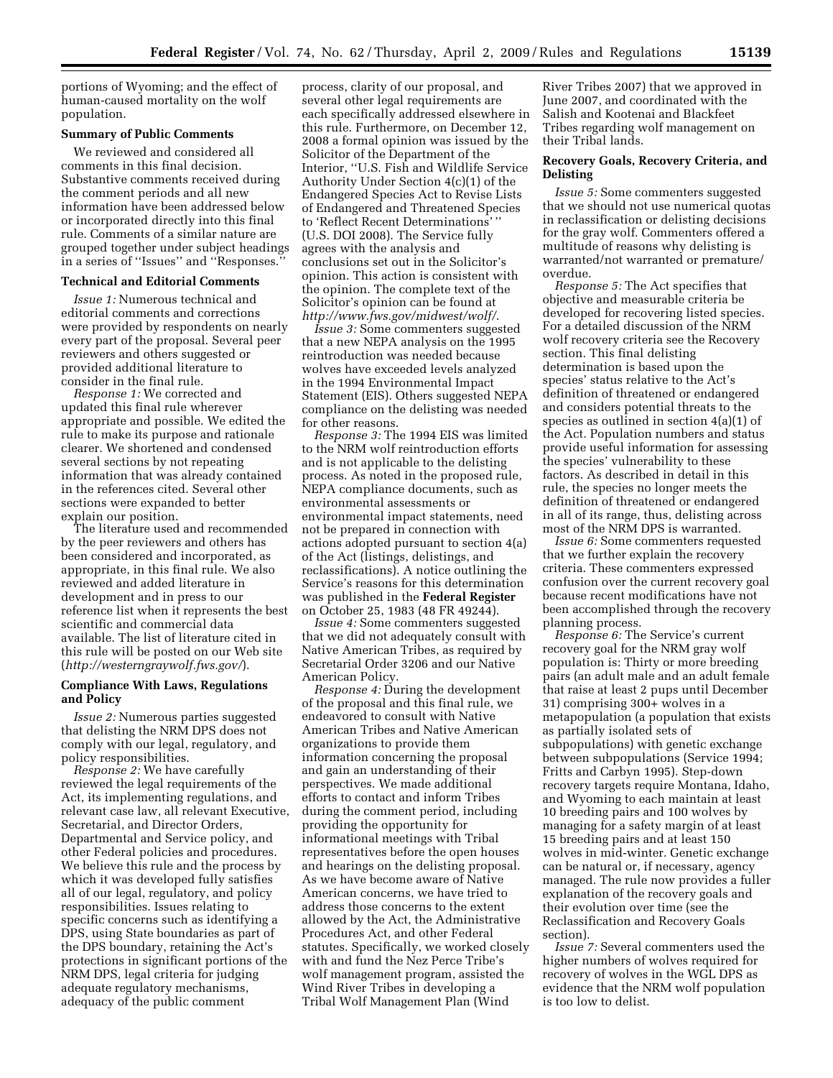portions of Wyoming; and the effect of human-caused mortality on the wolf population.

### **Summary of Public Comments**

We reviewed and considered all comments in this final decision. Substantive comments received during the comment periods and all new information have been addressed below or incorporated directly into this final rule. Comments of a similar nature are grouped together under subject headings in a series of ''Issues'' and ''Responses.''

### **Technical and Editorial Comments**

*Issue 1:* Numerous technical and editorial comments and corrections were provided by respondents on nearly every part of the proposal. Several peer reviewers and others suggested or provided additional literature to consider in the final rule.

*Response 1:* We corrected and updated this final rule wherever appropriate and possible. We edited the rule to make its purpose and rationale clearer. We shortened and condensed several sections by not repeating information that was already contained in the references cited. Several other sections were expanded to better explain our position.

The literature used and recommended by the peer reviewers and others has been considered and incorporated, as appropriate, in this final rule. We also reviewed and added literature in development and in press to our reference list when it represents the best scientific and commercial data available. The list of literature cited in this rule will be posted on our Web site (*http://westerngraywolf.fws.gov/*).

### **Compliance With Laws, Regulations and Policy**

*Issue 2:* Numerous parties suggested that delisting the NRM DPS does not comply with our legal, regulatory, and policy responsibilities.

*Response 2:* We have carefully reviewed the legal requirements of the Act, its implementing regulations, and relevant case law, all relevant Executive, Secretarial, and Director Orders, Departmental and Service policy, and other Federal policies and procedures. We believe this rule and the process by which it was developed fully satisfies all of our legal, regulatory, and policy responsibilities. Issues relating to specific concerns such as identifying a DPS, using State boundaries as part of the DPS boundary, retaining the Act's protections in significant portions of the NRM DPS, legal criteria for judging adequate regulatory mechanisms, adequacy of the public comment

process, clarity of our proposal, and several other legal requirements are each specifically addressed elsewhere in this rule. Furthermore, on December 12, 2008 a formal opinion was issued by the Solicitor of the Department of the Interior, ''U.S. Fish and Wildlife Service Authority Under Section 4(c)(1) of the Endangered Species Act to Revise Lists of Endangered and Threatened Species to 'Reflect Recent Determinations' '' (U.S. DOI 2008). The Service fully agrees with the analysis and conclusions set out in the Solicitor's opinion. This action is consistent with the opinion. The complete text of the Solicitor's opinion can be found at *http://www.fws.gov/midwest/wolf/*.

*Issue 3:* Some commenters suggested that a new NEPA analysis on the 1995 reintroduction was needed because wolves have exceeded levels analyzed in the 1994 Environmental Impact Statement (EIS). Others suggested NEPA compliance on the delisting was needed for other reasons.

*Response 3:* The 1994 EIS was limited to the NRM wolf reintroduction efforts and is not applicable to the delisting process. As noted in the proposed rule, NEPA compliance documents, such as environmental assessments or environmental impact statements, need not be prepared in connection with actions adopted pursuant to section 4(a) of the Act (listings, delistings, and reclassifications). A notice outlining the Service's reasons for this determination was published in the **Federal Register**  on October 25, 1983 (48 FR 49244).

*Issue 4:* Some commenters suggested that we did not adequately consult with Native American Tribes, as required by Secretarial Order 3206 and our Native American Policy.

*Response 4:* During the development of the proposal and this final rule, we endeavored to consult with Native American Tribes and Native American organizations to provide them information concerning the proposal and gain an understanding of their perspectives. We made additional efforts to contact and inform Tribes during the comment period, including providing the opportunity for informational meetings with Tribal representatives before the open houses and hearings on the delisting proposal. As we have become aware of Native American concerns, we have tried to address those concerns to the extent allowed by the Act, the Administrative Procedures Act, and other Federal statutes. Specifically, we worked closely with and fund the Nez Perce Tribe's wolf management program, assisted the Wind River Tribes in developing a Tribal Wolf Management Plan (Wind

River Tribes 2007) that we approved in June 2007, and coordinated with the Salish and Kootenai and Blackfeet Tribes regarding wolf management on their Tribal lands.

### **Recovery Goals, Recovery Criteria, and Delisting**

*Issue 5:* Some commenters suggested that we should not use numerical quotas in reclassification or delisting decisions for the gray wolf. Commenters offered a multitude of reasons why delisting is warranted/not warranted or premature/ overdue.

*Response 5:* The Act specifies that objective and measurable criteria be developed for recovering listed species. For a detailed discussion of the NRM wolf recovery criteria see the Recovery section. This final delisting determination is based upon the species' status relative to the Act's definition of threatened or endangered and considers potential threats to the species as outlined in section 4(a)(1) of the Act. Population numbers and status provide useful information for assessing the species' vulnerability to these factors. As described in detail in this rule, the species no longer meets the definition of threatened or endangered in all of its range, thus, delisting across most of the NRM DPS is warranted.

*Issue 6:* Some commenters requested that we further explain the recovery criteria. These commenters expressed confusion over the current recovery goal because recent modifications have not been accomplished through the recovery planning process.

*Response 6:* The Service's current recovery goal for the NRM gray wolf population is: Thirty or more breeding pairs (an adult male and an adult female that raise at least 2 pups until December 31) comprising 300+ wolves in a metapopulation (a population that exists as partially isolated sets of subpopulations) with genetic exchange between subpopulations (Service 1994; Fritts and Carbyn 1995). Step-down recovery targets require Montana, Idaho, and Wyoming to each maintain at least 10 breeding pairs and 100 wolves by managing for a safety margin of at least 15 breeding pairs and at least 150 wolves in mid-winter. Genetic exchange can be natural or, if necessary, agency managed. The rule now provides a fuller explanation of the recovery goals and their evolution over time (see the Reclassification and Recovery Goals section).

*Issue 7:* Several commenters used the higher numbers of wolves required for recovery of wolves in the WGL DPS as evidence that the NRM wolf population is too low to delist.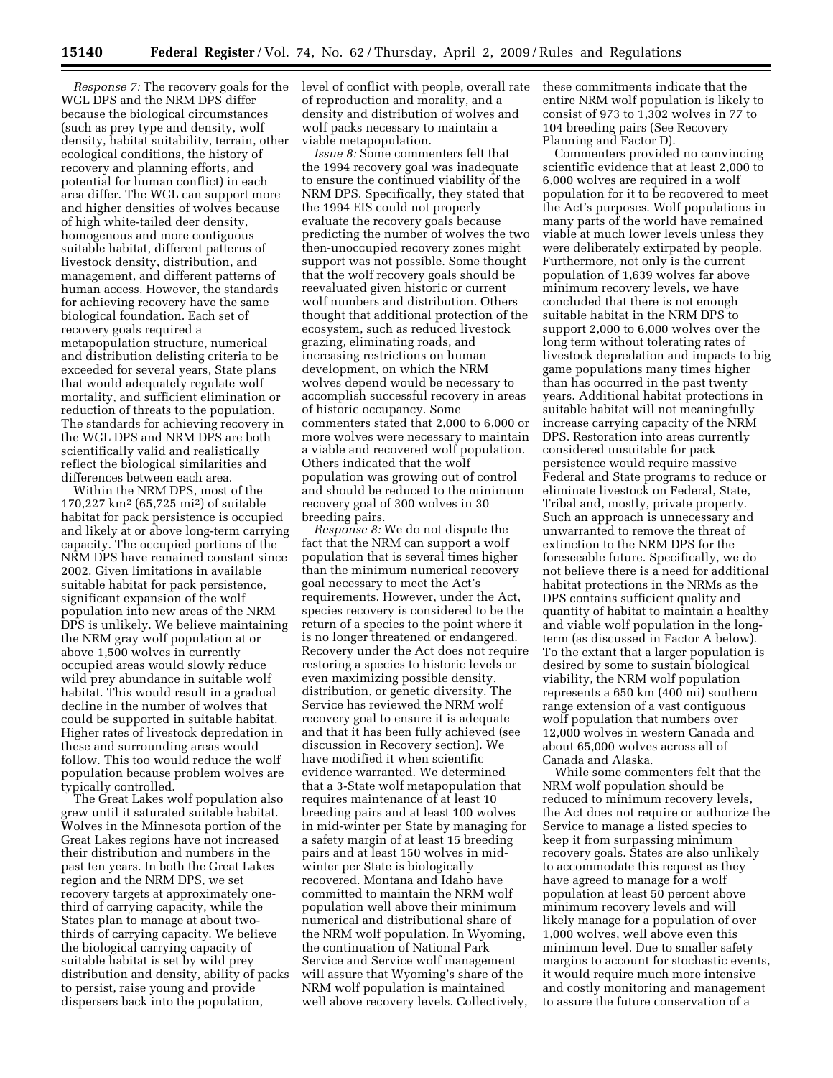WGL DPS and the NRM DPS differ because the biological circumstances (such as prey type and density, wolf density, habitat suitability, terrain, other ecological conditions, the history of recovery and planning efforts, and potential for human conflict) in each area differ. The WGL can support more and higher densities of wolves because of high white-tailed deer density, homogenous and more contiguous suitable habitat, different patterns of livestock density, distribution, and management, and different patterns of human access. However, the standards for achieving recovery have the same biological foundation. Each set of recovery goals required a metapopulation structure, numerical and distribution delisting criteria to be exceeded for several years, State plans that would adequately regulate wolf mortality, and sufficient elimination or reduction of threats to the population. The standards for achieving recovery in the WGL DPS and NRM DPS are both scientifically valid and realistically reflect the biological similarities and differences between each area.

Within the NRM DPS, most of the 170,227 km2 (65,725 mi2) of suitable habitat for pack persistence is occupied and likely at or above long-term carrying capacity. The occupied portions of the NRM DPS have remained constant since 2002. Given limitations in available suitable habitat for pack persistence, significant expansion of the wolf population into new areas of the NRM DPS is unlikely. We believe maintaining the NRM gray wolf population at or above 1,500 wolves in currently occupied areas would slowly reduce wild prey abundance in suitable wolf habitat. This would result in a gradual decline in the number of wolves that could be supported in suitable habitat. Higher rates of livestock depredation in these and surrounding areas would follow. This too would reduce the wolf population because problem wolves are typically controlled.

The Great Lakes wolf population also grew until it saturated suitable habitat. Wolves in the Minnesota portion of the Great Lakes regions have not increased their distribution and numbers in the past ten years. In both the Great Lakes region and the NRM DPS, we set recovery targets at approximately onethird of carrying capacity, while the States plan to manage at about twothirds of carrying capacity. We believe the biological carrying capacity of suitable habitat is set by wild prey distribution and density, ability of packs to persist, raise young and provide dispersers back into the population,

*Response 7:* The recovery goals for the level of conflict with people, overall rate of reproduction and morality, and a density and distribution of wolves and wolf packs necessary to maintain a viable metapopulation.

*Issue 8:* Some commenters felt that the 1994 recovery goal was inadequate to ensure the continued viability of the NRM DPS. Specifically, they stated that the 1994 EIS could not properly evaluate the recovery goals because predicting the number of wolves the two then-unoccupied recovery zones might support was not possible. Some thought that the wolf recovery goals should be reevaluated given historic or current wolf numbers and distribution. Others thought that additional protection of the ecosystem, such as reduced livestock grazing, eliminating roads, and increasing restrictions on human development, on which the NRM wolves depend would be necessary to accomplish successful recovery in areas of historic occupancy. Some commenters stated that 2,000 to 6,000 or more wolves were necessary to maintain a viable and recovered wolf population. Others indicated that the wolf population was growing out of control and should be reduced to the minimum recovery goal of 300 wolves in 30 breeding pairs.

*Response 8:* We do not dispute the fact that the NRM can support a wolf population that is several times higher than the minimum numerical recovery goal necessary to meet the Act's requirements. However, under the Act, species recovery is considered to be the return of a species to the point where it is no longer threatened or endangered. Recovery under the Act does not require restoring a species to historic levels or even maximizing possible density, distribution, or genetic diversity. The Service has reviewed the NRM wolf recovery goal to ensure it is adequate and that it has been fully achieved (see discussion in Recovery section). We have modified it when scientific evidence warranted. We determined that a 3-State wolf metapopulation that requires maintenance of at least 10 breeding pairs and at least 100 wolves in mid-winter per State by managing for a safety margin of at least 15 breeding pairs and at least 150 wolves in midwinter per State is biologically recovered. Montana and Idaho have committed to maintain the NRM wolf population well above their minimum numerical and distributional share of the NRM wolf population. In Wyoming, the continuation of National Park Service and Service wolf management will assure that Wyoming's share of the NRM wolf population is maintained well above recovery levels. Collectively,

these commitments indicate that the entire NRM wolf population is likely to consist of 973 to 1,302 wolves in 77 to 104 breeding pairs (See Recovery Planning and Factor D).

Commenters provided no convincing scientific evidence that at least 2,000 to 6,000 wolves are required in a wolf population for it to be recovered to meet the Act's purposes. Wolf populations in many parts of the world have remained viable at much lower levels unless they were deliberately extirpated by people. Furthermore, not only is the current population of 1,639 wolves far above minimum recovery levels, we have concluded that there is not enough suitable habitat in the NRM DPS to support 2,000 to 6,000 wolves over the long term without tolerating rates of livestock depredation and impacts to big game populations many times higher than has occurred in the past twenty years. Additional habitat protections in suitable habitat will not meaningfully increase carrying capacity of the NRM DPS. Restoration into areas currently considered unsuitable for pack persistence would require massive Federal and State programs to reduce or eliminate livestock on Federal, State, Tribal and, mostly, private property. Such an approach is unnecessary and unwarranted to remove the threat of extinction to the NRM DPS for the foreseeable future. Specifically, we do not believe there is a need for additional habitat protections in the NRMs as the DPS contains sufficient quality and quantity of habitat to maintain a healthy and viable wolf population in the longterm (as discussed in Factor A below). To the extant that a larger population is desired by some to sustain biological viability, the NRM wolf population represents a 650 km (400 mi) southern range extension of a vast contiguous wolf population that numbers over 12,000 wolves in western Canada and about 65,000 wolves across all of Canada and Alaska.

While some commenters felt that the NRM wolf population should be reduced to minimum recovery levels, the Act does not require or authorize the Service to manage a listed species to keep it from surpassing minimum recovery goals. States are also unlikely to accommodate this request as they have agreed to manage for a wolf population at least 50 percent above minimum recovery levels and will likely manage for a population of over 1,000 wolves, well above even this minimum level. Due to smaller safety margins to account for stochastic events, it would require much more intensive and costly monitoring and management to assure the future conservation of a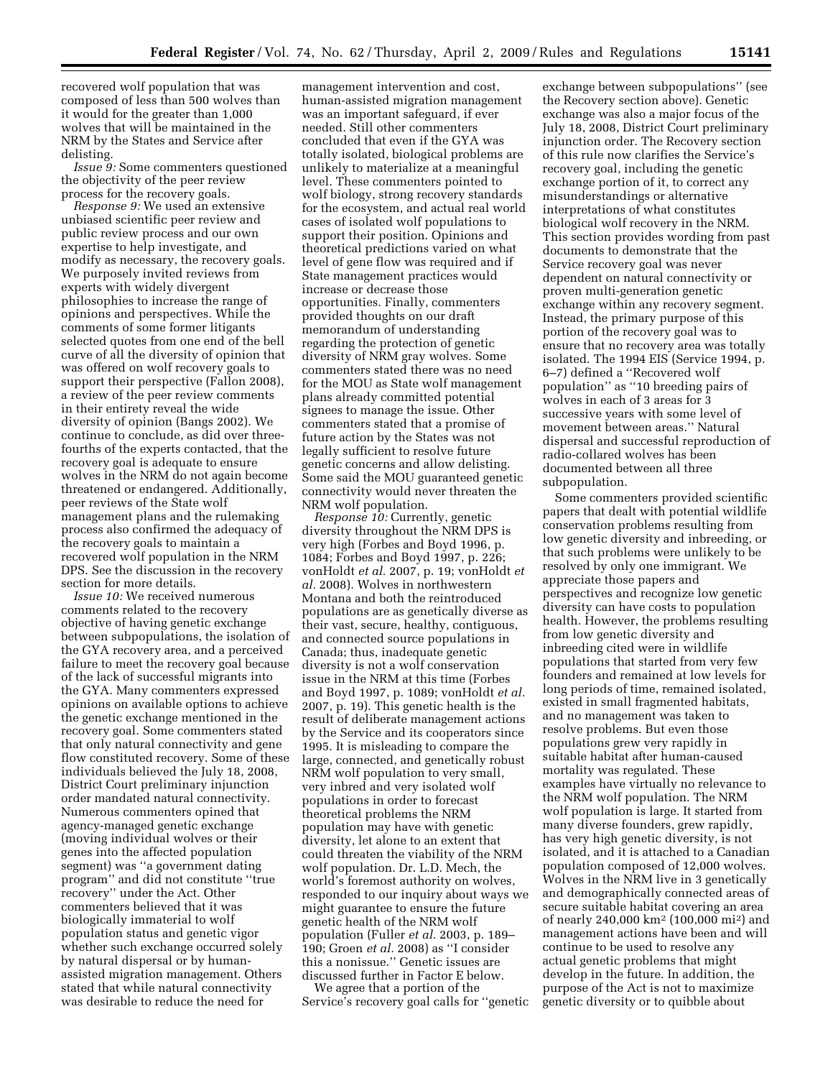recovered wolf population that was composed of less than 500 wolves than it would for the greater than 1,000 wolves that will be maintained in the NRM by the States and Service after delisting.

*Issue 9:* Some commenters questioned the objectivity of the peer review process for the recovery goals.

*Response 9:* We used an extensive unbiased scientific peer review and public review process and our own expertise to help investigate, and modify as necessary, the recovery goals. We purposely invited reviews from experts with widely divergent philosophies to increase the range of opinions and perspectives. While the comments of some former litigants selected quotes from one end of the bell curve of all the diversity of opinion that was offered on wolf recovery goals to support their perspective (Fallon 2008), a review of the peer review comments in their entirety reveal the wide diversity of opinion (Bangs 2002). We continue to conclude, as did over threefourths of the experts contacted, that the recovery goal is adequate to ensure wolves in the NRM do not again become threatened or endangered. Additionally, peer reviews of the State wolf management plans and the rulemaking process also confirmed the adequacy of the recovery goals to maintain a recovered wolf population in the NRM DPS. See the discussion in the recovery section for more details.

*Issue 10:* We received numerous comments related to the recovery objective of having genetic exchange between subpopulations, the isolation of the GYA recovery area, and a perceived failure to meet the recovery goal because of the lack of successful migrants into the GYA. Many commenters expressed opinions on available options to achieve the genetic exchange mentioned in the recovery goal. Some commenters stated that only natural connectivity and gene flow constituted recovery. Some of these individuals believed the July 18, 2008, District Court preliminary injunction order mandated natural connectivity. Numerous commenters opined that agency-managed genetic exchange (moving individual wolves or their genes into the affected population segment) was ''a government dating program'' and did not constitute ''true recovery'' under the Act. Other commenters believed that it was biologically immaterial to wolf population status and genetic vigor whether such exchange occurred solely by natural dispersal or by humanassisted migration management. Others stated that while natural connectivity was desirable to reduce the need for

management intervention and cost, human-assisted migration management was an important safeguard, if ever needed. Still other commenters concluded that even if the GYA was totally isolated, biological problems are unlikely to materialize at a meaningful level. These commenters pointed to wolf biology, strong recovery standards for the ecosystem, and actual real world cases of isolated wolf populations to support their position. Opinions and theoretical predictions varied on what level of gene flow was required and if State management practices would increase or decrease those opportunities. Finally, commenters provided thoughts on our draft memorandum of understanding regarding the protection of genetic diversity of NRM gray wolves. Some commenters stated there was no need for the MOU as State wolf management plans already committed potential signees to manage the issue. Other commenters stated that a promise of future action by the States was not legally sufficient to resolve future genetic concerns and allow delisting. Some said the MOU guaranteed genetic connectivity would never threaten the NRM wolf population.

*Response 10:* Currently, genetic diversity throughout the NRM DPS is very high (Forbes and Boyd 1996, p. 1084; Forbes and Boyd 1997, p. 226; vonHoldt *et al.* 2007, p. 19; vonHoldt *et al.* 2008). Wolves in northwestern Montana and both the reintroduced populations are as genetically diverse as their vast, secure, healthy, contiguous, and connected source populations in Canada; thus, inadequate genetic diversity is not a wolf conservation issue in the NRM at this time (Forbes and Boyd 1997, p. 1089; vonHoldt *et al.*  2007, p. 19). This genetic health is the result of deliberate management actions by the Service and its cooperators since 1995. It is misleading to compare the large, connected, and genetically robust NRM wolf population to very small, very inbred and very isolated wolf populations in order to forecast theoretical problems the NRM population may have with genetic diversity, let alone to an extent that could threaten the viability of the NRM wolf population. Dr. L.D. Mech, the world's foremost authority on wolves, responded to our inquiry about ways we might guarantee to ensure the future genetic health of the NRM wolf population (Fuller *et al.* 2003, p. 189– 190; Groen *et al.* 2008) as ''I consider this a nonissue.'' Genetic issues are discussed further in Factor E below.

We agree that a portion of the Service's recovery goal calls for ''genetic

exchange between subpopulations'' (see the Recovery section above). Genetic exchange was also a major focus of the July 18, 2008, District Court preliminary injunction order. The Recovery section of this rule now clarifies the Service's recovery goal, including the genetic exchange portion of it, to correct any misunderstandings or alternative interpretations of what constitutes biological wolf recovery in the NRM. This section provides wording from past documents to demonstrate that the Service recovery goal was never dependent on natural connectivity or proven multi-generation genetic exchange within any recovery segment. Instead, the primary purpose of this portion of the recovery goal was to ensure that no recovery area was totally isolated. The 1994 EIS (Service 1994, p. 6–7) defined a ''Recovered wolf population'' as ''10 breeding pairs of wolves in each of 3 areas for 3 successive years with some level of movement between areas.'' Natural dispersal and successful reproduction of radio-collared wolves has been documented between all three subpopulation.

Some commenters provided scientific papers that dealt with potential wildlife conservation problems resulting from low genetic diversity and inbreeding, or that such problems were unlikely to be resolved by only one immigrant. We appreciate those papers and perspectives and recognize low genetic diversity can have costs to population health. However, the problems resulting from low genetic diversity and inbreeding cited were in wildlife populations that started from very few founders and remained at low levels for long periods of time, remained isolated, existed in small fragmented habitats, and no management was taken to resolve problems. But even those populations grew very rapidly in suitable habitat after human-caused mortality was regulated. These examples have virtually no relevance to the NRM wolf population. The NRM wolf population is large. It started from many diverse founders, grew rapidly, has very high genetic diversity, is not isolated, and it is attached to a Canadian population composed of 12,000 wolves. Wolves in the NRM live in 3 genetically and demographically connected areas of secure suitable habitat covering an area of nearly 240,000 km2 (100,000 mi2) and management actions have been and will continue to be used to resolve any actual genetic problems that might develop in the future. In addition, the purpose of the Act is not to maximize genetic diversity or to quibble about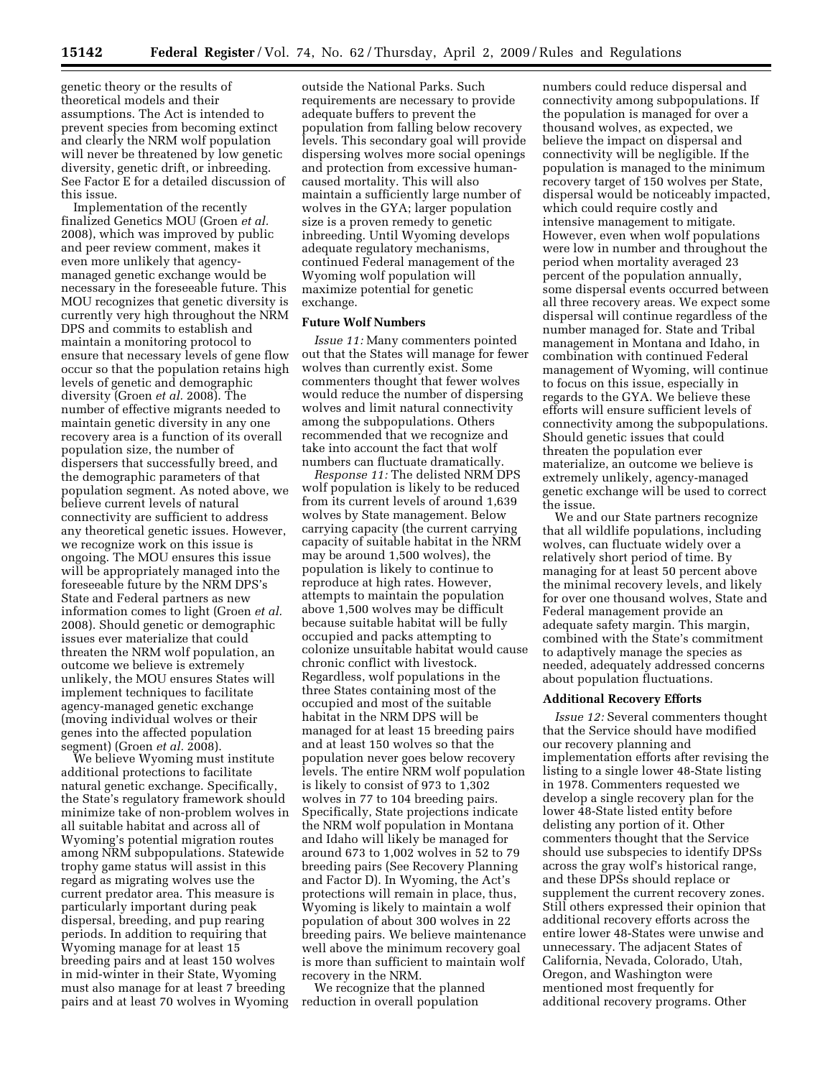genetic theory or the results of theoretical models and their assumptions. The Act is intended to prevent species from becoming extinct and clearly the NRM wolf population will never be threatened by low genetic diversity, genetic drift, or inbreeding. See Factor E for a detailed discussion of this issue.

Implementation of the recently finalized Genetics MOU (Groen *et al.*  2008), which was improved by public and peer review comment, makes it even more unlikely that agencymanaged genetic exchange would be necessary in the foreseeable future. This MOU recognizes that genetic diversity is currently very high throughout the NRM DPS and commits to establish and maintain a monitoring protocol to ensure that necessary levels of gene flow occur so that the population retains high levels of genetic and demographic diversity (Groen *et al.* 2008). The number of effective migrants needed to maintain genetic diversity in any one recovery area is a function of its overall population size, the number of dispersers that successfully breed, and the demographic parameters of that population segment. As noted above, we believe current levels of natural connectivity are sufficient to address any theoretical genetic issues. However, we recognize work on this issue is ongoing. The MOU ensures this issue will be appropriately managed into the foreseeable future by the NRM DPS's State and Federal partners as new information comes to light (Groen *et al.*  2008). Should genetic or demographic issues ever materialize that could threaten the NRM wolf population, an outcome we believe is extremely unlikely, the MOU ensures States will implement techniques to facilitate agency-managed genetic exchange (moving individual wolves or their genes into the affected population segment) (Groen *et al.* 2008).

We believe Wyoming must institute additional protections to facilitate natural genetic exchange. Specifically, the State's regulatory framework should minimize take of non-problem wolves in all suitable habitat and across all of Wyoming's potential migration routes among NRM subpopulations. Statewide trophy game status will assist in this regard as migrating wolves use the current predator area. This measure is particularly important during peak dispersal, breeding, and pup rearing periods. In addition to requiring that Wyoming manage for at least 15 breeding pairs and at least 150 wolves in mid-winter in their State, Wyoming must also manage for at least 7 breeding pairs and at least 70 wolves in Wyoming

outside the National Parks. Such requirements are necessary to provide adequate buffers to prevent the population from falling below recovery levels. This secondary goal will provide dispersing wolves more social openings and protection from excessive humancaused mortality. This will also maintain a sufficiently large number of wolves in the GYA; larger population size is a proven remedy to genetic inbreeding. Until Wyoming develops adequate regulatory mechanisms, continued Federal management of the Wyoming wolf population will maximize potential for genetic exchange.

### **Future Wolf Numbers**

*Issue 11:* Many commenters pointed out that the States will manage for fewer wolves than currently exist. Some commenters thought that fewer wolves would reduce the number of dispersing wolves and limit natural connectivity among the subpopulations. Others recommended that we recognize and take into account the fact that wolf numbers can fluctuate dramatically.

*Response 11:* The delisted NRM DPS wolf population is likely to be reduced from its current levels of around 1,639 wolves by State management. Below carrying capacity (the current carrying capacity of suitable habitat in the NRM may be around 1,500 wolves), the population is likely to continue to reproduce at high rates. However, attempts to maintain the population above 1,500 wolves may be difficult because suitable habitat will be fully occupied and packs attempting to colonize unsuitable habitat would cause chronic conflict with livestock. Regardless, wolf populations in the three States containing most of the occupied and most of the suitable habitat in the NRM DPS will be managed for at least 15 breeding pairs and at least 150 wolves so that the population never goes below recovery levels. The entire NRM wolf population is likely to consist of 973 to 1,302 wolves in 77 to 104 breeding pairs. Specifically, State projections indicate the NRM wolf population in Montana and Idaho will likely be managed for around 673 to 1,002 wolves in 52 to 79 breeding pairs (See Recovery Planning and Factor D). In Wyoming, the Act's protections will remain in place, thus, Wyoming is likely to maintain a wolf population of about 300 wolves in 22 breeding pairs. We believe maintenance well above the minimum recovery goal is more than sufficient to maintain wolf recovery in the NRM.

We recognize that the planned reduction in overall population

numbers could reduce dispersal and connectivity among subpopulations. If the population is managed for over a thousand wolves, as expected, we believe the impact on dispersal and connectivity will be negligible. If the population is managed to the minimum recovery target of 150 wolves per State, dispersal would be noticeably impacted, which could require costly and intensive management to mitigate. However, even when wolf populations were low in number and throughout the period when mortality averaged 23 percent of the population annually, some dispersal events occurred between all three recovery areas. We expect some dispersal will continue regardless of the number managed for. State and Tribal management in Montana and Idaho, in combination with continued Federal management of Wyoming, will continue to focus on this issue, especially in regards to the GYA. We believe these efforts will ensure sufficient levels of connectivity among the subpopulations. Should genetic issues that could threaten the population ever materialize, an outcome we believe is extremely unlikely, agency-managed genetic exchange will be used to correct the issue.

We and our State partners recognize that all wildlife populations, including wolves, can fluctuate widely over a relatively short period of time. By managing for at least 50 percent above the minimal recovery levels, and likely for over one thousand wolves, State and Federal management provide an adequate safety margin. This margin, combined with the State's commitment to adaptively manage the species as needed, adequately addressed concerns about population fluctuations.

#### **Additional Recovery Efforts**

*Issue 12:* Several commenters thought that the Service should have modified our recovery planning and implementation efforts after revising the listing to a single lower 48-State listing in 1978. Commenters requested we develop a single recovery plan for the lower 48-State listed entity before delisting any portion of it. Other commenters thought that the Service should use subspecies to identify DPSs across the gray wolf's historical range, and these DPSs should replace or supplement the current recovery zones. Still others expressed their opinion that additional recovery efforts across the entire lower 48-States were unwise and unnecessary. The adjacent States of California, Nevada, Colorado, Utah, Oregon, and Washington were mentioned most frequently for additional recovery programs. Other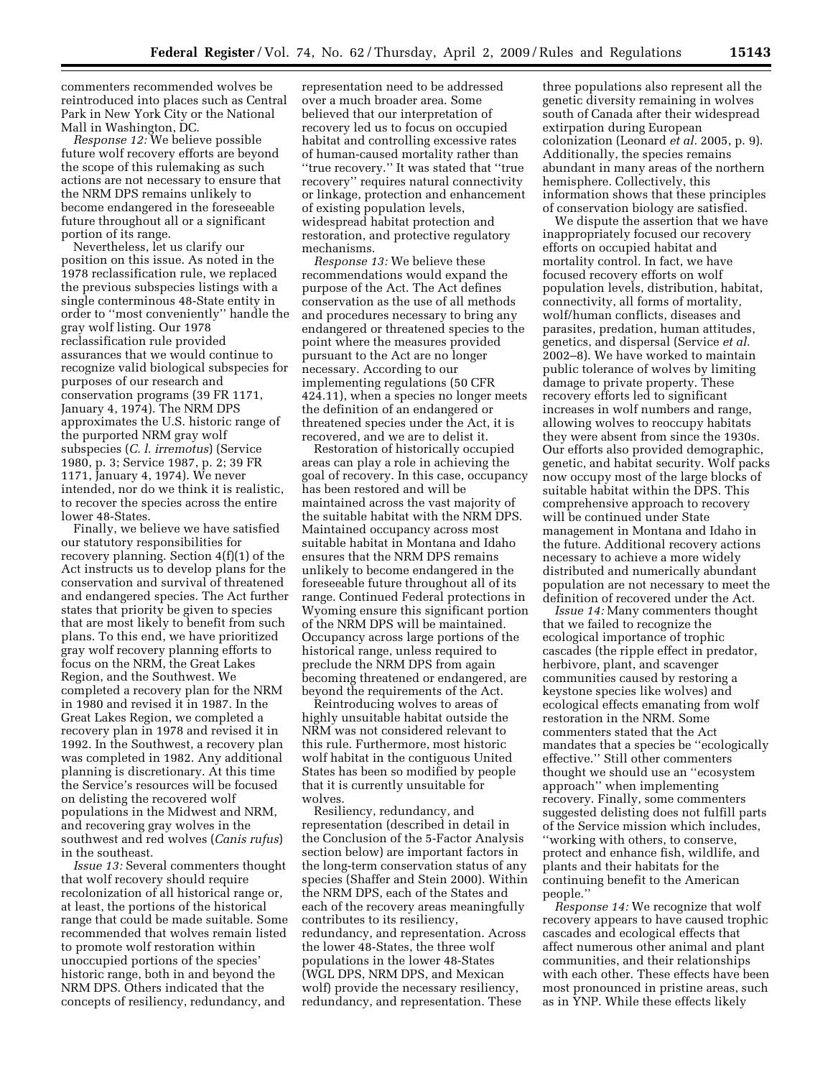commenters recommended wolves be reintroduced into places such as Central Park in New York City or the National Mall in Washington, DC.

*Response 12:* We believe possible future wolf recovery efforts are beyond the scope of this rulemaking as such actions are not necessary to ensure that the NRM DPS remains unlikely to become endangered in the foreseeable future throughout all or a significant portion of its range.

Nevertheless, let us clarify our position on this issue. As noted in the 1978 reclassification rule, we replaced the previous subspecies listings with a single conterminous 48-State entity in order to ''most conveniently'' handle the gray wolf listing. Our 1978 reclassification rule provided assurances that we would continue to recognize valid biological subspecies for purposes of our research and conservation programs (39 FR 1171, January 4, 1974). The NRM DPS approximates the U.S. historic range of the purported NRM gray wolf subspecies (*C. l. irremotus*) (Service 1980, p. 3; Service 1987, p. 2; 39 FR 1171, January 4, 1974). We never intended, nor do we think it is realistic, to recover the species across the entire lower 48-States.

Finally, we believe we have satisfied our statutory responsibilities for recovery planning. Section 4(f)(1) of the Act instructs us to develop plans for the conservation and survival of threatened and endangered species. The Act further states that priority be given to species that are most likely to benefit from such plans. To this end, we have prioritized gray wolf recovery planning efforts to focus on the NRM, the Great Lakes Region, and the Southwest. We completed a recovery plan for the NRM in 1980 and revised it in 1987. In the Great Lakes Region, we completed a recovery plan in 1978 and revised it in 1992. In the Southwest, a recovery plan was completed in 1982. Any additional planning is discretionary. At this time the Service's resources will be focused on delisting the recovered wolf populations in the Midwest and NRM, and recovering gray wolves in the southwest and red wolves (*Canis rufus*) in the southeast.

*Issue 13:* Several commenters thought that wolf recovery should require recolonization of all historical range or, at least, the portions of the historical range that could be made suitable. Some recommended that wolves remain listed to promote wolf restoration within unoccupied portions of the species' historic range, both in and beyond the NRM DPS. Others indicated that the concepts of resiliency, redundancy, and

representation need to be addressed over a much broader area. Some believed that our interpretation of recovery led us to focus on occupied habitat and controlling excessive rates of human-caused mortality rather than ''true recovery.'' It was stated that ''true recovery'' requires natural connectivity or linkage, protection and enhancement of existing population levels, widespread habitat protection and restoration, and protective regulatory mechanisms.

*Response 13:* We believe these recommendations would expand the purpose of the Act. The Act defines conservation as the use of all methods and procedures necessary to bring any endangered or threatened species to the point where the measures provided pursuant to the Act are no longer necessary. According to our implementing regulations (50 CFR 424.11), when a species no longer meets the definition of an endangered or threatened species under the Act, it is recovered, and we are to delist it.

Restoration of historically occupied areas can play a role in achieving the goal of recovery. In this case, occupancy has been restored and will be maintained across the vast majority of the suitable habitat with the NRM DPS. Maintained occupancy across most suitable habitat in Montana and Idaho ensures that the NRM DPS remains unlikely to become endangered in the foreseeable future throughout all of its range. Continued Federal protections in Wyoming ensure this significant portion of the NRM DPS will be maintained. Occupancy across large portions of the historical range, unless required to preclude the NRM DPS from again becoming threatened or endangered, are beyond the requirements of the Act.

Reintroducing wolves to areas of highly unsuitable habitat outside the NRM was not considered relevant to this rule. Furthermore, most historic wolf habitat in the contiguous United States has been so modified by people that it is currently unsuitable for wolves.

Resiliency, redundancy, and representation (described in detail in the Conclusion of the 5-Factor Analysis section below) are important factors in the long-term conservation status of any species (Shaffer and Stein 2000). Within the NRM DPS, each of the States and each of the recovery areas meaningfully contributes to its resiliency, redundancy, and representation. Across the lower 48-States, the three wolf populations in the lower 48-States (WGL DPS, NRM DPS, and Mexican wolf) provide the necessary resiliency, redundancy, and representation. These

three populations also represent all the genetic diversity remaining in wolves south of Canada after their widespread extirpation during European colonization (Leonard *et al.* 2005, p. 9). Additionally, the species remains abundant in many areas of the northern hemisphere. Collectively, this information shows that these principles of conservation biology are satisfied.

We dispute the assertion that we have inappropriately focused our recovery efforts on occupied habitat and mortality control. In fact, we have focused recovery efforts on wolf population levels, distribution, habitat, connectivity, all forms of mortality, wolf/human conflicts, diseases and parasites, predation, human attitudes, genetics, and dispersal (Service *et al.*  2002–8). We have worked to maintain public tolerance of wolves by limiting damage to private property. These recovery efforts led to significant increases in wolf numbers and range, allowing wolves to reoccupy habitats they were absent from since the 1930s. Our efforts also provided demographic, genetic, and habitat security. Wolf packs now occupy most of the large blocks of suitable habitat within the DPS. This comprehensive approach to recovery will be continued under State management in Montana and Idaho in the future. Additional recovery actions necessary to achieve a more widely distributed and numerically abundant population are not necessary to meet the definition of recovered under the Act.

*Issue 14:* Many commenters thought that we failed to recognize the ecological importance of trophic cascades (the ripple effect in predator, herbivore, plant, and scavenger communities caused by restoring a keystone species like wolves) and ecological effects emanating from wolf restoration in the NRM. Some commenters stated that the Act mandates that a species be ''ecologically effective.'' Still other commenters thought we should use an ''ecosystem approach'' when implementing recovery. Finally, some commenters suggested delisting does not fulfill parts of the Service mission which includes, ''working with others, to conserve, protect and enhance fish, wildlife, and plants and their habitats for the continuing benefit to the American people.''

*Response 14:* We recognize that wolf recovery appears to have caused trophic cascades and ecological effects that affect numerous other animal and plant communities, and their relationships with each other. These effects have been most pronounced in pristine areas, such as in YNP. While these effects likely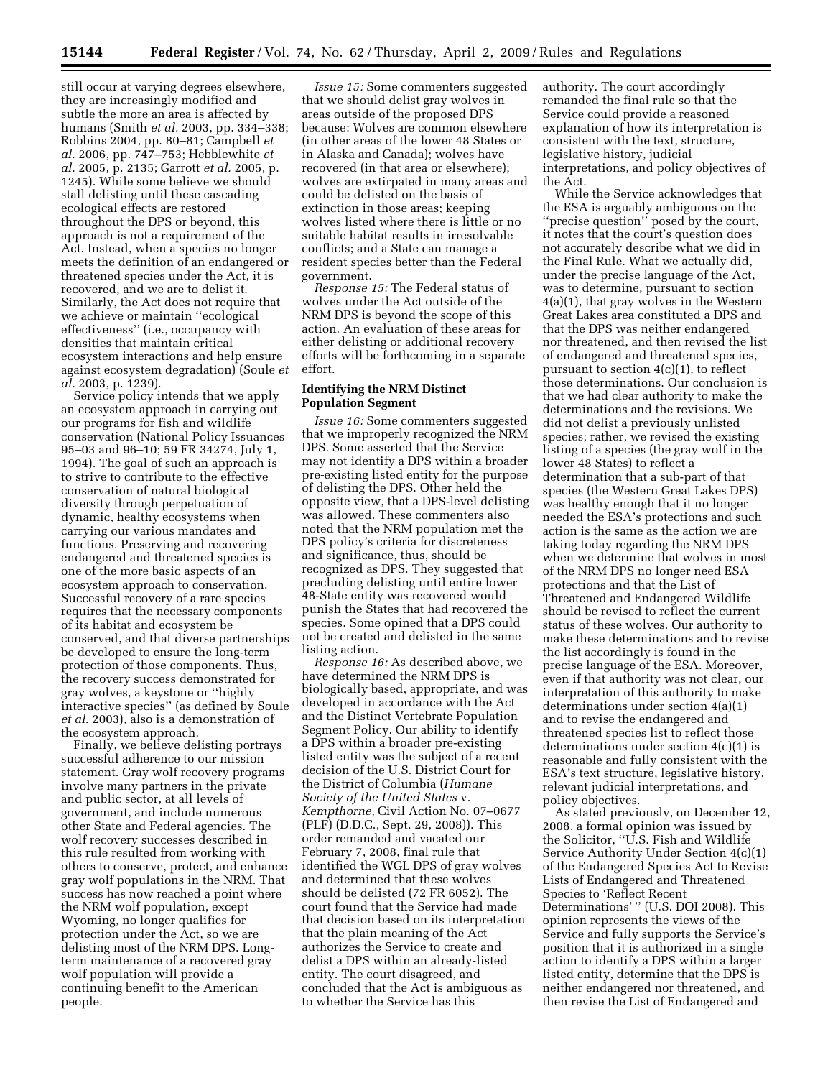still occur at varying degrees elsewhere, they are increasingly modified and subtle the more an area is affected by humans (Smith *et al.* 2003, pp. 334–338; Robbins 2004, pp. 80–81; Campbell *et al.* 2006, pp. 747–753; Hebblewhite *et al.* 2005, p. 2135; Garrott *et al.* 2005, p. 1245). While some believe we should stall delisting until these cascading ecological effects are restored throughout the DPS or beyond, this approach is not a requirement of the Act. Instead, when a species no longer meets the definition of an endangered or threatened species under the Act, it is recovered, and we are to delist it. Similarly, the Act does not require that we achieve or maintain ''ecological effectiveness'' (i.e., occupancy with densities that maintain critical ecosystem interactions and help ensure against ecosystem degradation) (Soule *et al.* 2003, p. 1239).

Service policy intends that we apply an ecosystem approach in carrying out our programs for fish and wildlife conservation (National Policy Issuances 95–03 and 96–10; 59 FR 34274, July 1, 1994). The goal of such an approach is to strive to contribute to the effective conservation of natural biological diversity through perpetuation of dynamic, healthy ecosystems when carrying our various mandates and functions. Preserving and recovering endangered and threatened species is one of the more basic aspects of an ecosystem approach to conservation. Successful recovery of a rare species requires that the necessary components of its habitat and ecosystem be conserved, and that diverse partnerships be developed to ensure the long-term protection of those components. Thus, the recovery success demonstrated for gray wolves, a keystone or ''highly interactive species'' (as defined by Soule *et al.* 2003), also is a demonstration of the ecosystem approach.

Finally, we believe delisting portrays successful adherence to our mission statement. Gray wolf recovery programs involve many partners in the private and public sector, at all levels of government, and include numerous other State and Federal agencies. The wolf recovery successes described in this rule resulted from working with others to conserve, protect, and enhance gray wolf populations in the NRM. That success has now reached a point where the NRM wolf population, except Wyoming, no longer qualifies for protection under the Act, so we are delisting most of the NRM DPS. Longterm maintenance of a recovered gray wolf population will provide a continuing benefit to the American people.

*Issue 15:* Some commenters suggested that we should delist gray wolves in areas outside of the proposed DPS because: Wolves are common elsewhere (in other areas of the lower 48 States or in Alaska and Canada); wolves have recovered (in that area or elsewhere); wolves are extirpated in many areas and could be delisted on the basis of extinction in those areas; keeping wolves listed where there is little or no suitable habitat results in irresolvable conflicts; and a State can manage a resident species better than the Federal government.

*Response 15:* The Federal status of wolves under the Act outside of the NRM DPS is beyond the scope of this action. An evaluation of these areas for either delisting or additional recovery efforts will be forthcoming in a separate effort.

# **Identifying the NRM Distinct Population Segment**

*Issue 16:* Some commenters suggested that we improperly recognized the NRM DPS. Some asserted that the Service may not identify a DPS within a broader pre-existing listed entity for the purpose of delisting the DPS. Other held the opposite view, that a DPS-level delisting was allowed. These commenters also noted that the NRM population met the DPS policy's criteria for discreteness and significance, thus, should be recognized as DPS. They suggested that precluding delisting until entire lower 48-State entity was recovered would punish the States that had recovered the species. Some opined that a DPS could not be created and delisted in the same listing action.

*Response 16:* As described above, we have determined the NRM DPS is biologically based, appropriate, and was developed in accordance with the Act and the Distinct Vertebrate Population Segment Policy. Our ability to identify a DPS within a broader pre-existing listed entity was the subject of a recent decision of the U.S. District Court for the District of Columbia (*Humane Society of the United States* v. *Kempthorne*, Civil Action No. 07–0677 (PLF) (D.D.C., Sept. 29, 2008)). This order remanded and vacated our February 7, 2008, final rule that identified the WGL DPS of gray wolves and determined that these wolves should be delisted (72 FR 6052). The court found that the Service had made that decision based on its interpretation that the plain meaning of the Act authorizes the Service to create and delist a DPS within an already-listed entity. The court disagreed, and concluded that the Act is ambiguous as to whether the Service has this

authority. The court accordingly remanded the final rule so that the Service could provide a reasoned explanation of how its interpretation is consistent with the text, structure, legislative history, judicial interpretations, and policy objectives of the Act.

While the Service acknowledges that the ESA is arguably ambiguous on the ''precise question'' posed by the court, it notes that the court's question does not accurately describe what we did in the Final Rule. What we actually did, under the precise language of the Act, was to determine, pursuant to section 4(a)(1), that gray wolves in the Western Great Lakes area constituted a DPS and that the DPS was neither endangered nor threatened, and then revised the list of endangered and threatened species, pursuant to section  $4(c)(1)$ , to reflect those determinations. Our conclusion is that we had clear authority to make the determinations and the revisions. We did not delist a previously unlisted species; rather, we revised the existing listing of a species (the gray wolf in the lower 48 States) to reflect a determination that a sub-part of that species (the Western Great Lakes DPS) was healthy enough that it no longer needed the ESA's protections and such action is the same as the action we are taking today regarding the NRM DPS when we determine that wolves in most of the NRM DPS no longer need ESA protections and that the List of Threatened and Endangered Wildlife should be revised to reflect the current status of these wolves. Our authority to make these determinations and to revise the list accordingly is found in the precise language of the ESA. Moreover, even if that authority was not clear, our interpretation of this authority to make determinations under section 4(a)(1) and to revise the endangered and threatened species list to reflect those determinations under section 4(c)(1) is reasonable and fully consistent with the ESA's text structure, legislative history, relevant judicial interpretations, and policy objectives.

As stated previously, on December 12, 2008, a formal opinion was issued by the Solicitor, ''U.S. Fish and Wildlife Service Authority Under Section 4(c)(1) of the Endangered Species Act to Revise Lists of Endangered and Threatened Species to 'Reflect Recent Determinations' " (U.S. DOI 2008). This opinion represents the views of the Service and fully supports the Service's position that it is authorized in a single action to identify a DPS within a larger listed entity, determine that the DPS is neither endangered nor threatened, and then revise the List of Endangered and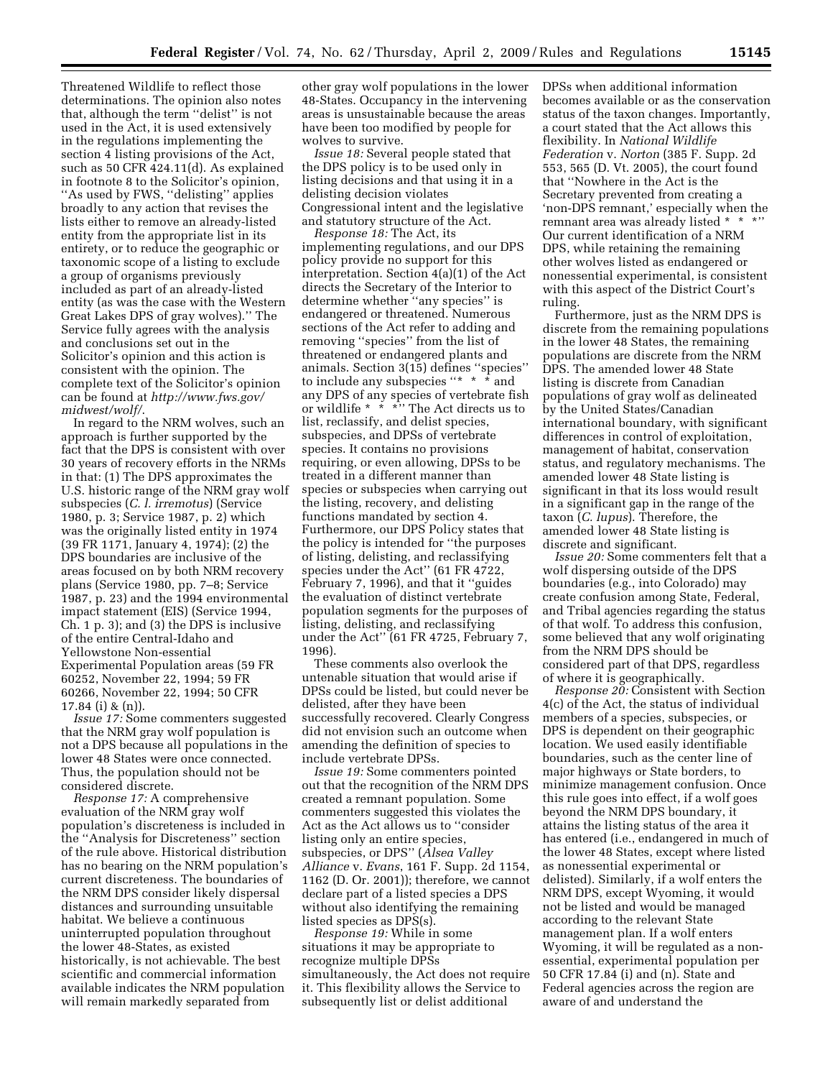Threatened Wildlife to reflect those determinations. The opinion also notes that, although the term ''delist'' is not used in the Act, it is used extensively in the regulations implementing the section 4 listing provisions of the Act, such as 50 CFR 424.11(d). As explained in footnote 8 to the Solicitor's opinion, "As used by FWS, "delisting" applies broadly to any action that revises the lists either to remove an already-listed entity from the appropriate list in its entirety, or to reduce the geographic or taxonomic scope of a listing to exclude a group of organisms previously included as part of an already-listed entity (as was the case with the Western Great Lakes DPS of gray wolves).'' The Service fully agrees with the analysis and conclusions set out in the Solicitor's opinion and this action is consistent with the opinion. The complete text of the Solicitor's opinion can be found at *http://www.fws.gov/ midwest/wolf/*.

In regard to the NRM wolves, such an approach is further supported by the fact that the DPS is consistent with over 30 years of recovery efforts in the NRMs in that: (1) The DPS approximates the U.S. historic range of the NRM gray wolf subspecies (*C. l. irremotus*) (Service 1980, p. 3; Service 1987, p. 2) which was the originally listed entity in 1974 (39 FR 1171, January 4, 1974); (2) the DPS boundaries are inclusive of the areas focused on by both NRM recovery plans (Service 1980, pp. 7–8; Service 1987, p. 23) and the 1994 environmental impact statement (EIS) (Service 1994, Ch. 1 p. 3); and (3) the DPS is inclusive of the entire Central-Idaho and Yellowstone Non-essential Experimental Population areas (59 FR 60252, November 22, 1994; 59 FR 60266, November 22, 1994; 50 CFR 17.84 (i) & (n)).

*Issue 17:* Some commenters suggested that the NRM gray wolf population is not a DPS because all populations in the lower 48 States were once connected. Thus, the population should not be considered discrete.

*Response 17:* A comprehensive evaluation of the NRM gray wolf population's discreteness is included in the ''Analysis for Discreteness'' section of the rule above. Historical distribution has no bearing on the NRM population's current discreteness. The boundaries of the NRM DPS consider likely dispersal distances and surrounding unsuitable habitat. We believe a continuous uninterrupted population throughout the lower 48-States, as existed historically, is not achievable. The best scientific and commercial information available indicates the NRM population will remain markedly separated from

other gray wolf populations in the lower 48-States. Occupancy in the intervening areas is unsustainable because the areas have been too modified by people for wolves to survive.

*Issue 18:* Several people stated that the DPS policy is to be used only in listing decisions and that using it in a delisting decision violates Congressional intent and the legislative and statutory structure of the Act.

*Response 18:* The Act, its implementing regulations, and our DPS policy provide no support for this interpretation. Section 4(a)(1) of the Act directs the Secretary of the Interior to determine whether ''any species'' is endangered or threatened. Numerous sections of the Act refer to adding and removing ''species'' from the list of threatened or endangered plants and animals. Section 3(15) defines ''species'' to include any subspecies "\* \* \* and any DPS of any species of vertebrate fish or wildlife \* \* \*'' The Act directs us to list, reclassify, and delist species, subspecies, and DPSs of vertebrate species. It contains no provisions requiring, or even allowing, DPSs to be treated in a different manner than species or subspecies when carrying out the listing, recovery, and delisting functions mandated by section 4. Furthermore, our DPS Policy states that the policy is intended for ''the purposes of listing, delisting, and reclassifying species under the Act'' (61 FR 4722, February 7, 1996), and that it ''guides the evaluation of distinct vertebrate population segments for the purposes of listing, delisting, and reclassifying under the Act'' (61 FR 4725, February 7, 1996).

These comments also overlook the untenable situation that would arise if DPSs could be listed, but could never be delisted, after they have been successfully recovered. Clearly Congress did not envision such an outcome when amending the definition of species to include vertebrate DPSs.

*Issue 19:* Some commenters pointed out that the recognition of the NRM DPS created a remnant population. Some commenters suggested this violates the Act as the Act allows us to ''consider listing only an entire species, subspecies, or DPS'' (*Alsea Valley Alliance* v. *Evans*, 161 F. Supp. 2d 1154, 1162 (D. Or. 2001)); therefore, we cannot declare part of a listed species a DPS without also identifying the remaining listed species as DPS(s).

*Response 19:* While in some situations it may be appropriate to recognize multiple DPSs simultaneously, the Act does not require it. This flexibility allows the Service to subsequently list or delist additional

DPSs when additional information becomes available or as the conservation status of the taxon changes. Importantly, a court stated that the Act allows this flexibility. In *National Wildlife Federation* v. *Norton* (385 F. Supp. 2d 553, 565 (D. Vt. 2005), the court found that ''Nowhere in the Act is the Secretary prevented from creating a 'non-DPS remnant,' especially when the remnant area was already listed \* \* \*'' Our current identification of a NRM DPS, while retaining the remaining other wolves listed as endangered or nonessential experimental, is consistent with this aspect of the District Court's ruling.

Furthermore, just as the NRM DPS is discrete from the remaining populations in the lower 48 States, the remaining populations are discrete from the NRM DPS. The amended lower 48 State listing is discrete from Canadian populations of gray wolf as delineated by the United States/Canadian international boundary, with significant differences in control of exploitation, management of habitat, conservation status, and regulatory mechanisms. The amended lower 48 State listing is significant in that its loss would result in a significant gap in the range of the taxon (*C. lupus*). Therefore, the amended lower 48 State listing is discrete and significant.

*Issue 20:* Some commenters felt that a wolf dispersing outside of the DPS boundaries (e.g., into Colorado) may create confusion among State, Federal, and Tribal agencies regarding the status of that wolf. To address this confusion, some believed that any wolf originating from the NRM DPS should be considered part of that DPS, regardless of where it is geographically.

*Response 20:* Consistent with Section 4(c) of the Act, the status of individual members of a species, subspecies, or DPS is dependent on their geographic location. We used easily identifiable boundaries, such as the center line of major highways or State borders, to minimize management confusion. Once this rule goes into effect, if a wolf goes beyond the NRM DPS boundary, it attains the listing status of the area it has entered (i.e., endangered in much of the lower 48 States, except where listed as nonessential experimental or delisted). Similarly, if a wolf enters the NRM DPS, except Wyoming, it would not be listed and would be managed according to the relevant State management plan. If a wolf enters Wyoming, it will be regulated as a nonessential, experimental population per 50 CFR 17.84 (i) and (n). State and Federal agencies across the region are aware of and understand the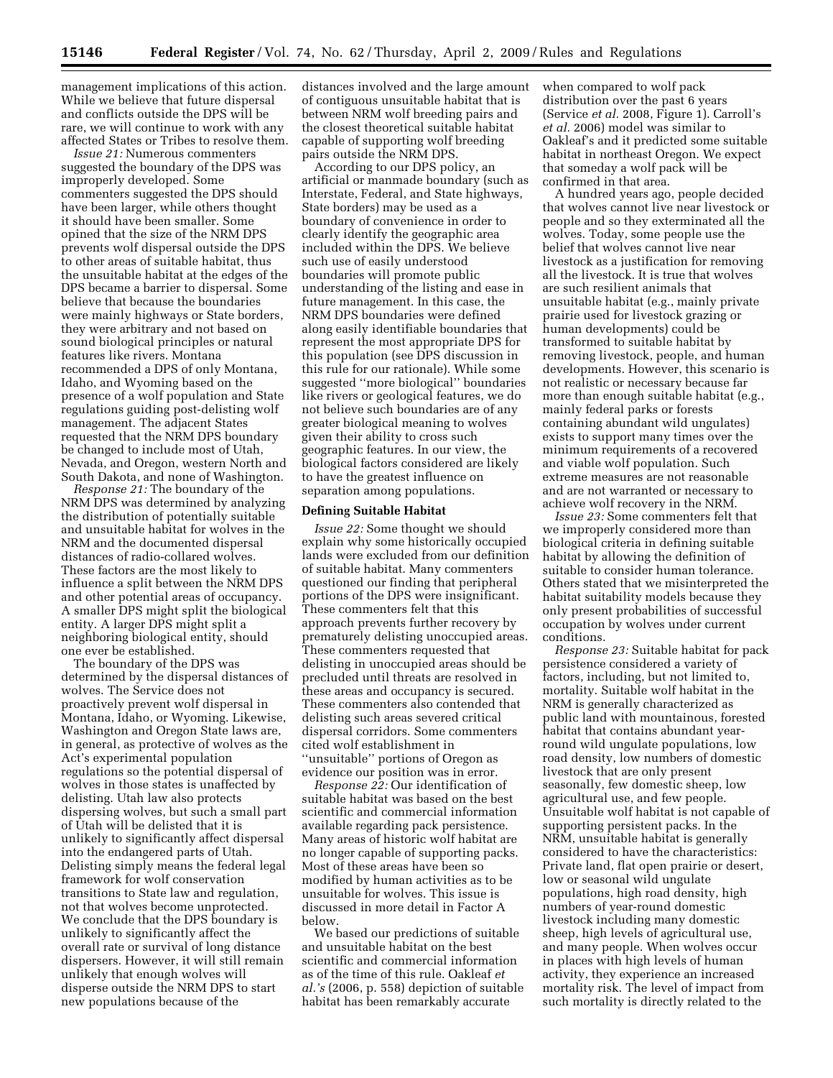management implications of this action. While we believe that future dispersal and conflicts outside the DPS will be rare, we will continue to work with any affected States or Tribes to resolve them.

*Issue 21:* Numerous commenters suggested the boundary of the DPS was improperly developed. Some commenters suggested the DPS should have been larger, while others thought it should have been smaller. Some opined that the size of the NRM DPS prevents wolf dispersal outside the DPS to other areas of suitable habitat, thus the unsuitable habitat at the edges of the DPS became a barrier to dispersal. Some believe that because the boundaries were mainly highways or State borders, they were arbitrary and not based on sound biological principles or natural features like rivers. Montana recommended a DPS of only Montana, Idaho, and Wyoming based on the presence of a wolf population and State regulations guiding post-delisting wolf management. The adjacent States requested that the NRM DPS boundary be changed to include most of Utah, Nevada, and Oregon, western North and South Dakota, and none of Washington.

*Response 21:* The boundary of the NRM DPS was determined by analyzing the distribution of potentially suitable and unsuitable habitat for wolves in the NRM and the documented dispersal distances of radio-collared wolves. These factors are the most likely to influence a split between the NRM DPS and other potential areas of occupancy. A smaller DPS might split the biological entity. A larger DPS might split a neighboring biological entity, should one ever be established.

The boundary of the DPS was determined by the dispersal distances of wolves. The Service does not proactively prevent wolf dispersal in Montana, Idaho, or Wyoming. Likewise, Washington and Oregon State laws are, in general, as protective of wolves as the Act's experimental population regulations so the potential dispersal of wolves in those states is unaffected by delisting. Utah law also protects dispersing wolves, but such a small part of Utah will be delisted that it is unlikely to significantly affect dispersal into the endangered parts of Utah. Delisting simply means the federal legal framework for wolf conservation transitions to State law and regulation, not that wolves become unprotected. We conclude that the DPS boundary is unlikely to significantly affect the overall rate or survival of long distance dispersers. However, it will still remain unlikely that enough wolves will disperse outside the NRM DPS to start new populations because of the

distances involved and the large amount of contiguous unsuitable habitat that is between NRM wolf breeding pairs and the closest theoretical suitable habitat capable of supporting wolf breeding pairs outside the NRM DPS.

According to our DPS policy, an artificial or manmade boundary (such as Interstate, Federal, and State highways, State borders) may be used as a boundary of convenience in order to clearly identify the geographic area included within the DPS. We believe such use of easily understood boundaries will promote public understanding of the listing and ease in future management. In this case, the NRM DPS boundaries were defined along easily identifiable boundaries that represent the most appropriate DPS for this population (see DPS discussion in this rule for our rationale). While some suggested ''more biological'' boundaries like rivers or geological features, we do not believe such boundaries are of any greater biological meaning to wolves given their ability to cross such geographic features. In our view, the biological factors considered are likely to have the greatest influence on separation among populations.

### **Defining Suitable Habitat**

*Issue 22:* Some thought we should explain why some historically occupied lands were excluded from our definition of suitable habitat. Many commenters questioned our finding that peripheral portions of the DPS were insignificant. These commenters felt that this approach prevents further recovery by prematurely delisting unoccupied areas. These commenters requested that delisting in unoccupied areas should be precluded until threats are resolved in these areas and occupancy is secured. These commenters also contended that delisting such areas severed critical dispersal corridors. Some commenters cited wolf establishment in ''unsuitable'' portions of Oregon as

evidence our position was in error. *Response 22:* Our identification of suitable habitat was based on the best scientific and commercial information available regarding pack persistence. Many areas of historic wolf habitat are no longer capable of supporting packs. Most of these areas have been so modified by human activities as to be unsuitable for wolves. This issue is discussed in more detail in Factor A below.

We based our predictions of suitable and unsuitable habitat on the best scientific and commercial information as of the time of this rule. Oakleaf *et al.'s* (2006, p. 558) depiction of suitable habitat has been remarkably accurate

when compared to wolf pack distribution over the past 6 years (Service *et al.* 2008, Figure 1). Carroll's *et al.* 2006) model was similar to Oakleaf's and it predicted some suitable habitat in northeast Oregon. We expect that someday a wolf pack will be confirmed in that area.

A hundred years ago, people decided that wolves cannot live near livestock or people and so they exterminated all the wolves. Today, some people use the belief that wolves cannot live near livestock as a justification for removing all the livestock. It is true that wolves are such resilient animals that unsuitable habitat (e.g., mainly private prairie used for livestock grazing or human developments) could be transformed to suitable habitat by removing livestock, people, and human developments. However, this scenario is not realistic or necessary because far more than enough suitable habitat (e.g., mainly federal parks or forests containing abundant wild ungulates) exists to support many times over the minimum requirements of a recovered and viable wolf population. Such extreme measures are not reasonable and are not warranted or necessary to achieve wolf recovery in the NRM.

*Issue 23:* Some commenters felt that we improperly considered more than biological criteria in defining suitable habitat by allowing the definition of suitable to consider human tolerance. Others stated that we misinterpreted the habitat suitability models because they only present probabilities of successful occupation by wolves under current conditions.

*Response 23:* Suitable habitat for pack persistence considered a variety of factors, including, but not limited to, mortality. Suitable wolf habitat in the NRM is generally characterized as public land with mountainous, forested habitat that contains abundant yearround wild ungulate populations, low road density, low numbers of domestic livestock that are only present seasonally, few domestic sheep, low agricultural use, and few people. Unsuitable wolf habitat is not capable of supporting persistent packs. In the NRM, unsuitable habitat is generally considered to have the characteristics: Private land, flat open prairie or desert, low or seasonal wild ungulate populations, high road density, high numbers of year-round domestic livestock including many domestic sheep, high levels of agricultural use, and many people. When wolves occur in places with high levels of human activity, they experience an increased mortality risk. The level of impact from such mortality is directly related to the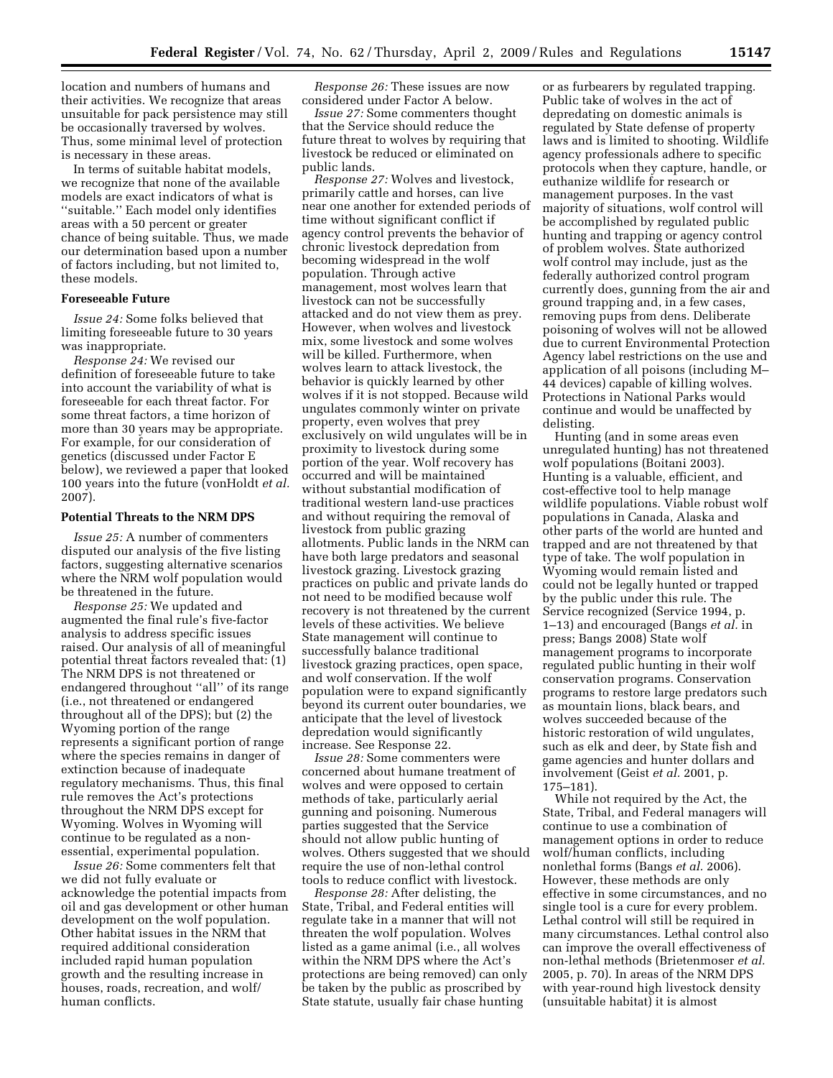location and numbers of humans and their activities. We recognize that areas unsuitable for pack persistence may still be occasionally traversed by wolves. Thus, some minimal level of protection is necessary in these areas.

In terms of suitable habitat models, we recognize that none of the available models are exact indicators of what is ''suitable.'' Each model only identifies areas with a 50 percent or greater chance of being suitable. Thus, we made our determination based upon a number of factors including, but not limited to, these models.

# **Foreseeable Future**

*Issue 24:* Some folks believed that limiting foreseeable future to 30 years was inappropriate.

*Response 24:* We revised our definition of foreseeable future to take into account the variability of what is foreseeable for each threat factor. For some threat factors, a time horizon of more than 30 years may be appropriate. For example, for our consideration of genetics (discussed under Factor E below), we reviewed a paper that looked 100 years into the future (vonHoldt *et al.*  2007).

#### **Potential Threats to the NRM DPS**

*Issue 25:* A number of commenters disputed our analysis of the five listing factors, suggesting alternative scenarios where the NRM wolf population would be threatened in the future.

*Response 25:* We updated and augmented the final rule's five-factor analysis to address specific issues raised. Our analysis of all of meaningful potential threat factors revealed that: (1) The NRM DPS is not threatened or endangered throughout ''all'' of its range (i.e., not threatened or endangered throughout all of the DPS); but (2) the Wyoming portion of the range represents a significant portion of range where the species remains in danger of extinction because of inadequate regulatory mechanisms. Thus, this final rule removes the Act's protections throughout the NRM DPS except for Wyoming. Wolves in Wyoming will continue to be regulated as a nonessential, experimental population.

*Issue 26:* Some commenters felt that we did not fully evaluate or acknowledge the potential impacts from oil and gas development or other human development on the wolf population. Other habitat issues in the NRM that required additional consideration included rapid human population growth and the resulting increase in houses, roads, recreation, and wolf/ human conflicts.

*Response 26:* These issues are now considered under Factor A below.

*Issue 27:* Some commenters thought that the Service should reduce the future threat to wolves by requiring that livestock be reduced or eliminated on public lands.

*Response 27:* Wolves and livestock, primarily cattle and horses, can live near one another for extended periods of time without significant conflict if agency control prevents the behavior of chronic livestock depredation from becoming widespread in the wolf population. Through active management, most wolves learn that livestock can not be successfully attacked and do not view them as prey. However, when wolves and livestock mix, some livestock and some wolves will be killed. Furthermore, when wolves learn to attack livestock, the behavior is quickly learned by other wolves if it is not stopped. Because wild ungulates commonly winter on private property, even wolves that prey exclusively on wild ungulates will be in proximity to livestock during some portion of the year. Wolf recovery has occurred and will be maintained without substantial modification of traditional western land-use practices and without requiring the removal of livestock from public grazing allotments. Public lands in the NRM can have both large predators and seasonal livestock grazing. Livestock grazing practices on public and private lands do not need to be modified because wolf recovery is not threatened by the current levels of these activities. We believe State management will continue to successfully balance traditional livestock grazing practices, open space, and wolf conservation. If the wolf population were to expand significantly beyond its current outer boundaries, we anticipate that the level of livestock depredation would significantly increase. See Response 22.

*Issue 28:* Some commenters were concerned about humane treatment of wolves and were opposed to certain methods of take, particularly aerial gunning and poisoning. Numerous parties suggested that the Service should not allow public hunting of wolves. Others suggested that we should require the use of non-lethal control tools to reduce conflict with livestock.

*Response 28:* After delisting, the State, Tribal, and Federal entities will regulate take in a manner that will not threaten the wolf population. Wolves listed as a game animal (i.e., all wolves within the NRM DPS where the Act's protections are being removed) can only be taken by the public as proscribed by State statute, usually fair chase hunting

or as furbearers by regulated trapping. Public take of wolves in the act of depredating on domestic animals is regulated by State defense of property laws and is limited to shooting. Wildlife agency professionals adhere to specific protocols when they capture, handle, or euthanize wildlife for research or management purposes. In the vast majority of situations, wolf control will be accomplished by regulated public hunting and trapping or agency control of problem wolves. State authorized wolf control may include, just as the federally authorized control program currently does, gunning from the air and ground trapping and, in a few cases, removing pups from dens. Deliberate poisoning of wolves will not be allowed due to current Environmental Protection Agency label restrictions on the use and application of all poisons (including M– 44 devices) capable of killing wolves. Protections in National Parks would continue and would be unaffected by delisting.

Hunting (and in some areas even unregulated hunting) has not threatened wolf populations (Boitani 2003). Hunting is a valuable, efficient, and cost-effective tool to help manage wildlife populations. Viable robust wolf populations in Canada, Alaska and other parts of the world are hunted and trapped and are not threatened by that type of take. The wolf population in Wyoming would remain listed and could not be legally hunted or trapped by the public under this rule. The Service recognized (Service 1994, p. 1–13) and encouraged (Bangs *et al.* in press; Bangs 2008) State wolf management programs to incorporate regulated public hunting in their wolf conservation programs. Conservation programs to restore large predators such as mountain lions, black bears, and wolves succeeded because of the historic restoration of wild ungulates, such as elk and deer, by State fish and game agencies and hunter dollars and involvement (Geist *et al.* 2001, p. 175–181).

While not required by the Act, the State, Tribal, and Federal managers will continue to use a combination of management options in order to reduce wolf/human conflicts, including nonlethal forms (Bangs *et al.* 2006). However, these methods are only effective in some circumstances, and no single tool is a cure for every problem. Lethal control will still be required in many circumstances. Lethal control also can improve the overall effectiveness of non-lethal methods (Brietenmoser *et al.*  2005, p. 70). In areas of the NRM DPS with year-round high livestock density (unsuitable habitat) it is almost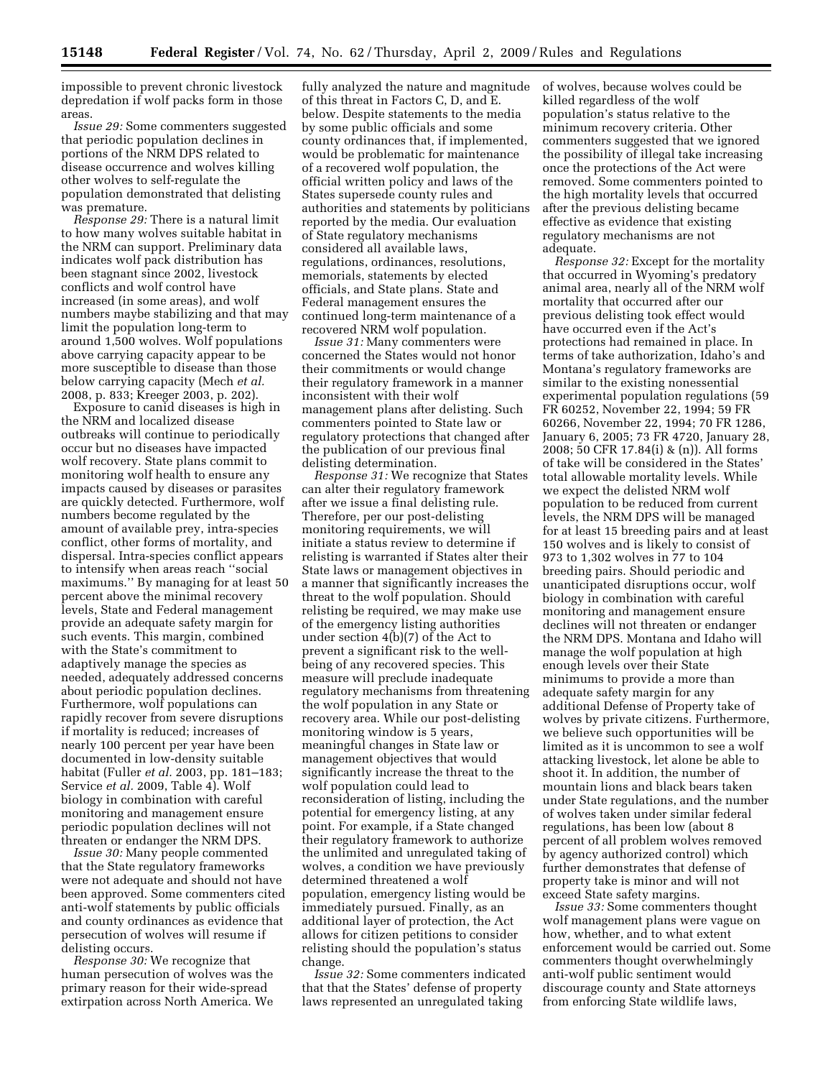impossible to prevent chronic livestock depredation if wolf packs form in those areas.

*Issue 29:* Some commenters suggested that periodic population declines in portions of the NRM DPS related to disease occurrence and wolves killing other wolves to self-regulate the population demonstrated that delisting was premature.

*Response 29:* There is a natural limit to how many wolves suitable habitat in the NRM can support. Preliminary data indicates wolf pack distribution has been stagnant since 2002, livestock conflicts and wolf control have increased (in some areas), and wolf numbers maybe stabilizing and that may limit the population long-term to around 1,500 wolves. Wolf populations above carrying capacity appear to be more susceptible to disease than those below carrying capacity (Mech *et al.*  2008, p. 833; Kreeger 2003, p. 202).

Exposure to canid diseases is high in the NRM and localized disease outbreaks will continue to periodically occur but no diseases have impacted wolf recovery. State plans commit to monitoring wolf health to ensure any impacts caused by diseases or parasites are quickly detected. Furthermore, wolf numbers become regulated by the amount of available prey, intra-species conflict, other forms of mortality, and dispersal. Intra-species conflict appears to intensify when areas reach ''social maximums.'' By managing for at least 50 percent above the minimal recovery levels, State and Federal management provide an adequate safety margin for such events. This margin, combined with the State's commitment to adaptively manage the species as needed, adequately addressed concerns about periodic population declines. Furthermore, wolf populations can rapidly recover from severe disruptions if mortality is reduced; increases of nearly 100 percent per year have been documented in low-density suitable habitat (Fuller *et al.* 2003, pp. 181–183; Service *et al.* 2009, Table 4). Wolf biology in combination with careful monitoring and management ensure periodic population declines will not threaten or endanger the NRM DPS.

*Issue 30:* Many people commented that the State regulatory frameworks were not adequate and should not have been approved. Some commenters cited anti-wolf statements by public officials and county ordinances as evidence that persecution of wolves will resume if delisting occurs.

*Response 30:* We recognize that human persecution of wolves was the primary reason for their wide-spread extirpation across North America. We

fully analyzed the nature and magnitude of this threat in Factors C, D, and E. below. Despite statements to the media by some public officials and some county ordinances that, if implemented, would be problematic for maintenance of a recovered wolf population, the official written policy and laws of the States supersede county rules and authorities and statements by politicians reported by the media. Our evaluation of State regulatory mechanisms considered all available laws, regulations, ordinances, resolutions, memorials, statements by elected officials, and State plans. State and Federal management ensures the continued long-term maintenance of a recovered NRM wolf population.

*Issue 31:* Many commenters were concerned the States would not honor their commitments or would change their regulatory framework in a manner inconsistent with their wolf management plans after delisting. Such commenters pointed to State law or regulatory protections that changed after the publication of our previous final delisting determination.

*Response 31:* We recognize that States can alter their regulatory framework after we issue a final delisting rule. Therefore, per our post-delisting monitoring requirements, we will initiate a status review to determine if relisting is warranted if States alter their State laws or management objectives in a manner that significantly increases the threat to the wolf population. Should relisting be required, we may make use of the emergency listing authorities under section 4(b)(7) of the Act to prevent a significant risk to the wellbeing of any recovered species. This measure will preclude inadequate regulatory mechanisms from threatening the wolf population in any State or recovery area. While our post-delisting monitoring window is 5 years, meaningful changes in State law or management objectives that would significantly increase the threat to the wolf population could lead to reconsideration of listing, including the potential for emergency listing, at any point. For example, if a State changed their regulatory framework to authorize the unlimited and unregulated taking of wolves, a condition we have previously determined threatened a wolf population, emergency listing would be immediately pursued. Finally, as an additional layer of protection, the Act allows for citizen petitions to consider relisting should the population's status change.

*Issue 32:* Some commenters indicated that that the States' defense of property laws represented an unregulated taking

of wolves, because wolves could be killed regardless of the wolf population's status relative to the minimum recovery criteria. Other commenters suggested that we ignored the possibility of illegal take increasing once the protections of the Act were removed. Some commenters pointed to the high mortality levels that occurred after the previous delisting became effective as evidence that existing regulatory mechanisms are not adequate.

*Response 32:* Except for the mortality that occurred in Wyoming's predatory animal area, nearly all of the NRM wolf mortality that occurred after our previous delisting took effect would have occurred even if the Act's protections had remained in place. In terms of take authorization, Idaho's and Montana's regulatory frameworks are similar to the existing nonessential experimental population regulations (59 FR 60252, November 22, 1994; 59 FR 60266, November 22, 1994; 70 FR 1286, January 6, 2005; 73 FR 4720, January 28, 2008; 50 CFR 17.84(i) & (n)). All forms of take will be considered in the States' total allowable mortality levels. While we expect the delisted NRM wolf population to be reduced from current levels, the NRM DPS will be managed for at least 15 breeding pairs and at least 150 wolves and is likely to consist of 973 to 1,302 wolves in 77 to 104 breeding pairs. Should periodic and unanticipated disruptions occur, wolf biology in combination with careful monitoring and management ensure declines will not threaten or endanger the NRM DPS. Montana and Idaho will manage the wolf population at high enough levels over their State minimums to provide a more than adequate safety margin for any additional Defense of Property take of wolves by private citizens. Furthermore, we believe such opportunities will be limited as it is uncommon to see a wolf attacking livestock, let alone be able to shoot it. In addition, the number of mountain lions and black bears taken under State regulations, and the number of wolves taken under similar federal regulations, has been low (about 8 percent of all problem wolves removed by agency authorized control) which further demonstrates that defense of property take is minor and will not exceed State safety margins.

*Issue 33:* Some commenters thought wolf management plans were vague on how, whether, and to what extent enforcement would be carried out. Some commenters thought overwhelmingly anti-wolf public sentiment would discourage county and State attorneys from enforcing State wildlife laws,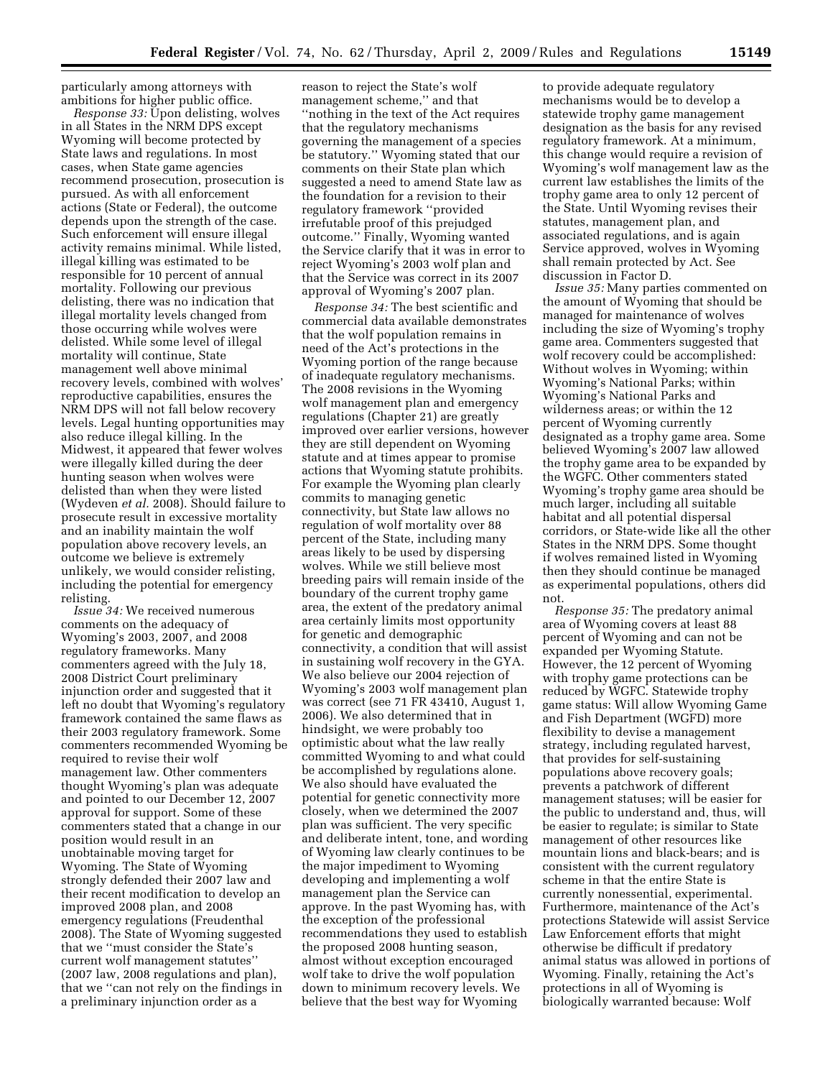particularly among attorneys with ambitions for higher public office.

*Response 33:* Upon delisting, wolves in all States in the NRM DPS except Wyoming will become protected by State laws and regulations. In most cases, when State game agencies recommend prosecution, prosecution is pursued. As with all enforcement actions (State or Federal), the outcome depends upon the strength of the case. Such enforcement will ensure illegal activity remains minimal. While listed, illegal killing was estimated to be responsible for 10 percent of annual mortality. Following our previous delisting, there was no indication that illegal mortality levels changed from those occurring while wolves were delisted. While some level of illegal mortality will continue, State management well above minimal recovery levels, combined with wolves' reproductive capabilities, ensures the NRM DPS will not fall below recovery levels. Legal hunting opportunities may also reduce illegal killing. In the Midwest, it appeared that fewer wolves were illegally killed during the deer hunting season when wolves were delisted than when they were listed (Wydeven *et al.* 2008). Should failure to prosecute result in excessive mortality and an inability maintain the wolf population above recovery levels, an outcome we believe is extremely unlikely, we would consider relisting, including the potential for emergency relisting.

*Issue 34:* We received numerous comments on the adequacy of Wyoming's 2003, 2007, and 2008 regulatory frameworks. Many commenters agreed with the July 18, 2008 District Court preliminary injunction order and suggested that it left no doubt that Wyoming's regulatory framework contained the same flaws as their 2003 regulatory framework. Some commenters recommended Wyoming be required to revise their wolf management law. Other commenters thought Wyoming's plan was adequate and pointed to our December 12, 2007 approval for support. Some of these commenters stated that a change in our position would result in an unobtainable moving target for Wyoming. The State of Wyoming strongly defended their 2007 law and their recent modification to develop an improved 2008 plan, and 2008 emergency regulations (Freudenthal 2008). The State of Wyoming suggested that we ''must consider the State's current wolf management statutes'' (2007 law, 2008 regulations and plan), that we ''can not rely on the findings in a preliminary injunction order as a

reason to reject the State's wolf management scheme,'' and that ''nothing in the text of the Act requires that the regulatory mechanisms governing the management of a species be statutory.'' Wyoming stated that our comments on their State plan which suggested a need to amend State law as the foundation for a revision to their regulatory framework ''provided irrefutable proof of this prejudged outcome.'' Finally, Wyoming wanted the Service clarify that it was in error to reject Wyoming's 2003 wolf plan and that the Service was correct in its 2007 approval of Wyoming's 2007 plan.

*Response 34:* The best scientific and commercial data available demonstrates that the wolf population remains in need of the Act's protections in the Wyoming portion of the range because of inadequate regulatory mechanisms. The 2008 revisions in the Wyoming wolf management plan and emergency regulations (Chapter 21) are greatly improved over earlier versions, however they are still dependent on Wyoming statute and at times appear to promise actions that Wyoming statute prohibits. For example the Wyoming plan clearly commits to managing genetic connectivity, but State law allows no regulation of wolf mortality over 88 percent of the State, including many areas likely to be used by dispersing wolves. While we still believe most breeding pairs will remain inside of the boundary of the current trophy game area, the extent of the predatory animal area certainly limits most opportunity for genetic and demographic connectivity, a condition that will assist in sustaining wolf recovery in the GYA. We also believe our 2004 rejection of Wyoming's 2003 wolf management plan was correct (see 71 FR 43410, August 1, 2006). We also determined that in hindsight, we were probably too optimistic about what the law really committed Wyoming to and what could be accomplished by regulations alone. We also should have evaluated the potential for genetic connectivity more closely, when we determined the 2007 plan was sufficient. The very specific and deliberate intent, tone, and wording of Wyoming law clearly continues to be the major impediment to Wyoming developing and implementing a wolf management plan the Service can approve. In the past Wyoming has, with the exception of the professional recommendations they used to establish the proposed 2008 hunting season, almost without exception encouraged wolf take to drive the wolf population down to minimum recovery levels. We believe that the best way for Wyoming

to provide adequate regulatory mechanisms would be to develop a statewide trophy game management designation as the basis for any revised regulatory framework. At a minimum, this change would require a revision of Wyoming's wolf management law as the current law establishes the limits of the trophy game area to only 12 percent of the State. Until Wyoming revises their statutes, management plan, and associated regulations, and is again Service approved, wolves in Wyoming shall remain protected by Act. See discussion in Factor D.

*Issue 35:* Many parties commented on the amount of Wyoming that should be managed for maintenance of wolves including the size of Wyoming's trophy game area. Commenters suggested that wolf recovery could be accomplished: Without wolves in Wyoming; within Wyoming's National Parks; within Wyoming's National Parks and wilderness areas; or within the 12 percent of Wyoming currently designated as a trophy game area. Some believed Wyoming's 2007 law allowed the trophy game area to be expanded by the WGFC. Other commenters stated Wyoming's trophy game area should be much larger, including all suitable habitat and all potential dispersal corridors, or State-wide like all the other States in the NRM DPS. Some thought if wolves remained listed in Wyoming then they should continue be managed as experimental populations, others did not.

*Response 35:* The predatory animal area of Wyoming covers at least 88 percent of Wyoming and can not be expanded per Wyoming Statute. However, the 12 percent of Wyoming with trophy game protections can be reduced by WGFC. Statewide trophy game status: Will allow Wyoming Game and Fish Department (WGFD) more flexibility to devise a management strategy, including regulated harvest, that provides for self-sustaining populations above recovery goals; prevents a patchwork of different management statuses; will be easier for the public to understand and, thus, will be easier to regulate; is similar to State management of other resources like mountain lions and black-bears; and is consistent with the current regulatory scheme in that the entire State is currently nonessential, experimental. Furthermore, maintenance of the Act's protections Statewide will assist Service Law Enforcement efforts that might otherwise be difficult if predatory animal status was allowed in portions of Wyoming. Finally, retaining the Act's protections in all of Wyoming is biologically warranted because: Wolf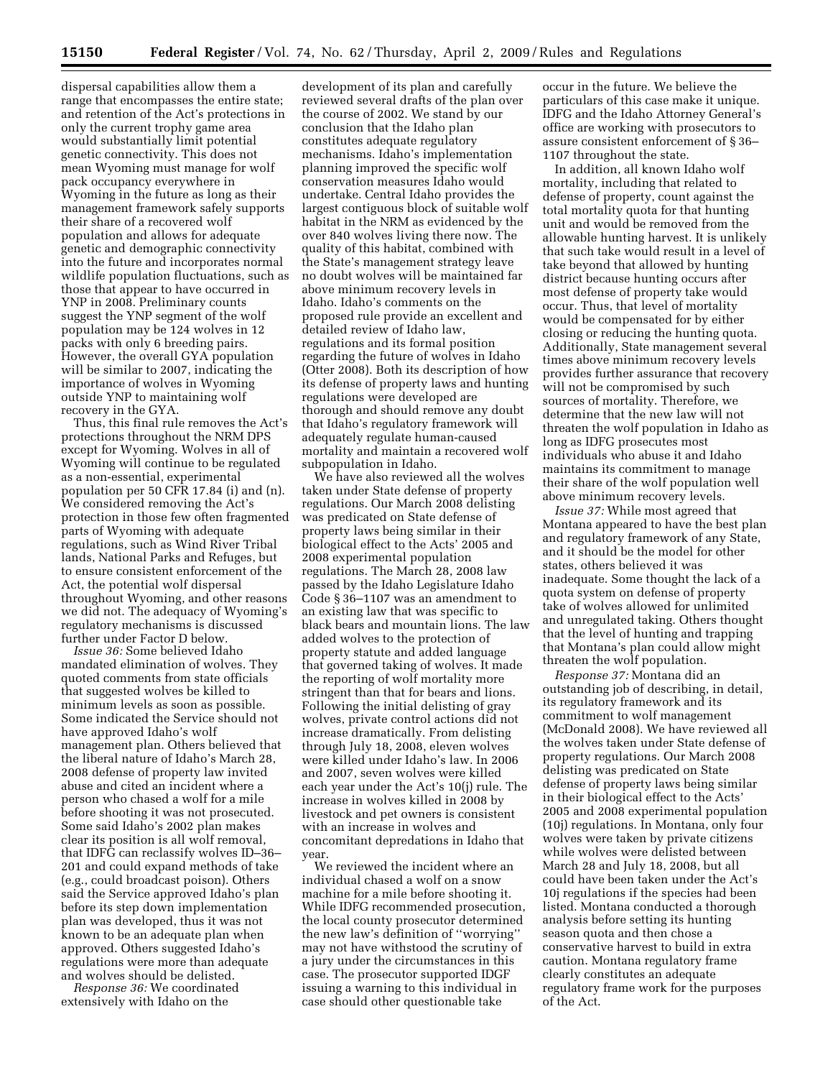dispersal capabilities allow them a range that encompasses the entire state; and retention of the Act's protections in only the current trophy game area would substantially limit potential genetic connectivity. This does not mean Wyoming must manage for wolf pack occupancy everywhere in Wyoming in the future as long as their management framework safely supports their share of a recovered wolf population and allows for adequate genetic and demographic connectivity into the future and incorporates normal wildlife population fluctuations, such as those that appear to have occurred in YNP in 2008. Preliminary counts suggest the YNP segment of the wolf population may be 124 wolves in 12 packs with only 6 breeding pairs. However, the overall GYA population will be similar to 2007, indicating the importance of wolves in Wyoming outside YNP to maintaining wolf recovery in the GYA.

Thus, this final rule removes the Act's protections throughout the NRM DPS except for Wyoming. Wolves in all of Wyoming will continue to be regulated as a non-essential, experimental population per 50 CFR 17.84 (i) and (n). We considered removing the Act's protection in those few often fragmented parts of Wyoming with adequate regulations, such as Wind River Tribal lands, National Parks and Refuges, but to ensure consistent enforcement of the Act, the potential wolf dispersal throughout Wyoming, and other reasons we did not. The adequacy of Wyoming's regulatory mechanisms is discussed further under Factor D below.

*Issue 36:* Some believed Idaho mandated elimination of wolves. They quoted comments from state officials that suggested wolves be killed to minimum levels as soon as possible. Some indicated the Service should not have approved Idaho's wolf management plan. Others believed that the liberal nature of Idaho's March 28, 2008 defense of property law invited abuse and cited an incident where a person who chased a wolf for a mile before shooting it was not prosecuted. Some said Idaho's 2002 plan makes clear its position is all wolf removal, that IDFG can reclassify wolves ID–36– 201 and could expand methods of take (e.g., could broadcast poison). Others said the Service approved Idaho's plan before its step down implementation plan was developed, thus it was not known to be an adequate plan when approved. Others suggested Idaho's regulations were more than adequate and wolves should be delisted.

*Response 36:* We coordinated extensively with Idaho on the

development of its plan and carefully reviewed several drafts of the plan over the course of 2002. We stand by our conclusion that the Idaho plan constitutes adequate regulatory mechanisms. Idaho's implementation planning improved the specific wolf conservation measures Idaho would undertake. Central Idaho provides the largest contiguous block of suitable wolf habitat in the NRM as evidenced by the over 840 wolves living there now. The quality of this habitat, combined with the State's management strategy leave no doubt wolves will be maintained far above minimum recovery levels in Idaho. Idaho's comments on the proposed rule provide an excellent and detailed review of Idaho law, regulations and its formal position regarding the future of wolves in Idaho (Otter 2008). Both its description of how its defense of property laws and hunting regulations were developed are thorough and should remove any doubt that Idaho's regulatory framework will adequately regulate human-caused mortality and maintain a recovered wolf subpopulation in Idaho.

We have also reviewed all the wolves taken under State defense of property regulations. Our March 2008 delisting was predicated on State defense of property laws being similar in their biological effect to the Acts' 2005 and 2008 experimental population regulations. The March 28, 2008 law passed by the Idaho Legislature Idaho Code § 36–1107 was an amendment to an existing law that was specific to black bears and mountain lions. The law added wolves to the protection of property statute and added language that governed taking of wolves. It made the reporting of wolf mortality more stringent than that for bears and lions. Following the initial delisting of gray wolves, private control actions did not increase dramatically. From delisting through July 18, 2008, eleven wolves were killed under Idaho's law. In 2006 and 2007, seven wolves were killed each year under the Act's 10(j) rule. The increase in wolves killed in 2008 by livestock and pet owners is consistent with an increase in wolves and concomitant depredations in Idaho that year.

We reviewed the incident where an individual chased a wolf on a snow machine for a mile before shooting it. While IDFG recommended prosecution, the local county prosecutor determined the new law's definition of ''worrying'' may not have withstood the scrutiny of a jury under the circumstances in this case. The prosecutor supported IDGF issuing a warning to this individual in case should other questionable take

occur in the future. We believe the particulars of this case make it unique. IDFG and the Idaho Attorney General's office are working with prosecutors to assure consistent enforcement of § 36– 1107 throughout the state.

In addition, all known Idaho wolf mortality, including that related to defense of property, count against the total mortality quota for that hunting unit and would be removed from the allowable hunting harvest. It is unlikely that such take would result in a level of take beyond that allowed by hunting district because hunting occurs after most defense of property take would occur. Thus, that level of mortality would be compensated for by either closing or reducing the hunting quota. Additionally, State management several times above minimum recovery levels provides further assurance that recovery will not be compromised by such sources of mortality. Therefore, we determine that the new law will not threaten the wolf population in Idaho as long as IDFG prosecutes most individuals who abuse it and Idaho maintains its commitment to manage their share of the wolf population well above minimum recovery levels.

*Issue 37:* While most agreed that Montana appeared to have the best plan and regulatory framework of any State, and it should be the model for other states, others believed it was inadequate. Some thought the lack of a quota system on defense of property take of wolves allowed for unlimited and unregulated taking. Others thought that the level of hunting and trapping that Montana's plan could allow might threaten the wolf population.

*Response 37:* Montana did an outstanding job of describing, in detail, its regulatory framework and its commitment to wolf management (McDonald 2008). We have reviewed all the wolves taken under State defense of property regulations. Our March 2008 delisting was predicated on State defense of property laws being similar in their biological effect to the Acts' 2005 and 2008 experimental population (10j) regulations. In Montana, only four wolves were taken by private citizens while wolves were delisted between March 28 and July 18, 2008, but all could have been taken under the Act's 10j regulations if the species had been listed. Montana conducted a thorough analysis before setting its hunting season quota and then chose a conservative harvest to build in extra caution. Montana regulatory frame clearly constitutes an adequate regulatory frame work for the purposes of the Act.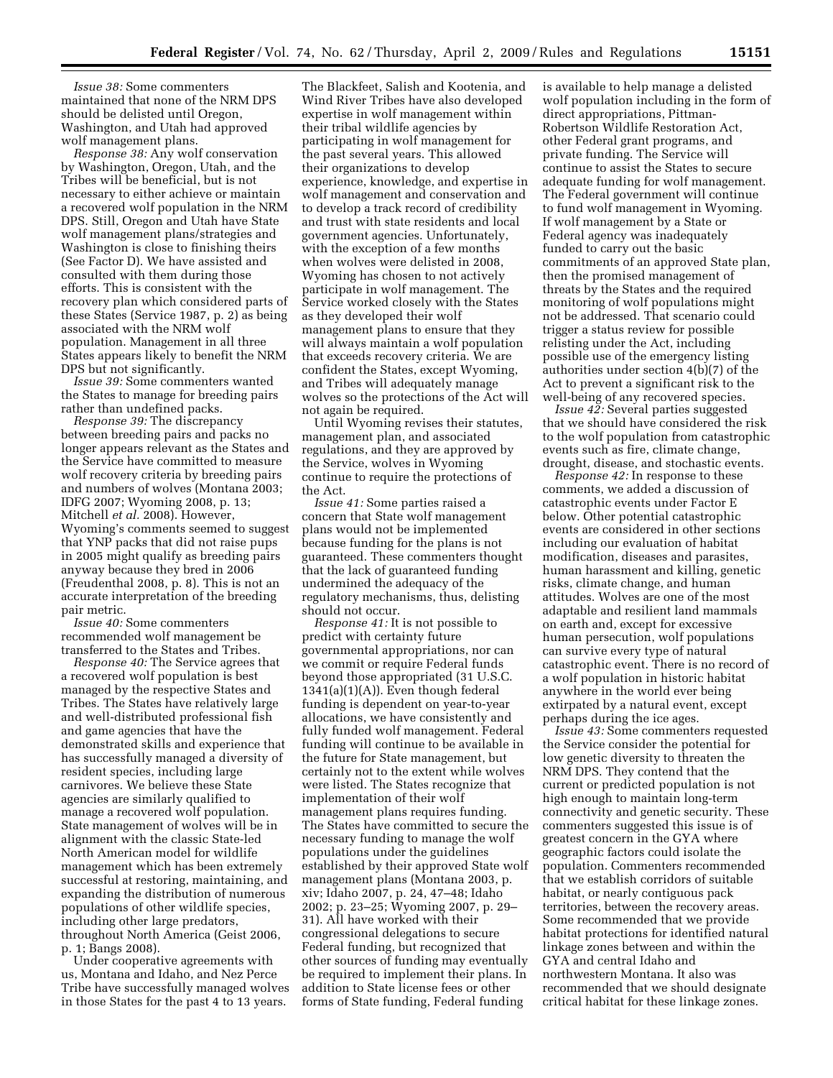*Issue 38:* Some commenters maintained that none of the NRM DPS should be delisted until Oregon, Washington, and Utah had approved wolf management plans.

*Response 38:* Any wolf conservation by Washington, Oregon, Utah, and the Tribes will be beneficial, but is not necessary to either achieve or maintain a recovered wolf population in the NRM DPS. Still, Oregon and Utah have State wolf management plans/strategies and Washington is close to finishing theirs (See Factor D). We have assisted and consulted with them during those efforts. This is consistent with the recovery plan which considered parts of these States (Service 1987, p. 2) as being associated with the NRM wolf population. Management in all three States appears likely to benefit the NRM DPS but not significantly.

*Issue 39:* Some commenters wanted the States to manage for breeding pairs rather than undefined packs.

*Response 39:* The discrepancy between breeding pairs and packs no longer appears relevant as the States and the Service have committed to measure wolf recovery criteria by breeding pairs and numbers of wolves (Montana 2003; IDFG 2007; Wyoming 2008, p. 13; Mitchell *et al.* 2008). However, Wyoming's comments seemed to suggest that YNP packs that did not raise pups in 2005 might qualify as breeding pairs anyway because they bred in 2006 (Freudenthal 2008, p. 8). This is not an accurate interpretation of the breeding pair metric.

*Issue 40:* Some commenters recommended wolf management be transferred to the States and Tribes.

*Response 40:* The Service agrees that a recovered wolf population is best managed by the respective States and Tribes. The States have relatively large and well-distributed professional fish and game agencies that have the demonstrated skills and experience that has successfully managed a diversity of resident species, including large carnivores. We believe these State agencies are similarly qualified to manage a recovered wolf population. State management of wolves will be in alignment with the classic State-led North American model for wildlife management which has been extremely successful at restoring, maintaining, and expanding the distribution of numerous populations of other wildlife species, including other large predators, throughout North America (Geist 2006, p. 1; Bangs 2008).

Under cooperative agreements with us, Montana and Idaho, and Nez Perce Tribe have successfully managed wolves in those States for the past 4 to 13 years.

The Blackfeet, Salish and Kootenia, and Wind River Tribes have also developed expertise in wolf management within their tribal wildlife agencies by participating in wolf management for the past several years. This allowed their organizations to develop experience, knowledge, and expertise in wolf management and conservation and to develop a track record of credibility and trust with state residents and local government agencies. Unfortunately, with the exception of a few months when wolves were delisted in 2008, Wyoming has chosen to not actively participate in wolf management. The Service worked closely with the States as they developed their wolf management plans to ensure that they will always maintain a wolf population that exceeds recovery criteria. We are confident the States, except Wyoming, and Tribes will adequately manage wolves so the protections of the Act will not again be required.

Until Wyoming revises their statutes, management plan, and associated regulations, and they are approved by the Service, wolves in Wyoming continue to require the protections of the Act.

*Issue 41:* Some parties raised a concern that State wolf management plans would not be implemented because funding for the plans is not guaranteed. These commenters thought that the lack of guaranteed funding undermined the adequacy of the regulatory mechanisms, thus, delisting should not occur.

*Response 41:* It is not possible to predict with certainty future governmental appropriations, nor can we commit or require Federal funds beyond those appropriated (31 U.S.C.  $1341(a)(1)(A)$ . Even though federal funding is dependent on year-to-year allocations, we have consistently and fully funded wolf management. Federal funding will continue to be available in the future for State management, but certainly not to the extent while wolves were listed. The States recognize that implementation of their wolf management plans requires funding. The States have committed to secure the necessary funding to manage the wolf populations under the guidelines established by their approved State wolf management plans (Montana 2003, p. xiv; Idaho 2007, p. 24, 47–48; Idaho 2002; p. 23–25; Wyoming 2007, p. 29– 31). All have worked with their congressional delegations to secure Federal funding, but recognized that other sources of funding may eventually be required to implement their plans. In addition to State license fees or other forms of State funding, Federal funding

is available to help manage a delisted wolf population including in the form of direct appropriations, Pittman-Robertson Wildlife Restoration Act, other Federal grant programs, and private funding. The Service will continue to assist the States to secure adequate funding for wolf management. The Federal government will continue to fund wolf management in Wyoming. If wolf management by a State or Federal agency was inadequately funded to carry out the basic commitments of an approved State plan, then the promised management of threats by the States and the required monitoring of wolf populations might not be addressed. That scenario could trigger a status review for possible relisting under the Act, including possible use of the emergency listing authorities under section 4(b)(7) of the Act to prevent a significant risk to the well-being of any recovered species.

*Issue 42:* Several parties suggested that we should have considered the risk to the wolf population from catastrophic events such as fire, climate change, drought, disease, and stochastic events.

*Response 42:* In response to these comments, we added a discussion of catastrophic events under Factor E below. Other potential catastrophic events are considered in other sections including our evaluation of habitat modification, diseases and parasites, human harassment and killing, genetic risks, climate change, and human attitudes. Wolves are one of the most adaptable and resilient land mammals on earth and, except for excessive human persecution, wolf populations can survive every type of natural catastrophic event. There is no record of a wolf population in historic habitat anywhere in the world ever being extirpated by a natural event, except perhaps during the ice ages.

*Issue 43:* Some commenters requested the Service consider the potential for low genetic diversity to threaten the NRM DPS. They contend that the current or predicted population is not high enough to maintain long-term connectivity and genetic security. These commenters suggested this issue is of greatest concern in the GYA where geographic factors could isolate the population. Commenters recommended that we establish corridors of suitable habitat, or nearly contiguous pack territories, between the recovery areas. Some recommended that we provide habitat protections for identified natural linkage zones between and within the GYA and central Idaho and northwestern Montana. It also was recommended that we should designate critical habitat for these linkage zones.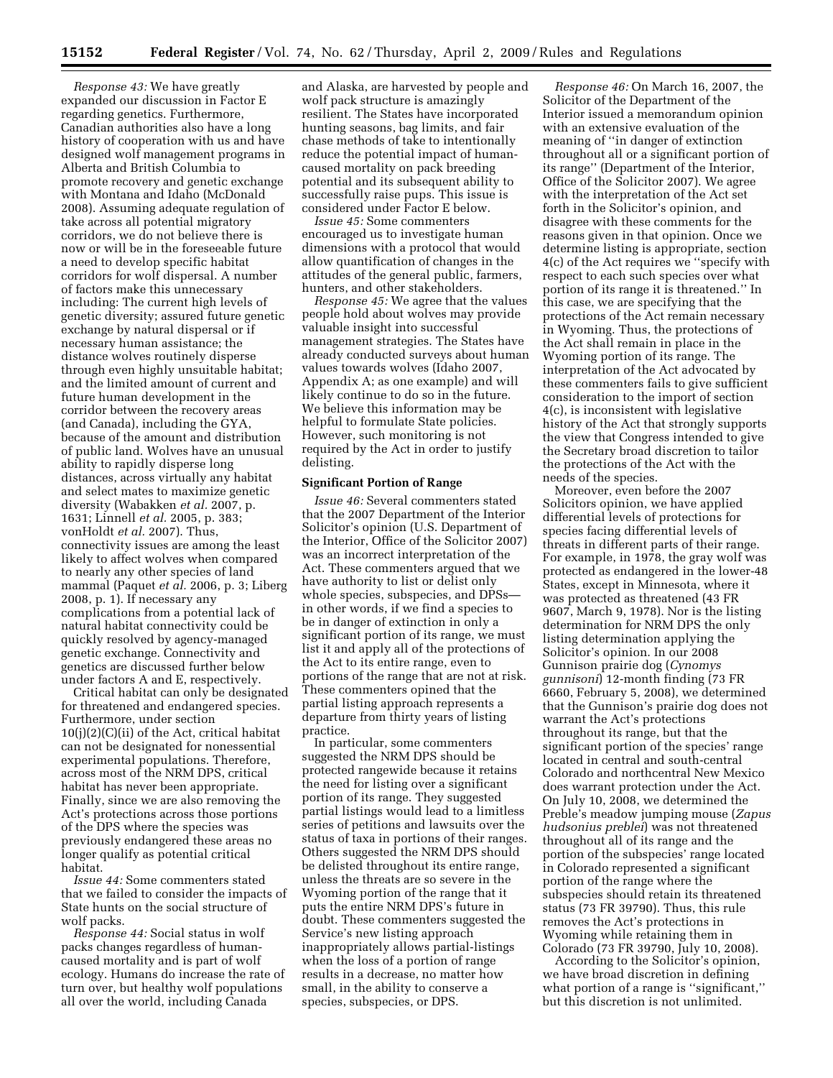*Response 43:* We have greatly expanded our discussion in Factor E regarding genetics. Furthermore, Canadian authorities also have a long history of cooperation with us and have designed wolf management programs in Alberta and British Columbia to promote recovery and genetic exchange with Montana and Idaho (McDonald 2008). Assuming adequate regulation of take across all potential migratory corridors, we do not believe there is now or will be in the foreseeable future a need to develop specific habitat corridors for wolf dispersal. A number of factors make this unnecessary including: The current high levels of genetic diversity; assured future genetic exchange by natural dispersal or if necessary human assistance; the distance wolves routinely disperse through even highly unsuitable habitat; and the limited amount of current and future human development in the corridor between the recovery areas (and Canada), including the GYA, because of the amount and distribution of public land. Wolves have an unusual ability to rapidly disperse long distances, across virtually any habitat and select mates to maximize genetic diversity (Wabakken *et al.* 2007, p. 1631; Linnell *et al.* 2005, p. 383; vonHoldt *et al.* 2007). Thus, connectivity issues are among the least likely to affect wolves when compared to nearly any other species of land mammal (Paquet *et al.* 2006, p. 3; Liberg 2008, p. 1). If necessary any complications from a potential lack of natural habitat connectivity could be quickly resolved by agency-managed genetic exchange. Connectivity and genetics are discussed further below under factors A and E, respectively.

Critical habitat can only be designated for threatened and endangered species. Furthermore, under section  $10(j)(2)(C)(ii)$  of the Act, critical habitat can not be designated for nonessential experimental populations. Therefore, across most of the NRM DPS, critical habitat has never been appropriate. Finally, since we are also removing the Act's protections across those portions of the DPS where the species was previously endangered these areas no longer qualify as potential critical habitat.

*Issue 44:* Some commenters stated that we failed to consider the impacts of State hunts on the social structure of wolf packs.

*Response 44:* Social status in wolf packs changes regardless of humancaused mortality and is part of wolf ecology. Humans do increase the rate of turn over, but healthy wolf populations all over the world, including Canada

and Alaska, are harvested by people and wolf pack structure is amazingly resilient. The States have incorporated hunting seasons, bag limits, and fair chase methods of take to intentionally reduce the potential impact of humancaused mortality on pack breeding potential and its subsequent ability to successfully raise pups. This issue is considered under Factor E below.

*Issue 45:* Some commenters encouraged us to investigate human dimensions with a protocol that would allow quantification of changes in the attitudes of the general public, farmers, hunters, and other stakeholders.

*Response 45:* We agree that the values people hold about wolves may provide valuable insight into successful management strategies. The States have already conducted surveys about human values towards wolves (Idaho 2007, Appendix A; as one example) and will likely continue to do so in the future. We believe this information may be helpful to formulate State policies. However, such monitoring is not required by the Act in order to justify delisting.

#### **Significant Portion of Range**

*Issue 46:* Several commenters stated that the 2007 Department of the Interior Solicitor's opinion (U.S. Department of the Interior, Office of the Solicitor 2007) was an incorrect interpretation of the Act. These commenters argued that we have authority to list or delist only whole species, subspecies, and DPSs in other words, if we find a species to be in danger of extinction in only a significant portion of its range, we must list it and apply all of the protections of the Act to its entire range, even to portions of the range that are not at risk. These commenters opined that the partial listing approach represents a departure from thirty years of listing practice.

In particular, some commenters suggested the NRM DPS should be protected rangewide because it retains the need for listing over a significant portion of its range. They suggested partial listings would lead to a limitless series of petitions and lawsuits over the status of taxa in portions of their ranges. Others suggested the NRM DPS should be delisted throughout its entire range, unless the threats are so severe in the Wyoming portion of the range that it puts the entire NRM DPS's future in doubt. These commenters suggested the Service's new listing approach inappropriately allows partial-listings when the loss of a portion of range results in a decrease, no matter how small, in the ability to conserve a species, subspecies, or DPS.

*Response 46:* On March 16, 2007, the Solicitor of the Department of the Interior issued a memorandum opinion with an extensive evaluation of the meaning of ''in danger of extinction throughout all or a significant portion of its range'' (Department of the Interior, Office of the Solicitor 2007). We agree with the interpretation of the Act set forth in the Solicitor's opinion, and disagree with these comments for the reasons given in that opinion. Once we determine listing is appropriate, section 4(c) of the Act requires we ''specify with respect to each such species over what portion of its range it is threatened.'' In this case, we are specifying that the protections of the Act remain necessary in Wyoming. Thus, the protections of the Act shall remain in place in the Wyoming portion of its range. The interpretation of the Act advocated by these commenters fails to give sufficient consideration to the import of section 4(c), is inconsistent with legislative history of the Act that strongly supports the view that Congress intended to give the Secretary broad discretion to tailor the protections of the Act with the needs of the species.

Moreover, even before the 2007 Solicitors opinion, we have applied differential levels of protections for species facing differential levels of threats in different parts of their range. For example, in 1978, the gray wolf was protected as endangered in the lower-48 States, except in Minnesota, where it was protected as threatened (43 FR 9607, March 9, 1978). Nor is the listing determination for NRM DPS the only listing determination applying the Solicitor's opinion. In our 2008 Gunnison prairie dog (*Cynomys gunnisoni*) 12-month finding (73 FR 6660, February 5, 2008), we determined that the Gunnison's prairie dog does not warrant the Act's protections throughout its range, but that the significant portion of the species' range located in central and south-central Colorado and northcentral New Mexico does warrant protection under the Act. On July 10, 2008, we determined the Preble's meadow jumping mouse (*Zapus hudsonius preblei*) was not threatened throughout all of its range and the portion of the subspecies' range located in Colorado represented a significant portion of the range where the subspecies should retain its threatened status (73 FR 39790). Thus, this rule removes the Act's protections in Wyoming while retaining them in Colorado (73 FR 39790, July 10, 2008).

According to the Solicitor's opinion, we have broad discretion in defining what portion of a range is "significant," but this discretion is not unlimited.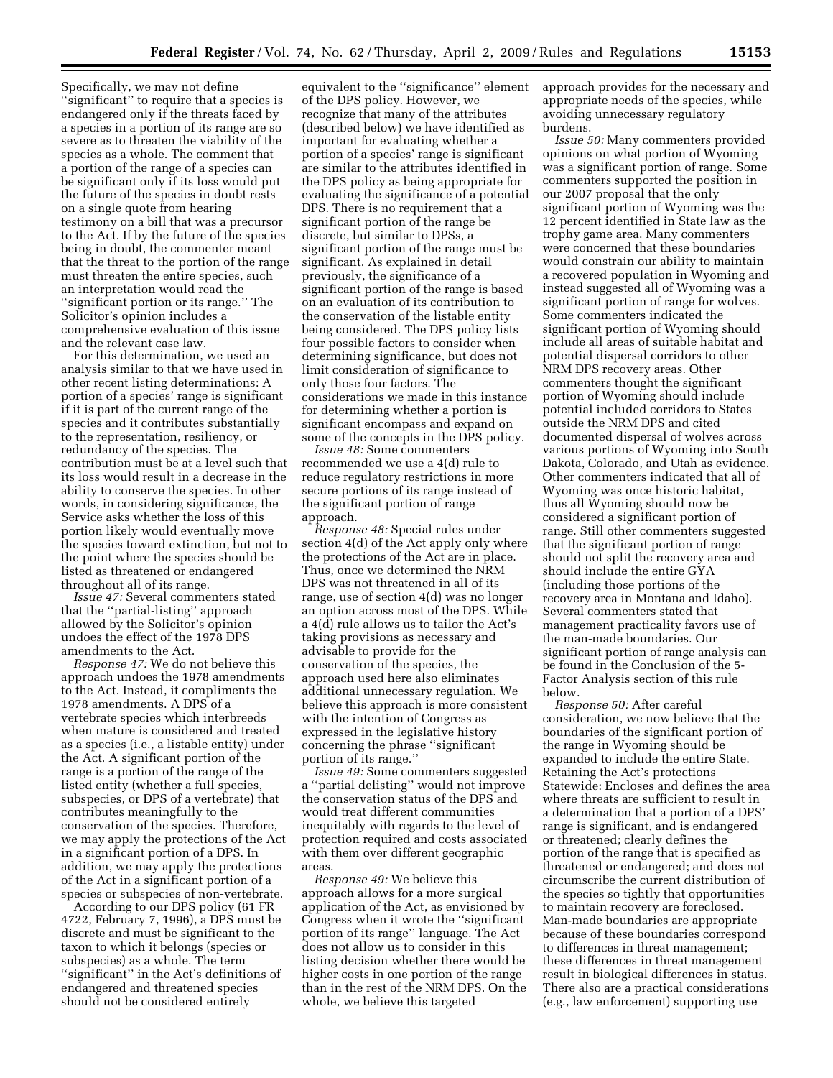Specifically, we may not define ''significant'' to require that a species is endangered only if the threats faced by a species in a portion of its range are so severe as to threaten the viability of the species as a whole. The comment that a portion of the range of a species can be significant only if its loss would put the future of the species in doubt rests on a single quote from hearing testimony on a bill that was a precursor to the Act. If by the future of the species being in doubt, the commenter meant that the threat to the portion of the range must threaten the entire species, such an interpretation would read the ''significant portion or its range.'' The Solicitor's opinion includes a comprehensive evaluation of this issue and the relevant case law.

For this determination, we used an analysis similar to that we have used in other recent listing determinations: A portion of a species' range is significant if it is part of the current range of the species and it contributes substantially to the representation, resiliency, or redundancy of the species. The contribution must be at a level such that its loss would result in a decrease in the ability to conserve the species. In other words, in considering significance, the Service asks whether the loss of this portion likely would eventually move the species toward extinction, but not to the point where the species should be listed as threatened or endangered throughout all of its range.

*Issue 47:* Several commenters stated that the ''partial-listing'' approach allowed by the Solicitor's opinion undoes the effect of the 1978 DPS amendments to the Act.

*Response 47:* We do not believe this approach undoes the 1978 amendments to the Act. Instead, it compliments the 1978 amendments. A DPS of a vertebrate species which interbreeds when mature is considered and treated as a species (i.e., a listable entity) under the Act. A significant portion of the range is a portion of the range of the listed entity (whether a full species, subspecies, or DPS of a vertebrate) that contributes meaningfully to the conservation of the species. Therefore, we may apply the protections of the Act in a significant portion of a DPS. In addition, we may apply the protections of the Act in a significant portion of a species or subspecies of non-vertebrate.

According to our DPS policy (61 FR 4722, February 7, 1996), a DPS must be discrete and must be significant to the taxon to which it belongs (species or subspecies) as a whole. The term ''significant'' in the Act's definitions of endangered and threatened species should not be considered entirely

equivalent to the ''significance'' element of the DPS policy. However, we recognize that many of the attributes (described below) we have identified as important for evaluating whether a portion of a species' range is significant are similar to the attributes identified in the DPS policy as being appropriate for evaluating the significance of a potential DPS. There is no requirement that a significant portion of the range be discrete, but similar to DPSs, a significant portion of the range must be significant. As explained in detail previously, the significance of a significant portion of the range is based on an evaluation of its contribution to the conservation of the listable entity being considered. The DPS policy lists four possible factors to consider when determining significance, but does not limit consideration of significance to only those four factors. The considerations we made in this instance for determining whether a portion is significant encompass and expand on some of the concepts in the DPS policy.

*Issue 48:* Some commenters recommended we use a 4(d) rule to reduce regulatory restrictions in more secure portions of its range instead of the significant portion of range approach.

*Response 48:* Special rules under section 4(d) of the Act apply only where the protections of the Act are in place. Thus, once we determined the NRM DPS was not threatened in all of its range, use of section 4(d) was no longer an option across most of the DPS. While a 4(d) rule allows us to tailor the Act's taking provisions as necessary and advisable to provide for the conservation of the species, the approach used here also eliminates additional unnecessary regulation. We believe this approach is more consistent with the intention of Congress as expressed in the legislative history concerning the phrase ''significant portion of its range.''

*Issue 49:* Some commenters suggested a ''partial delisting'' would not improve the conservation status of the DPS and would treat different communities inequitably with regards to the level of protection required and costs associated with them over different geographic areas.

*Response 49:* We believe this approach allows for a more surgical application of the Act, as envisioned by Congress when it wrote the ''significant portion of its range'' language. The Act does not allow us to consider in this listing decision whether there would be higher costs in one portion of the range than in the rest of the NRM DPS. On the whole, we believe this targeted

approach provides for the necessary and appropriate needs of the species, while avoiding unnecessary regulatory burdens.

*Issue 50:* Many commenters provided opinions on what portion of Wyoming was a significant portion of range. Some commenters supported the position in our 2007 proposal that the only significant portion of Wyoming was the 12 percent identified in State law as the trophy game area. Many commenters were concerned that these boundaries would constrain our ability to maintain a recovered population in Wyoming and instead suggested all of Wyoming was a significant portion of range for wolves. Some commenters indicated the significant portion of Wyoming should include all areas of suitable habitat and potential dispersal corridors to other NRM DPS recovery areas. Other commenters thought the significant portion of Wyoming should include potential included corridors to States outside the NRM DPS and cited documented dispersal of wolves across various portions of Wyoming into South Dakota, Colorado, and Utah as evidence. Other commenters indicated that all of Wyoming was once historic habitat, thus all Wyoming should now be considered a significant portion of range. Still other commenters suggested that the significant portion of range should not split the recovery area and should include the entire GYA (including those portions of the recovery area in Montana and Idaho). Several commenters stated that management practicality favors use of the man-made boundaries. Our significant portion of range analysis can be found in the Conclusion of the 5- Factor Analysis section of this rule below.

*Response 50:* After careful consideration, we now believe that the boundaries of the significant portion of the range in Wyoming should be expanded to include the entire State. Retaining the Act's protections Statewide: Encloses and defines the area where threats are sufficient to result in a determination that a portion of a DPS' range is significant, and is endangered or threatened; clearly defines the portion of the range that is specified as threatened or endangered; and does not circumscribe the current distribution of the species so tightly that opportunities to maintain recovery are foreclosed. Man-made boundaries are appropriate because of these boundaries correspond to differences in threat management; these differences in threat management result in biological differences in status. There also are a practical considerations (e.g., law enforcement) supporting use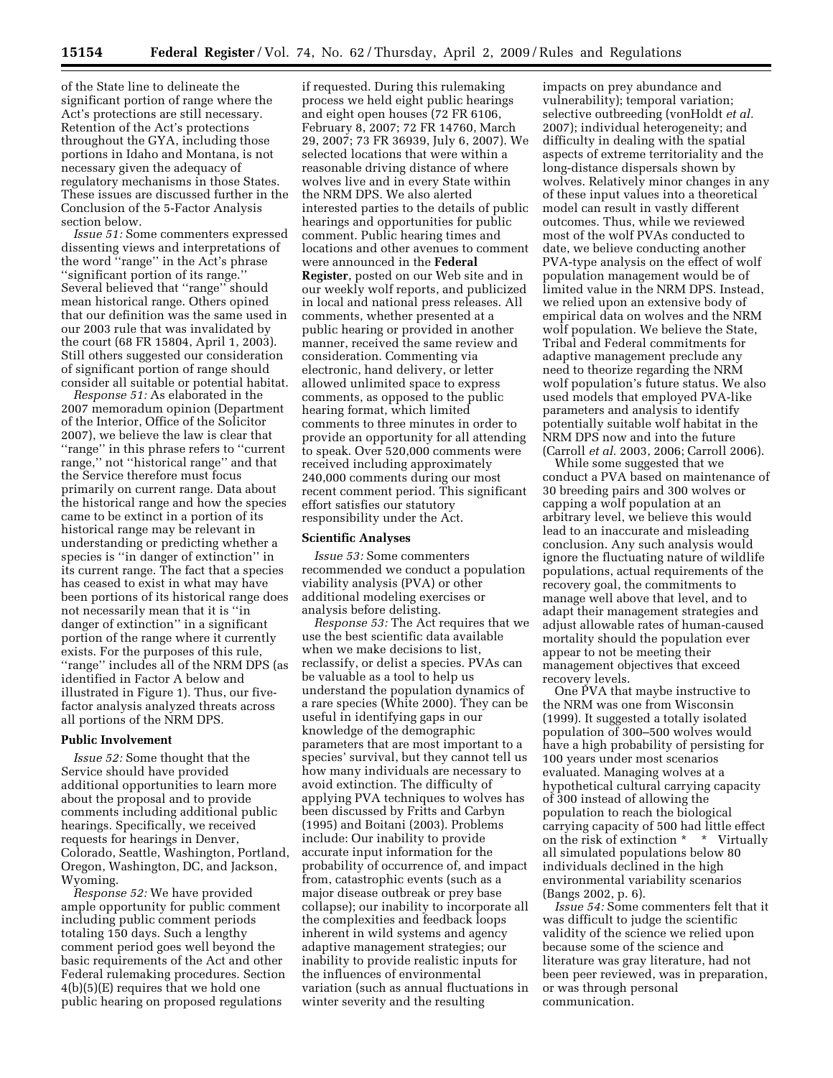of the State line to delineate the significant portion of range where the Act's protections are still necessary. Retention of the Act's protections throughout the GYA, including those portions in Idaho and Montana, is not necessary given the adequacy of regulatory mechanisms in those States. These issues are discussed further in the Conclusion of the 5-Factor Analysis section below.

*Issue 51:* Some commenters expressed dissenting views and interpretations of the word ''range'' in the Act's phrase ''significant portion of its range.'' Several believed that ''range'' should mean historical range. Others opined that our definition was the same used in our 2003 rule that was invalidated by the court (68 FR 15804, April 1, 2003). Still others suggested our consideration of significant portion of range should consider all suitable or potential habitat.

*Response 51:* As elaborated in the 2007 memoradum opinion (Department of the Interior, Office of the Solicitor 2007), we believe the law is clear that ''range'' in this phrase refers to ''current range,'' not ''historical range'' and that the Service therefore must focus primarily on current range. Data about the historical range and how the species came to be extinct in a portion of its historical range may be relevant in understanding or predicting whether a species is ''in danger of extinction'' in its current range. The fact that a species has ceased to exist in what may have been portions of its historical range does not necessarily mean that it is ''in danger of extinction'' in a significant portion of the range where it currently exists. For the purposes of this rule, ''range'' includes all of the NRM DPS (as identified in Factor A below and illustrated in Figure 1). Thus, our fivefactor analysis analyzed threats across all portions of the NRM DPS.

#### **Public Involvement**

*Issue 52:* Some thought that the Service should have provided additional opportunities to learn more about the proposal and to provide comments including additional public hearings. Specifically, we received requests for hearings in Denver, Colorado, Seattle, Washington, Portland, Oregon, Washington, DC, and Jackson, Wyoming.

*Response 52:* We have provided ample opportunity for public comment including public comment periods totaling 150 days. Such a lengthy comment period goes well beyond the basic requirements of the Act and other Federal rulemaking procedures. Section 4(b)(5)(E) requires that we hold one public hearing on proposed regulations

if requested. During this rulemaking process we held eight public hearings and eight open houses (72 FR 6106, February 8, 2007; 72 FR 14760, March 29, 2007; 73 FR 36939, July 6, 2007). We selected locations that were within a reasonable driving distance of where wolves live and in every State within the NRM DPS. We also alerted interested parties to the details of public hearings and opportunities for public comment. Public hearing times and locations and other avenues to comment were announced in the **Federal Register**, posted on our Web site and in our weekly wolf reports, and publicized in local and national press releases. All comments, whether presented at a public hearing or provided in another manner, received the same review and consideration. Commenting via electronic, hand delivery, or letter allowed unlimited space to express comments, as opposed to the public hearing format, which limited comments to three minutes in order to provide an opportunity for all attending to speak. Over 520,000 comments were received including approximately 240,000 comments during our most recent comment period. This significant effort satisfies our statutory responsibility under the Act.

### **Scientific Analyses**

*Issue 53:* Some commenters recommended we conduct a population viability analysis (PVA) or other additional modeling exercises or analysis before delisting.

*Response 53:* The Act requires that we use the best scientific data available when we make decisions to list, reclassify, or delist a species. PVAs can be valuable as a tool to help us understand the population dynamics of a rare species (White 2000). They can be useful in identifying gaps in our knowledge of the demographic parameters that are most important to a species' survival, but they cannot tell us how many individuals are necessary to avoid extinction. The difficulty of applying PVA techniques to wolves has been discussed by Fritts and Carbyn (1995) and Boitani (2003). Problems include: Our inability to provide accurate input information for the probability of occurrence of, and impact from, catastrophic events (such as a major disease outbreak or prey base collapse); our inability to incorporate all the complexities and feedback loops inherent in wild systems and agency adaptive management strategies; our inability to provide realistic inputs for the influences of environmental variation (such as annual fluctuations in winter severity and the resulting

impacts on prey abundance and vulnerability); temporal variation; selective outbreeding (vonHoldt *et al.*  2007); individual heterogeneity; and difficulty in dealing with the spatial aspects of extreme territoriality and the long-distance dispersals shown by wolves. Relatively minor changes in any of these input values into a theoretical model can result in vastly different outcomes. Thus, while we reviewed most of the wolf PVAs conducted to date, we believe conducting another PVA-type analysis on the effect of wolf population management would be of limited value in the NRM DPS. Instead, we relied upon an extensive body of empirical data on wolves and the NRM wolf population. We believe the State, Tribal and Federal commitments for adaptive management preclude any need to theorize regarding the NRM wolf population's future status. We also used models that employed PVA-like parameters and analysis to identify potentially suitable wolf habitat in the NRM DPS now and into the future (Carroll *et al.* 2003, 2006; Carroll 2006).

While some suggested that we conduct a PVA based on maintenance of 30 breeding pairs and 300 wolves or capping a wolf population at an arbitrary level, we believe this would lead to an inaccurate and misleading conclusion. Any such analysis would ignore the fluctuating nature of wildlife populations, actual requirements of the recovery goal, the commitments to manage well above that level, and to adapt their management strategies and adjust allowable rates of human-caused mortality should the population ever appear to not be meeting their management objectives that exceed recovery levels.

One PVA that maybe instructive to the NRM was one from Wisconsin (1999). It suggested a totally isolated population of 300–500 wolves would have a high probability of persisting for 100 years under most scenarios evaluated. Managing wolves at a hypothetical cultural carrying capacity of 300 instead of allowing the population to reach the biological carrying capacity of 500 had little effect on the risk of extinction \* \* Virtually all simulated populations below 80 individuals declined in the high environmental variability scenarios (Bangs 2002, p. 6).

*Issue 54:* Some commenters felt that it was difficult to judge the scientific validity of the science we relied upon because some of the science and literature was gray literature, had not been peer reviewed, was in preparation, or was through personal communication.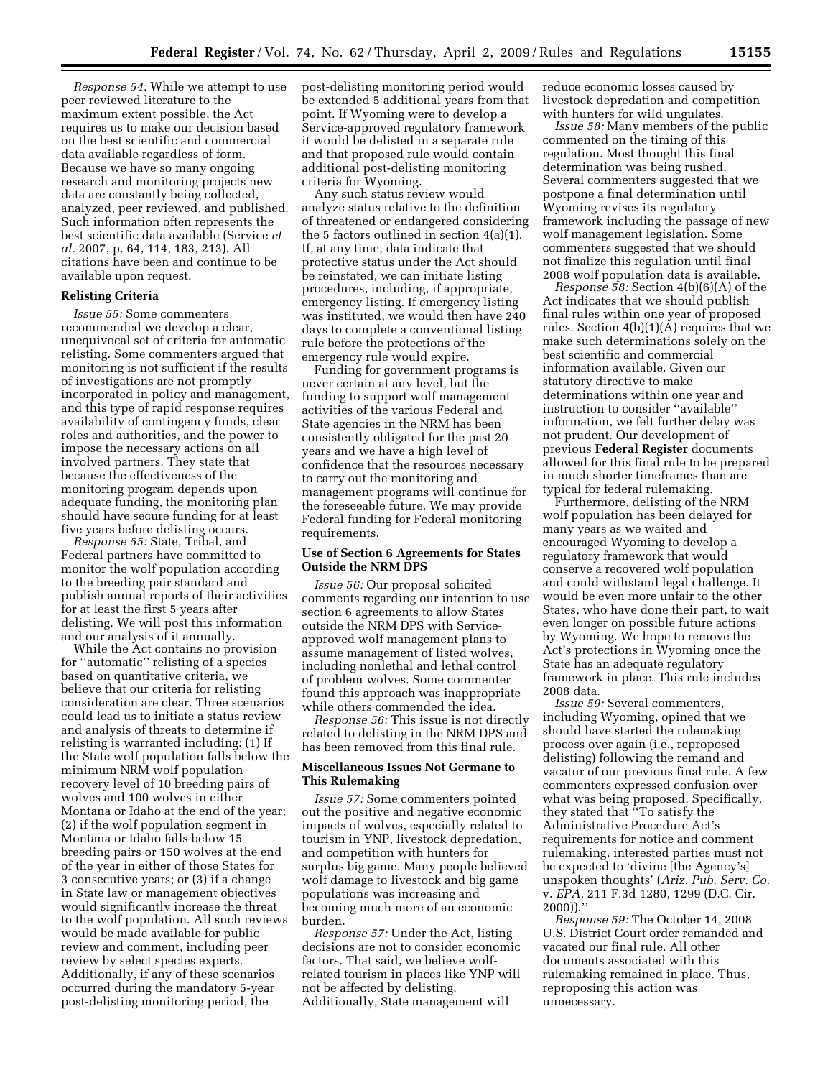*Response 54:* While we attempt to use peer reviewed literature to the maximum extent possible, the Act requires us to make our decision based on the best scientific and commercial data available regardless of form. Because we have so many ongoing research and monitoring projects new data are constantly being collected, analyzed, peer reviewed, and published. Such information often represents the best scientific data available (Service *et al.* 2007, p. 64, 114, 183, 213). All citations have been and continue to be available upon request.

# **Relisting Criteria**

*Issue 55:* Some commenters recommended we develop a clear, unequivocal set of criteria for automatic relisting. Some commenters argued that monitoring is not sufficient if the results of investigations are not promptly incorporated in policy and management, and this type of rapid response requires availability of contingency funds, clear roles and authorities, and the power to impose the necessary actions on all involved partners. They state that because the effectiveness of the monitoring program depends upon adequate funding, the monitoring plan should have secure funding for at least five years before delisting occurs.

*Response 55:* State, Tribal, and Federal partners have committed to monitor the wolf population according to the breeding pair standard and publish annual reports of their activities for at least the first 5 years after delisting. We will post this information and our analysis of it annually.

While the Act contains no provision for ''automatic'' relisting of a species based on quantitative criteria, we believe that our criteria for relisting consideration are clear. Three scenarios could lead us to initiate a status review and analysis of threats to determine if relisting is warranted including: (1) If the State wolf population falls below the minimum NRM wolf population recovery level of 10 breeding pairs of wolves and 100 wolves in either Montana or Idaho at the end of the year; (2) if the wolf population segment in Montana or Idaho falls below 15 breeding pairs or 150 wolves at the end of the year in either of those States for 3 consecutive years; or (3) if a change in State law or management objectives would significantly increase the threat to the wolf population. All such reviews would be made available for public review and comment, including peer review by select species experts. Additionally, if any of these scenarios occurred during the mandatory 5-year post-delisting monitoring period, the

post-delisting monitoring period would be extended 5 additional years from that point. If Wyoming were to develop a Service-approved regulatory framework it would be delisted in a separate rule and that proposed rule would contain additional post-delisting monitoring criteria for Wyoming.

Any such status review would analyze status relative to the definition of threatened or endangered considering the 5 factors outlined in section 4(a)(1). If, at any time, data indicate that protective status under the Act should be reinstated, we can initiate listing procedures, including, if appropriate, emergency listing. If emergency listing was instituted, we would then have 240 days to complete a conventional listing rule before the protections of the emergency rule would expire.

Funding for government programs is never certain at any level, but the funding to support wolf management activities of the various Federal and State agencies in the NRM has been consistently obligated for the past 20 years and we have a high level of confidence that the resources necessary to carry out the monitoring and management programs will continue for the foreseeable future. We may provide Federal funding for Federal monitoring requirements.

# **Use of Section 6 Agreements for States Outside the NRM DPS**

*Issue 56:* Our proposal solicited comments regarding our intention to use section 6 agreements to allow States outside the NRM DPS with Serviceapproved wolf management plans to assume management of listed wolves, including nonlethal and lethal control of problem wolves. Some commenter found this approach was inappropriate while others commended the idea.

*Response 56:* This issue is not directly related to delisting in the NRM DPS and has been removed from this final rule.

# **Miscellaneous Issues Not Germane to This Rulemaking**

*Issue 57:* Some commenters pointed out the positive and negative economic impacts of wolves, especially related to tourism in YNP, livestock depredation, and competition with hunters for surplus big game. Many people believed wolf damage to livestock and big game populations was increasing and becoming much more of an economic burden.

*Response 57:* Under the Act, listing decisions are not to consider economic factors. That said, we believe wolfrelated tourism in places like YNP will not be affected by delisting. Additionally, State management will

reduce economic losses caused by livestock depredation and competition with hunters for wild ungulates.

*Issue 58:* Many members of the public commented on the timing of this regulation. Most thought this final determination was being rushed. Several commenters suggested that we postpone a final determination until Wyoming revises its regulatory framework including the passage of new wolf management legislation. Some commenters suggested that we should not finalize this regulation until final 2008 wolf population data is available.

*Response 58:* Section 4(b)(6)(A) of the Act indicates that we should publish final rules within one year of proposed rules. Section 4(b)(1)(A) requires that we make such determinations solely on the best scientific and commercial information available. Given our statutory directive to make determinations within one year and instruction to consider ''available'' information, we felt further delay was not prudent. Our development of previous **Federal Register** documents allowed for this final rule to be prepared in much shorter timeframes than are typical for federal rulemaking.

Furthermore, delisting of the NRM wolf population has been delayed for many years as we waited and encouraged Wyoming to develop a regulatory framework that would conserve a recovered wolf population and could withstand legal challenge. It would be even more unfair to the other States, who have done their part, to wait even longer on possible future actions by Wyoming. We hope to remove the Act's protections in Wyoming once the State has an adequate regulatory framework in place. This rule includes 2008 data.

*Issue 59:* Several commenters, including Wyoming, opined that we should have started the rulemaking process over again (i.e., reproposed delisting) following the remand and vacatur of our previous final rule. A few commenters expressed confusion over what was being proposed. Specifically, they stated that ''To satisfy the Administrative Procedure Act's requirements for notice and comment rulemaking, interested parties must not be expected to 'divine [the Agency's] unspoken thoughts' (*Ariz. Pub. Serv. Co.*  v. *EPA*, 211 F.3d 1280, 1299 (D.C. Cir. 2000)).''

*Response 59:* The October 14, 2008 U.S. District Court order remanded and vacated our final rule. All other documents associated with this rulemaking remained in place. Thus, reproposing this action was unnecessary.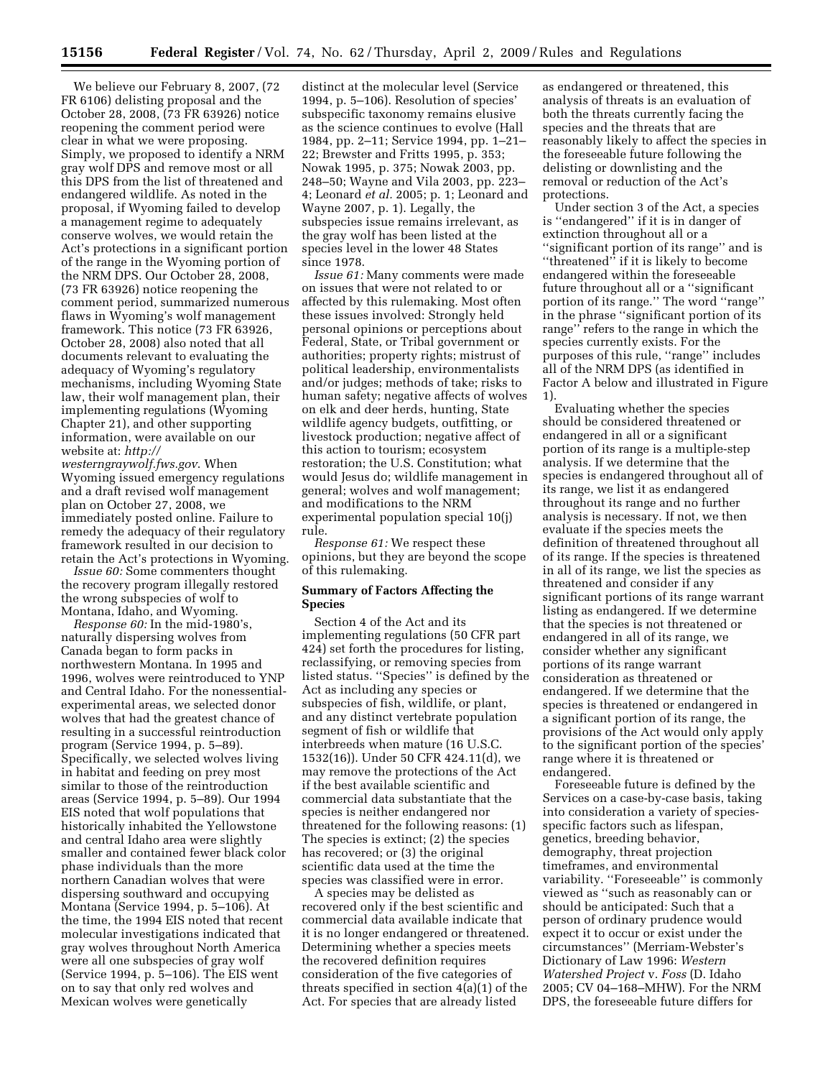We believe our February 8, 2007, (72 FR 6106) delisting proposal and the October 28, 2008, (73 FR 63926) notice reopening the comment period were clear in what we were proposing. Simply, we proposed to identify a NRM gray wolf DPS and remove most or all this DPS from the list of threatened and endangered wildlife. As noted in the proposal, if Wyoming failed to develop a management regime to adequately conserve wolves, we would retain the Act's protections in a significant portion of the range in the Wyoming portion of the NRM DPS. Our October 28, 2008, (73 FR 63926) notice reopening the comment period, summarized numerous flaws in Wyoming's wolf management framework. This notice (73 FR 63926, October 28, 2008) also noted that all documents relevant to evaluating the adequacy of Wyoming's regulatory mechanisms, including Wyoming State law, their wolf management plan, their implementing regulations (Wyoming Chapter 21), and other supporting information, were available on our website at: *http://* 

*westerngraywolf.fws.gov*. When Wyoming issued emergency regulations and a draft revised wolf management plan on October 27, 2008, we immediately posted online. Failure to remedy the adequacy of their regulatory framework resulted in our decision to retain the Act's protections in Wyoming.

*Issue 60:* Some commenters thought the recovery program illegally restored the wrong subspecies of wolf to Montana, Idaho, and Wyoming.

*Response 60:* In the mid-1980's, naturally dispersing wolves from Canada began to form packs in northwestern Montana. In 1995 and 1996, wolves were reintroduced to YNP and Central Idaho. For the nonessentialexperimental areas, we selected donor wolves that had the greatest chance of resulting in a successful reintroduction program (Service 1994, p. 5–89). Specifically, we selected wolves living in habitat and feeding on prey most similar to those of the reintroduction areas (Service 1994, p. 5–89). Our 1994 EIS noted that wolf populations that historically inhabited the Yellowstone and central Idaho area were slightly smaller and contained fewer black color phase individuals than the more northern Canadian wolves that were dispersing southward and occupying Montana (Service 1994, p. 5–106). At the time, the 1994 EIS noted that recent molecular investigations indicated that gray wolves throughout North America were all one subspecies of gray wolf (Service 1994, p. 5–106). The EIS went on to say that only red wolves and Mexican wolves were genetically

distinct at the molecular level (Service 1994, p. 5–106). Resolution of species' subspecific taxonomy remains elusive as the science continues to evolve (Hall 1984, pp. 2–11; Service 1994, pp. 1–21– 22; Brewster and Fritts 1995, p. 353; Nowak 1995, p. 375; Nowak 2003, pp. 248–50; Wayne and Vila 2003, pp. 223– 4; Leonard *et al.* 2005; p. 1; Leonard and Wayne 2007, p. 1). Legally, the subspecies issue remains irrelevant, as the gray wolf has been listed at the species level in the lower 48 States since 1978.

*Issue 61:* Many comments were made on issues that were not related to or affected by this rulemaking. Most often these issues involved: Strongly held personal opinions or perceptions about Federal, State, or Tribal government or authorities; property rights; mistrust of political leadership, environmentalists and/or judges; methods of take; risks to human safety; negative affects of wolves on elk and deer herds, hunting, State wildlife agency budgets, outfitting, or livestock production; negative affect of this action to tourism; ecosystem restoration; the U.S. Constitution; what would Jesus do; wildlife management in general; wolves and wolf management; and modifications to the NRM experimental population special 10(j) rule.

*Response 61:* We respect these opinions, but they are beyond the scope of this rulemaking.

# **Summary of Factors Affecting the Species**

Section 4 of the Act and its implementing regulations (50 CFR part 424) set forth the procedures for listing, reclassifying, or removing species from listed status. ''Species'' is defined by the Act as including any species or subspecies of fish, wildlife, or plant, and any distinct vertebrate population segment of fish or wildlife that interbreeds when mature (16 U.S.C. 1532(16)). Under 50 CFR 424.11(d), we may remove the protections of the Act if the best available scientific and commercial data substantiate that the species is neither endangered nor threatened for the following reasons: (1) The species is extinct; (2) the species has recovered; or (3) the original scientific data used at the time the species was classified were in error.

A species may be delisted as recovered only if the best scientific and commercial data available indicate that it is no longer endangered or threatened. Determining whether a species meets the recovered definition requires consideration of the five categories of threats specified in section 4(a)(1) of the Act. For species that are already listed

as endangered or threatened, this analysis of threats is an evaluation of both the threats currently facing the species and the threats that are reasonably likely to affect the species in the foreseeable future following the delisting or downlisting and the removal or reduction of the Act's protections.

Under section 3 of the Act, a species is ''endangered'' if it is in danger of extinction throughout all or a ''significant portion of its range'' and is "threatened" if it is likely to become endangered within the foreseeable future throughout all or a ''significant portion of its range.'' The word ''range'' in the phrase ''significant portion of its range'' refers to the range in which the species currently exists. For the purposes of this rule, ''range'' includes all of the NRM DPS (as identified in Factor A below and illustrated in Figure 1).

Evaluating whether the species should be considered threatened or endangered in all or a significant portion of its range is a multiple-step analysis. If we determine that the species is endangered throughout all of its range, we list it as endangered throughout its range and no further analysis is necessary. If not, we then evaluate if the species meets the definition of threatened throughout all of its range. If the species is threatened in all of its range, we list the species as threatened and consider if any significant portions of its range warrant listing as endangered. If we determine that the species is not threatened or endangered in all of its range, we consider whether any significant portions of its range warrant consideration as threatened or endangered. If we determine that the species is threatened or endangered in a significant portion of its range, the provisions of the Act would only apply to the significant portion of the species' range where it is threatened or endangered.

Foreseeable future is defined by the Services on a case-by-case basis, taking into consideration a variety of speciesspecific factors such as lifespan, genetics, breeding behavior, demography, threat projection timeframes, and environmental variability. ''Foreseeable'' is commonly viewed as ''such as reasonably can or should be anticipated: Such that a person of ordinary prudence would expect it to occur or exist under the circumstances'' (Merriam-Webster's Dictionary of Law 1996: *Western Watershed Project* v. *Foss* (D. Idaho 2005; CV 04–168–MHW). For the NRM DPS, the foreseeable future differs for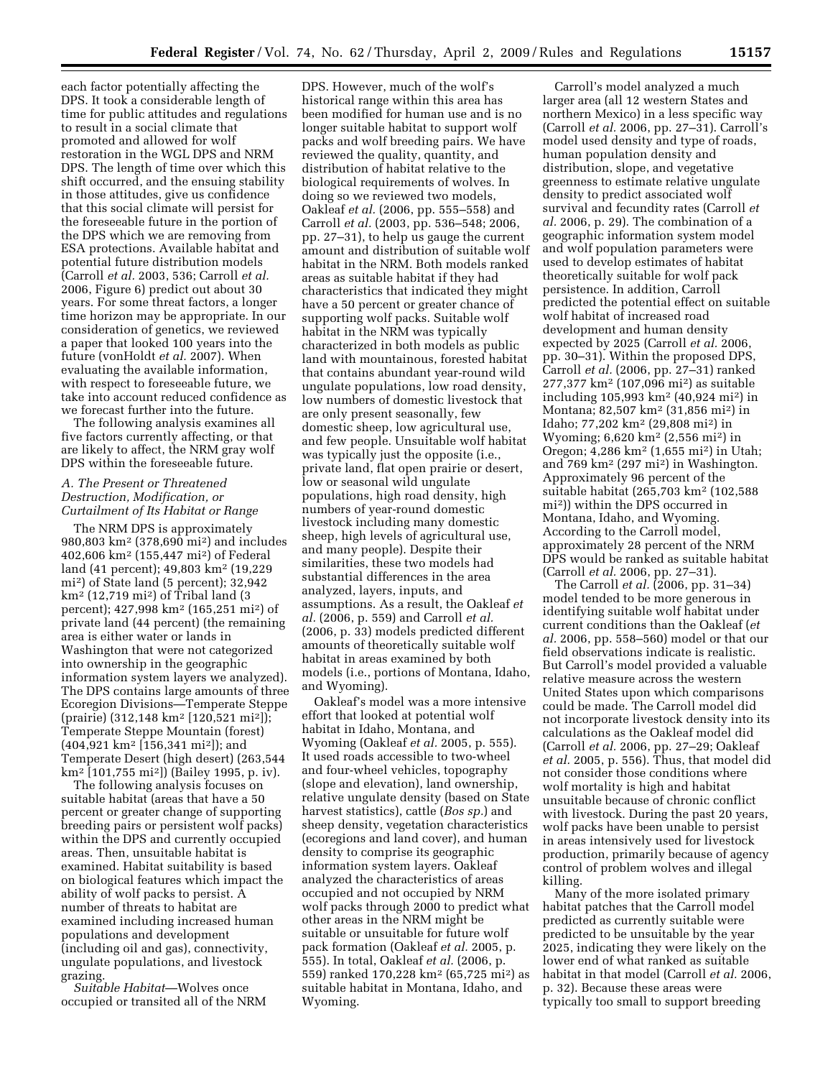each factor potentially affecting the DPS. It took a considerable length of time for public attitudes and regulations to result in a social climate that promoted and allowed for wolf restoration in the WGL DPS and NRM DPS. The length of time over which this shift occurred, and the ensuing stability in those attitudes, give us confidence that this social climate will persist for the foreseeable future in the portion of the DPS which we are removing from ESA protections. Available habitat and potential future distribution models (Carroll *et al.* 2003, 536; Carroll *et al.*  2006, Figure 6) predict out about 30 years. For some threat factors, a longer time horizon may be appropriate. In our consideration of genetics, we reviewed a paper that looked 100 years into the future (vonHoldt *et al.* 2007). When evaluating the available information, with respect to foreseeable future, we take into account reduced confidence as we forecast further into the future.

The following analysis examines all five factors currently affecting, or that are likely to affect, the NRM gray wolf DPS within the foreseeable future.

# *A. The Present or Threatened Destruction, Modification, or Curtailment of Its Habitat or Range*

The NRM DPS is approximately 980,803 km2 (378,690 mi2) and includes 402,606 km2 (155,447 mi2) of Federal land (41 percent); 49,803 km2 (19,229 mi2) of State land (5 percent); 32,942 km2 (12,719 mi2) of Tribal land (3 percent); 427,998 km2 (165,251 mi2) of private land (44 percent) (the remaining area is either water or lands in Washington that were not categorized into ownership in the geographic information system layers we analyzed). The DPS contains large amounts of three Ecoregion Divisions—Temperate Steppe (prairie) (312,148 km2 [120,521 mi2]); Temperate Steppe Mountain (forest) (404,921 km2 [156,341 mi2]); and Temperate Desert (high desert) (263,544 km2 [101,755 mi2]) (Bailey 1995, p. iv).

The following analysis focuses on suitable habitat (areas that have a 50 percent or greater change of supporting breeding pairs or persistent wolf packs) within the DPS and currently occupied areas. Then, unsuitable habitat is examined. Habitat suitability is based on biological features which impact the ability of wolf packs to persist. A number of threats to habitat are examined including increased human populations and development (including oil and gas), connectivity, ungulate populations, and livestock grazing.

*Suitable Habitat*—Wolves once occupied or transited all of the NRM

DPS. However, much of the wolf's historical range within this area has been modified for human use and is no longer suitable habitat to support wolf packs and wolf breeding pairs. We have reviewed the quality, quantity, and distribution of habitat relative to the biological requirements of wolves. In doing so we reviewed two models, Oakleaf *et al.* (2006, pp. 555–558) and Carroll *et al.* (2003, pp. 536–548; 2006, pp. 27–31), to help us gauge the current amount and distribution of suitable wolf habitat in the NRM. Both models ranked areas as suitable habitat if they had characteristics that indicated they might have a 50 percent or greater chance of supporting wolf packs. Suitable wolf habitat in the NRM was typically characterized in both models as public land with mountainous, forested habitat that contains abundant year-round wild ungulate populations, low road density, low numbers of domestic livestock that are only present seasonally, few domestic sheep, low agricultural use, and few people. Unsuitable wolf habitat was typically just the opposite (i.e., private land, flat open prairie or desert, low or seasonal wild ungulate populations, high road density, high numbers of year-round domestic livestock including many domestic sheep, high levels of agricultural use, and many people). Despite their similarities, these two models had substantial differences in the area analyzed, layers, inputs, and assumptions. As a result, the Oakleaf *et al.* (2006, p. 559) and Carroll *et al.*  (2006, p. 33) models predicted different amounts of theoretically suitable wolf habitat in areas examined by both models (i.e., portions of Montana, Idaho, and Wyoming).

Oakleaf's model was a more intensive effort that looked at potential wolf habitat in Idaho, Montana, and Wyoming (Oakleaf *et al.* 2005, p. 555). It used roads accessible to two-wheel and four-wheel vehicles, topography (slope and elevation), land ownership, relative ungulate density (based on State harvest statistics), cattle (*Bos sp.*) and sheep density, vegetation characteristics (ecoregions and land cover), and human density to comprise its geographic information system layers. Oakleaf analyzed the characteristics of areas occupied and not occupied by NRM wolf packs through 2000 to predict what other areas in the NRM might be suitable or unsuitable for future wolf pack formation (Oakleaf *et al.* 2005, p. 555). In total, Oakleaf *et al.* (2006, p. 559) ranked 170,228 km2 (65,725 mi2) as suitable habitat in Montana, Idaho, and Wyoming.

Carroll's model analyzed a much larger area (all 12 western States and northern Mexico) in a less specific way (Carroll *et al.* 2006, pp. 27–31). Carroll's model used density and type of roads, human population density and distribution, slope, and vegetative greenness to estimate relative ungulate density to predict associated wolf survival and fecundity rates (Carroll *et al.* 2006, p. 29). The combination of a geographic information system model and wolf population parameters were used to develop estimates of habitat theoretically suitable for wolf pack persistence. In addition, Carroll predicted the potential effect on suitable wolf habitat of increased road development and human density expected by 2025 (Carroll *et al.* 2006, pp. 30–31). Within the proposed DPS, Carroll *et al.* (2006, pp. 27–31) ranked 277,377 km2 (107,096 mi2) as suitable including 105,993 km2 (40,924 mi2) in Montana; 82,507 km2 (31,856 mi2) in Idaho; 77,202 km2 (29,808 mi2) in Wyoming; 6,620 km2 (2,556 mi2) in Oregon; 4,286 km2 (1,655 mi2) in Utah; and 769 km2 (297 mi2) in Washington. Approximately 96 percent of the suitable habitat (265,703 km2 (102,588 mi2)) within the DPS occurred in Montana, Idaho, and Wyoming. According to the Carroll model, approximately 28 percent of the NRM DPS would be ranked as suitable habitat (Carroll *et al.* 2006, pp. 27–31).

The Carroll *et al.* (2006, pp. 31–34) model tended to be more generous in identifying suitable wolf habitat under current conditions than the Oakleaf (*et al.* 2006, pp. 558–560) model or that our field observations indicate is realistic. But Carroll's model provided a valuable relative measure across the western United States upon which comparisons could be made. The Carroll model did not incorporate livestock density into its calculations as the Oakleaf model did (Carroll *et al.* 2006, pp. 27–29; Oakleaf *et al.* 2005, p. 556). Thus, that model did not consider those conditions where wolf mortality is high and habitat unsuitable because of chronic conflict with livestock. During the past 20 years, wolf packs have been unable to persist in areas intensively used for livestock production, primarily because of agency control of problem wolves and illegal killing.

Many of the more isolated primary habitat patches that the Carroll model predicted as currently suitable were predicted to be unsuitable by the year 2025, indicating they were likely on the lower end of what ranked as suitable habitat in that model (Carroll *et al.* 2006, p. 32). Because these areas were typically too small to support breeding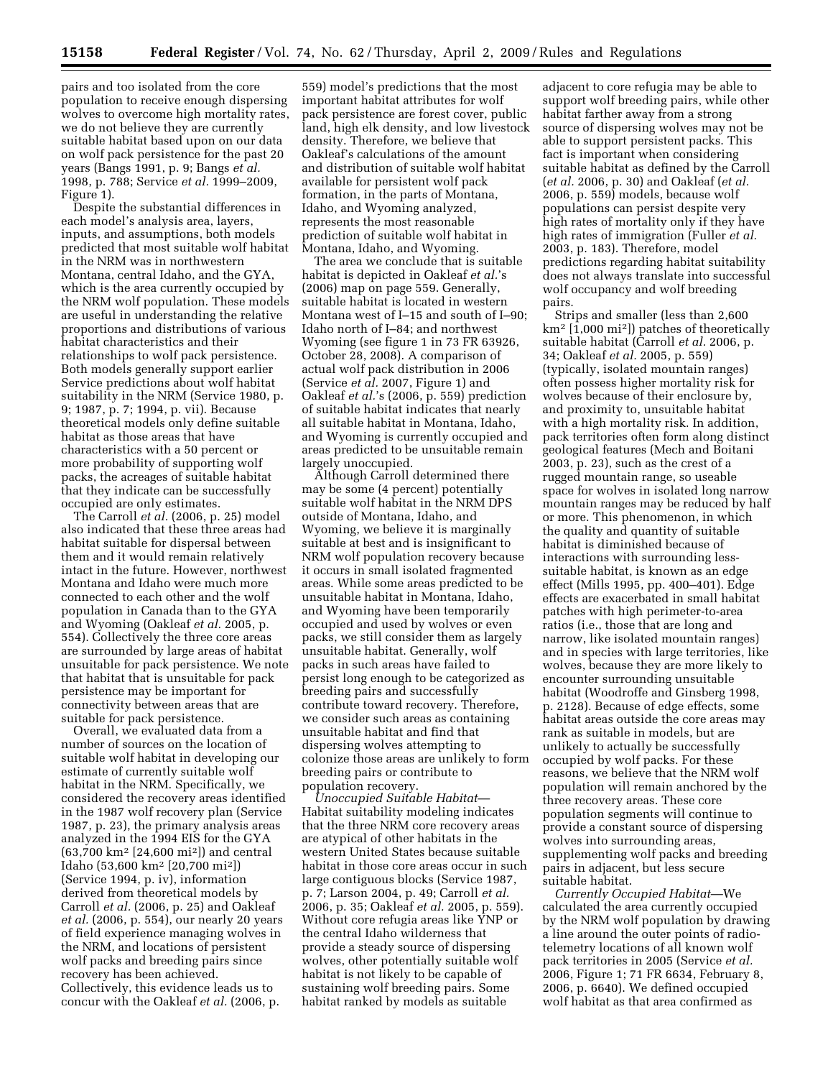pairs and too isolated from the core population to receive enough dispersing wolves to overcome high mortality rates, we do not believe they are currently suitable habitat based upon on our data on wolf pack persistence for the past 20 years (Bangs 1991, p. 9; Bangs *et al.*  1998, p. 788; Service *et al.* 1999–2009, Figure 1).

Despite the substantial differences in each model's analysis area, layers, inputs, and assumptions, both models predicted that most suitable wolf habitat in the NRM was in northwestern Montana, central Idaho, and the GYA, which is the area currently occupied by the NRM wolf population. These models are useful in understanding the relative proportions and distributions of various habitat characteristics and their relationships to wolf pack persistence. Both models generally support earlier Service predictions about wolf habitat suitability in the NRM (Service 1980, p. 9; 1987, p. 7; 1994, p. vii). Because theoretical models only define suitable habitat as those areas that have characteristics with a 50 percent or more probability of supporting wolf packs, the acreages of suitable habitat that they indicate can be successfully occupied are only estimates.

The Carroll *et al.* (2006, p. 25) model also indicated that these three areas had habitat suitable for dispersal between them and it would remain relatively intact in the future. However, northwest Montana and Idaho were much more connected to each other and the wolf population in Canada than to the GYA and Wyoming (Oakleaf *et al.* 2005, p. 554). Collectively the three core areas are surrounded by large areas of habitat unsuitable for pack persistence. We note that habitat that is unsuitable for pack persistence may be important for connectivity between areas that are suitable for pack persistence.

Overall, we evaluated data from a number of sources on the location of suitable wolf habitat in developing our estimate of currently suitable wolf habitat in the NRM. Specifically, we considered the recovery areas identified in the 1987 wolf recovery plan (Service 1987, p. 23), the primary analysis areas analyzed in the 1994 EIS for the GYA (63,700 km2 [24,600 mi2]) and central Idaho (53,600 km2 [20,700 mi2]) (Service 1994, p. iv), information derived from theoretical models by Carroll *et al.* (2006, p. 25) and Oakleaf *et al.* (2006, p. 554), our nearly 20 years of field experience managing wolves in the NRM, and locations of persistent wolf packs and breeding pairs since recovery has been achieved. Collectively, this evidence leads us to concur with the Oakleaf *et al.* (2006, p.

559) model's predictions that the most important habitat attributes for wolf pack persistence are forest cover, public land, high elk density, and low livestock density. Therefore, we believe that Oakleaf's calculations of the amount and distribution of suitable wolf habitat available for persistent wolf pack formation, in the parts of Montana, Idaho, and Wyoming analyzed, represents the most reasonable prediction of suitable wolf habitat in Montana, Idaho, and Wyoming.

The area we conclude that is suitable habitat is depicted in Oakleaf *et al.*'s (2006) map on page 559. Generally, suitable habitat is located in western Montana west of I–15 and south of I–90; Idaho north of I–84; and northwest Wyoming (see figure 1 in 73 FR 63926, October 28, 2008). A comparison of actual wolf pack distribution in 2006 (Service *et al.* 2007, Figure 1) and Oakleaf *et al.*'s (2006, p. 559) prediction of suitable habitat indicates that nearly all suitable habitat in Montana, Idaho, and Wyoming is currently occupied and areas predicted to be unsuitable remain largely unoccupied.

Although Carroll determined there may be some (4 percent) potentially suitable wolf habitat in the NRM DPS outside of Montana, Idaho, and Wyoming, we believe it is marginally suitable at best and is insignificant to NRM wolf population recovery because it occurs in small isolated fragmented areas. While some areas predicted to be unsuitable habitat in Montana, Idaho, and Wyoming have been temporarily occupied and used by wolves or even packs, we still consider them as largely unsuitable habitat. Generally, wolf packs in such areas have failed to persist long enough to be categorized as breeding pairs and successfully contribute toward recovery. Therefore, we consider such areas as containing unsuitable habitat and find that dispersing wolves attempting to colonize those areas are unlikely to form breeding pairs or contribute to population recovery.

*Unoccupied Suitable Habitat*— Habitat suitability modeling indicates that the three NRM core recovery areas are atypical of other habitats in the western United States because suitable habitat in those core areas occur in such large contiguous blocks (Service 1987, p. 7; Larson 2004, p. 49; Carroll *et al.*  2006, p. 35; Oakleaf *et al.* 2005, p. 559). Without core refugia areas like YNP or the central Idaho wilderness that provide a steady source of dispersing wolves, other potentially suitable wolf habitat is not likely to be capable of sustaining wolf breeding pairs. Some habitat ranked by models as suitable

adjacent to core refugia may be able to support wolf breeding pairs, while other habitat farther away from a strong source of dispersing wolves may not be able to support persistent packs. This fact is important when considering suitable habitat as defined by the Carroll (*et al.* 2006, p. 30) and Oakleaf (*et al.*  2006, p. 559) models, because wolf populations can persist despite very high rates of mortality only if they have high rates of immigration (Fuller *et al.*  2003, p. 183). Therefore, model predictions regarding habitat suitability does not always translate into successful wolf occupancy and wolf breeding pairs.

Strips and smaller (less than 2,600 km2 [1,000 mi2]) patches of theoretically suitable habitat (Carroll *et al.* 2006, p. 34; Oakleaf *et al.* 2005, p. 559) (typically, isolated mountain ranges) often possess higher mortality risk for wolves because of their enclosure by, and proximity to, unsuitable habitat with a high mortality risk. In addition, pack territories often form along distinct geological features (Mech and Boitani 2003, p. 23), such as the crest of a rugged mountain range, so useable space for wolves in isolated long narrow mountain ranges may be reduced by half or more. This phenomenon, in which the quality and quantity of suitable habitat is diminished because of interactions with surrounding lesssuitable habitat, is known as an edge effect (Mills 1995, pp. 400–401). Edge effects are exacerbated in small habitat patches with high perimeter-to-area ratios (i.e., those that are long and narrow, like isolated mountain ranges) and in species with large territories, like wolves, because they are more likely to encounter surrounding unsuitable habitat (Woodroffe and Ginsberg 1998, p. 2128). Because of edge effects, some habitat areas outside the core areas may rank as suitable in models, but are unlikely to actually be successfully occupied by wolf packs. For these reasons, we believe that the NRM wolf population will remain anchored by the three recovery areas. These core population segments will continue to provide a constant source of dispersing wolves into surrounding areas, supplementing wolf packs and breeding pairs in adjacent, but less secure suitable habitat.

*Currently Occupied Habitat*—We calculated the area currently occupied by the NRM wolf population by drawing a line around the outer points of radiotelemetry locations of all known wolf pack territories in 2005 (Service *et al.*  2006, Figure 1; 71 FR 6634, February 8, 2006, p. 6640). We defined occupied wolf habitat as that area confirmed as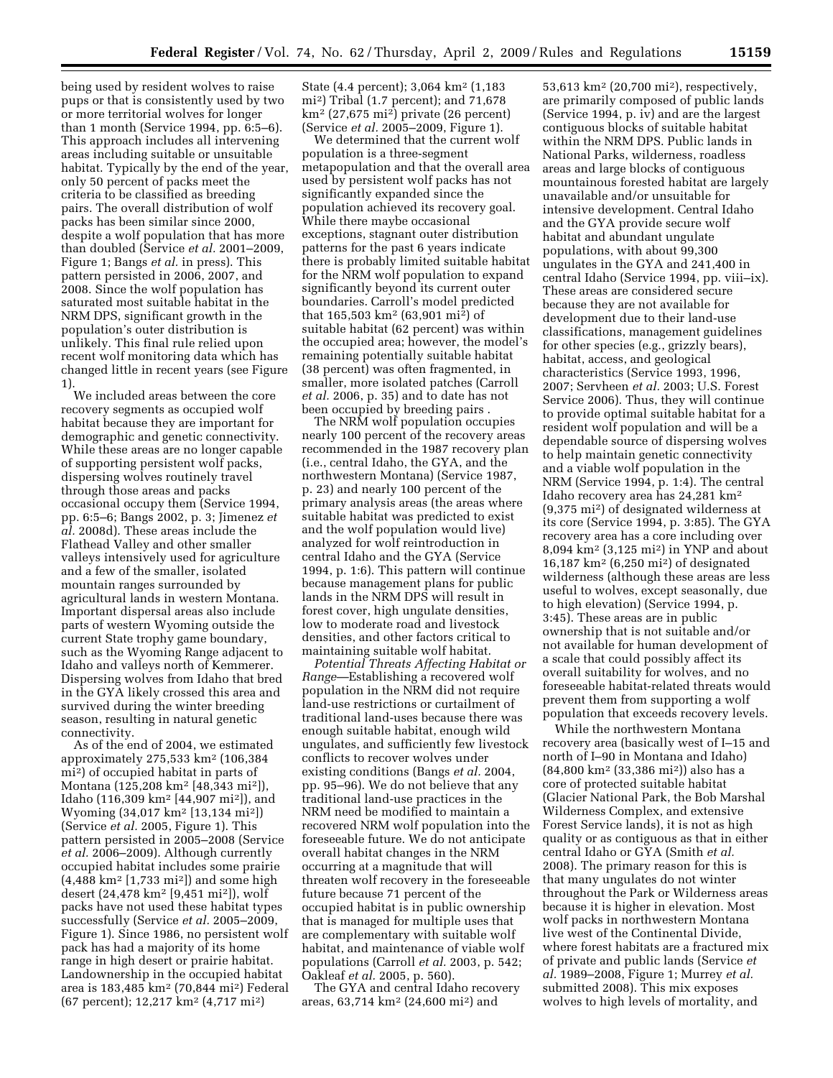being used by resident wolves to raise pups or that is consistently used by two or more territorial wolves for longer than 1 month (Service 1994, pp. 6:5–6). This approach includes all intervening areas including suitable or unsuitable habitat. Typically by the end of the year, only 50 percent of packs meet the criteria to be classified as breeding pairs. The overall distribution of wolf packs has been similar since 2000, despite a wolf population that has more than doubled (Service *et al.* 2001–2009, Figure 1; Bangs *et al.* in press). This pattern persisted in 2006, 2007, and 2008. Since the wolf population has saturated most suitable habitat in the NRM DPS, significant growth in the population's outer distribution is unlikely. This final rule relied upon recent wolf monitoring data which has changed little in recent years (see Figure 1).

We included areas between the core recovery segments as occupied wolf habitat because they are important for demographic and genetic connectivity. While these areas are no longer capable of supporting persistent wolf packs, dispersing wolves routinely travel through those areas and packs occasional occupy them (Service 1994, pp. 6:5–6; Bangs 2002, p. 3; Jimenez *et al.* 2008d). These areas include the Flathead Valley and other smaller valleys intensively used for agriculture and a few of the smaller, isolated mountain ranges surrounded by agricultural lands in western Montana. Important dispersal areas also include parts of western Wyoming outside the current State trophy game boundary, such as the Wyoming Range adjacent to Idaho and valleys north of Kemmerer. Dispersing wolves from Idaho that bred in the GYA likely crossed this area and survived during the winter breeding season, resulting in natural genetic connectivity.

As of the end of 2004, we estimated approximately 275,533 km2 (106,384 mi2) of occupied habitat in parts of Montana (125,208 km2 [48,343 mi2]), Idaho (116,309 km2 [44,907 mi2]), and Wyoming (34,017 km2 [13,134 mi2]) (Service *et al.* 2005, Figure 1). This pattern persisted in 2005–2008 (Service *et al.* 2006–2009). Although currently occupied habitat includes some prairie  $(4,488 \text{ km}^2)$  [1,733 mi<sup>2</sup>]) and some high desert (24,478 km2 [9,451 mi2]), wolf packs have not used these habitat types successfully (Service *et al.* 2005–2009, Figure 1). Since 1986, no persistent wolf pack has had a majority of its home range in high desert or prairie habitat. Landownership in the occupied habitat area is 183,485 km2 (70,844 mi2) Federal (67 percent); 12,217 km2 (4,717 mi2)

State (4.4 percent); 3,064 km<sup>2</sup> (1,183) mi2) Tribal (1.7 percent); and 71,678 km2 (27,675 mi2) private (26 percent) (Service *et al.* 2005–2009, Figure 1).

We determined that the current wolf population is a three-segment metapopulation and that the overall area used by persistent wolf packs has not significantly expanded since the population achieved its recovery goal. While there maybe occasional exceptions, stagnant outer distribution patterns for the past 6 years indicate there is probably limited suitable habitat for the NRM wolf population to expand significantly beyond its current outer boundaries. Carroll's model predicted that 165,503 km2 (63,901 mi2) of suitable habitat (62 percent) was within the occupied area; however, the model's remaining potentially suitable habitat (38 percent) was often fragmented, in smaller, more isolated patches (Carroll *et al.* 2006, p. 35) and to date has not been occupied by breeding pairs .

The NRM wolf population occupies nearly 100 percent of the recovery areas recommended in the 1987 recovery plan (i.e., central Idaho, the GYA, and the northwestern Montana) (Service 1987, p. 23) and nearly 100 percent of the primary analysis areas (the areas where suitable habitat was predicted to exist and the wolf population would live) analyzed for wolf reintroduction in central Idaho and the GYA (Service 1994, p. 1:6). This pattern will continue because management plans for public lands in the NRM DPS will result in forest cover, high ungulate densities, low to moderate road and livestock densities, and other factors critical to maintaining suitable wolf habitat.

*Potential Threats Affecting Habitat or Range*—Establishing a recovered wolf population in the NRM did not require land-use restrictions or curtailment of traditional land-uses because there was enough suitable habitat, enough wild ungulates, and sufficiently few livestock conflicts to recover wolves under existing conditions (Bangs *et al.* 2004, pp. 95–96). We do not believe that any traditional land-use practices in the NRM need be modified to maintain a recovered NRM wolf population into the foreseeable future. We do not anticipate overall habitat changes in the NRM occurring at a magnitude that will threaten wolf recovery in the foreseeable future because 71 percent of the occupied habitat is in public ownership that is managed for multiple uses that are complementary with suitable wolf habitat, and maintenance of viable wolf populations (Carroll *et al.* 2003, p. 542; Oakleaf *et al.* 2005, p. 560).

The GYA and central Idaho recovery areas, 63,714 km2 (24,600 mi2) and

53,613 km2 (20,700 mi2), respectively, are primarily composed of public lands (Service 1994, p. iv) and are the largest contiguous blocks of suitable habitat within the NRM DPS. Public lands in National Parks, wilderness, roadless areas and large blocks of contiguous mountainous forested habitat are largely unavailable and/or unsuitable for intensive development. Central Idaho and the GYA provide secure wolf habitat and abundant ungulate populations, with about 99,300 ungulates in the GYA and 241,400 in central Idaho (Service 1994, pp. viii–ix). These areas are considered secure because they are not available for development due to their land-use classifications, management guidelines for other species (e.g., grizzly bears), habitat, access, and geological characteristics (Service 1993, 1996, 2007; Servheen *et al.* 2003; U.S. Forest Service 2006). Thus, they will continue to provide optimal suitable habitat for a resident wolf population and will be a dependable source of dispersing wolves to help maintain genetic connectivity and a viable wolf population in the NRM (Service 1994, p. 1:4). The central Idaho recovery area has 24,281 km2 (9,375 mi2) of designated wilderness at its core (Service 1994, p. 3:85). The GYA recovery area has a core including over 8,094 km2 (3,125 mi2) in YNP and about 16,187 km2 (6,250 mi2) of designated wilderness (although these areas are less useful to wolves, except seasonally, due to high elevation) (Service 1994, p. 3:45). These areas are in public ownership that is not suitable and/or not available for human development of a scale that could possibly affect its overall suitability for wolves, and no foreseeable habitat-related threats would prevent them from supporting a wolf population that exceeds recovery levels.

While the northwestern Montana recovery area (basically west of I–15 and north of I–90 in Montana and Idaho) (84,800 km2 (33,386 mi2)) also has a core of protected suitable habitat (Glacier National Park, the Bob Marshal Wilderness Complex, and extensive Forest Service lands), it is not as high quality or as contiguous as that in either central Idaho or GYA (Smith *et al.*  2008). The primary reason for this is that many ungulates do not winter throughout the Park or Wilderness areas because it is higher in elevation. Most wolf packs in northwestern Montana live west of the Continental Divide, where forest habitats are a fractured mix of private and public lands (Service *et al.* 1989–2008, Figure 1; Murrey *et al.*  submitted 2008). This mix exposes wolves to high levels of mortality, and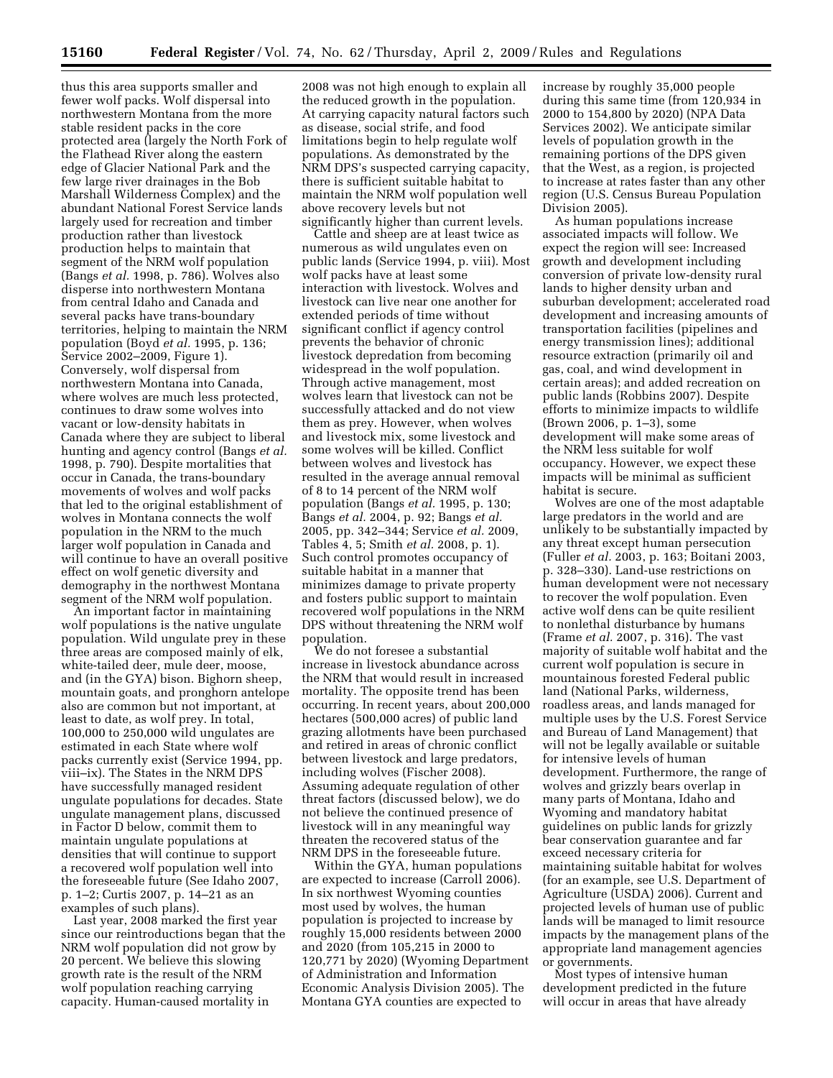thus this area supports smaller and fewer wolf packs. Wolf dispersal into northwestern Montana from the more stable resident packs in the core protected area (largely the North Fork of the Flathead River along the eastern edge of Glacier National Park and the few large river drainages in the Bob Marshall Wilderness Complex) and the abundant National Forest Service lands largely used for recreation and timber production rather than livestock production helps to maintain that segment of the NRM wolf population (Bangs *et al.* 1998, p. 786). Wolves also disperse into northwestern Montana from central Idaho and Canada and several packs have trans-boundary territories, helping to maintain the NRM population (Boyd *et al.* 1995, p. 136; Service 2002–2009, Figure 1). Conversely, wolf dispersal from northwestern Montana into Canada, where wolves are much less protected, continues to draw some wolves into vacant or low-density habitats in Canada where they are subject to liberal hunting and agency control (Bangs *et al.*  1998, p. 790). Despite mortalities that occur in Canada, the trans-boundary movements of wolves and wolf packs that led to the original establishment of wolves in Montana connects the wolf population in the NRM to the much larger wolf population in Canada and will continue to have an overall positive effect on wolf genetic diversity and demography in the northwest Montana segment of the NRM wolf population.

An important factor in maintaining wolf populations is the native ungulate population. Wild ungulate prey in these three areas are composed mainly of elk, white-tailed deer, mule deer, moose, and (in the GYA) bison. Bighorn sheep, mountain goats, and pronghorn antelope also are common but not important, at least to date, as wolf prey. In total, 100,000 to 250,000 wild ungulates are estimated in each State where wolf packs currently exist (Service 1994, pp. viii–ix). The States in the NRM DPS have successfully managed resident ungulate populations for decades. State ungulate management plans, discussed in Factor D below, commit them to maintain ungulate populations at densities that will continue to support a recovered wolf population well into the foreseeable future (See Idaho 2007, p. 1–2; Curtis 2007, p. 14–21 as an examples of such plans).

Last year, 2008 marked the first year since our reintroductions began that the NRM wolf population did not grow by 20 percent. We believe this slowing growth rate is the result of the NRM wolf population reaching carrying capacity. Human-caused mortality in

2008 was not high enough to explain all the reduced growth in the population. At carrying capacity natural factors such as disease, social strife, and food limitations begin to help regulate wolf populations. As demonstrated by the NRM DPS's suspected carrying capacity, there is sufficient suitable habitat to maintain the NRM wolf population well above recovery levels but not significantly higher than current levels.

Cattle and sheep are at least twice as numerous as wild ungulates even on public lands (Service 1994, p. viii). Most wolf packs have at least some interaction with livestock. Wolves and livestock can live near one another for extended periods of time without significant conflict if agency control prevents the behavior of chronic livestock depredation from becoming widespread in the wolf population. Through active management, most wolves learn that livestock can not be successfully attacked and do not view them as prey. However, when wolves and livestock mix, some livestock and some wolves will be killed. Conflict between wolves and livestock has resulted in the average annual removal of 8 to 14 percent of the NRM wolf population (Bangs *et al.* 1995, p. 130; Bangs *et al.* 2004, p. 92; Bangs *et al.*  2005, pp. 342–344; Service *et al.* 2009, Tables 4, 5; Smith *et al.* 2008, p. 1). Such control promotes occupancy of suitable habitat in a manner that minimizes damage to private property and fosters public support to maintain recovered wolf populations in the NRM DPS without threatening the NRM wolf population.

We do not foresee a substantial increase in livestock abundance across the NRM that would result in increased mortality. The opposite trend has been occurring. In recent years, about 200,000 hectares (500,000 acres) of public land grazing allotments have been purchased and retired in areas of chronic conflict between livestock and large predators, including wolves (Fischer 2008). Assuming adequate regulation of other threat factors (discussed below), we do not believe the continued presence of livestock will in any meaningful way threaten the recovered status of the NRM DPS in the foreseeable future.

Within the GYA, human populations are expected to increase (Carroll 2006). In six northwest Wyoming counties most used by wolves, the human population is projected to increase by roughly 15,000 residents between 2000 and 2020 (from 105,215 in 2000 to 120,771 by 2020) (Wyoming Department of Administration and Information Economic Analysis Division 2005). The Montana GYA counties are expected to

increase by roughly 35,000 people during this same time (from 120,934 in 2000 to 154,800 by 2020) (NPA Data Services 2002). We anticipate similar levels of population growth in the remaining portions of the DPS given that the West, as a region, is projected to increase at rates faster than any other region (U.S. Census Bureau Population Division 2005).

As human populations increase associated impacts will follow. We expect the region will see: Increased growth and development including conversion of private low-density rural lands to higher density urban and suburban development; accelerated road development and increasing amounts of transportation facilities (pipelines and energy transmission lines); additional resource extraction (primarily oil and gas, coal, and wind development in certain areas); and added recreation on public lands (Robbins 2007). Despite efforts to minimize impacts to wildlife (Brown 2006, p. 1–3), some development will make some areas of the NRM less suitable for wolf occupancy. However, we expect these impacts will be minimal as sufficient habitat is secure.

Wolves are one of the most adaptable large predators in the world and are unlikely to be substantially impacted by any threat except human persecution (Fuller *et al.* 2003, p. 163; Boitani 2003, p. 328–330). Land-use restrictions on human development were not necessary to recover the wolf population. Even active wolf dens can be quite resilient to nonlethal disturbance by humans (Frame *et al.* 2007, p. 316). The vast majority of suitable wolf habitat and the current wolf population is secure in mountainous forested Federal public land (National Parks, wilderness, roadless areas, and lands managed for multiple uses by the U.S. Forest Service and Bureau of Land Management) that will not be legally available or suitable for intensive levels of human development. Furthermore, the range of wolves and grizzly bears overlap in many parts of Montana, Idaho and Wyoming and mandatory habitat guidelines on public lands for grizzly bear conservation guarantee and far exceed necessary criteria for maintaining suitable habitat for wolves (for an example, see U.S. Department of Agriculture (USDA) 2006). Current and projected levels of human use of public lands will be managed to limit resource impacts by the management plans of the appropriate land management agencies or governments.

Most types of intensive human development predicted in the future will occur in areas that have already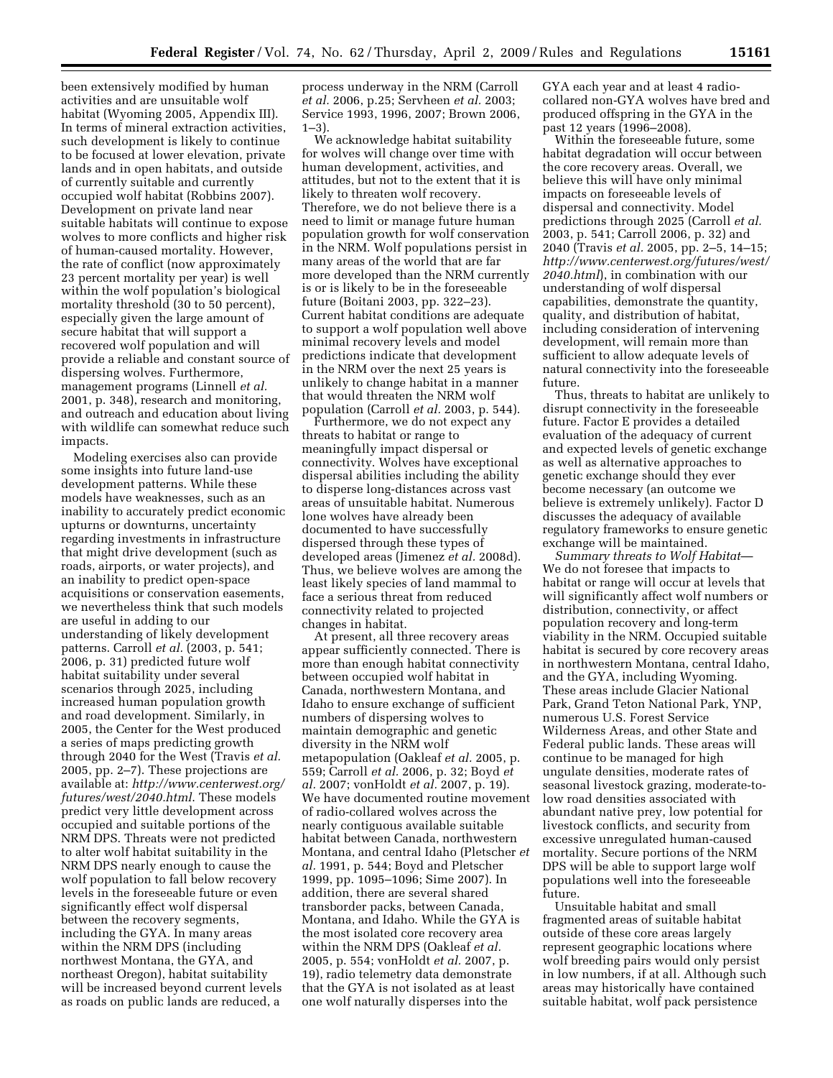been extensively modified by human activities and are unsuitable wolf habitat (Wyoming 2005, Appendix III). In terms of mineral extraction activities, such development is likely to continue to be focused at lower elevation, private lands and in open habitats, and outside of currently suitable and currently occupied wolf habitat (Robbins 2007). Development on private land near suitable habitats will continue to expose wolves to more conflicts and higher risk of human-caused mortality. However, the rate of conflict (now approximately 23 percent mortality per year) is well within the wolf population's biological mortality threshold (30 to 50 percent), especially given the large amount of secure habitat that will support a recovered wolf population and will provide a reliable and constant source of dispersing wolves. Furthermore, management programs (Linnell *et al.*  2001, p. 348), research and monitoring, and outreach and education about living with wildlife can somewhat reduce such impacts.

Modeling exercises also can provide some insights into future land-use development patterns. While these models have weaknesses, such as an inability to accurately predict economic upturns or downturns, uncertainty regarding investments in infrastructure that might drive development (such as roads, airports, or water projects), and an inability to predict open-space acquisitions or conservation easements, we nevertheless think that such models are useful in adding to our understanding of likely development patterns. Carroll *et al.* (2003, p. 541; 2006, p. 31) predicted future wolf habitat suitability under several scenarios through 2025, including increased human population growth and road development. Similarly, in 2005, the Center for the West produced a series of maps predicting growth through 2040 for the West (Travis *et al.*  2005, pp. 2–7). These projections are available at: *http://www.centerwest.org/ futures/west/2040.html*. These models predict very little development across occupied and suitable portions of the NRM DPS. Threats were not predicted to alter wolf habitat suitability in the NRM DPS nearly enough to cause the wolf population to fall below recovery levels in the foreseeable future or even significantly effect wolf dispersal between the recovery segments, including the GYA. In many areas within the NRM DPS (including northwest Montana, the GYA, and northeast Oregon), habitat suitability will be increased beyond current levels as roads on public lands are reduced, a

process underway in the NRM (Carroll *et al.* 2006, p.25; Servheen *et al.* 2003; Service 1993, 1996, 2007; Brown 2006,  $1-3$ .

We acknowledge habitat suitability for wolves will change over time with human development, activities, and attitudes, but not to the extent that it is likely to threaten wolf recovery. Therefore, we do not believe there is a need to limit or manage future human population growth for wolf conservation in the NRM. Wolf populations persist in many areas of the world that are far more developed than the NRM currently is or is likely to be in the foreseeable future (Boitani 2003, pp. 322–23). Current habitat conditions are adequate to support a wolf population well above minimal recovery levels and model predictions indicate that development in the NRM over the next 25 years is unlikely to change habitat in a manner that would threaten the NRM wolf population (Carroll *et al.* 2003, p. 544).

Furthermore, we do not expect any threats to habitat or range to meaningfully impact dispersal or connectivity. Wolves have exceptional dispersal abilities including the ability to disperse long-distances across vast areas of unsuitable habitat. Numerous lone wolves have already been documented to have successfully dispersed through these types of developed areas (Jimenez *et al.* 2008d). Thus, we believe wolves are among the least likely species of land mammal to face a serious threat from reduced connectivity related to projected changes in habitat.

At present, all three recovery areas appear sufficiently connected. There is more than enough habitat connectivity between occupied wolf habitat in Canada, northwestern Montana, and Idaho to ensure exchange of sufficient numbers of dispersing wolves to maintain demographic and genetic diversity in the NRM wolf metapopulation (Oakleaf *et al.* 2005, p. 559; Carroll *et al.* 2006, p. 32; Boyd *et al.* 2007; vonHoldt *et al.* 2007, p. 19). We have documented routine movement of radio-collared wolves across the nearly contiguous available suitable habitat between Canada, northwestern Montana, and central Idaho (Pletscher *et al.* 1991, p. 544; Boyd and Pletscher 1999, pp. 1095–1096; Sime 2007). In addition, there are several shared transborder packs, between Canada, Montana, and Idaho. While the GYA is the most isolated core recovery area within the NRM DPS (Oakleaf *et al.*  2005, p. 554; vonHoldt *et al.* 2007, p. 19), radio telemetry data demonstrate that the GYA is not isolated as at least one wolf naturally disperses into the

GYA each year and at least 4 radiocollared non-GYA wolves have bred and produced offspring in the GYA in the past 12 years (1996–2008).

Within the foreseeable future, some habitat degradation will occur between the core recovery areas. Overall, we believe this will have only minimal impacts on foreseeable levels of dispersal and connectivity. Model predictions through 2025 (Carroll *et al.*  2003, p. 541; Carroll 2006, p. 32) and 2040 (Travis *et al.* 2005, pp. 2–5, 14–15; *http://www.centerwest.org/futures/west/ 2040.html*), in combination with our understanding of wolf dispersal capabilities, demonstrate the quantity, quality, and distribution of habitat, including consideration of intervening development, will remain more than sufficient to allow adequate levels of natural connectivity into the foreseeable future.

Thus, threats to habitat are unlikely to disrupt connectivity in the foreseeable future. Factor E provides a detailed evaluation of the adequacy of current and expected levels of genetic exchange as well as alternative approaches to genetic exchange should they ever become necessary (an outcome we believe is extremely unlikely). Factor D discusses the adequacy of available regulatory frameworks to ensure genetic exchange will be maintained.

*Summary threats to Wolf Habitat*— We do not foresee that impacts to habitat or range will occur at levels that will significantly affect wolf numbers or distribution, connectivity, or affect population recovery and long-term viability in the NRM. Occupied suitable habitat is secured by core recovery areas in northwestern Montana, central Idaho, and the GYA, including Wyoming. These areas include Glacier National Park, Grand Teton National Park, YNP, numerous U.S. Forest Service Wilderness Areas, and other State and Federal public lands. These areas will continue to be managed for high ungulate densities, moderate rates of seasonal livestock grazing, moderate-tolow road densities associated with abundant native prey, low potential for livestock conflicts, and security from excessive unregulated human-caused mortality. Secure portions of the NRM DPS will be able to support large wolf populations well into the foreseeable future.

Unsuitable habitat and small fragmented areas of suitable habitat outside of these core areas largely represent geographic locations where wolf breeding pairs would only persist in low numbers, if at all. Although such areas may historically have contained suitable habitat, wolf pack persistence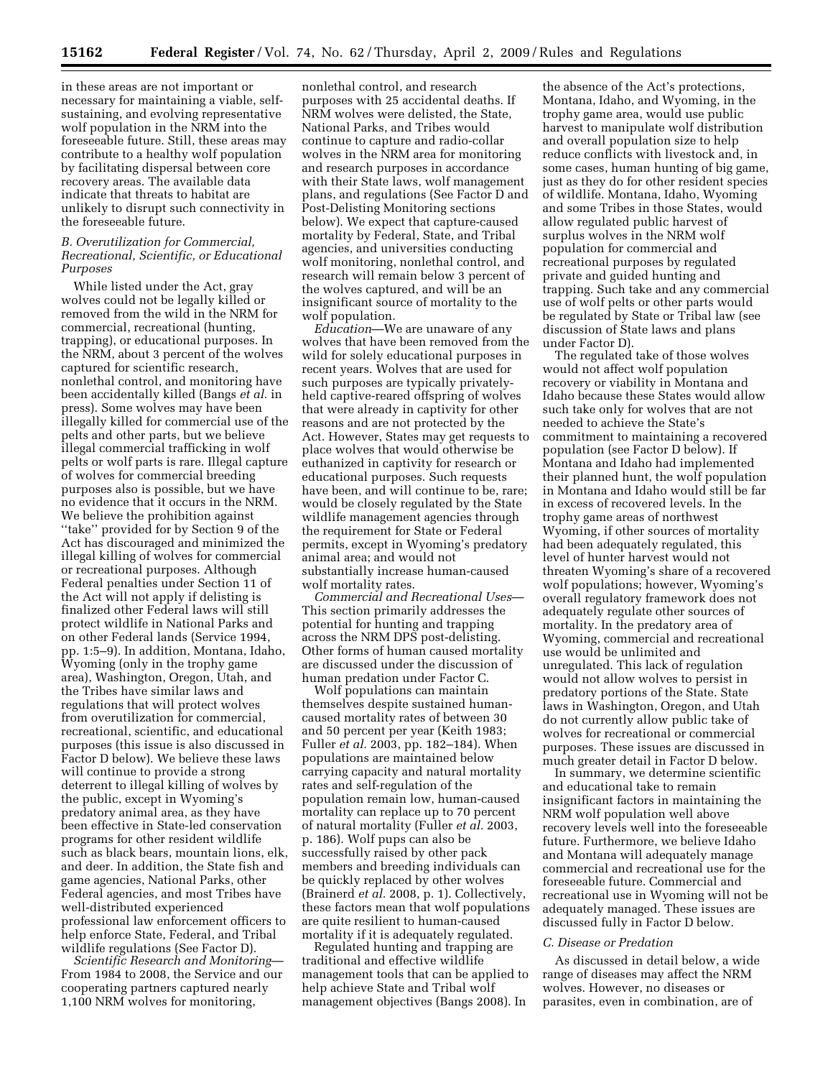in these areas are not important or necessary for maintaining a viable, selfsustaining, and evolving representative wolf population in the NRM into the foreseeable future. Still, these areas may contribute to a healthy wolf population by facilitating dispersal between core recovery areas. The available data indicate that threats to habitat are unlikely to disrupt such connectivity in the foreseeable future.

# *B. Overutilization for Commercial, Recreational, Scientific, or Educational Purposes*

While listed under the Act, gray wolves could not be legally killed or removed from the wild in the NRM for commercial, recreational (hunting, trapping), or educational purposes. In the NRM, about 3 percent of the wolves captured for scientific research, nonlethal control, and monitoring have been accidentally killed (Bangs *et al.* in press). Some wolves may have been illegally killed for commercial use of the pelts and other parts, but we believe illegal commercial trafficking in wolf pelts or wolf parts is rare. Illegal capture of wolves for commercial breeding purposes also is possible, but we have no evidence that it occurs in the NRM. We believe the prohibition against ''take'' provided for by Section 9 of the Act has discouraged and minimized the illegal killing of wolves for commercial or recreational purposes. Although Federal penalties under Section 11 of the Act will not apply if delisting is finalized other Federal laws will still protect wildlife in National Parks and on other Federal lands (Service 1994, pp. 1:5–9). In addition, Montana, Idaho, Wyoming (only in the trophy game area), Washington, Oregon, Utah, and the Tribes have similar laws and regulations that will protect wolves from overutilization for commercial, recreational, scientific, and educational purposes (this issue is also discussed in Factor D below). We believe these laws will continue to provide a strong deterrent to illegal killing of wolves by the public, except in Wyoming's predatory animal area, as they have been effective in State-led conservation programs for other resident wildlife such as black bears, mountain lions, elk, and deer. In addition, the State fish and game agencies, National Parks, other Federal agencies, and most Tribes have well-distributed experienced professional law enforcement officers to help enforce State, Federal, and Tribal wildlife regulations (See Factor D).

*Scientific Research and Monitoring*— From 1984 to 2008, the Service and our cooperating partners captured nearly 1,100 NRM wolves for monitoring,

nonlethal control, and research purposes with 25 accidental deaths. If NRM wolves were delisted, the State, National Parks, and Tribes would continue to capture and radio-collar wolves in the NRM area for monitoring and research purposes in accordance with their State laws, wolf management plans, and regulations (See Factor D and Post-Delisting Monitoring sections below). We expect that capture-caused mortality by Federal, State, and Tribal agencies, and universities conducting wolf monitoring, nonlethal control, and research will remain below 3 percent of the wolves captured, and will be an insignificant source of mortality to the wolf population.

*Education*—We are unaware of any wolves that have been removed from the wild for solely educational purposes in recent years. Wolves that are used for such purposes are typically privatelyheld captive-reared offspring of wolves that were already in captivity for other reasons and are not protected by the Act. However, States may get requests to place wolves that would otherwise be euthanized in captivity for research or educational purposes. Such requests have been, and will continue to be, rare; would be closely regulated by the State wildlife management agencies through the requirement for State or Federal permits, except in Wyoming's predatory animal area; and would not substantially increase human-caused wolf mortality rates.

*Commercial and Recreational Uses*— This section primarily addresses the potential for hunting and trapping across the NRM DPS post-delisting. Other forms of human caused mortality are discussed under the discussion of human predation under Factor C.

Wolf populations can maintain themselves despite sustained humancaused mortality rates of between 30 and 50 percent per year (Keith 1983; Fuller *et al.* 2003, pp. 182–184). When populations are maintained below carrying capacity and natural mortality rates and self-regulation of the population remain low, human-caused mortality can replace up to 70 percent of natural mortality (Fuller *et al.* 2003, p. 186). Wolf pups can also be successfully raised by other pack members and breeding individuals can be quickly replaced by other wolves (Brainerd *et al.* 2008, p. 1). Collectively, these factors mean that wolf populations are quite resilient to human-caused mortality if it is adequately regulated.

Regulated hunting and trapping are traditional and effective wildlife management tools that can be applied to help achieve State and Tribal wolf management objectives (Bangs 2008). In

the absence of the Act's protections, Montana, Idaho, and Wyoming, in the trophy game area, would use public harvest to manipulate wolf distribution and overall population size to help reduce conflicts with livestock and, in some cases, human hunting of big game, just as they do for other resident species of wildlife. Montana, Idaho, Wyoming and some Tribes in those States, would allow regulated public harvest of surplus wolves in the NRM wolf population for commercial and recreational purposes by regulated private and guided hunting and trapping. Such take and any commercial use of wolf pelts or other parts would be regulated by State or Tribal law (see discussion of State laws and plans under Factor D).

The regulated take of those wolves would not affect wolf population recovery or viability in Montana and Idaho because these States would allow such take only for wolves that are not needed to achieve the State's commitment to maintaining a recovered population (see Factor D below). If Montana and Idaho had implemented their planned hunt, the wolf population in Montana and Idaho would still be far in excess of recovered levels. In the trophy game areas of northwest Wyoming, if other sources of mortality had been adequately regulated, this level of hunter harvest would not threaten Wyoming's share of a recovered wolf populations; however, Wyoming's overall regulatory framework does not adequately regulate other sources of mortality. In the predatory area of Wyoming, commercial and recreational use would be unlimited and unregulated. This lack of regulation would not allow wolves to persist in predatory portions of the State. State laws in Washington, Oregon, and Utah do not currently allow public take of wolves for recreational or commercial purposes. These issues are discussed in much greater detail in Factor D below.

In summary, we determine scientific and educational take to remain insignificant factors in maintaining the NRM wolf population well above recovery levels well into the foreseeable future. Furthermore, we believe Idaho and Montana will adequately manage commercial and recreational use for the foreseeable future. Commercial and recreational use in Wyoming will not be adequately managed. These issues are discussed fully in Factor D below.

## *C. Disease or Predation*

As discussed in detail below, a wide range of diseases may affect the NRM wolves. However, no diseases or parasites, even in combination, are of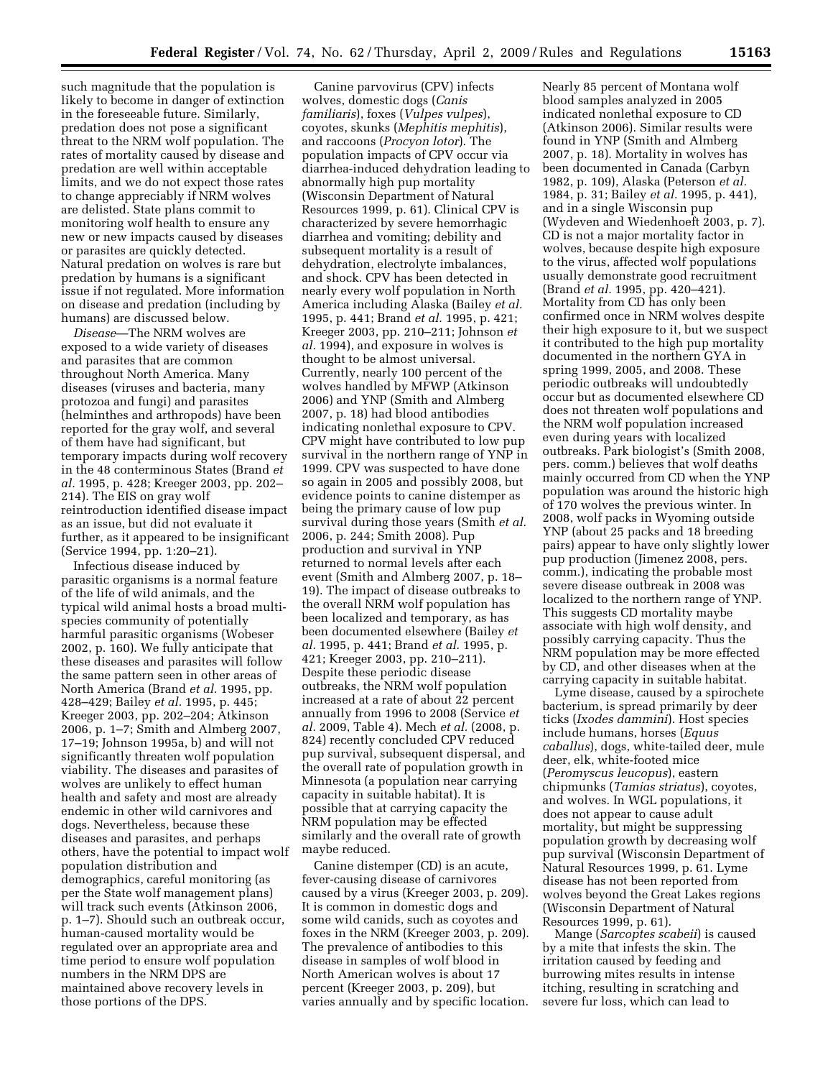such magnitude that the population is likely to become in danger of extinction in the foreseeable future. Similarly, predation does not pose a significant threat to the NRM wolf population. The rates of mortality caused by disease and predation are well within acceptable limits, and we do not expect those rates to change appreciably if NRM wolves are delisted. State plans commit to monitoring wolf health to ensure any new or new impacts caused by diseases or parasites are quickly detected. Natural predation on wolves is rare but predation by humans is a significant issue if not regulated. More information on disease and predation (including by humans) are discussed below.

*Disease*—The NRM wolves are exposed to a wide variety of diseases and parasites that are common throughout North America. Many diseases (viruses and bacteria, many protozoa and fungi) and parasites (helminthes and arthropods) have been reported for the gray wolf, and several of them have had significant, but temporary impacts during wolf recovery in the 48 conterminous States (Brand *et al.* 1995, p. 428; Kreeger 2003, pp. 202– 214). The EIS on gray wolf reintroduction identified disease impact as an issue, but did not evaluate it further, as it appeared to be insignificant (Service 1994, pp. 1:20–21).

Infectious disease induced by parasitic organisms is a normal feature of the life of wild animals, and the typical wild animal hosts a broad multispecies community of potentially harmful parasitic organisms (Wobeser 2002, p. 160). We fully anticipate that these diseases and parasites will follow the same pattern seen in other areas of North America (Brand *et al.* 1995, pp. 428–429; Bailey *et al.* 1995, p. 445; Kreeger 2003, pp. 202–204; Atkinson 2006, p. 1–7; Smith and Almberg 2007, 17–19; Johnson 1995a, b) and will not significantly threaten wolf population viability. The diseases and parasites of wolves are unlikely to effect human health and safety and most are already endemic in other wild carnivores and dogs. Nevertheless, because these diseases and parasites, and perhaps others, have the potential to impact wolf population distribution and demographics, careful monitoring (as per the State wolf management plans) will track such events (Atkinson 2006, p. 1–7). Should such an outbreak occur, human-caused mortality would be regulated over an appropriate area and time period to ensure wolf population numbers in the NRM DPS are maintained above recovery levels in those portions of the DPS.

Canine parvovirus (CPV) infects wolves, domestic dogs (*Canis familiaris*), foxes (*Vulpes vulpes*), coyotes, skunks (*Mephitis mephitis*), and raccoons (*Procyon lotor*). The population impacts of CPV occur via diarrhea-induced dehydration leading to abnormally high pup mortality (Wisconsin Department of Natural Resources 1999, p. 61). Clinical CPV is characterized by severe hemorrhagic diarrhea and vomiting; debility and subsequent mortality is a result of dehydration, electrolyte imbalances, and shock. CPV has been detected in nearly every wolf population in North America including Alaska (Bailey *et al.*  1995, p. 441; Brand *et al.* 1995, p. 421; Kreeger 2003, pp. 210–211; Johnson *et al.* 1994), and exposure in wolves is thought to be almost universal. Currently, nearly 100 percent of the wolves handled by MFWP (Atkinson 2006) and YNP (Smith and Almberg 2007, p. 18) had blood antibodies indicating nonlethal exposure to CPV. CPV might have contributed to low pup survival in the northern range of YNP in 1999. CPV was suspected to have done so again in 2005 and possibly 2008, but evidence points to canine distemper as being the primary cause of low pup survival during those years (Smith *et al.*  2006, p. 244; Smith 2008). Pup production and survival in YNP returned to normal levels after each event (Smith and Almberg 2007, p. 18– 19). The impact of disease outbreaks to the overall NRM wolf population has been localized and temporary, as has been documented elsewhere (Bailey *et al.* 1995, p. 441; Brand *et al.* 1995, p. 421; Kreeger 2003, pp. 210–211). Despite these periodic disease outbreaks, the NRM wolf population increased at a rate of about 22 percent annually from 1996 to 2008 (Service *et al.* 2009, Table 4). Mech *et al.* (2008, p. 824) recently concluded CPV reduced pup survival, subsequent dispersal, and the overall rate of population growth in Minnesota (a population near carrying capacity in suitable habitat). It is possible that at carrying capacity the NRM population may be effected similarly and the overall rate of growth maybe reduced.

Canine distemper (CD) is an acute, fever-causing disease of carnivores caused by a virus (Kreeger 2003, p. 209). It is common in domestic dogs and some wild canids, such as coyotes and foxes in the NRM (Kreeger 2003, p. 209). The prevalence of antibodies to this disease in samples of wolf blood in North American wolves is about 17 percent (Kreeger 2003, p. 209), but varies annually and by specific location.

Nearly 85 percent of Montana wolf blood samples analyzed in 2005 indicated nonlethal exposure to CD (Atkinson 2006). Similar results were found in YNP (Smith and Almberg 2007, p. 18). Mortality in wolves has been documented in Canada (Carbyn 1982, p. 109), Alaska (Peterson *et al.*  1984, p. 31; Bailey *et al.* 1995, p. 441), and in a single Wisconsin pup (Wydeven and Wiedenhoeft 2003, p. 7). CD is not a major mortality factor in wolves, because despite high exposure to the virus, affected wolf populations usually demonstrate good recruitment (Brand *et al.* 1995, pp. 420–421). Mortality from CD has only been confirmed once in NRM wolves despite their high exposure to it, but we suspect it contributed to the high pup mortality documented in the northern GYA in spring 1999, 2005, and 2008. These periodic outbreaks will undoubtedly occur but as documented elsewhere CD does not threaten wolf populations and the NRM wolf population increased even during years with localized outbreaks. Park biologist's (Smith 2008, pers. comm.) believes that wolf deaths mainly occurred from CD when the YNP population was around the historic high of 170 wolves the previous winter. In 2008, wolf packs in Wyoming outside YNP (about 25 packs and 18 breeding pairs) appear to have only slightly lower pup production (Jimenez 2008, pers. comm.), indicating the probable most severe disease outbreak in 2008 was localized to the northern range of YNP. This suggests CD mortality maybe associate with high wolf density, and possibly carrying capacity. Thus the NRM population may be more effected by CD, and other diseases when at the carrying capacity in suitable habitat.

Lyme disease, caused by a spirochete bacterium, is spread primarily by deer ticks (*Ixodes dammini*). Host species include humans, horses (*Equus caballus*), dogs, white-tailed deer, mule deer, elk, white-footed mice (*Peromyscus leucopus*), eastern chipmunks (*Tamias striatus*), coyotes, and wolves. In WGL populations, it does not appear to cause adult mortality, but might be suppressing population growth by decreasing wolf pup survival (Wisconsin Department of Natural Resources 1999, p. 61. Lyme disease has not been reported from wolves beyond the Great Lakes regions (Wisconsin Department of Natural Resources 1999, p. 61).

Mange (*Sarcoptes scabeii*) is caused by a mite that infests the skin. The irritation caused by feeding and burrowing mites results in intense itching, resulting in scratching and severe fur loss, which can lead to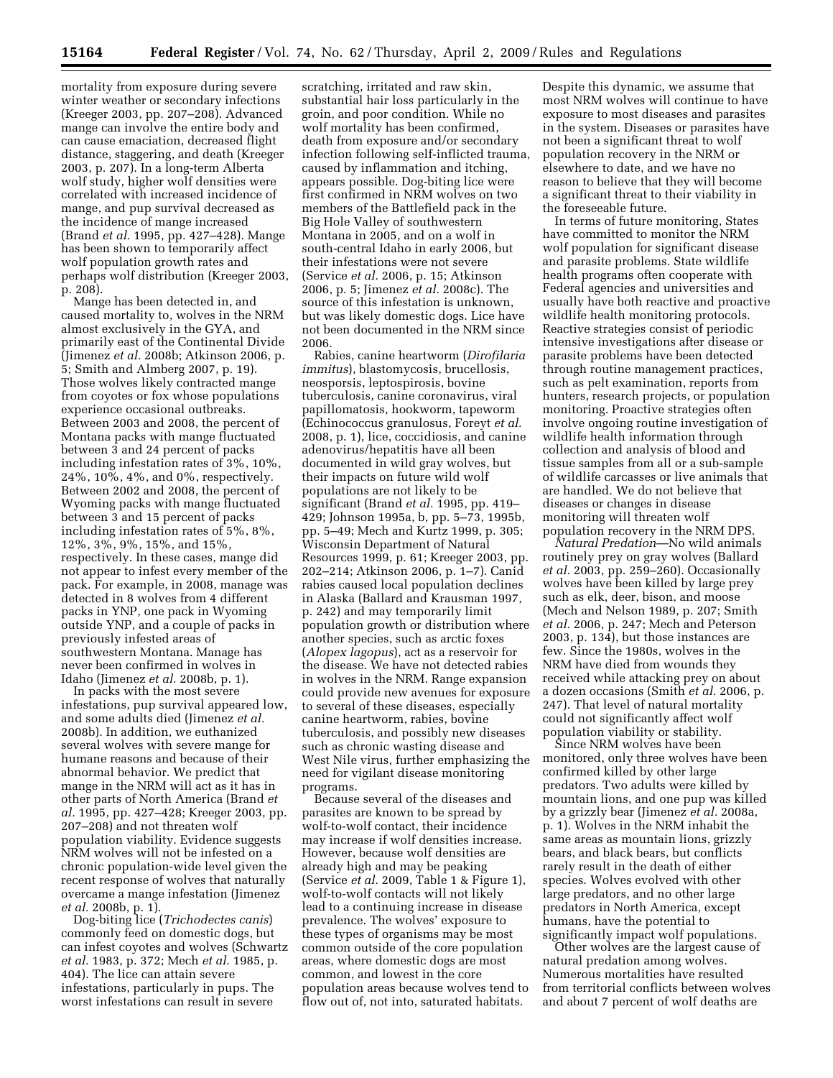mortality from exposure during severe winter weather or secondary infections (Kreeger 2003, pp. 207–208). Advanced mange can involve the entire body and can cause emaciation, decreased flight distance, staggering, and death (Kreeger 2003, p. 207). In a long-term Alberta wolf study, higher wolf densities were correlated with increased incidence of mange, and pup survival decreased as the incidence of mange increased (Brand *et al.* 1995, pp. 427–428). Mange has been shown to temporarily affect wolf population growth rates and perhaps wolf distribution (Kreeger 2003, p. 208).

Mange has been detected in, and caused mortality to, wolves in the NRM almost exclusively in the GYA, and primarily east of the Continental Divide (Jimenez *et al.* 2008b; Atkinson 2006, p. 5; Smith and Almberg 2007, p. 19). Those wolves likely contracted mange from coyotes or fox whose populations experience occasional outbreaks. Between 2003 and 2008, the percent of Montana packs with mange fluctuated between 3 and 24 percent of packs including infestation rates of 3%, 10%, 24%, 10%, 4%, and 0%, respectively. Between 2002 and 2008, the percent of Wyoming packs with mange fluctuated between 3 and 15 percent of packs including infestation rates of 5%, 8%, 12%, 3%, 9%, 15%, and 15%, respectively. In these cases, mange did not appear to infest every member of the pack. For example, in 2008, manage was detected in 8 wolves from 4 different packs in YNP, one pack in Wyoming outside YNP, and a couple of packs in previously infested areas of southwestern Montana. Manage has never been confirmed in wolves in Idaho (Jimenez *et al.* 2008b, p. 1).

In packs with the most severe infestations, pup survival appeared low, and some adults died (Jimenez *et al.*  2008b). In addition, we euthanized several wolves with severe mange for humane reasons and because of their abnormal behavior. We predict that mange in the NRM will act as it has in other parts of North America (Brand *et al.* 1995, pp. 427–428; Kreeger 2003, pp. 207–208) and not threaten wolf population viability. Evidence suggests NRM wolves will not be infested on a chronic population-wide level given the recent response of wolves that naturally overcame a mange infestation (Jimenez *et al.* 2008b, p. 1).

Dog-biting lice (*Trichodectes canis*) commonly feed on domestic dogs, but can infest coyotes and wolves (Schwartz *et al.* 1983, p. 372; Mech *et al.* 1985, p. 404). The lice can attain severe infestations, particularly in pups. The worst infestations can result in severe

scratching, irritated and raw skin, substantial hair loss particularly in the groin, and poor condition. While no wolf mortality has been confirmed, death from exposure and/or secondary infection following self-inflicted trauma, caused by inflammation and itching, appears possible. Dog-biting lice were first confirmed in NRM wolves on two members of the Battlefield pack in the Big Hole Valley of southwestern Montana in 2005, and on a wolf in south-central Idaho in early 2006, but their infestations were not severe (Service *et al.* 2006, p. 15; Atkinson 2006, p. 5; Jimenez *et al.* 2008c). The source of this infestation is unknown, but was likely domestic dogs. Lice have not been documented in the NRM since 2006.

Rabies, canine heartworm (*Dirofilaria immitus*), blastomycosis, brucellosis, neosporsis, leptospirosis, bovine tuberculosis, canine coronavirus, viral papillomatosis, hookworm, tapeworm (Echinococcus granulosus, Foreyt *et al.*  2008, p. 1), lice, coccidiosis, and canine adenovirus/hepatitis have all been documented in wild gray wolves, but their impacts on future wild wolf populations are not likely to be significant (Brand *et al.* 1995, pp. 419– 429; Johnson 1995a, b, pp. 5–73, 1995b, pp. 5–49; Mech and Kurtz 1999, p. 305; Wisconsin Department of Natural Resources 1999, p. 61; Kreeger 2003, pp. 202–214; Atkinson 2006, p. 1–7). Canid rabies caused local population declines in Alaska (Ballard and Krausman 1997, p. 242) and may temporarily limit population growth or distribution where another species, such as arctic foxes (*Alopex lagopus*), act as a reservoir for the disease. We have not detected rabies in wolves in the NRM. Range expansion could provide new avenues for exposure to several of these diseases, especially canine heartworm, rabies, bovine tuberculosis, and possibly new diseases such as chronic wasting disease and West Nile virus, further emphasizing the need for vigilant disease monitoring programs.

Because several of the diseases and parasites are known to be spread by wolf-to-wolf contact, their incidence may increase if wolf densities increase. However, because wolf densities are already high and may be peaking (Service *et al.* 2009, Table 1 & Figure 1), wolf-to-wolf contacts will not likely lead to a continuing increase in disease prevalence. The wolves' exposure to these types of organisms may be most common outside of the core population areas, where domestic dogs are most common, and lowest in the core population areas because wolves tend to flow out of, not into, saturated habitats.

Despite this dynamic, we assume that most NRM wolves will continue to have exposure to most diseases and parasites in the system. Diseases or parasites have not been a significant threat to wolf population recovery in the NRM or elsewhere to date, and we have no reason to believe that they will become a significant threat to their viability in the foreseeable future.

In terms of future monitoring, States have committed to monitor the NRM wolf population for significant disease and parasite problems. State wildlife health programs often cooperate with Federal agencies and universities and usually have both reactive and proactive wildlife health monitoring protocols. Reactive strategies consist of periodic intensive investigations after disease or parasite problems have been detected through routine management practices, such as pelt examination, reports from hunters, research projects, or population monitoring. Proactive strategies often involve ongoing routine investigation of wildlife health information through collection and analysis of blood and tissue samples from all or a sub-sample of wildlife carcasses or live animals that are handled. We do not believe that diseases or changes in disease monitoring will threaten wolf population recovery in the NRM DPS.

*Natural Predation*—No wild animals routinely prey on gray wolves (Ballard *et al.* 2003, pp. 259–260). Occasionally wolves have been killed by large prey such as elk, deer, bison, and moose (Mech and Nelson 1989, p. 207; Smith *et al.* 2006, p. 247; Mech and Peterson 2003, p. 134), but those instances are few. Since the 1980s, wolves in the NRM have died from wounds they received while attacking prey on about a dozen occasions (Smith *et al.* 2006, p. 247). That level of natural mortality could not significantly affect wolf population viability or stability.

Since NRM wolves have been monitored, only three wolves have been confirmed killed by other large predators. Two adults were killed by mountain lions, and one pup was killed by a grizzly bear (Jimenez *et al.* 2008a, p. 1). Wolves in the NRM inhabit the same areas as mountain lions, grizzly bears, and black bears, but conflicts rarely result in the death of either species. Wolves evolved with other large predators, and no other large predators in North America, except humans, have the potential to significantly impact wolf populations.

Other wolves are the largest cause of natural predation among wolves. Numerous mortalities have resulted from territorial conflicts between wolves and about 7 percent of wolf deaths are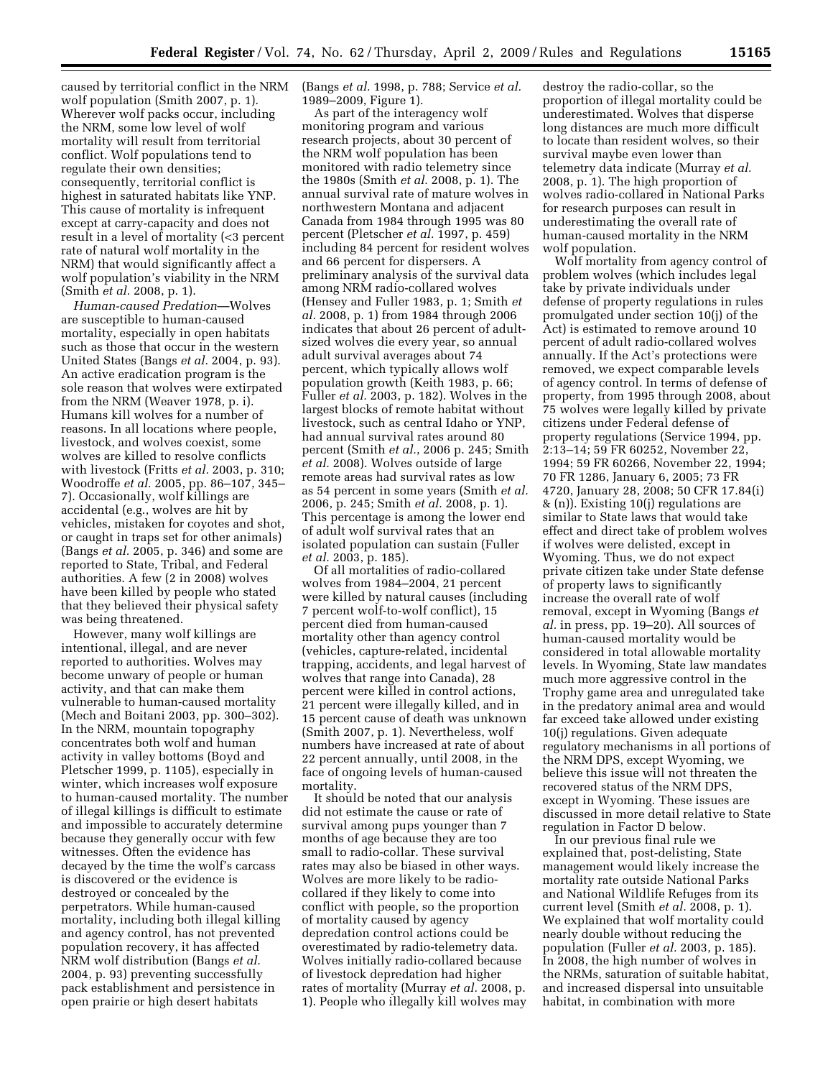caused by territorial conflict in the NRM wolf population (Smith 2007, p. 1). Wherever wolf packs occur, including the NRM, some low level of wolf mortality will result from territorial conflict. Wolf populations tend to regulate their own densities; consequently, territorial conflict is highest in saturated habitats like YNP. This cause of mortality is infrequent except at carry-capacity and does not result in a level of mortality (<3 percent rate of natural wolf mortality in the NRM) that would significantly affect a wolf population's viability in the NRM (Smith *et al.* 2008, p. 1).

*Human-caused Predation*—Wolves are susceptible to human-caused mortality, especially in open habitats such as those that occur in the western United States (Bangs *et al.* 2004, p. 93). An active eradication program is the sole reason that wolves were extirpated from the NRM (Weaver 1978, p. i). Humans kill wolves for a number of reasons. In all locations where people, livestock, and wolves coexist, some wolves are killed to resolve conflicts with livestock (Fritts *et al.* 2003, p. 310; Woodroffe *et al.* 2005, pp. 86–107, 345– 7). Occasionally, wolf killings are accidental (e.g., wolves are hit by vehicles, mistaken for coyotes and shot, or caught in traps set for other animals) (Bangs *et al.* 2005, p. 346) and some are reported to State, Tribal, and Federal authorities. A few (2 in 2008) wolves have been killed by people who stated that they believed their physical safety was being threatened.

However, many wolf killings are intentional, illegal, and are never reported to authorities. Wolves may become unwary of people or human activity, and that can make them vulnerable to human-caused mortality (Mech and Boitani 2003, pp. 300–302). In the NRM, mountain topography concentrates both wolf and human activity in valley bottoms (Boyd and Pletscher 1999, p. 1105), especially in winter, which increases wolf exposure to human-caused mortality. The number of illegal killings is difficult to estimate and impossible to accurately determine because they generally occur with few witnesses. Often the evidence has decayed by the time the wolf's carcass is discovered or the evidence is destroyed or concealed by the perpetrators. While human-caused mortality, including both illegal killing and agency control, has not prevented population recovery, it has affected NRM wolf distribution (Bangs *et al.*  2004, p. 93) preventing successfully pack establishment and persistence in open prairie or high desert habitats

(Bangs *et al.* 1998, p. 788; Service *et al.*  1989–2009, Figure 1).

As part of the interagency wolf monitoring program and various research projects, about 30 percent of the NRM wolf population has been monitored with radio telemetry since the 1980s (Smith *et al.* 2008, p. 1). The annual survival rate of mature wolves in northwestern Montana and adjacent Canada from 1984 through 1995 was 80 percent (Pletscher *et al.* 1997, p. 459) including 84 percent for resident wolves and 66 percent for dispersers. A preliminary analysis of the survival data among NRM radio-collared wolves (Hensey and Fuller 1983, p. 1; Smith *et al.* 2008, p. 1) from 1984 through 2006 indicates that about 26 percent of adultsized wolves die every year, so annual adult survival averages about 74 percent, which typically allows wolf population growth (Keith 1983, p. 66; Fuller *et al.* 2003, p. 182). Wolves in the largest blocks of remote habitat without livestock, such as central Idaho or YNP, had annual survival rates around 80 percent (Smith *et al.*, 2006 p. 245; Smith *et al.* 2008). Wolves outside of large remote areas had survival rates as low as 54 percent in some years (Smith *et al.*  2006, p. 245; Smith *et al.* 2008, p. 1). This percentage is among the lower end of adult wolf survival rates that an isolated population can sustain (Fuller *et al.* 2003, p. 185).

Of all mortalities of radio-collared wolves from 1984–2004, 21 percent were killed by natural causes (including 7 percent wolf-to-wolf conflict), 15 percent died from human-caused mortality other than agency control (vehicles, capture-related, incidental trapping, accidents, and legal harvest of wolves that range into Canada), 28 percent were killed in control actions, 21 percent were illegally killed, and in 15 percent cause of death was unknown (Smith 2007, p. 1). Nevertheless, wolf numbers have increased at rate of about 22 percent annually, until 2008, in the face of ongoing levels of human-caused mortality.

It should be noted that our analysis did not estimate the cause or rate of survival among pups younger than 7 months of age because they are too small to radio-collar. These survival rates may also be biased in other ways. Wolves are more likely to be radiocollared if they likely to come into conflict with people, so the proportion of mortality caused by agency depredation control actions could be overestimated by radio-telemetry data. Wolves initially radio-collared because of livestock depredation had higher rates of mortality (Murray *et al.* 2008, p. 1). People who illegally kill wolves may

destroy the radio-collar, so the proportion of illegal mortality could be underestimated. Wolves that disperse long distances are much more difficult to locate than resident wolves, so their survival maybe even lower than telemetry data indicate (Murray *et al.*  2008, p. 1). The high proportion of wolves radio-collared in National Parks for research purposes can result in underestimating the overall rate of human-caused mortality in the NRM wolf population.

Wolf mortality from agency control of problem wolves (which includes legal take by private individuals under defense of property regulations in rules promulgated under section 10(j) of the Act) is estimated to remove around 10 percent of adult radio-collared wolves annually. If the Act's protections were removed, we expect comparable levels of agency control. In terms of defense of property, from 1995 through 2008, about 75 wolves were legally killed by private citizens under Federal defense of property regulations (Service 1994, pp. 2:13–14; 59 FR 60252, November 22, 1994; 59 FR 60266, November 22, 1994; 70 FR 1286, January 6, 2005; 73 FR 4720, January 28, 2008; 50 CFR 17.84(i) & (n)). Existing 10(j) regulations are similar to State laws that would take effect and direct take of problem wolves if wolves were delisted, except in Wyoming. Thus, we do not expect private citizen take under State defense of property laws to significantly increase the overall rate of wolf removal, except in Wyoming (Bangs *et al.* in press, pp. 19–20). All sources of human-caused mortality would be considered in total allowable mortality levels. In Wyoming, State law mandates much more aggressive control in the Trophy game area and unregulated take in the predatory animal area and would far exceed take allowed under existing 10(j) regulations. Given adequate regulatory mechanisms in all portions of the NRM DPS, except Wyoming, we believe this issue will not threaten the recovered status of the NRM DPS, except in Wyoming. These issues are discussed in more detail relative to State regulation in Factor D below.

In our previous final rule we explained that, post-delisting, State management would likely increase the mortality rate outside National Parks and National Wildlife Refuges from its current level (Smith *et al.* 2008, p. 1). We explained that wolf mortality could nearly double without reducing the population (Fuller *et al.* 2003, p. 185). In 2008, the high number of wolves in the NRMs, saturation of suitable habitat, and increased dispersal into unsuitable habitat, in combination with more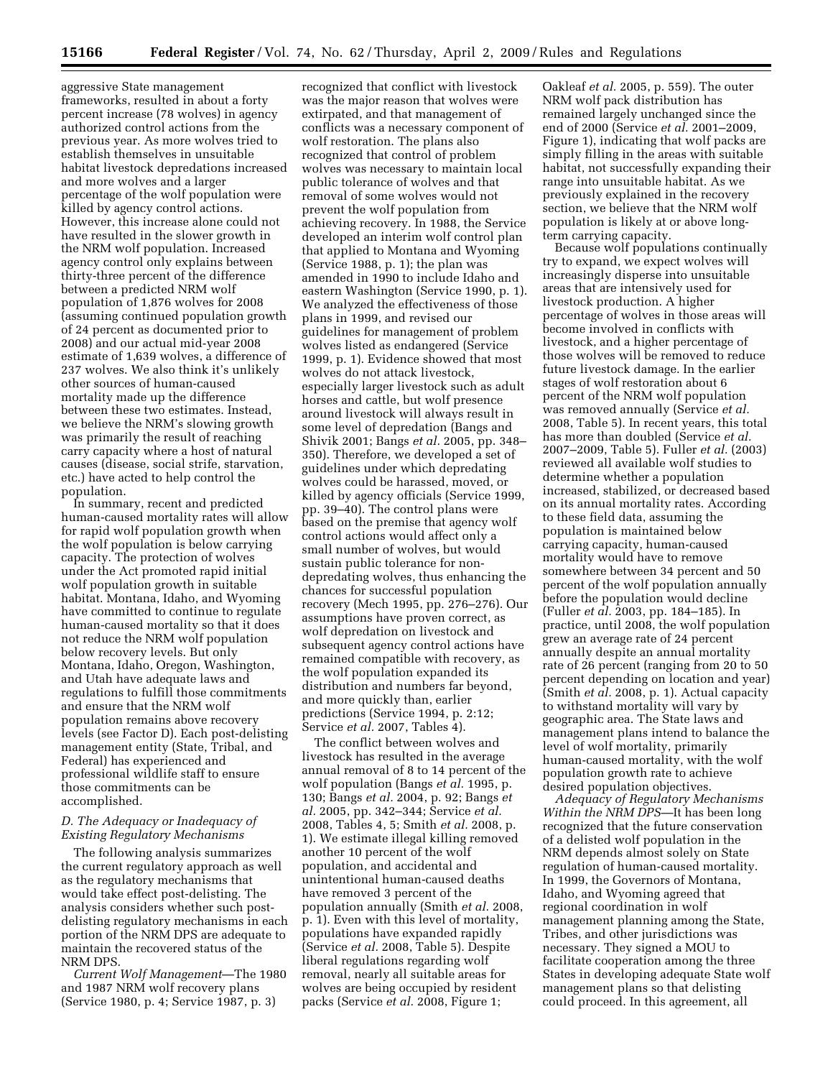aggressive State management frameworks, resulted in about a forty percent increase (78 wolves) in agency authorized control actions from the previous year. As more wolves tried to establish themselves in unsuitable habitat livestock depredations increased and more wolves and a larger percentage of the wolf population were killed by agency control actions. However, this increase alone could not have resulted in the slower growth in the NRM wolf population. Increased agency control only explains between thirty-three percent of the difference between a predicted NRM wolf population of 1,876 wolves for 2008 (assuming continued population growth of 24 percent as documented prior to 2008) and our actual mid-year 2008 estimate of 1,639 wolves, a difference of 237 wolves. We also think it's unlikely other sources of human-caused mortality made up the difference between these two estimates. Instead, we believe the NRM's slowing growth was primarily the result of reaching carry capacity where a host of natural causes (disease, social strife, starvation, etc.) have acted to help control the population.

In summary, recent and predicted human-caused mortality rates will allow for rapid wolf population growth when the wolf population is below carrying capacity. The protection of wolves under the Act promoted rapid initial wolf population growth in suitable habitat. Montana, Idaho, and Wyoming have committed to continue to regulate human-caused mortality so that it does not reduce the NRM wolf population below recovery levels. But only Montana, Idaho, Oregon, Washington, and Utah have adequate laws and regulations to fulfill those commitments and ensure that the NRM wolf population remains above recovery levels (see Factor D). Each post-delisting management entity (State, Tribal, and Federal) has experienced and professional wildlife staff to ensure those commitments can be accomplished.

# *D. The Adequacy or Inadequacy of Existing Regulatory Mechanisms*

The following analysis summarizes the current regulatory approach as well as the regulatory mechanisms that would take effect post-delisting. The analysis considers whether such postdelisting regulatory mechanisms in each portion of the NRM DPS are adequate to maintain the recovered status of the NRM DPS.

*Current Wolf Management*—The 1980 and 1987 NRM wolf recovery plans (Service 1980, p. 4; Service 1987, p. 3)

recognized that conflict with livestock was the major reason that wolves were extirpated, and that management of conflicts was a necessary component of wolf restoration. The plans also recognized that control of problem wolves was necessary to maintain local public tolerance of wolves and that removal of some wolves would not prevent the wolf population from achieving recovery. In 1988, the Service developed an interim wolf control plan that applied to Montana and Wyoming (Service 1988, p. 1); the plan was amended in 1990 to include Idaho and eastern Washington (Service 1990, p. 1). We analyzed the effectiveness of those plans in 1999, and revised our guidelines for management of problem wolves listed as endangered (Service 1999, p. 1). Evidence showed that most wolves do not attack livestock, especially larger livestock such as adult horses and cattle, but wolf presence around livestock will always result in some level of depredation (Bangs and Shivik 2001; Bangs *et al.* 2005, pp. 348– 350). Therefore, we developed a set of guidelines under which depredating wolves could be harassed, moved, or killed by agency officials (Service 1999, pp. 39–40). The control plans were based on the premise that agency wolf control actions would affect only a small number of wolves, but would sustain public tolerance for nondepredating wolves, thus enhancing the chances for successful population recovery (Mech 1995, pp. 276–276). Our assumptions have proven correct, as wolf depredation on livestock and subsequent agency control actions have remained compatible with recovery, as the wolf population expanded its distribution and numbers far beyond, and more quickly than, earlier predictions (Service 1994, p. 2:12; Service *et al.* 2007, Tables 4).

The conflict between wolves and livestock has resulted in the average annual removal of 8 to 14 percent of the wolf population (Bangs *et al.* 1995, p. 130; Bangs *et al.* 2004, p. 92; Bangs *et al.* 2005, pp. 342–344; Service *et al.*  2008, Tables 4, 5; Smith *et al.* 2008, p. 1). We estimate illegal killing removed another 10 percent of the wolf population, and accidental and unintentional human-caused deaths have removed 3 percent of the population annually (Smith *et al.* 2008, p. 1). Even with this level of mortality, populations have expanded rapidly (Service *et al.* 2008, Table 5). Despite liberal regulations regarding wolf removal, nearly all suitable areas for wolves are being occupied by resident packs (Service *et al.* 2008, Figure 1;

Oakleaf *et al.* 2005, p. 559). The outer NRM wolf pack distribution has remained largely unchanged since the end of 2000 (Service *et al.* 2001–2009, Figure 1), indicating that wolf packs are simply filling in the areas with suitable habitat, not successfully expanding their range into unsuitable habitat. As we previously explained in the recovery section, we believe that the NRM wolf population is likely at or above longterm carrying capacity.

Because wolf populations continually try to expand, we expect wolves will increasingly disperse into unsuitable areas that are intensively used for livestock production. A higher percentage of wolves in those areas will become involved in conflicts with livestock, and a higher percentage of those wolves will be removed to reduce future livestock damage. In the earlier stages of wolf restoration about 6 percent of the NRM wolf population was removed annually (Service *et al.*  2008, Table 5). In recent years, this total has more than doubled (Service *et al.*  2007–2009, Table 5). Fuller *et al.* (2003) reviewed all available wolf studies to determine whether a population increased, stabilized, or decreased based on its annual mortality rates. According to these field data, assuming the population is maintained below carrying capacity, human-caused mortality would have to remove somewhere between 34 percent and 50 percent of the wolf population annually before the population would decline (Fuller *et al.* 2003, pp. 184–185). In practice, until 2008, the wolf population grew an average rate of 24 percent annually despite an annual mortality rate of 26 percent (ranging from 20 to 50 percent depending on location and year) (Smith *et al.* 2008, p. 1). Actual capacity to withstand mortality will vary by geographic area. The State laws and management plans intend to balance the level of wolf mortality, primarily human-caused mortality, with the wolf population growth rate to achieve desired population objectives.

*Adequacy of Regulatory Mechanisms Within the NRM DPS*—It has been long recognized that the future conservation of a delisted wolf population in the NRM depends almost solely on State regulation of human-caused mortality. In 1999, the Governors of Montana, Idaho, and Wyoming agreed that regional coordination in wolf management planning among the State, Tribes, and other jurisdictions was necessary. They signed a MOU to facilitate cooperation among the three States in developing adequate State wolf management plans so that delisting could proceed. In this agreement, all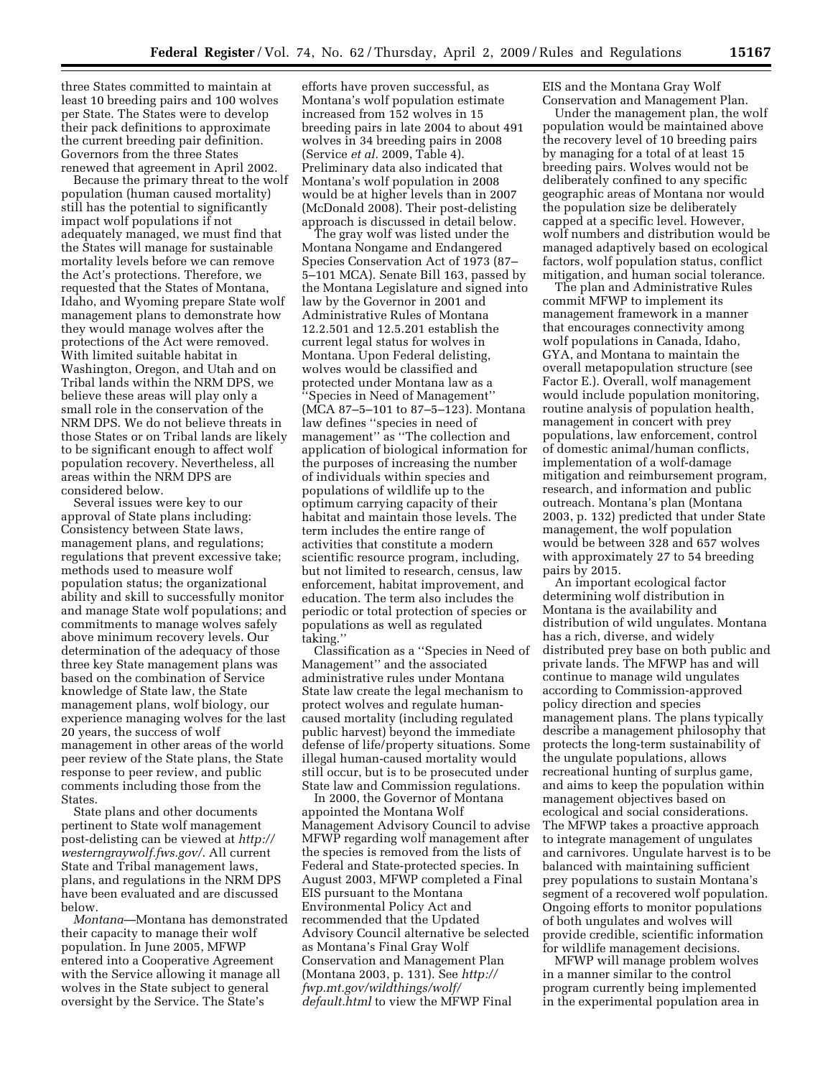three States committed to maintain at least 10 breeding pairs and 100 wolves per State. The States were to develop their pack definitions to approximate the current breeding pair definition. Governors from the three States renewed that agreement in April 2002.

Because the primary threat to the wolf population (human caused mortality) still has the potential to significantly impact wolf populations if not adequately managed, we must find that the States will manage for sustainable mortality levels before we can remove the Act's protections. Therefore, we requested that the States of Montana, Idaho, and Wyoming prepare State wolf management plans to demonstrate how they would manage wolves after the protections of the Act were removed. With limited suitable habitat in Washington, Oregon, and Utah and on Tribal lands within the NRM DPS, we believe these areas will play only a small role in the conservation of the NRM DPS. We do not believe threats in those States or on Tribal lands are likely to be significant enough to affect wolf population recovery. Nevertheless, all areas within the NRM DPS are considered below.

Several issues were key to our approval of State plans including: Consistency between State laws, management plans, and regulations; regulations that prevent excessive take; methods used to measure wolf population status; the organizational ability and skill to successfully monitor and manage State wolf populations; and commitments to manage wolves safely above minimum recovery levels. Our determination of the adequacy of those three key State management plans was based on the combination of Service knowledge of State law, the State management plans, wolf biology, our experience managing wolves for the last 20 years, the success of wolf management in other areas of the world peer review of the State plans, the State response to peer review, and public comments including those from the States.

State plans and other documents pertinent to State wolf management post-delisting can be viewed at *http:// westerngraywolf.fws.gov/*. All current State and Tribal management laws, plans, and regulations in the NRM DPS have been evaluated and are discussed below.

*Montana*—Montana has demonstrated their capacity to manage their wolf population. In June 2005, MFWP entered into a Cooperative Agreement with the Service allowing it manage all wolves in the State subject to general oversight by the Service. The State's

efforts have proven successful, as Montana's wolf population estimate increased from 152 wolves in 15 breeding pairs in late 2004 to about 491 wolves in 34 breeding pairs in 2008 (Service *et al.* 2009, Table 4). Preliminary data also indicated that Montana's wolf population in 2008 would be at higher levels than in 2007 (McDonald 2008). Their post-delisting approach is discussed in detail below.

The gray wolf was listed under the Montana Nongame and Endangered Species Conservation Act of 1973 (87– 5–101 MCA). Senate Bill 163, passed by the Montana Legislature and signed into law by the Governor in 2001 and Administrative Rules of Montana 12.2.501 and 12.5.201 establish the current legal status for wolves in Montana. Upon Federal delisting, wolves would be classified and protected under Montana law as a ''Species in Need of Management'' (MCA 87–5–101 to 87–5–123). Montana law defines ''species in need of management'' as ''The collection and application of biological information for the purposes of increasing the number of individuals within species and populations of wildlife up to the optimum carrying capacity of their habitat and maintain those levels. The term includes the entire range of activities that constitute a modern scientific resource program, including, but not limited to research, census, law enforcement, habitat improvement, and education. The term also includes the periodic or total protection of species or populations as well as regulated taking.''

Classification as a ''Species in Need of Management'' and the associated administrative rules under Montana State law create the legal mechanism to protect wolves and regulate humancaused mortality (including regulated public harvest) beyond the immediate defense of life/property situations. Some illegal human-caused mortality would still occur, but is to be prosecuted under State law and Commission regulations.

In 2000, the Governor of Montana appointed the Montana Wolf Management Advisory Council to advise MFWP regarding wolf management after the species is removed from the lists of Federal and State-protected species. In August 2003, MFWP completed a Final EIS pursuant to the Montana Environmental Policy Act and recommended that the Updated Advisory Council alternative be selected as Montana's Final Gray Wolf Conservation and Management Plan (Montana 2003, p. 131). See *http:// fwp.mt.gov/wildthings/wolf/ default.html* to view the MFWP Final

EIS and the Montana Gray Wolf Conservation and Management Plan.

Under the management plan, the wolf population would be maintained above the recovery level of 10 breeding pairs by managing for a total of at least 15 breeding pairs. Wolves would not be deliberately confined to any specific geographic areas of Montana nor would the population size be deliberately capped at a specific level. However, wolf numbers and distribution would be managed adaptively based on ecological factors, wolf population status, conflict mitigation, and human social tolerance.

The plan and Administrative Rules commit MFWP to implement its management framework in a manner that encourages connectivity among wolf populations in Canada, Idaho, GYA, and Montana to maintain the overall metapopulation structure (see Factor E.). Overall, wolf management would include population monitoring, routine analysis of population health, management in concert with prey populations, law enforcement, control of domestic animal/human conflicts, implementation of a wolf-damage mitigation and reimbursement program, research, and information and public outreach. Montana's plan (Montana 2003, p. 132) predicted that under State management, the wolf population would be between 328 and 657 wolves with approximately 27 to 54 breeding pairs by 2015.

An important ecological factor determining wolf distribution in Montana is the availability and distribution of wild ungulates. Montana has a rich, diverse, and widely distributed prey base on both public and private lands. The MFWP has and will continue to manage wild ungulates according to Commission-approved policy direction and species management plans. The plans typically describe a management philosophy that protects the long-term sustainability of the ungulate populations, allows recreational hunting of surplus game, and aims to keep the population within management objectives based on ecological and social considerations. The MFWP takes a proactive approach to integrate management of ungulates and carnivores. Ungulate harvest is to be balanced with maintaining sufficient prey populations to sustain Montana's segment of a recovered wolf population. Ongoing efforts to monitor populations of both ungulates and wolves will provide credible, scientific information for wildlife management decisions.

MFWP will manage problem wolves in a manner similar to the control program currently being implemented in the experimental population area in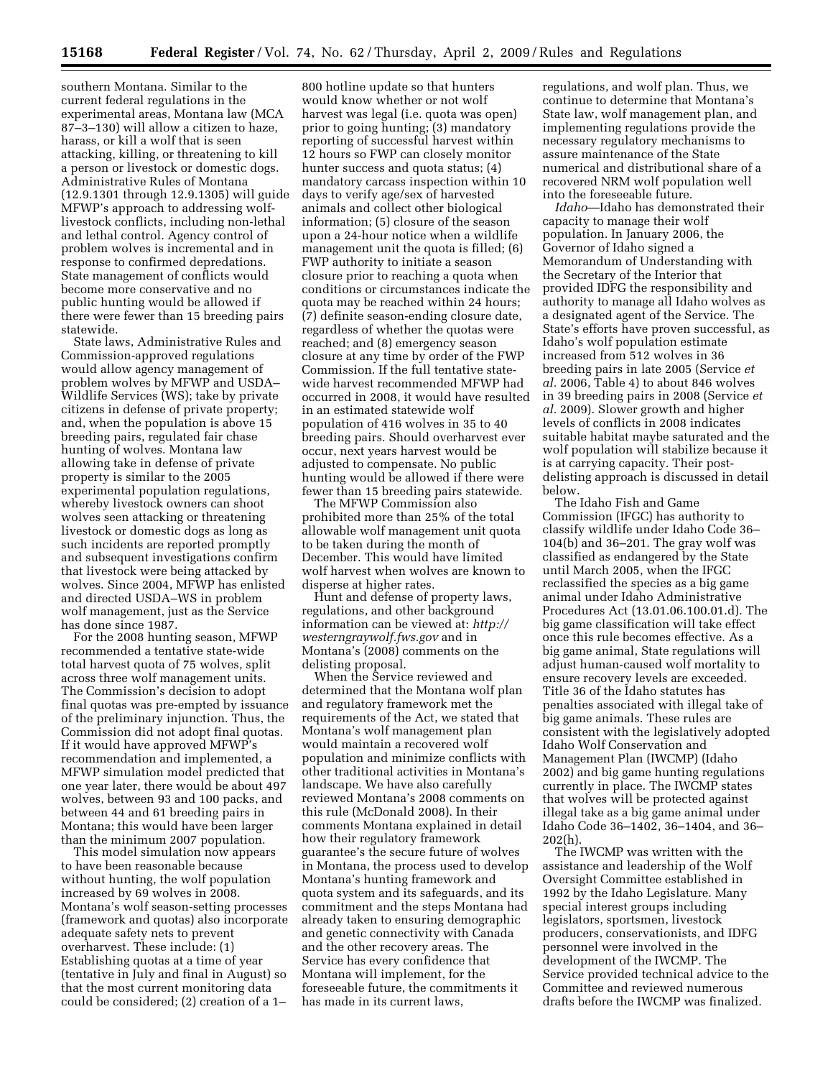southern Montana. Similar to the current federal regulations in the experimental areas, Montana law (MCA 87–3–130) will allow a citizen to haze, harass, or kill a wolf that is seen attacking, killing, or threatening to kill a person or livestock or domestic dogs. Administrative Rules of Montana (12.9.1301 through 12.9.1305) will guide MFWP's approach to addressing wolflivestock conflicts, including non-lethal and lethal control. Agency control of problem wolves is incremental and in response to confirmed depredations. State management of conflicts would become more conservative and no public hunting would be allowed if there were fewer than 15 breeding pairs statewide.

State laws, Administrative Rules and Commission-approved regulations would allow agency management of problem wolves by MFWP and USDA– Wildlife Services (WS); take by private citizens in defense of private property; and, when the population is above 15 breeding pairs, regulated fair chase hunting of wolves. Montana law allowing take in defense of private property is similar to the 2005 experimental population regulations, whereby livestock owners can shoot wolves seen attacking or threatening livestock or domestic dogs as long as such incidents are reported promptly and subsequent investigations confirm that livestock were being attacked by wolves. Since 2004, MFWP has enlisted and directed USDA–WS in problem wolf management, just as the Service has done since 1987.

For the 2008 hunting season, MFWP recommended a tentative state-wide total harvest quota of 75 wolves, split across three wolf management units. The Commission's decision to adopt final quotas was pre-empted by issuance of the preliminary injunction. Thus, the Commission did not adopt final quotas. If it would have approved MFWP's recommendation and implemented, a MFWP simulation model predicted that one year later, there would be about 497 wolves, between 93 and 100 packs, and between 44 and 61 breeding pairs in Montana; this would have been larger than the minimum 2007 population.

This model simulation now appears to have been reasonable because without hunting, the wolf population increased by 69 wolves in 2008. Montana's wolf season-setting processes (framework and quotas) also incorporate adequate safety nets to prevent overharvest. These include: (1) Establishing quotas at a time of year (tentative in July and final in August) so that the most current monitoring data could be considered; (2) creation of a 1–

800 hotline update so that hunters would know whether or not wolf harvest was legal (i.e. quota was open) prior to going hunting; (3) mandatory reporting of successful harvest within 12 hours so FWP can closely monitor hunter success and quota status; (4) mandatory carcass inspection within 10 days to verify age/sex of harvested animals and collect other biological information; (5) closure of the season upon a 24-hour notice when a wildlife management unit the quota is filled; (6) FWP authority to initiate a season closure prior to reaching a quota when conditions or circumstances indicate the quota may be reached within 24 hours; (7) definite season-ending closure date, regardless of whether the quotas were reached; and (8) emergency season closure at any time by order of the FWP Commission. If the full tentative statewide harvest recommended MFWP had occurred in 2008, it would have resulted in an estimated statewide wolf population of 416 wolves in 35 to 40 breeding pairs. Should overharvest ever occur, next years harvest would be adjusted to compensate. No public hunting would be allowed if there were fewer than 15 breeding pairs statewide.

The MFWP Commission also prohibited more than 25% of the total allowable wolf management unit quota to be taken during the month of December. This would have limited wolf harvest when wolves are known to disperse at higher rates.

Hunt and defense of property laws, regulations, and other background information can be viewed at: *http:// westerngraywolf.fws.gov* and in Montana's (2008) comments on the delisting proposal.

When the Service reviewed and determined that the Montana wolf plan and regulatory framework met the requirements of the Act, we stated that Montana's wolf management plan would maintain a recovered wolf population and minimize conflicts with other traditional activities in Montana's landscape. We have also carefully reviewed Montana's 2008 comments on this rule (McDonald 2008). In their comments Montana explained in detail how their regulatory framework guarantee's the secure future of wolves in Montana, the process used to develop Montana's hunting framework and quota system and its safeguards, and its commitment and the steps Montana had already taken to ensuring demographic and genetic connectivity with Canada and the other recovery areas. The Service has every confidence that Montana will implement, for the foreseeable future, the commitments it has made in its current laws,

regulations, and wolf plan. Thus, we continue to determine that Montana's State law, wolf management plan, and implementing regulations provide the necessary regulatory mechanisms to assure maintenance of the State numerical and distributional share of a recovered NRM wolf population well into the foreseeable future.

*Idaho*—Idaho has demonstrated their capacity to manage their wolf population. In January 2006, the Governor of Idaho signed a Memorandum of Understanding with the Secretary of the Interior that provided IDFG the responsibility and authority to manage all Idaho wolves as a designated agent of the Service. The State's efforts have proven successful, as Idaho's wolf population estimate increased from 512 wolves in 36 breeding pairs in late 2005 (Service *et al.* 2006, Table 4) to about 846 wolves in 39 breeding pairs in 2008 (Service *et al.* 2009). Slower growth and higher levels of conflicts in 2008 indicates suitable habitat maybe saturated and the wolf population will stabilize because it is at carrying capacity. Their postdelisting approach is discussed in detail below.

The Idaho Fish and Game Commission (IFGC) has authority to classify wildlife under Idaho Code 36– 104(b) and 36–201. The gray wolf was classified as endangered by the State until March 2005, when the IFGC reclassified the species as a big game animal under Idaho Administrative Procedures Act (13.01.06.100.01.d). The big game classification will take effect once this rule becomes effective. As a big game animal, State regulations will adjust human-caused wolf mortality to ensure recovery levels are exceeded. Title 36 of the Idaho statutes has penalties associated with illegal take of big game animals. These rules are consistent with the legislatively adopted Idaho Wolf Conservation and Management Plan (IWCMP) (Idaho 2002) and big game hunting regulations currently in place. The IWCMP states that wolves will be protected against illegal take as a big game animal under Idaho Code 36–1402, 36–1404, and 36– 202(h).

The IWCMP was written with the assistance and leadership of the Wolf Oversight Committee established in 1992 by the Idaho Legislature. Many special interest groups including legislators, sportsmen, livestock producers, conservationists, and IDFG personnel were involved in the development of the IWCMP. The Service provided technical advice to the Committee and reviewed numerous drafts before the IWCMP was finalized.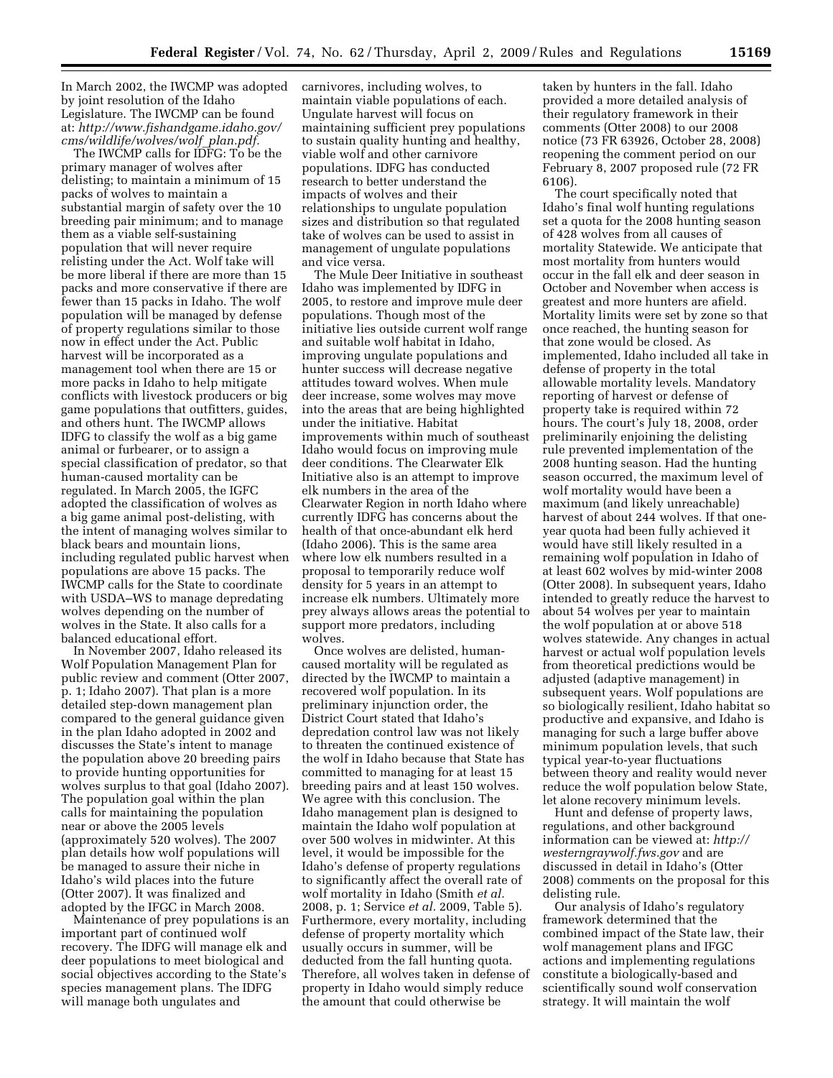In March 2002, the IWCMP was adopted by joint resolution of the Idaho Legislature. The IWCMP can be found at: *http://www.fishandgame.idaho.gov/ cms/wildlife/wolves/wolf*\_*plan.pdf.* 

The IWCMP calls for IDFG: To be the primary manager of wolves after delisting; to maintain a minimum of 15 packs of wolves to maintain a substantial margin of safety over the 10 breeding pair minimum; and to manage them as a viable self-sustaining population that will never require relisting under the Act. Wolf take will be more liberal if there are more than 15 packs and more conservative if there are fewer than 15 packs in Idaho. The wolf population will be managed by defense of property regulations similar to those now in effect under the Act. Public harvest will be incorporated as a management tool when there are 15 or more packs in Idaho to help mitigate conflicts with livestock producers or big game populations that outfitters, guides, and others hunt. The IWCMP allows IDFG to classify the wolf as a big game animal or furbearer, or to assign a special classification of predator, so that human-caused mortality can be regulated. In March 2005, the IGFC adopted the classification of wolves as a big game animal post-delisting, with the intent of managing wolves similar to black bears and mountain lions, including regulated public harvest when populations are above 15 packs. The IWCMP calls for the State to coordinate with USDA–WS to manage depredating wolves depending on the number of wolves in the State. It also calls for a balanced educational effort.

In November 2007, Idaho released its Wolf Population Management Plan for public review and comment (Otter 2007, p. 1; Idaho 2007). That plan is a more detailed step-down management plan compared to the general guidance given in the plan Idaho adopted in 2002 and discusses the State's intent to manage the population above 20 breeding pairs to provide hunting opportunities for wolves surplus to that goal (Idaho 2007). The population goal within the plan calls for maintaining the population near or above the 2005 levels (approximately 520 wolves). The 2007 plan details how wolf populations will be managed to assure their niche in Idaho's wild places into the future (Otter 2007). It was finalized and adopted by the IFGC in March 2008.

Maintenance of prey populations is an important part of continued wolf recovery. The IDFG will manage elk and deer populations to meet biological and social objectives according to the State's species management plans. The IDFG will manage both ungulates and

carnivores, including wolves, to maintain viable populations of each. Ungulate harvest will focus on maintaining sufficient prey populations to sustain quality hunting and healthy, viable wolf and other carnivore populations. IDFG has conducted research to better understand the impacts of wolves and their relationships to ungulate population sizes and distribution so that regulated take of wolves can be used to assist in management of ungulate populations and vice versa.

The Mule Deer Initiative in southeast Idaho was implemented by IDFG in 2005, to restore and improve mule deer populations. Though most of the initiative lies outside current wolf range and suitable wolf habitat in Idaho, improving ungulate populations and hunter success will decrease negative attitudes toward wolves. When mule deer increase, some wolves may move into the areas that are being highlighted under the initiative. Habitat improvements within much of southeast Idaho would focus on improving mule deer conditions. The Clearwater Elk Initiative also is an attempt to improve elk numbers in the area of the Clearwater Region in north Idaho where currently IDFG has concerns about the health of that once-abundant elk herd (Idaho 2006). This is the same area where low elk numbers resulted in a proposal to temporarily reduce wolf density for 5 years in an attempt to increase elk numbers. Ultimately more prey always allows areas the potential to support more predators, including wolves.

Once wolves are delisted, humancaused mortality will be regulated as directed by the IWCMP to maintain a recovered wolf population. In its preliminary injunction order, the District Court stated that Idaho's depredation control law was not likely to threaten the continued existence of the wolf in Idaho because that State has committed to managing for at least 15 breeding pairs and at least 150 wolves. We agree with this conclusion. The Idaho management plan is designed to maintain the Idaho wolf population at over 500 wolves in midwinter. At this level, it would be impossible for the Idaho's defense of property regulations to significantly affect the overall rate of wolf mortality in Idaho (Smith *et al.*  2008, p. 1; Service *et al.* 2009, Table 5). Furthermore, every mortality, including defense of property mortality which usually occurs in summer, will be deducted from the fall hunting quota. Therefore, all wolves taken in defense of property in Idaho would simply reduce the amount that could otherwise be

taken by hunters in the fall. Idaho provided a more detailed analysis of their regulatory framework in their comments (Otter 2008) to our 2008 notice (73 FR 63926, October 28, 2008) reopening the comment period on our February 8, 2007 proposed rule (72 FR 6106).

The court specifically noted that Idaho's final wolf hunting regulations set a quota for the 2008 hunting season of 428 wolves from all causes of mortality Statewide. We anticipate that most mortality from hunters would occur in the fall elk and deer season in October and November when access is greatest and more hunters are afield. Mortality limits were set by zone so that once reached, the hunting season for that zone would be closed. As implemented, Idaho included all take in defense of property in the total allowable mortality levels. Mandatory reporting of harvest or defense of property take is required within 72 hours. The court's July 18, 2008, order preliminarily enjoining the delisting rule prevented implementation of the 2008 hunting season. Had the hunting season occurred, the maximum level of wolf mortality would have been a maximum (and likely unreachable) harvest of about 244 wolves. If that oneyear quota had been fully achieved it would have still likely resulted in a remaining wolf population in Idaho of at least 602 wolves by mid-winter 2008 (Otter 2008). In subsequent years, Idaho intended to greatly reduce the harvest to about 54 wolves per year to maintain the wolf population at or above 518 wolves statewide. Any changes in actual harvest or actual wolf population levels from theoretical predictions would be adjusted (adaptive management) in subsequent years. Wolf populations are so biologically resilient, Idaho habitat so productive and expansive, and Idaho is managing for such a large buffer above minimum population levels, that such typical year-to-year fluctuations between theory and reality would never reduce the wolf population below State, let alone recovery minimum levels.

Hunt and defense of property laws, regulations, and other background information can be viewed at: *http:// westerngraywolf.fws.gov* and are discussed in detail in Idaho's (Otter 2008) comments on the proposal for this delisting rule.

Our analysis of Idaho's regulatory framework determined that the combined impact of the State law, their wolf management plans and IFGC actions and implementing regulations constitute a biologically-based and scientifically sound wolf conservation strategy. It will maintain the wolf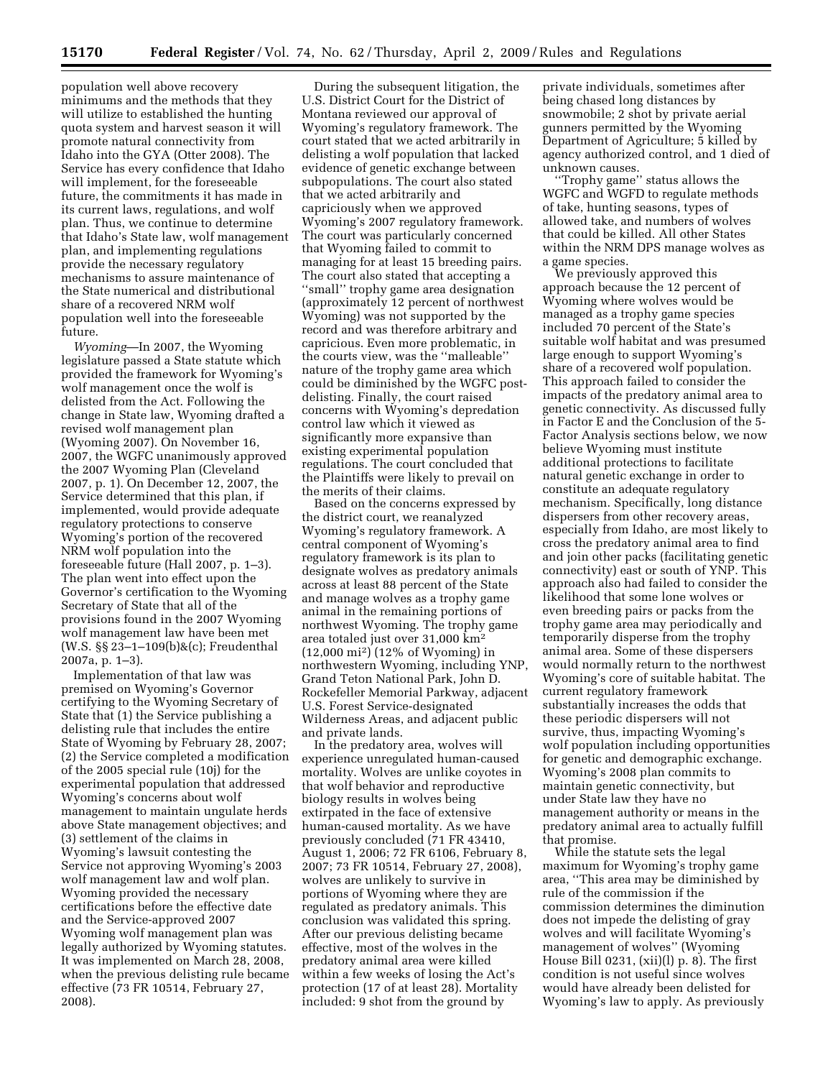population well above recovery minimums and the methods that they will utilize to established the hunting quota system and harvest season it will promote natural connectivity from Idaho into the GYA (Otter 2008). The Service has every confidence that Idaho will implement, for the foreseeable future, the commitments it has made in its current laws, regulations, and wolf plan. Thus, we continue to determine that Idaho's State law, wolf management plan, and implementing regulations provide the necessary regulatory mechanisms to assure maintenance of the State numerical and distributional share of a recovered NRM wolf population well into the foreseeable future.

*Wyoming*—In 2007, the Wyoming legislature passed a State statute which provided the framework for Wyoming's wolf management once the wolf is delisted from the Act. Following the change in State law, Wyoming drafted a revised wolf management plan (Wyoming 2007). On November 16, 2007, the WGFC unanimously approved the 2007 Wyoming Plan (Cleveland 2007, p. 1). On December 12, 2007, the Service determined that this plan, if implemented, would provide adequate regulatory protections to conserve Wyoming's portion of the recovered NRM wolf population into the foreseeable future (Hall 2007, p. 1–3). The plan went into effect upon the Governor's certification to the Wyoming Secretary of State that all of the provisions found in the 2007 Wyoming wolf management law have been met (W.S. §§ 23–1–109(b)&(c); Freudenthal 2007a, p. 1–3).

Implementation of that law was premised on Wyoming's Governor certifying to the Wyoming Secretary of State that (1) the Service publishing a delisting rule that includes the entire State of Wyoming by February 28, 2007; (2) the Service completed a modification of the 2005 special rule (10j) for the experimental population that addressed Wyoming's concerns about wolf management to maintain ungulate herds above State management objectives; and (3) settlement of the claims in Wyoming's lawsuit contesting the Service not approving Wyoming's 2003 wolf management law and wolf plan. Wyoming provided the necessary certifications before the effective date and the Service-approved 2007 Wyoming wolf management plan was legally authorized by Wyoming statutes. It was implemented on March 28, 2008, when the previous delisting rule became effective (73 FR 10514, February 27, 2008).

During the subsequent litigation, the U.S. District Court for the District of Montana reviewed our approval of Wyoming's regulatory framework. The court stated that we acted arbitrarily in delisting a wolf population that lacked evidence of genetic exchange between subpopulations. The court also stated that we acted arbitrarily and capriciously when we approved Wyoming's 2007 regulatory framework. The court was particularly concerned that Wyoming failed to commit to managing for at least 15 breeding pairs. The court also stated that accepting a ''small'' trophy game area designation (approximately 12 percent of northwest Wyoming) was not supported by the record and was therefore arbitrary and capricious. Even more problematic, in the courts view, was the ''malleable'' nature of the trophy game area which could be diminished by the WGFC postdelisting. Finally, the court raised concerns with Wyoming's depredation control law which it viewed as significantly more expansive than existing experimental population regulations. The court concluded that the Plaintiffs were likely to prevail on the merits of their claims.

Based on the concerns expressed by the district court, we reanalyzed Wyoming's regulatory framework. A central component of Wyoming's regulatory framework is its plan to designate wolves as predatory animals across at least 88 percent of the State and manage wolves as a trophy game animal in the remaining portions of northwest Wyoming. The trophy game area totaled just over 31,000 km2 (12,000 mi2) (12% of Wyoming) in northwestern Wyoming, including YNP, Grand Teton National Park, John D. Rockefeller Memorial Parkway, adjacent U.S. Forest Service-designated Wilderness Areas, and adjacent public and private lands.

In the predatory area, wolves will experience unregulated human-caused mortality. Wolves are unlike coyotes in that wolf behavior and reproductive biology results in wolves being extirpated in the face of extensive human-caused mortality. As we have previously concluded (71 FR 43410, August 1, 2006; 72 FR 6106, February 8, 2007; 73 FR 10514, February 27, 2008), wolves are unlikely to survive in portions of Wyoming where they are regulated as predatory animals. This conclusion was validated this spring. After our previous delisting became effective, most of the wolves in the predatory animal area were killed within a few weeks of losing the Act's protection (17 of at least 28). Mortality included: 9 shot from the ground by

private individuals, sometimes after being chased long distances by snowmobile; 2 shot by private aerial gunners permitted by the Wyoming Department of Agriculture; 5 killed by agency authorized control, and 1 died of unknown causes.

Trophy game" status allows the WGFC and WGFD to regulate methods of take, hunting seasons, types of allowed take, and numbers of wolves that could be killed. All other States within the NRM DPS manage wolves as a game species.

We previously approved this approach because the 12 percent of Wyoming where wolves would be managed as a trophy game species included 70 percent of the State's suitable wolf habitat and was presumed large enough to support Wyoming's share of a recovered wolf population. This approach failed to consider the impacts of the predatory animal area to genetic connectivity. As discussed fully in Factor E and the Conclusion of the 5- Factor Analysis sections below, we now believe Wyoming must institute additional protections to facilitate natural genetic exchange in order to constitute an adequate regulatory mechanism. Specifically, long distance dispersers from other recovery areas, especially from Idaho, are most likely to cross the predatory animal area to find and join other packs (facilitating genetic connectivity) east or south of YNP. This approach also had failed to consider the likelihood that some lone wolves or even breeding pairs or packs from the trophy game area may periodically and temporarily disperse from the trophy animal area. Some of these dispersers would normally return to the northwest Wyoming's core of suitable habitat. The current regulatory framework substantially increases the odds that these periodic dispersers will not survive, thus, impacting Wyoming's wolf population including opportunities for genetic and demographic exchange. Wyoming's 2008 plan commits to maintain genetic connectivity, but under State law they have no management authority or means in the predatory animal area to actually fulfill that promise.

While the statute sets the legal maximum for Wyoming's trophy game area, ''This area may be diminished by rule of the commission if the commission determines the diminution does not impede the delisting of gray wolves and will facilitate Wyoming's management of wolves'' (Wyoming House Bill 0231, (xii)(l) p. 8). The first condition is not useful since wolves would have already been delisted for Wyoming's law to apply. As previously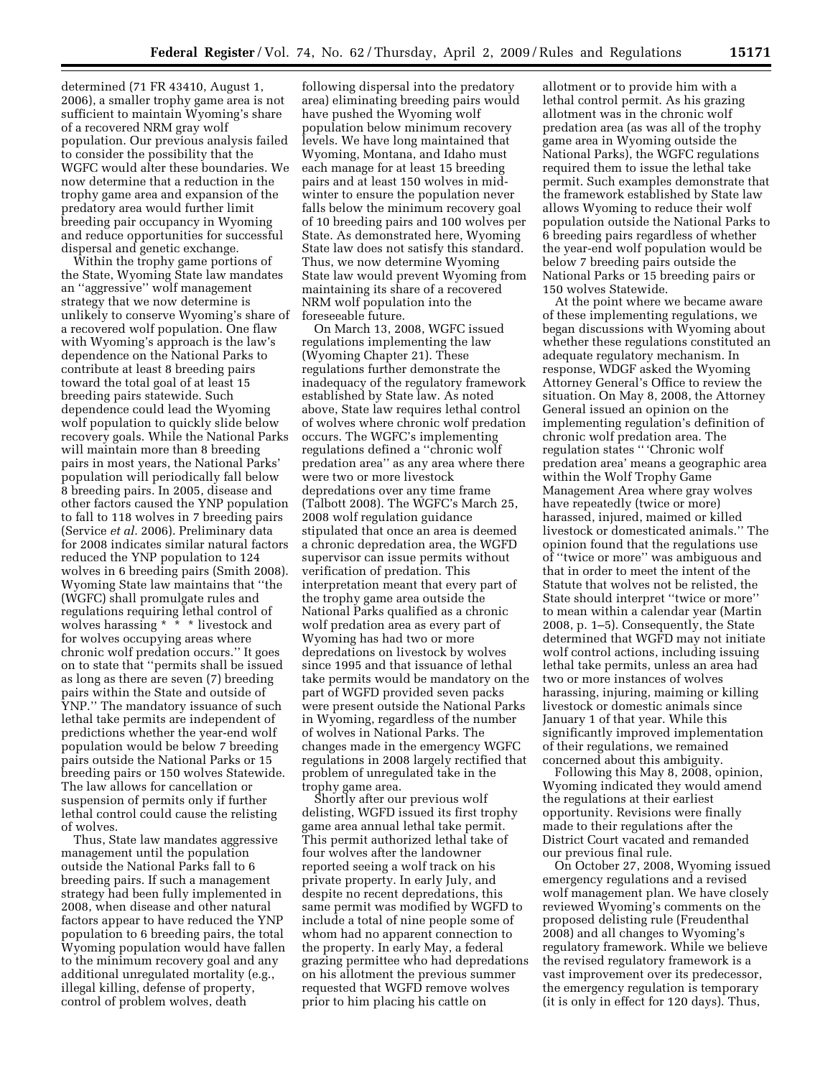determined (71 FR 43410, August 1, 2006), a smaller trophy game area is not sufficient to maintain Wyoming's share of a recovered NRM gray wolf population. Our previous analysis failed to consider the possibility that the WGFC would alter these boundaries. We now determine that a reduction in the trophy game area and expansion of the predatory area would further limit breeding pair occupancy in Wyoming and reduce opportunities for successful dispersal and genetic exchange.

Within the trophy game portions of the State, Wyoming State law mandates an ''aggressive'' wolf management strategy that we now determine is unlikely to conserve Wyoming's share of a recovered wolf population. One flaw with Wyoming's approach is the law's dependence on the National Parks to contribute at least 8 breeding pairs toward the total goal of at least 15 breeding pairs statewide. Such dependence could lead the Wyoming wolf population to quickly slide below recovery goals. While the National Parks will maintain more than 8 breeding pairs in most years, the National Parks' population will periodically fall below 8 breeding pairs. In 2005, disease and other factors caused the YNP population to fall to 118 wolves in 7 breeding pairs (Service *et al.* 2006). Preliminary data for 2008 indicates similar natural factors reduced the YNP population to 124 wolves in 6 breeding pairs (Smith 2008). Wyoming State law maintains that ''the (WGFC) shall promulgate rules and regulations requiring lethal control of wolves harassing \* \* \* livestock and for wolves occupying areas where chronic wolf predation occurs.'' It goes on to state that ''permits shall be issued as long as there are seven (7) breeding pairs within the State and outside of YNP.'' The mandatory issuance of such lethal take permits are independent of predictions whether the year-end wolf population would be below 7 breeding pairs outside the National Parks or 15 breeding pairs or 150 wolves Statewide. The law allows for cancellation or suspension of permits only if further lethal control could cause the relisting of wolves.

Thus, State law mandates aggressive management until the population outside the National Parks fall to 6 breeding pairs. If such a management strategy had been fully implemented in 2008, when disease and other natural factors appear to have reduced the YNP population to 6 breeding pairs, the total Wyoming population would have fallen to the minimum recovery goal and any additional unregulated mortality (e.g., illegal killing, defense of property, control of problem wolves, death

following dispersal into the predatory area) eliminating breeding pairs would have pushed the Wyoming wolf population below minimum recovery levels. We have long maintained that Wyoming, Montana, and Idaho must each manage for at least 15 breeding pairs and at least 150 wolves in midwinter to ensure the population never falls below the minimum recovery goal of 10 breeding pairs and 100 wolves per State. As demonstrated here, Wyoming State law does not satisfy this standard. Thus, we now determine Wyoming State law would prevent Wyoming from maintaining its share of a recovered NRM wolf population into the foreseeable future.

On March 13, 2008, WGFC issued regulations implementing the law (Wyoming Chapter 21). These regulations further demonstrate the inadequacy of the regulatory framework established by State law. As noted above, State law requires lethal control of wolves where chronic wolf predation occurs. The WGFC's implementing regulations defined a ''chronic wolf predation area'' as any area where there were two or more livestock depredations over any time frame (Talbott 2008). The WGFC's March 25, 2008 wolf regulation guidance stipulated that once an area is deemed a chronic depredation area, the WGFD supervisor can issue permits without verification of predation. This interpretation meant that every part of the trophy game area outside the National Parks qualified as a chronic wolf predation area as every part of Wyoming has had two or more depredations on livestock by wolves since 1995 and that issuance of lethal take permits would be mandatory on the part of WGFD provided seven packs were present outside the National Parks in Wyoming, regardless of the number of wolves in National Parks. The changes made in the emergency WGFC regulations in 2008 largely rectified that problem of unregulated take in the trophy game area.

Shortly after our previous wolf delisting, WGFD issued its first trophy game area annual lethal take permit. This permit authorized lethal take of four wolves after the landowner reported seeing a wolf track on his private property. In early July, and despite no recent depredations, this same permit was modified by WGFD to include a total of nine people some of whom had no apparent connection to the property. In early May, a federal grazing permittee who had depredations on his allotment the previous summer requested that WGFD remove wolves prior to him placing his cattle on

allotment or to provide him with a lethal control permit. As his grazing allotment was in the chronic wolf predation area (as was all of the trophy game area in Wyoming outside the National Parks), the WGFC regulations required them to issue the lethal take permit. Such examples demonstrate that the framework established by State law allows Wyoming to reduce their wolf population outside the National Parks to 6 breeding pairs regardless of whether the year-end wolf population would be below 7 breeding pairs outside the National Parks or 15 breeding pairs or 150 wolves Statewide.

At the point where we became aware of these implementing regulations, we began discussions with Wyoming about whether these regulations constituted an adequate regulatory mechanism. In response, WDGF asked the Wyoming Attorney General's Office to review the situation. On May 8, 2008, the Attorney General issued an opinion on the implementing regulation's definition of chronic wolf predation area. The regulation states '' 'Chronic wolf predation area' means a geographic area within the Wolf Trophy Game Management Area where gray wolves have repeatedly (twice or more) harassed, injured, maimed or killed livestock or domesticated animals.'' The opinion found that the regulations use of ''twice or more'' was ambiguous and that in order to meet the intent of the Statute that wolves not be relisted, the State should interpret ''twice or more'' to mean within a calendar year (Martin 2008, p. 1–5). Consequently, the State determined that WGFD may not initiate wolf control actions, including issuing lethal take permits, unless an area had two or more instances of wolves harassing, injuring, maiming or killing livestock or domestic animals since January 1 of that year. While this significantly improved implementation of their regulations, we remained concerned about this ambiguity.

Following this May 8, 2008, opinion, Wyoming indicated they would amend the regulations at their earliest opportunity. Revisions were finally made to their regulations after the District Court vacated and remanded our previous final rule.

On October 27, 2008, Wyoming issued emergency regulations and a revised wolf management plan. We have closely reviewed Wyoming's comments on the proposed delisting rule (Freudenthal 2008) and all changes to Wyoming's regulatory framework. While we believe the revised regulatory framework is a vast improvement over its predecessor, the emergency regulation is temporary (it is only in effect for 120 days). Thus,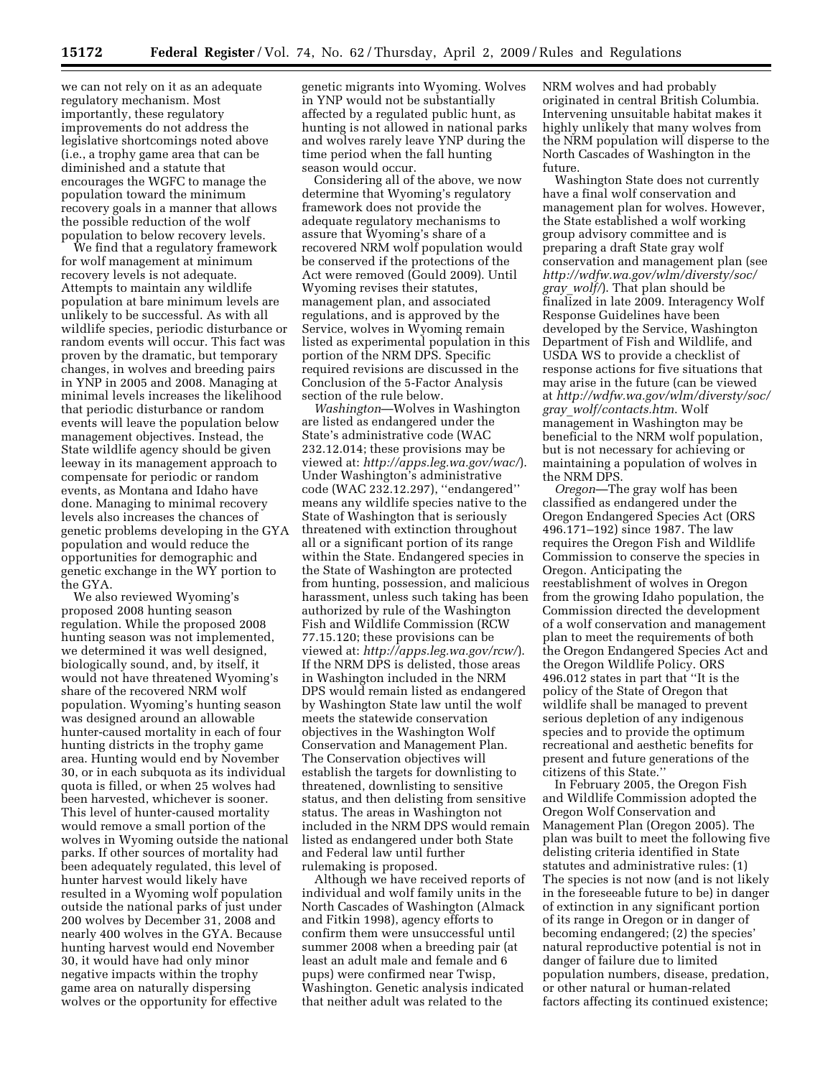we can not rely on it as an adequate regulatory mechanism. Most importantly, these regulatory improvements do not address the legislative shortcomings noted above (i.e., a trophy game area that can be diminished and a statute that encourages the WGFC to manage the population toward the minimum recovery goals in a manner that allows the possible reduction of the wolf population to below recovery levels.

We find that a regulatory framework for wolf management at minimum recovery levels is not adequate. Attempts to maintain any wildlife population at bare minimum levels are unlikely to be successful. As with all wildlife species, periodic disturbance or random events will occur. This fact was proven by the dramatic, but temporary changes, in wolves and breeding pairs in YNP in 2005 and 2008. Managing at minimal levels increases the likelihood that periodic disturbance or random events will leave the population below management objectives. Instead, the State wildlife agency should be given leeway in its management approach to compensate for periodic or random events, as Montana and Idaho have done. Managing to minimal recovery levels also increases the chances of genetic problems developing in the GYA population and would reduce the opportunities for demographic and genetic exchange in the WY portion to the GYA.

We also reviewed Wyoming's proposed 2008 hunting season regulation. While the proposed 2008 hunting season was not implemented, we determined it was well designed, biologically sound, and, by itself, it would not have threatened Wyoming's share of the recovered NRM wolf population. Wyoming's hunting season was designed around an allowable hunter-caused mortality in each of four hunting districts in the trophy game area. Hunting would end by November 30, or in each subquota as its individual quota is filled, or when 25 wolves had been harvested, whichever is sooner. This level of hunter-caused mortality would remove a small portion of the wolves in Wyoming outside the national parks. If other sources of mortality had been adequately regulated, this level of hunter harvest would likely have resulted in a Wyoming wolf population outside the national parks of just under 200 wolves by December 31, 2008 and nearly 400 wolves in the GYA. Because hunting harvest would end November 30, it would have had only minor negative impacts within the trophy game area on naturally dispersing wolves or the opportunity for effective

genetic migrants into Wyoming. Wolves in YNP would not be substantially affected by a regulated public hunt, as hunting is not allowed in national parks and wolves rarely leave YNP during the time period when the fall hunting season would occur.

Considering all of the above, we now determine that Wyoming's regulatory framework does not provide the adequate regulatory mechanisms to assure that Wyoming's share of a recovered NRM wolf population would be conserved if the protections of the Act were removed (Gould 2009). Until Wyoming revises their statutes, management plan, and associated regulations, and is approved by the Service, wolves in Wyoming remain listed as experimental population in this portion of the NRM DPS. Specific required revisions are discussed in the Conclusion of the 5-Factor Analysis section of the rule below.

*Washington*—Wolves in Washington are listed as endangered under the State's administrative code (WAC 232.12.014; these provisions may be viewed at: *http://apps.leg.wa.gov/wac/*). Under Washington's administrative code (WAC 232.12.297), ''endangered'' means any wildlife species native to the State of Washington that is seriously threatened with extinction throughout all or a significant portion of its range within the State. Endangered species in the State of Washington are protected from hunting, possession, and malicious harassment, unless such taking has been authorized by rule of the Washington Fish and Wildlife Commission (RCW 77.15.120; these provisions can be viewed at: *http://apps.leg.wa.gov/rcw/*). If the NRM DPS is delisted, those areas in Washington included in the NRM DPS would remain listed as endangered by Washington State law until the wolf meets the statewide conservation objectives in the Washington Wolf Conservation and Management Plan. The Conservation objectives will establish the targets for downlisting to threatened, downlisting to sensitive status, and then delisting from sensitive status. The areas in Washington not included in the NRM DPS would remain listed as endangered under both State and Federal law until further rulemaking is proposed.

Although we have received reports of individual and wolf family units in the North Cascades of Washington (Almack and Fitkin 1998), agency efforts to confirm them were unsuccessful until summer 2008 when a breeding pair (at least an adult male and female and 6 pups) were confirmed near Twisp, Washington. Genetic analysis indicated that neither adult was related to the

NRM wolves and had probably originated in central British Columbia. Intervening unsuitable habitat makes it highly unlikely that many wolves from the NRM population will disperse to the North Cascades of Washington in the future.

Washington State does not currently have a final wolf conservation and management plan for wolves. However, the State established a wolf working group advisory committee and is preparing a draft State gray wolf conservation and management plan (see *http://wdfw.wa.gov/wlm/diversty/soc/ gray*\_*wolf/*). That plan should be finalized in late 2009. Interagency Wolf Response Guidelines have been developed by the Service, Washington Department of Fish and Wildlife, and USDA WS to provide a checklist of response actions for five situations that may arise in the future (can be viewed at *http://wdfw.wa.gov/wlm/diversty/soc/ gray*\_*wolf/contacts.htm*. Wolf management in Washington may be beneficial to the NRM wolf population, but is not necessary for achieving or maintaining a population of wolves in the NRM DPS.

*Oregon*—The gray wolf has been classified as endangered under the Oregon Endangered Species Act (ORS 496.171–192) since 1987. The law requires the Oregon Fish and Wildlife Commission to conserve the species in Oregon. Anticipating the reestablishment of wolves in Oregon from the growing Idaho population, the Commission directed the development of a wolf conservation and management plan to meet the requirements of both the Oregon Endangered Species Act and the Oregon Wildlife Policy. ORS 496.012 states in part that ''It is the policy of the State of Oregon that wildlife shall be managed to prevent serious depletion of any indigenous species and to provide the optimum recreational and aesthetic benefits for present and future generations of the citizens of this State.''

In February 2005, the Oregon Fish and Wildlife Commission adopted the Oregon Wolf Conservation and Management Plan (Oregon 2005). The plan was built to meet the following five delisting criteria identified in State statutes and administrative rules: (1) The species is not now (and is not likely in the foreseeable future to be) in danger of extinction in any significant portion of its range in Oregon or in danger of becoming endangered; (2) the species' natural reproductive potential is not in danger of failure due to limited population numbers, disease, predation, or other natural or human-related factors affecting its continued existence;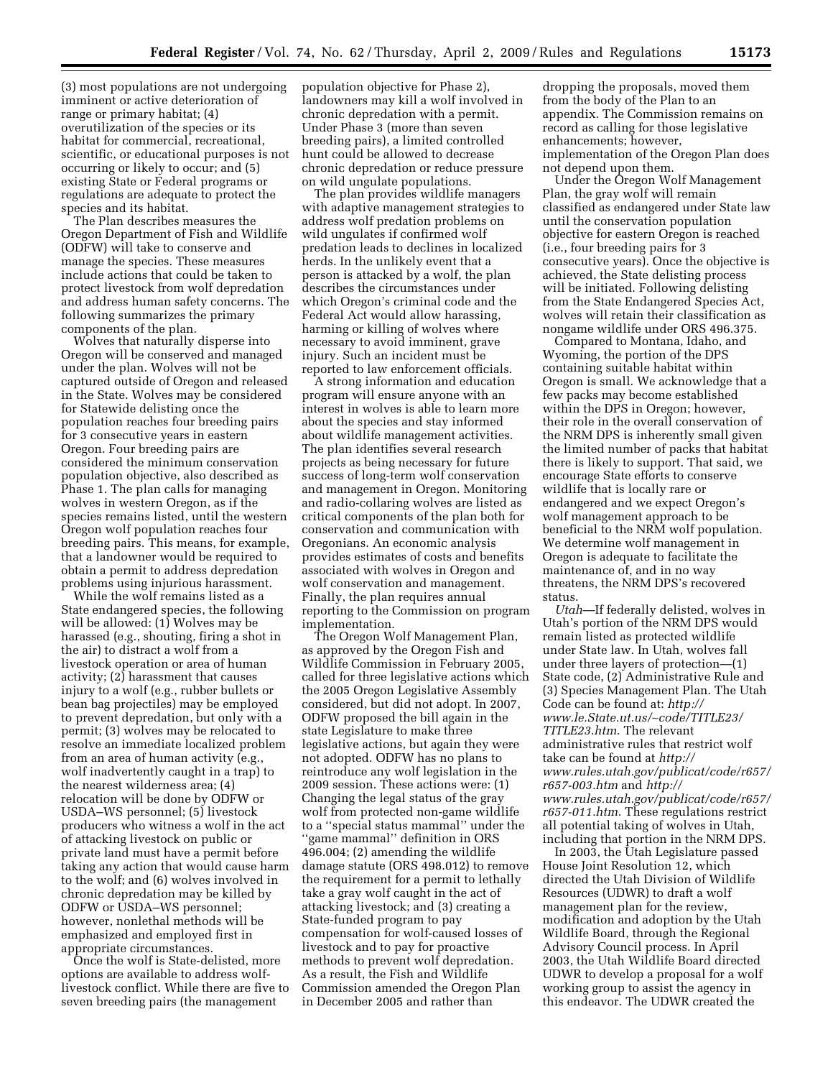(3) most populations are not undergoing imminent or active deterioration of range or primary habitat; (4) overutilization of the species or its habitat for commercial, recreational, scientific, or educational purposes is not occurring or likely to occur; and (5) existing State or Federal programs or regulations are adequate to protect the species and its habitat.

The Plan describes measures the Oregon Department of Fish and Wildlife (ODFW) will take to conserve and manage the species. These measures include actions that could be taken to protect livestock from wolf depredation and address human safety concerns. The following summarizes the primary components of the plan.

Wolves that naturally disperse into Oregon will be conserved and managed under the plan. Wolves will not be captured outside of Oregon and released in the State. Wolves may be considered for Statewide delisting once the population reaches four breeding pairs for 3 consecutive years in eastern Oregon. Four breeding pairs are considered the minimum conservation population objective, also described as Phase 1. The plan calls for managing wolves in western Oregon, as if the species remains listed, until the western Oregon wolf population reaches four breeding pairs. This means, for example, that a landowner would be required to obtain a permit to address depredation problems using injurious harassment.

While the wolf remains listed as a State endangered species, the following will be allowed: (1) Wolves may be harassed (e.g., shouting, firing a shot in the air) to distract a wolf from a livestock operation or area of human activity; (2) harassment that causes injury to a wolf (e.g., rubber bullets or bean bag projectiles) may be employed to prevent depredation, but only with a permit; (3) wolves may be relocated to resolve an immediate localized problem from an area of human activity (e.g., wolf inadvertently caught in a trap) to the nearest wilderness area; (4) relocation will be done by ODFW or USDA–WS personnel; (5) livestock producers who witness a wolf in the act of attacking livestock on public or private land must have a permit before taking any action that would cause harm to the wolf; and (6) wolves involved in chronic depredation may be killed by ODFW or USDA–WS personnel; however, nonlethal methods will be emphasized and employed first in appropriate circumstances.

Once the wolf is State-delisted, more options are available to address wolflivestock conflict. While there are five to seven breeding pairs (the management

population objective for Phase 2), landowners may kill a wolf involved in chronic depredation with a permit. Under Phase 3 (more than seven breeding pairs), a limited controlled hunt could be allowed to decrease chronic depredation or reduce pressure on wild ungulate populations.

The plan provides wildlife managers with adaptive management strategies to address wolf predation problems on wild ungulates if confirmed wolf predation leads to declines in localized herds. In the unlikely event that a person is attacked by a wolf, the plan describes the circumstances under which Oregon's criminal code and the Federal Act would allow harassing, harming or killing of wolves where necessary to avoid imminent, grave injury. Such an incident must be reported to law enforcement officials.

A strong information and education program will ensure anyone with an interest in wolves is able to learn more about the species and stay informed about wildlife management activities. The plan identifies several research projects as being necessary for future success of long-term wolf conservation and management in Oregon. Monitoring and radio-collaring wolves are listed as critical components of the plan both for conservation and communication with Oregonians. An economic analysis provides estimates of costs and benefits associated with wolves in Oregon and wolf conservation and management. Finally, the plan requires annual reporting to the Commission on program implementation.

The Oregon Wolf Management Plan, as approved by the Oregon Fish and Wildlife Commission in February 2005, called for three legislative actions which the 2005 Oregon Legislative Assembly considered, but did not adopt. In 2007, ODFW proposed the bill again in the state Legislature to make three legislative actions, but again they were not adopted. ODFW has no plans to reintroduce any wolf legislation in the 2009 session. These actions were: (1) Changing the legal status of the gray wolf from protected non-game wildlife to a ''special status mammal'' under the ''game mammal'' definition in ORS 496.004; (2) amending the wildlife damage statute (ORS 498.012) to remove the requirement for a permit to lethally take a gray wolf caught in the act of attacking livestock; and (3) creating a State-funded program to pay compensation for wolf-caused losses of livestock and to pay for proactive methods to prevent wolf depredation. As a result, the Fish and Wildlife Commission amended the Oregon Plan in December 2005 and rather than

dropping the proposals, moved them from the body of the Plan to an appendix. The Commission remains on record as calling for those legislative enhancements; however, implementation of the Oregon Plan does not depend upon them.

Under the Oregon Wolf Management Plan, the gray wolf will remain classified as endangered under State law until the conservation population objective for eastern Oregon is reached (i.e., four breeding pairs for 3 consecutive years). Once the objective is achieved, the State delisting process will be initiated. Following delisting from the State Endangered Species Act, wolves will retain their classification as nongame wildlife under ORS 496.375.

Compared to Montana, Idaho, and Wyoming, the portion of the DPS containing suitable habitat within Oregon is small. We acknowledge that a few packs may become established within the DPS in Oregon; however, their role in the overall conservation of the NRM DPS is inherently small given the limited number of packs that habitat there is likely to support. That said, we encourage State efforts to conserve wildlife that is locally rare or endangered and we expect Oregon's wolf management approach to be beneficial to the NRM wolf population. We determine wolf management in Oregon is adequate to facilitate the maintenance of, and in no way threatens, the NRM DPS's recovered status.

*Utah*—If federally delisted, wolves in Utah's portion of the NRM DPS would remain listed as protected wildlife under State law. In Utah, wolves fall under three layers of protection—(1) State code, (2) Administrative Rule and (3) Species Management Plan. The Utah Code can be found at: *http:// www.le.State.ut.us/*∼*code/TITLE23/ TITLE23.htm*. The relevant administrative rules that restrict wolf take can be found at *http:// www.rules.utah.gov/publicat/code/r657/ r657-003.htm* and *http:// www.rules.utah.gov/publicat/code/r657/ r657-011.htm*. These regulations restrict all potential taking of wolves in Utah, including that portion in the NRM DPS.

In 2003, the Utah Legislature passed House Joint Resolution 12, which directed the Utah Division of Wildlife Resources (UDWR) to draft a wolf management plan for the review, modification and adoption by the Utah Wildlife Board, through the Regional Advisory Council process. In April 2003, the Utah Wildlife Board directed UDWR to develop a proposal for a wolf working group to assist the agency in this endeavor. The UDWR created the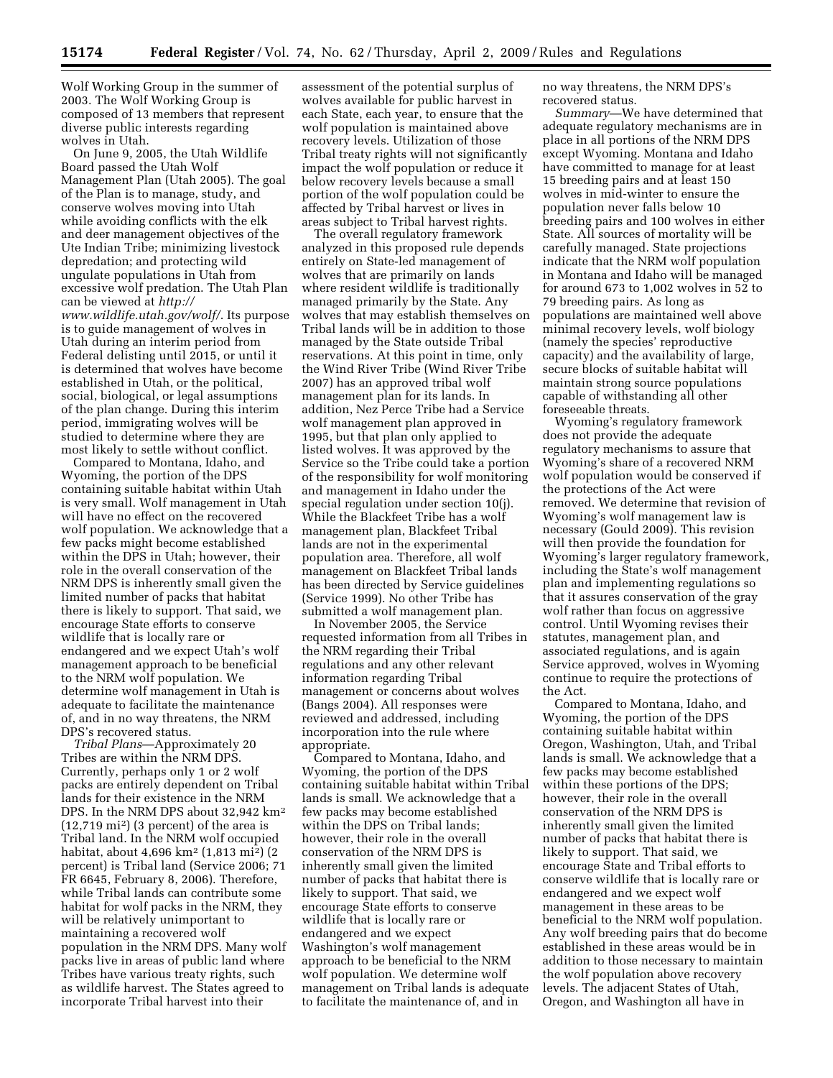Wolf Working Group in the summer of 2003. The Wolf Working Group is composed of 13 members that represent diverse public interests regarding wolves in Utah.

On June 9, 2005, the Utah Wildlife Board passed the Utah Wolf Management Plan (Utah 2005). The goal of the Plan is to manage, study, and conserve wolves moving into Utah while avoiding conflicts with the elk and deer management objectives of the Ute Indian Tribe; minimizing livestock depredation; and protecting wild ungulate populations in Utah from excessive wolf predation. The Utah Plan can be viewed at *http:// www.wildlife.utah.gov/wolf/*. Its purpose is to guide management of wolves in Utah during an interim period from Federal delisting until 2015, or until it is determined that wolves have become established in Utah, or the political, social, biological, or legal assumptions of the plan change. During this interim period, immigrating wolves will be studied to determine where they are most likely to settle without conflict.

Compared to Montana, Idaho, and Wyoming, the portion of the DPS containing suitable habitat within Utah is very small. Wolf management in Utah will have no effect on the recovered wolf population. We acknowledge that a few packs might become established within the DPS in Utah; however, their role in the overall conservation of the NRM DPS is inherently small given the limited number of packs that habitat there is likely to support. That said, we encourage State efforts to conserve wildlife that is locally rare or endangered and we expect Utah's wolf management approach to be beneficial to the NRM wolf population. We determine wolf management in Utah is adequate to facilitate the maintenance of, and in no way threatens, the NRM DPS's recovered status.

*Tribal Plans*—Approximately 20 Tribes are within the NRM DPS. Currently, perhaps only 1 or 2 wolf packs are entirely dependent on Tribal lands for their existence in the NRM DPS. In the NRM DPS about 32,942 km<sup>2</sup> (12,719 mi2) (3 percent) of the area is Tribal land. In the NRM wolf occupied habitat, about 4,696 km2 (1,813 mi2) (2 percent) is Tribal land (Service 2006; 71 FR 6645, February 8, 2006). Therefore, while Tribal lands can contribute some habitat for wolf packs in the NRM, they will be relatively unimportant to maintaining a recovered wolf population in the NRM DPS. Many wolf packs live in areas of public land where Tribes have various treaty rights, such as wildlife harvest. The States agreed to incorporate Tribal harvest into their

assessment of the potential surplus of wolves available for public harvest in each State, each year, to ensure that the wolf population is maintained above recovery levels. Utilization of those Tribal treaty rights will not significantly impact the wolf population or reduce it below recovery levels because a small portion of the wolf population could be affected by Tribal harvest or lives in areas subject to Tribal harvest rights.

The overall regulatory framework analyzed in this proposed rule depends entirely on State-led management of wolves that are primarily on lands where resident wildlife is traditionally managed primarily by the State. Any wolves that may establish themselves on Tribal lands will be in addition to those managed by the State outside Tribal reservations. At this point in time, only the Wind River Tribe (Wind River Tribe 2007) has an approved tribal wolf management plan for its lands. In addition, Nez Perce Tribe had a Service wolf management plan approved in 1995, but that plan only applied to listed wolves. It was approved by the Service so the Tribe could take a portion of the responsibility for wolf monitoring and management in Idaho under the special regulation under section 10(j). While the Blackfeet Tribe has a wolf management plan, Blackfeet Tribal lands are not in the experimental population area. Therefore, all wolf management on Blackfeet Tribal lands has been directed by Service guidelines (Service 1999). No other Tribe has submitted a wolf management plan.

In November 2005, the Service requested information from all Tribes in the NRM regarding their Tribal regulations and any other relevant information regarding Tribal management or concerns about wolves (Bangs 2004). All responses were reviewed and addressed, including incorporation into the rule where appropriate.

Compared to Montana, Idaho, and Wyoming, the portion of the DPS containing suitable habitat within Tribal lands is small. We acknowledge that a few packs may become established within the DPS on Tribal lands; however, their role in the overall conservation of the NRM DPS is inherently small given the limited number of packs that habitat there is likely to support. That said, we encourage State efforts to conserve wildlife that is locally rare or endangered and we expect Washington's wolf management approach to be beneficial to the NRM wolf population. We determine wolf management on Tribal lands is adequate to facilitate the maintenance of, and in

no way threatens, the NRM DPS's recovered status.

*Summary*—We have determined that adequate regulatory mechanisms are in place in all portions of the NRM DPS except Wyoming. Montana and Idaho have committed to manage for at least 15 breeding pairs and at least 150 wolves in mid-winter to ensure the population never falls below 10 breeding pairs and 100 wolves in either State. All sources of mortality will be carefully managed. State projections indicate that the NRM wolf population in Montana and Idaho will be managed for around 673 to 1,002 wolves in 52 to 79 breeding pairs. As long as populations are maintained well above minimal recovery levels, wolf biology (namely the species' reproductive capacity) and the availability of large, secure blocks of suitable habitat will maintain strong source populations capable of withstanding all other foreseeable threats.

Wyoming's regulatory framework does not provide the adequate regulatory mechanisms to assure that Wyoming's share of a recovered NRM wolf population would be conserved if the protections of the Act were removed. We determine that revision of Wyoming's wolf management law is necessary (Gould 2009). This revision will then provide the foundation for Wyoming's larger regulatory framework, including the State's wolf management plan and implementing regulations so that it assures conservation of the gray wolf rather than focus on aggressive control. Until Wyoming revises their statutes, management plan, and associated regulations, and is again Service approved, wolves in Wyoming continue to require the protections of the Act.

Compared to Montana, Idaho, and Wyoming, the portion of the DPS containing suitable habitat within Oregon, Washington, Utah, and Tribal lands is small. We acknowledge that a few packs may become established within these portions of the DPS; however, their role in the overall conservation of the NRM DPS is inherently small given the limited number of packs that habitat there is likely to support. That said, we encourage State and Tribal efforts to conserve wildlife that is locally rare or endangered and we expect wolf management in these areas to be beneficial to the NRM wolf population. Any wolf breeding pairs that do become established in these areas would be in addition to those necessary to maintain the wolf population above recovery levels. The adjacent States of Utah, Oregon, and Washington all have in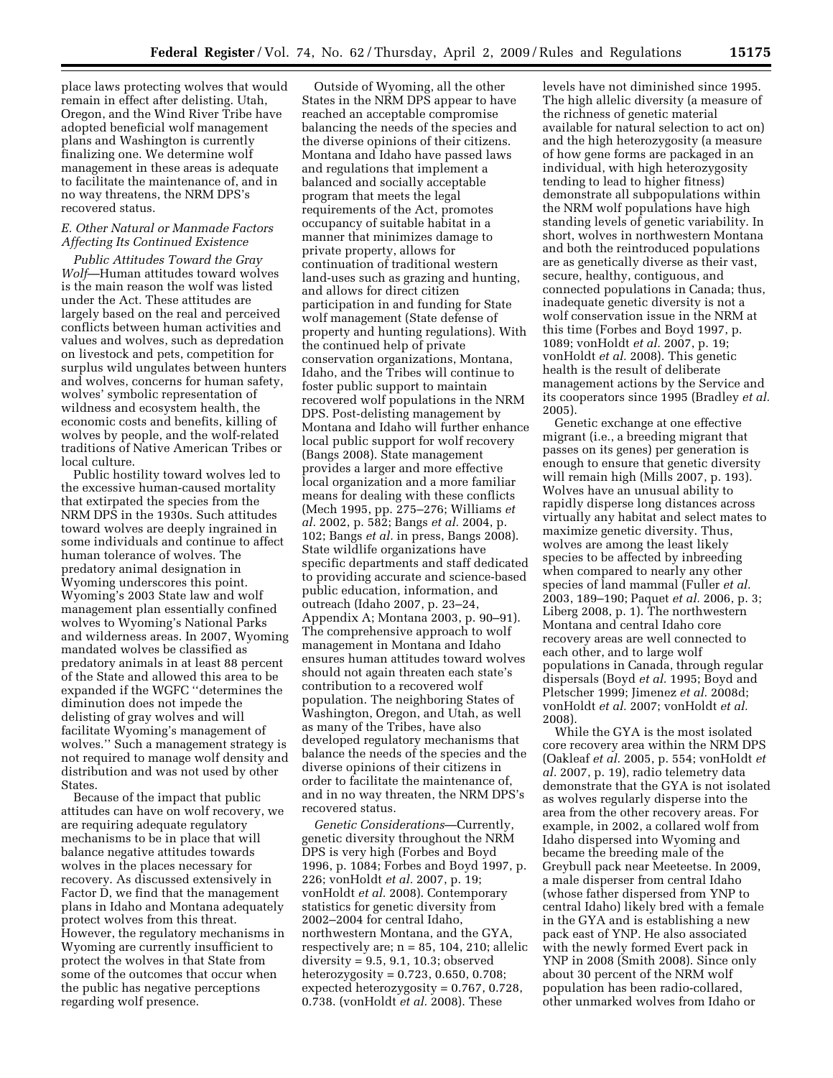place laws protecting wolves that would remain in effect after delisting. Utah, Oregon, and the Wind River Tribe have adopted beneficial wolf management plans and Washington is currently finalizing one. We determine wolf management in these areas is adequate to facilitate the maintenance of, and in no way threatens, the NRM DPS's recovered status.

## *E. Other Natural or Manmade Factors Affecting Its Continued Existence*

*Public Attitudes Toward the Gray Wolf*—Human attitudes toward wolves is the main reason the wolf was listed under the Act. These attitudes are largely based on the real and perceived conflicts between human activities and values and wolves, such as depredation on livestock and pets, competition for surplus wild ungulates between hunters and wolves, concerns for human safety, wolves' symbolic representation of wildness and ecosystem health, the economic costs and benefits, killing of wolves by people, and the wolf-related traditions of Native American Tribes or local culture.

Public hostility toward wolves led to the excessive human-caused mortality that extirpated the species from the NRM DPS in the 1930s. Such attitudes toward wolves are deeply ingrained in some individuals and continue to affect human tolerance of wolves. The predatory animal designation in Wyoming underscores this point. Wyoming's 2003 State law and wolf management plan essentially confined wolves to Wyoming's National Parks and wilderness areas. In 2007, Wyoming mandated wolves be classified as predatory animals in at least 88 percent of the State and allowed this area to be expanded if the WGFC ''determines the diminution does not impede the delisting of gray wolves and will facilitate Wyoming's management of wolves.'' Such a management strategy is not required to manage wolf density and distribution and was not used by other States.

Because of the impact that public attitudes can have on wolf recovery, we are requiring adequate regulatory mechanisms to be in place that will balance negative attitudes towards wolves in the places necessary for recovery. As discussed extensively in Factor D, we find that the management plans in Idaho and Montana adequately protect wolves from this threat. However, the regulatory mechanisms in Wyoming are currently insufficient to protect the wolves in that State from some of the outcomes that occur when the public has negative perceptions regarding wolf presence.

Outside of Wyoming, all the other States in the NRM DPS appear to have reached an acceptable compromise balancing the needs of the species and the diverse opinions of their citizens. Montana and Idaho have passed laws and regulations that implement a balanced and socially acceptable program that meets the legal requirements of the Act, promotes occupancy of suitable habitat in a manner that minimizes damage to private property, allows for continuation of traditional western land-uses such as grazing and hunting, and allows for direct citizen participation in and funding for State wolf management (State defense of property and hunting regulations). With the continued help of private conservation organizations, Montana, Idaho, and the Tribes will continue to foster public support to maintain recovered wolf populations in the NRM DPS. Post-delisting management by Montana and Idaho will further enhance local public support for wolf recovery (Bangs 2008). State management provides a larger and more effective local organization and a more familiar means for dealing with these conflicts (Mech 1995, pp. 275–276; Williams *et al.* 2002, p. 582; Bangs *et al.* 2004, p. 102; Bangs *et al.* in press, Bangs 2008). State wildlife organizations have specific departments and staff dedicated to providing accurate and science-based public education, information, and outreach (Idaho 2007, p. 23–24, Appendix A; Montana 2003, p. 90–91). The comprehensive approach to wolf management in Montana and Idaho ensures human attitudes toward wolves should not again threaten each state's contribution to a recovered wolf population. The neighboring States of Washington, Oregon, and Utah, as well as many of the Tribes, have also developed regulatory mechanisms that balance the needs of the species and the diverse opinions of their citizens in order to facilitate the maintenance of, and in no way threaten, the NRM DPS's recovered status.

*Genetic Considerations*—Currently, genetic diversity throughout the NRM DPS is very high (Forbes and Boyd 1996, p. 1084; Forbes and Boyd 1997, p. 226; vonHoldt *et al.* 2007, p. 19; vonHoldt *et al.* 2008). Contemporary statistics for genetic diversity from 2002–2004 for central Idaho, northwestern Montana, and the GYA, respectively are;  $n = 85$ , 104, 210; allelic diversity = 9.5, 9.1, 10.3; observed heterozygosity =  $0.723$ ,  $0.650$ ,  $0.708$ ; expected heterozygosity = 0.767, 0.728, 0.738. (vonHoldt *et al.* 2008). These

levels have not diminished since 1995. The high allelic diversity (a measure of the richness of genetic material available for natural selection to act on) and the high heterozygosity (a measure of how gene forms are packaged in an individual, with high heterozygosity tending to lead to higher fitness) demonstrate all subpopulations within the NRM wolf populations have high standing levels of genetic variability. In short, wolves in northwestern Montana and both the reintroduced populations are as genetically diverse as their vast, secure, healthy, contiguous, and connected populations in Canada; thus, inadequate genetic diversity is not a wolf conservation issue in the NRM at this time (Forbes and Boyd 1997, p. 1089; vonHoldt *et al.* 2007, p. 19; vonHoldt *et al.* 2008). This genetic health is the result of deliberate management actions by the Service and its cooperators since 1995 (Bradley *et al.*  2005).

Genetic exchange at one effective migrant (i.e., a breeding migrant that passes on its genes) per generation is enough to ensure that genetic diversity will remain high (Mills 2007, p. 193). Wolves have an unusual ability to rapidly disperse long distances across virtually any habitat and select mates to maximize genetic diversity. Thus, wolves are among the least likely species to be affected by inbreeding when compared to nearly any other species of land mammal (Fuller *et al.*  2003, 189–190; Paquet *et al.* 2006, p. 3; Liberg 2008, p. 1). The northwestern Montana and central Idaho core recovery areas are well connected to each other, and to large wolf populations in Canada, through regular dispersals (Boyd *et al.* 1995; Boyd and Pletscher 1999; Jimenez *et al.* 2008d; vonHoldt *et al.* 2007; vonHoldt *et al.*  2008).

While the GYA is the most isolated core recovery area within the NRM DPS (Oakleaf *et al.* 2005, p. 554; vonHoldt *et al.* 2007, p. 19), radio telemetry data demonstrate that the GYA is not isolated as wolves regularly disperse into the area from the other recovery areas. For example, in 2002, a collared wolf from Idaho dispersed into Wyoming and became the breeding male of the Greybull pack near Meeteetse. In 2009, a male disperser from central Idaho (whose father dispersed from YNP to central Idaho) likely bred with a female in the GYA and is establishing a new pack east of YNP. He also associated with the newly formed Evert pack in YNP in 2008 (Smith 2008). Since only about 30 percent of the NRM wolf population has been radio-collared, other unmarked wolves from Idaho or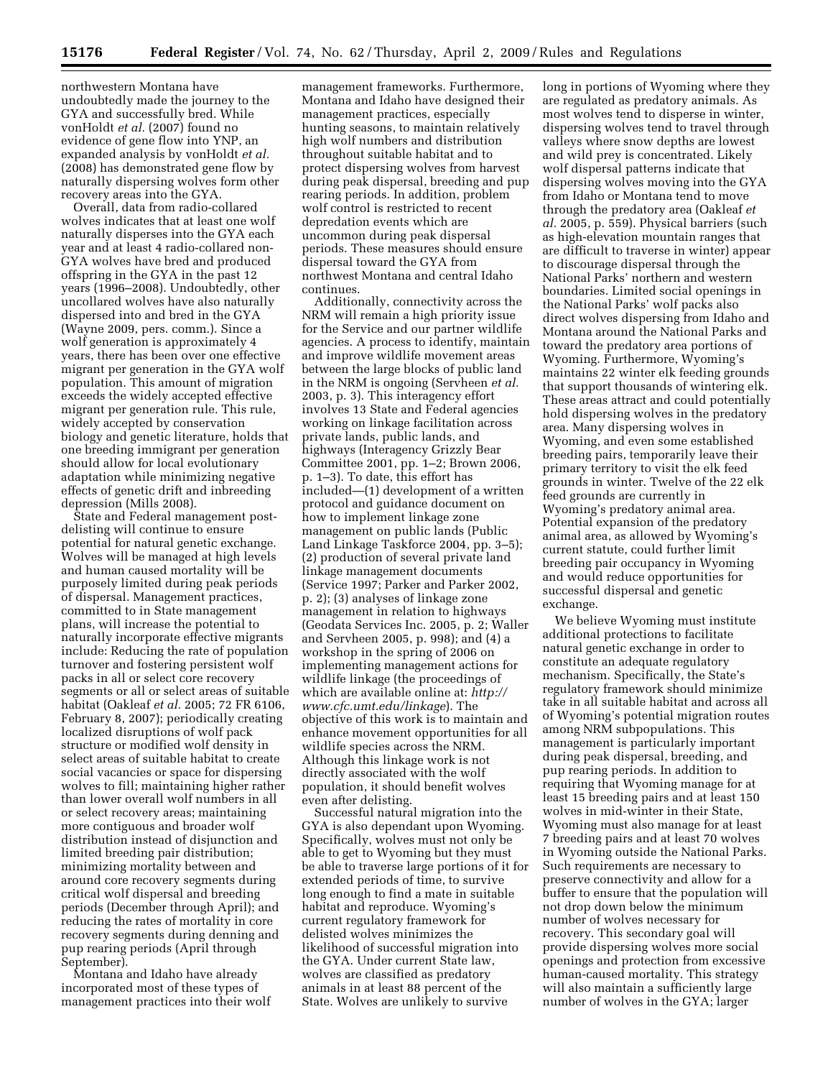northwestern Montana have undoubtedly made the journey to the GYA and successfully bred. While vonHoldt *et al.* (2007) found no evidence of gene flow into YNP, an expanded analysis by vonHoldt *et al.*  (2008) has demonstrated gene flow by naturally dispersing wolves form other recovery areas into the GYA.

Overall, data from radio-collared wolves indicates that at least one wolf naturally disperses into the GYA each year and at least 4 radio-collared non-GYA wolves have bred and produced offspring in the GYA in the past 12 years (1996–2008). Undoubtedly, other uncollared wolves have also naturally dispersed into and bred in the GYA (Wayne 2009, pers. comm.). Since a wolf generation is approximately 4 years, there has been over one effective migrant per generation in the GYA wolf population. This amount of migration exceeds the widely accepted effective migrant per generation rule. This rule, widely accepted by conservation biology and genetic literature, holds that one breeding immigrant per generation should allow for local evolutionary adaptation while minimizing negative effects of genetic drift and inbreeding depression (Mills 2008).

State and Federal management postdelisting will continue to ensure potential for natural genetic exchange. Wolves will be managed at high levels and human caused mortality will be purposely limited during peak periods of dispersal. Management practices, committed to in State management plans, will increase the potential to naturally incorporate effective migrants include: Reducing the rate of population turnover and fostering persistent wolf packs in all or select core recovery segments or all or select areas of suitable habitat (Oakleaf *et al.* 2005; 72 FR 6106, February 8, 2007); periodically creating localized disruptions of wolf pack structure or modified wolf density in select areas of suitable habitat to create social vacancies or space for dispersing wolves to fill; maintaining higher rather than lower overall wolf numbers in all or select recovery areas; maintaining more contiguous and broader wolf distribution instead of disjunction and limited breeding pair distribution; minimizing mortality between and around core recovery segments during critical wolf dispersal and breeding periods (December through April); and reducing the rates of mortality in core recovery segments during denning and pup rearing periods (April through September).

Montana and Idaho have already incorporated most of these types of management practices into their wolf management frameworks. Furthermore, Montana and Idaho have designed their management practices, especially hunting seasons, to maintain relatively high wolf numbers and distribution throughout suitable habitat and to protect dispersing wolves from harvest during peak dispersal, breeding and pup rearing periods. In addition, problem wolf control is restricted to recent depredation events which are uncommon during peak dispersal periods. These measures should ensure dispersal toward the GYA from northwest Montana and central Idaho continues.

Additionally, connectivity across the NRM will remain a high priority issue for the Service and our partner wildlife agencies. A process to identify, maintain and improve wildlife movement areas between the large blocks of public land in the NRM is ongoing (Servheen *et al.*  2003, p. 3). This interagency effort involves 13 State and Federal agencies working on linkage facilitation across private lands, public lands, and highways (Interagency Grizzly Bear Committee 2001, pp. 1–2; Brown 2006, p. 1–3). To date, this effort has included—(1) development of a written protocol and guidance document on how to implement linkage zone management on public lands (Public Land Linkage Taskforce 2004, pp. 3–5); (2) production of several private land linkage management documents (Service 1997; Parker and Parker 2002, p. 2); (3) analyses of linkage zone management in relation to highways (Geodata Services Inc. 2005, p. 2; Waller and Servheen 2005, p. 998); and (4) a workshop in the spring of 2006 on implementing management actions for wildlife linkage (the proceedings of which are available online at: *http:// www.cfc.umt.edu/linkage*). The objective of this work is to maintain and enhance movement opportunities for all wildlife species across the NRM. Although this linkage work is not directly associated with the wolf population, it should benefit wolves even after delisting.

Successful natural migration into the GYA is also dependant upon Wyoming. Specifically, wolves must not only be able to get to Wyoming but they must be able to traverse large portions of it for extended periods of time, to survive long enough to find a mate in suitable habitat and reproduce. Wyoming's current regulatory framework for delisted wolves minimizes the likelihood of successful migration into the GYA. Under current State law, wolves are classified as predatory animals in at least 88 percent of the State. Wolves are unlikely to survive

long in portions of Wyoming where they are regulated as predatory animals. As most wolves tend to disperse in winter, dispersing wolves tend to travel through valleys where snow depths are lowest and wild prey is concentrated. Likely wolf dispersal patterns indicate that dispersing wolves moving into the GYA from Idaho or Montana tend to move through the predatory area (Oakleaf *et al.* 2005, p. 559). Physical barriers (such as high-elevation mountain ranges that are difficult to traverse in winter) appear to discourage dispersal through the National Parks' northern and western boundaries. Limited social openings in the National Parks' wolf packs also direct wolves dispersing from Idaho and Montana around the National Parks and toward the predatory area portions of Wyoming. Furthermore, Wyoming's maintains 22 winter elk feeding grounds that support thousands of wintering elk. These areas attract and could potentially hold dispersing wolves in the predatory area. Many dispersing wolves in Wyoming, and even some established breeding pairs, temporarily leave their primary territory to visit the elk feed grounds in winter. Twelve of the 22 elk feed grounds are currently in Wyoming's predatory animal area. Potential expansion of the predatory animal area, as allowed by Wyoming's current statute, could further limit breeding pair occupancy in Wyoming and would reduce opportunities for successful dispersal and genetic exchange.

We believe Wyoming must institute additional protections to facilitate natural genetic exchange in order to constitute an adequate regulatory mechanism. Specifically, the State's regulatory framework should minimize take in all suitable habitat and across all of Wyoming's potential migration routes among NRM subpopulations. This management is particularly important during peak dispersal, breeding, and pup rearing periods. In addition to requiring that Wyoming manage for at least 15 breeding pairs and at least 150 wolves in mid-winter in their State, Wyoming must also manage for at least 7 breeding pairs and at least 70 wolves in Wyoming outside the National Parks. Such requirements are necessary to preserve connectivity and allow for a buffer to ensure that the population will not drop down below the minimum number of wolves necessary for recovery. This secondary goal will provide dispersing wolves more social openings and protection from excessive human-caused mortality. This strategy will also maintain a sufficiently large number of wolves in the GYA; larger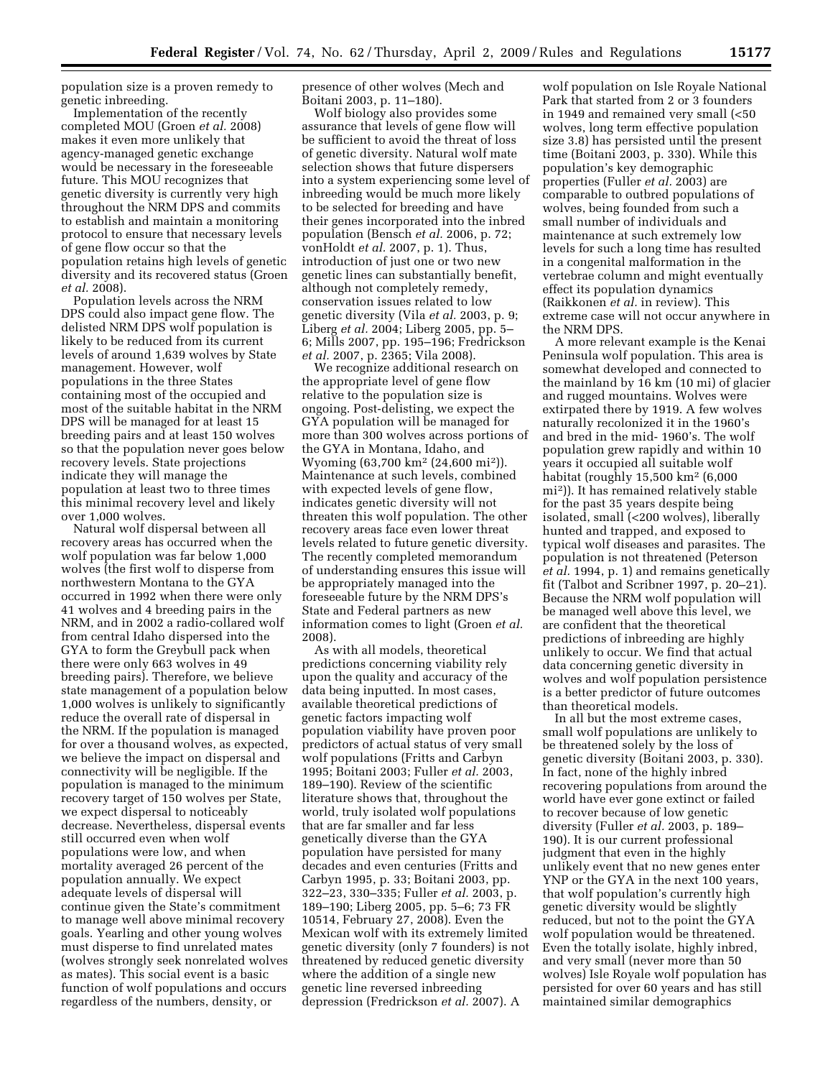population size is a proven remedy to genetic inbreeding.

Implementation of the recently completed MOU (Groen *et al.* 2008) makes it even more unlikely that agency-managed genetic exchange would be necessary in the foreseeable future. This MOU recognizes that genetic diversity is currently very high throughout the NRM DPS and commits to establish and maintain a monitoring protocol to ensure that necessary levels of gene flow occur so that the population retains high levels of genetic diversity and its recovered status (Groen *et al.* 2008).

Population levels across the NRM DPS could also impact gene flow. The delisted NRM DPS wolf population is likely to be reduced from its current levels of around 1,639 wolves by State management. However, wolf populations in the three States containing most of the occupied and most of the suitable habitat in the NRM DPS will be managed for at least 15 breeding pairs and at least 150 wolves so that the population never goes below recovery levels. State projections indicate they will manage the population at least two to three times this minimal recovery level and likely over 1,000 wolves.

Natural wolf dispersal between all recovery areas has occurred when the wolf population was far below 1,000 wolves (the first wolf to disperse from northwestern Montana to the GYA occurred in 1992 when there were only 41 wolves and 4 breeding pairs in the NRM, and in 2002 a radio-collared wolf from central Idaho dispersed into the GYA to form the Greybull pack when there were only 663 wolves in 49 breeding pairs). Therefore, we believe state management of a population below 1,000 wolves is unlikely to significantly reduce the overall rate of dispersal in the NRM. If the population is managed for over a thousand wolves, as expected, we believe the impact on dispersal and connectivity will be negligible. If the population is managed to the minimum recovery target of 150 wolves per State, we expect dispersal to noticeably decrease. Nevertheless, dispersal events still occurred even when wolf populations were low, and when mortality averaged 26 percent of the population annually. We expect adequate levels of dispersal will continue given the State's commitment to manage well above minimal recovery goals. Yearling and other young wolves must disperse to find unrelated mates (wolves strongly seek nonrelated wolves as mates). This social event is a basic function of wolf populations and occurs regardless of the numbers, density, or

presence of other wolves (Mech and Boitani 2003, p. 11–180).

Wolf biology also provides some assurance that levels of gene flow will be sufficient to avoid the threat of loss of genetic diversity. Natural wolf mate selection shows that future dispersers into a system experiencing some level of inbreeding would be much more likely to be selected for breeding and have their genes incorporated into the inbred population (Bensch *et al.* 2006, p. 72; vonHoldt *et al.* 2007, p. 1). Thus, introduction of just one or two new genetic lines can substantially benefit, although not completely remedy, conservation issues related to low genetic diversity (Vila *et al.* 2003, p. 9; Liberg *et al.* 2004; Liberg 2005, pp. 5– 6; Mills 2007, pp. 195–196; Fredrickson *et al.* 2007, p. 2365; Vila 2008).

We recognize additional research on the appropriate level of gene flow relative to the population size is ongoing. Post-delisting, we expect the GYA population will be managed for more than 300 wolves across portions of the GYA in Montana, Idaho, and Wyoming (63,700 km2 (24,600 mi2)). Maintenance at such levels, combined with expected levels of gene flow, indicates genetic diversity will not threaten this wolf population. The other recovery areas face even lower threat levels related to future genetic diversity. The recently completed memorandum of understanding ensures this issue will be appropriately managed into the foreseeable future by the NRM DPS's State and Federal partners as new information comes to light (Groen *et al.*  2008).

As with all models, theoretical predictions concerning viability rely upon the quality and accuracy of the data being inputted. In most cases, available theoretical predictions of genetic factors impacting wolf population viability have proven poor predictors of actual status of very small wolf populations (Fritts and Carbyn 1995; Boitani 2003; Fuller *et al.* 2003, 189–190). Review of the scientific literature shows that, throughout the world, truly isolated wolf populations that are far smaller and far less genetically diverse than the GYA population have persisted for many decades and even centuries (Fritts and Carbyn 1995, p. 33; Boitani 2003, pp. 322–23, 330–335; Fuller *et al.* 2003, p. 189–190; Liberg 2005, pp. 5–6; 73 FR 10514, February 27, 2008). Even the Mexican wolf with its extremely limited genetic diversity (only 7 founders) is not threatened by reduced genetic diversity where the addition of a single new genetic line reversed inbreeding depression (Fredrickson *et al.* 2007). A

wolf population on Isle Royale National Park that started from 2 or 3 founders in 1949 and remained very small (<50 wolves, long term effective population size 3.8) has persisted until the present time (Boitani 2003, p. 330). While this population's key demographic properties (Fuller *et al.* 2003) are comparable to outbred populations of wolves, being founded from such a small number of individuals and maintenance at such extremely low levels for such a long time has resulted in a congenital malformation in the vertebrae column and might eventually effect its population dynamics (Raikkonen *et al.* in review). This extreme case will not occur anywhere in the NRM DPS.

A more relevant example is the Kenai Peninsula wolf population. This area is somewhat developed and connected to the mainland by 16 km (10 mi) of glacier and rugged mountains. Wolves were extirpated there by 1919. A few wolves naturally recolonized it in the 1960's and bred in the mid- 1960's. The wolf population grew rapidly and within 10 years it occupied all suitable wolf habitat (roughly 15,500 km2 (6,000 mi2)). It has remained relatively stable for the past 35 years despite being isolated, small (<200 wolves), liberally hunted and trapped, and exposed to typical wolf diseases and parasites. The population is not threatened (Peterson *et al.* 1994, p. 1) and remains genetically fit (Talbot and Scribner 1997, p. 20–21). Because the NRM wolf population will be managed well above this level, we are confident that the theoretical predictions of inbreeding are highly unlikely to occur. We find that actual data concerning genetic diversity in wolves and wolf population persistence is a better predictor of future outcomes than theoretical models.

In all but the most extreme cases, small wolf populations are unlikely to be threatened solely by the loss of genetic diversity (Boitani 2003, p. 330). In fact, none of the highly inbred recovering populations from around the world have ever gone extinct or failed to recover because of low genetic diversity (Fuller *et al.* 2003, p. 189– 190). It is our current professional judgment that even in the highly unlikely event that no new genes enter YNP or the GYA in the next 100 years, that wolf population's currently high genetic diversity would be slightly reduced, but not to the point the GYA wolf population would be threatened. Even the totally isolate, highly inbred, and very small (never more than 50 wolves) Isle Royale wolf population has persisted for over 60 years and has still maintained similar demographics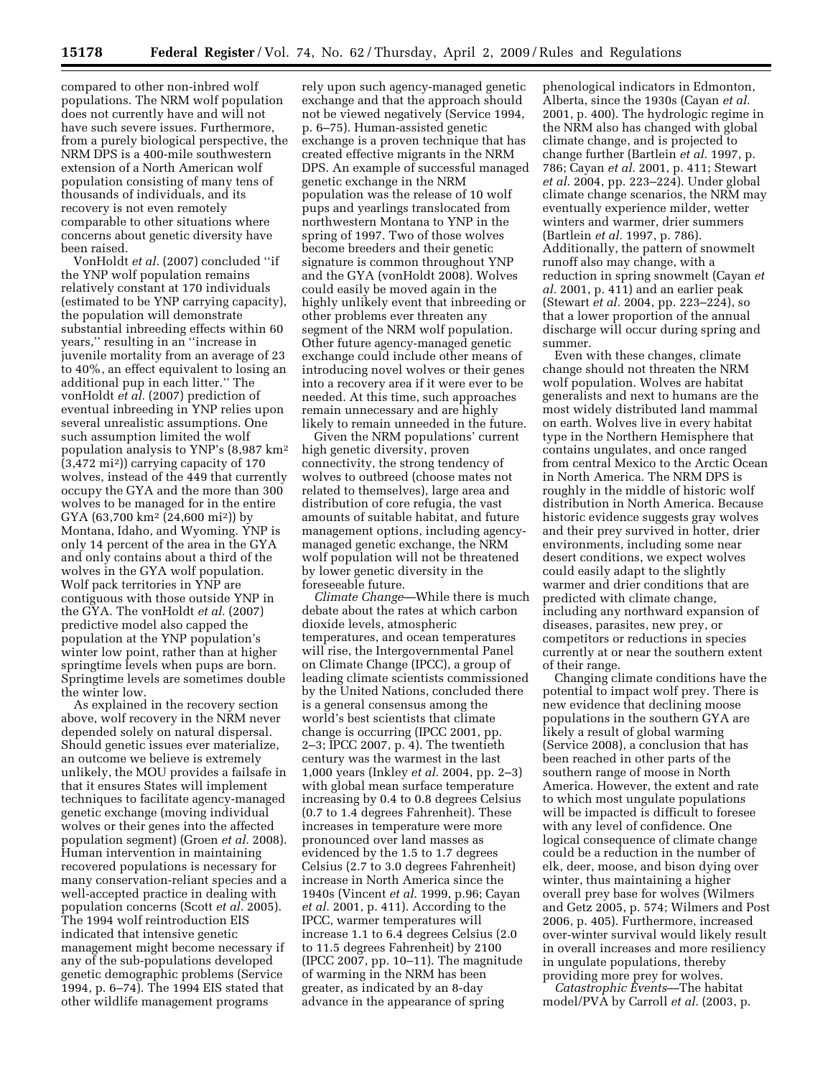compared to other non-inbred wolf populations. The NRM wolf population does not currently have and will not have such severe issues. Furthermore, from a purely biological perspective, the NRM DPS is a 400-mile southwestern extension of a North American wolf population consisting of many tens of thousands of individuals, and its recovery is not even remotely comparable to other situations where concerns about genetic diversity have been raised.

VonHoldt *et al.* (2007) concluded ''if the YNP wolf population remains relatively constant at 170 individuals (estimated to be YNP carrying capacity), the population will demonstrate substantial inbreeding effects within 60 years,'' resulting in an ''increase in juvenile mortality from an average of 23 to 40%, an effect equivalent to losing an additional pup in each litter.'' The vonHoldt *et al.* (2007) prediction of eventual inbreeding in YNP relies upon several unrealistic assumptions. One such assumption limited the wolf population analysis to YNP's (8,987 km2 (3,472 mi2)) carrying capacity of 170 wolves, instead of the 449 that currently occupy the GYA and the more than 300 wolves to be managed for in the entire GYA (63,700 km2 (24,600 mi2)) by Montana, Idaho, and Wyoming. YNP is only 14 percent of the area in the GYA and only contains about a third of the wolves in the GYA wolf population. Wolf pack territories in YNP are contiguous with those outside YNP in the GYA. The vonHoldt *et al.* (2007) predictive model also capped the population at the YNP population's winter low point, rather than at higher springtime levels when pups are born. Springtime levels are sometimes double the winter low.

As explained in the recovery section above, wolf recovery in the NRM never depended solely on natural dispersal. Should genetic issues ever materialize, an outcome we believe is extremely unlikely, the MOU provides a failsafe in that it ensures States will implement techniques to facilitate agency-managed genetic exchange (moving individual wolves or their genes into the affected population segment) (Groen *et al.* 2008). Human intervention in maintaining recovered populations is necessary for many conservation-reliant species and a well-accepted practice in dealing with population concerns (Scott *et al.* 2005). The 1994 wolf reintroduction EIS indicated that intensive genetic management might become necessary if any of the sub-populations developed genetic demographic problems (Service 1994, p. 6–74). The 1994 EIS stated that other wildlife management programs

rely upon such agency-managed genetic exchange and that the approach should not be viewed negatively (Service 1994, p. 6–75). Human-assisted genetic exchange is a proven technique that has created effective migrants in the NRM DPS. An example of successful managed genetic exchange in the NRM population was the release of 10 wolf pups and yearlings translocated from northwestern Montana to YNP in the spring of 1997. Two of those wolves become breeders and their genetic signature is common throughout YNP and the GYA (vonHoldt 2008). Wolves could easily be moved again in the highly unlikely event that inbreeding or other problems ever threaten any segment of the NRM wolf population. Other future agency-managed genetic exchange could include other means of introducing novel wolves or their genes into a recovery area if it were ever to be needed. At this time, such approaches remain unnecessary and are highly likely to remain unneeded in the future.

Given the NRM populations' current high genetic diversity, proven connectivity, the strong tendency of wolves to outbreed (choose mates not related to themselves), large area and distribution of core refugia, the vast amounts of suitable habitat, and future management options, including agencymanaged genetic exchange, the NRM wolf population will not be threatened by lower genetic diversity in the foreseeable future.

*Climate Change*—While there is much debate about the rates at which carbon dioxide levels, atmospheric temperatures, and ocean temperatures will rise, the Intergovernmental Panel on Climate Change (IPCC), a group of leading climate scientists commissioned by the United Nations, concluded there is a general consensus among the world's best scientists that climate change is occurring (IPCC 2001, pp. 2–3; IPCC 2007, p. 4). The twentieth century was the warmest in the last 1,000 years (Inkley *et al.* 2004, pp. 2–3) with global mean surface temperature increasing by 0.4 to 0.8 degrees Celsius (0.7 to 1.4 degrees Fahrenheit). These increases in temperature were more pronounced over land masses as evidenced by the 1.5 to 1.7 degrees Celsius (2.7 to 3.0 degrees Fahrenheit) increase in North America since the 1940s (Vincent *et al.* 1999, p.96; Cayan *et al.* 2001, p. 411). According to the IPCC, warmer temperatures will increase 1.1 to 6.4 degrees Celsius (2.0 to 11.5 degrees Fahrenheit) by 2100 (IPCC 2007, pp. 10–11). The magnitude of warming in the NRM has been greater, as indicated by an 8-day advance in the appearance of spring

phenological indicators in Edmonton, Alberta, since the 1930s (Cayan *et al.*  2001, p. 400). The hydrologic regime in the NRM also has changed with global climate change, and is projected to change further (Bartlein *et al.* 1997, p. 786; Cayan *et al.* 2001, p. 411; Stewart *et al.* 2004, pp. 223–224). Under global climate change scenarios, the NRM may eventually experience milder, wetter winters and warmer, drier summers (Bartlein *et al.* 1997, p. 786). Additionally, the pattern of snowmelt runoff also may change, with a reduction in spring snowmelt (Cayan *et al.* 2001, p. 411) and an earlier peak (Stewart *et al.* 2004, pp. 223–224), so that a lower proportion of the annual discharge will occur during spring and summer.

Even with these changes, climate change should not threaten the NRM wolf population. Wolves are habitat generalists and next to humans are the most widely distributed land mammal on earth. Wolves live in every habitat type in the Northern Hemisphere that contains ungulates, and once ranged from central Mexico to the Arctic Ocean in North America. The NRM DPS is roughly in the middle of historic wolf distribution in North America. Because historic evidence suggests gray wolves and their prey survived in hotter, drier environments, including some near desert conditions, we expect wolves could easily adapt to the slightly warmer and drier conditions that are predicted with climate change, including any northward expansion of diseases, parasites, new prey, or competitors or reductions in species currently at or near the southern extent of their range.

Changing climate conditions have the potential to impact wolf prey. There is new evidence that declining moose populations in the southern GYA are likely a result of global warming (Service 2008), a conclusion that has been reached in other parts of the southern range of moose in North America. However, the extent and rate to which most ungulate populations will be impacted is difficult to foresee with any level of confidence. One logical consequence of climate change could be a reduction in the number of elk, deer, moose, and bison dying over winter, thus maintaining a higher overall prey base for wolves (Wilmers and Getz 2005, p. 574; Wilmers and Post 2006, p. 405). Furthermore, increased over-winter survival would likely result in overall increases and more resiliency in ungulate populations, thereby providing more prey for wolves.

*Catastrophic Events*—The habitat model/PVA by Carroll *et al.* (2003, p.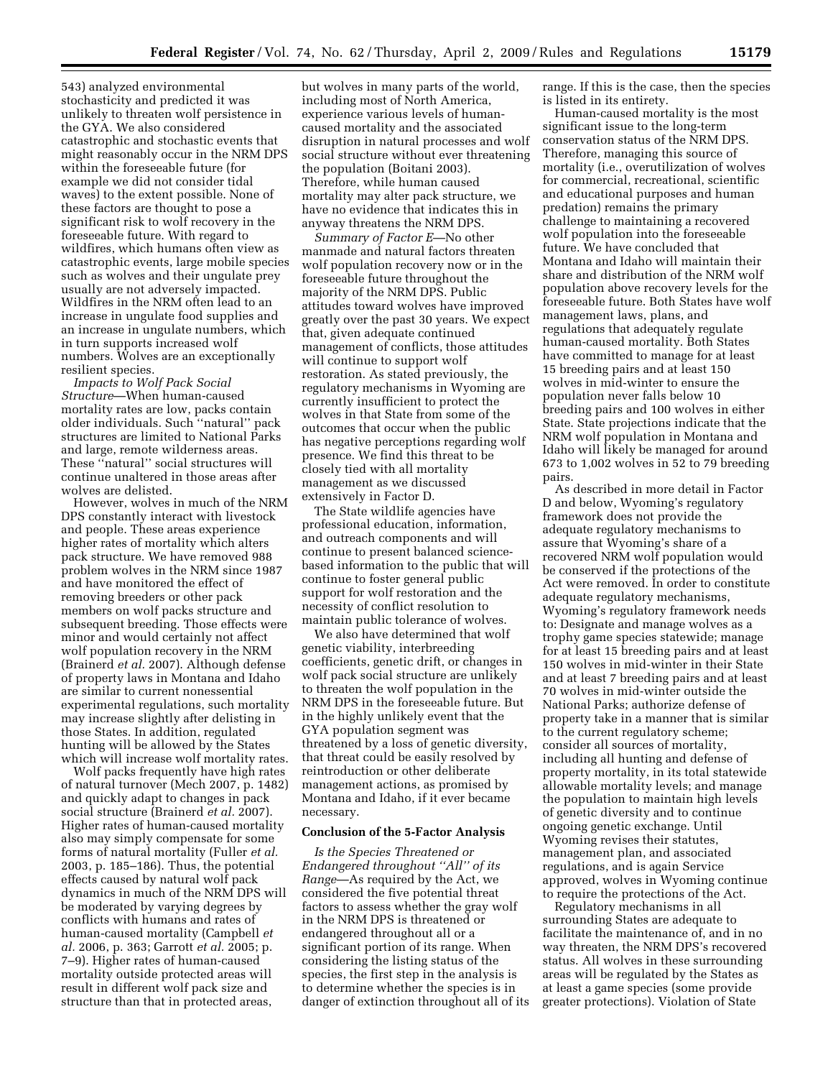543) analyzed environmental stochasticity and predicted it was unlikely to threaten wolf persistence in the GYA. We also considered catastrophic and stochastic events that might reasonably occur in the NRM DPS within the foreseeable future (for example we did not consider tidal waves) to the extent possible. None of these factors are thought to pose a significant risk to wolf recovery in the foreseeable future. With regard to wildfires, which humans often view as catastrophic events, large mobile species such as wolves and their ungulate prey usually are not adversely impacted. Wildfires in the NRM often lead to an increase in ungulate food supplies and an increase in ungulate numbers, which in turn supports increased wolf numbers. Wolves are an exceptionally resilient species.

*Impacts to Wolf Pack Social Structure*—When human-caused mortality rates are low, packs contain older individuals. Such ''natural'' pack structures are limited to National Parks and large, remote wilderness areas. These ''natural'' social structures will continue unaltered in those areas after wolves are delisted.

However, wolves in much of the NRM DPS constantly interact with livestock and people. These areas experience higher rates of mortality which alters pack structure. We have removed 988 problem wolves in the NRM since 1987 and have monitored the effect of removing breeders or other pack members on wolf packs structure and subsequent breeding. Those effects were minor and would certainly not affect wolf population recovery in the NRM (Brainerd *et al.* 2007). Although defense of property laws in Montana and Idaho are similar to current nonessential experimental regulations, such mortality may increase slightly after delisting in those States. In addition, regulated hunting will be allowed by the States which will increase wolf mortality rates.

Wolf packs frequently have high rates of natural turnover (Mech 2007, p. 1482) and quickly adapt to changes in pack social structure (Brainerd *et al.* 2007). Higher rates of human-caused mortality also may simply compensate for some forms of natural mortality (Fuller *et al.*  2003, p. 185–186). Thus, the potential effects caused by natural wolf pack dynamics in much of the NRM DPS will be moderated by varying degrees by conflicts with humans and rates of human-caused mortality (Campbell *et al.* 2006, p. 363; Garrott *et al.* 2005; p. 7–9). Higher rates of human-caused mortality outside protected areas will result in different wolf pack size and structure than that in protected areas,

but wolves in many parts of the world, including most of North America, experience various levels of humancaused mortality and the associated disruption in natural processes and wolf social structure without ever threatening the population (Boitani 2003). Therefore, while human caused mortality may alter pack structure, we have no evidence that indicates this in anyway threatens the NRM DPS.

*Summary of Factor E*—No other manmade and natural factors threaten wolf population recovery now or in the foreseeable future throughout the majority of the NRM DPS. Public attitudes toward wolves have improved greatly over the past 30 years. We expect that, given adequate continued management of conflicts, those attitudes will continue to support wolf restoration. As stated previously, the regulatory mechanisms in Wyoming are currently insufficient to protect the wolves in that State from some of the outcomes that occur when the public has negative perceptions regarding wolf presence. We find this threat to be closely tied with all mortality management as we discussed extensively in Factor D.

The State wildlife agencies have professional education, information, and outreach components and will continue to present balanced sciencebased information to the public that will continue to foster general public support for wolf restoration and the necessity of conflict resolution to maintain public tolerance of wolves.

We also have determined that wolf genetic viability, interbreeding coefficients, genetic drift, or changes in wolf pack social structure are unlikely to threaten the wolf population in the NRM DPS in the foreseeable future. But in the highly unlikely event that the GYA population segment was threatened by a loss of genetic diversity, that threat could be easily resolved by reintroduction or other deliberate management actions, as promised by Montana and Idaho, if it ever became necessary.

#### **Conclusion of the 5-Factor Analysis**

*Is the Species Threatened or Endangered throughout ''All'' of its Range*—As required by the Act, we considered the five potential threat factors to assess whether the gray wolf in the NRM DPS is threatened or endangered throughout all or a significant portion of its range. When considering the listing status of the species, the first step in the analysis is to determine whether the species is in danger of extinction throughout all of its range. If this is the case, then the species is listed in its entirety.

Human-caused mortality is the most significant issue to the long-term conservation status of the NRM DPS. Therefore, managing this source of mortality (i.e., overutilization of wolves for commercial, recreational, scientific and educational purposes and human predation) remains the primary challenge to maintaining a recovered wolf population into the foreseeable future. We have concluded that Montana and Idaho will maintain their share and distribution of the NRM wolf population above recovery levels for the foreseeable future. Both States have wolf management laws, plans, and regulations that adequately regulate human-caused mortality. Both States have committed to manage for at least 15 breeding pairs and at least 150 wolves in mid-winter to ensure the population never falls below 10 breeding pairs and 100 wolves in either State. State projections indicate that the NRM wolf population in Montana and Idaho will likely be managed for around 673 to 1,002 wolves in 52 to 79 breeding pairs.

As described in more detail in Factor D and below, Wyoming's regulatory framework does not provide the adequate regulatory mechanisms to assure that Wyoming's share of a recovered NRM wolf population would be conserved if the protections of the Act were removed. In order to constitute adequate regulatory mechanisms, Wyoming's regulatory framework needs to: Designate and manage wolves as a trophy game species statewide; manage for at least 15 breeding pairs and at least 150 wolves in mid-winter in their State and at least 7 breeding pairs and at least 70 wolves in mid-winter outside the National Parks; authorize defense of property take in a manner that is similar to the current regulatory scheme; consider all sources of mortality, including all hunting and defense of property mortality, in its total statewide allowable mortality levels; and manage the population to maintain high levels of genetic diversity and to continue ongoing genetic exchange. Until Wyoming revises their statutes, management plan, and associated regulations, and is again Service approved, wolves in Wyoming continue to require the protections of the Act.

Regulatory mechanisms in all surrounding States are adequate to facilitate the maintenance of, and in no way threaten, the NRM DPS's recovered status. All wolves in these surrounding areas will be regulated by the States as at least a game species (some provide greater protections). Violation of State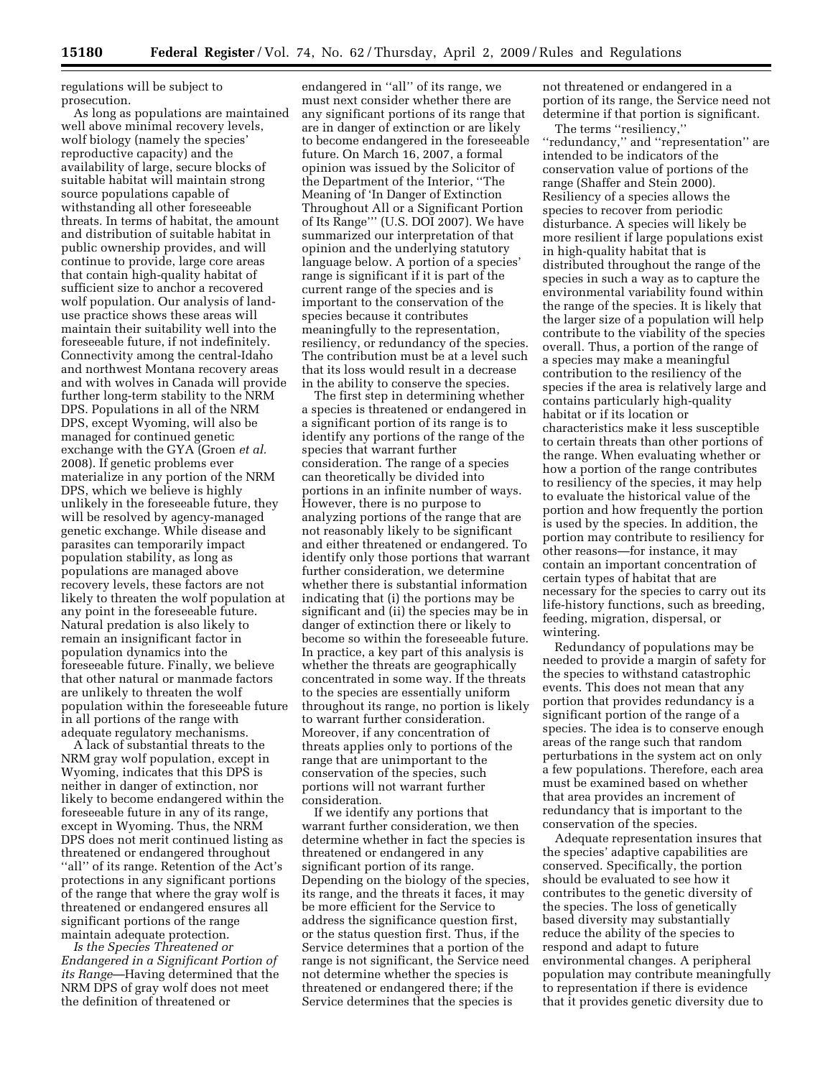regulations will be subject to prosecution.

As long as populations are maintained well above minimal recovery levels, wolf biology (namely the species' reproductive capacity) and the availability of large, secure blocks of suitable habitat will maintain strong source populations capable of withstanding all other foreseeable threats. In terms of habitat, the amount and distribution of suitable habitat in public ownership provides, and will continue to provide, large core areas that contain high-quality habitat of sufficient size to anchor a recovered wolf population. Our analysis of landuse practice shows these areas will maintain their suitability well into the foreseeable future, if not indefinitely. Connectivity among the central-Idaho and northwest Montana recovery areas and with wolves in Canada will provide further long-term stability to the NRM DPS. Populations in all of the NRM DPS, except Wyoming, will also be managed for continued genetic exchange with the GYA (Groen *et al.*  2008). If genetic problems ever materialize in any portion of the NRM DPS, which we believe is highly unlikely in the foreseeable future, they will be resolved by agency-managed genetic exchange. While disease and parasites can temporarily impact population stability, as long as populations are managed above recovery levels, these factors are not likely to threaten the wolf population at any point in the foreseeable future. Natural predation is also likely to remain an insignificant factor in population dynamics into the foreseeable future. Finally, we believe that other natural or manmade factors are unlikely to threaten the wolf population within the foreseeable future in all portions of the range with adequate regulatory mechanisms.

A lack of substantial threats to the NRM gray wolf population, except in Wyoming, indicates that this DPS is neither in danger of extinction, nor likely to become endangered within the foreseeable future in any of its range, except in Wyoming. Thus, the NRM DPS does not merit continued listing as threatened or endangered throughout "all" of its range. Retention of the Act's protections in any significant portions of the range that where the gray wolf is threatened or endangered ensures all significant portions of the range maintain adequate protection.

*Is the Species Threatened or Endangered in a Significant Portion of its Range*—Having determined that the NRM DPS of gray wolf does not meet the definition of threatened or

endangered in ''all'' of its range, we must next consider whether there are any significant portions of its range that are in danger of extinction or are likely to become endangered in the foreseeable future. On March 16, 2007, a formal opinion was issued by the Solicitor of the Department of the Interior, ''The Meaning of 'In Danger of Extinction Throughout All or a Significant Portion of Its Range''' (U.S. DOI 2007). We have summarized our interpretation of that opinion and the underlying statutory language below. A portion of a species' range is significant if it is part of the current range of the species and is important to the conservation of the species because it contributes meaningfully to the representation, resiliency, or redundancy of the species. The contribution must be at a level such that its loss would result in a decrease in the ability to conserve the species.

The first step in determining whether a species is threatened or endangered in a significant portion of its range is to identify any portions of the range of the species that warrant further consideration. The range of a species can theoretically be divided into portions in an infinite number of ways. However, there is no purpose to analyzing portions of the range that are not reasonably likely to be significant and either threatened or endangered. To identify only those portions that warrant further consideration, we determine whether there is substantial information indicating that (i) the portions may be significant and (ii) the species may be in danger of extinction there or likely to become so within the foreseeable future. In practice, a key part of this analysis is whether the threats are geographically concentrated in some way. If the threats to the species are essentially uniform throughout its range, no portion is likely to warrant further consideration. Moreover, if any concentration of threats applies only to portions of the range that are unimportant to the conservation of the species, such portions will not warrant further consideration.

If we identify any portions that warrant further consideration, we then determine whether in fact the species is threatened or endangered in any significant portion of its range. Depending on the biology of the species, its range, and the threats it faces, it may be more efficient for the Service to address the significance question first, or the status question first. Thus, if the Service determines that a portion of the range is not significant, the Service need not determine whether the species is threatened or endangered there; if the Service determines that the species is

not threatened or endangered in a portion of its range, the Service need not determine if that portion is significant.

The terms ''resiliency,'' ''redundancy,'' and ''representation'' are intended to be indicators of the conservation value of portions of the range (Shaffer and Stein 2000). Resiliency of a species allows the species to recover from periodic disturbance. A species will likely be more resilient if large populations exist in high-quality habitat that is distributed throughout the range of the species in such a way as to capture the environmental variability found within the range of the species. It is likely that the larger size of a population will help contribute to the viability of the species overall. Thus, a portion of the range of a species may make a meaningful contribution to the resiliency of the species if the area is relatively large and contains particularly high-quality habitat or if its location or characteristics make it less susceptible to certain threats than other portions of the range. When evaluating whether or how a portion of the range contributes to resiliency of the species, it may help to evaluate the historical value of the portion and how frequently the portion is used by the species. In addition, the portion may contribute to resiliency for other reasons—for instance, it may contain an important concentration of certain types of habitat that are necessary for the species to carry out its life-history functions, such as breeding, feeding, migration, dispersal, or wintering.

Redundancy of populations may be needed to provide a margin of safety for the species to withstand catastrophic events. This does not mean that any portion that provides redundancy is a significant portion of the range of a species. The idea is to conserve enough areas of the range such that random perturbations in the system act on only a few populations. Therefore, each area must be examined based on whether that area provides an increment of redundancy that is important to the conservation of the species.

Adequate representation insures that the species' adaptive capabilities are conserved. Specifically, the portion should be evaluated to see how it contributes to the genetic diversity of the species. The loss of genetically based diversity may substantially reduce the ability of the species to respond and adapt to future environmental changes. A peripheral population may contribute meaningfully to representation if there is evidence that it provides genetic diversity due to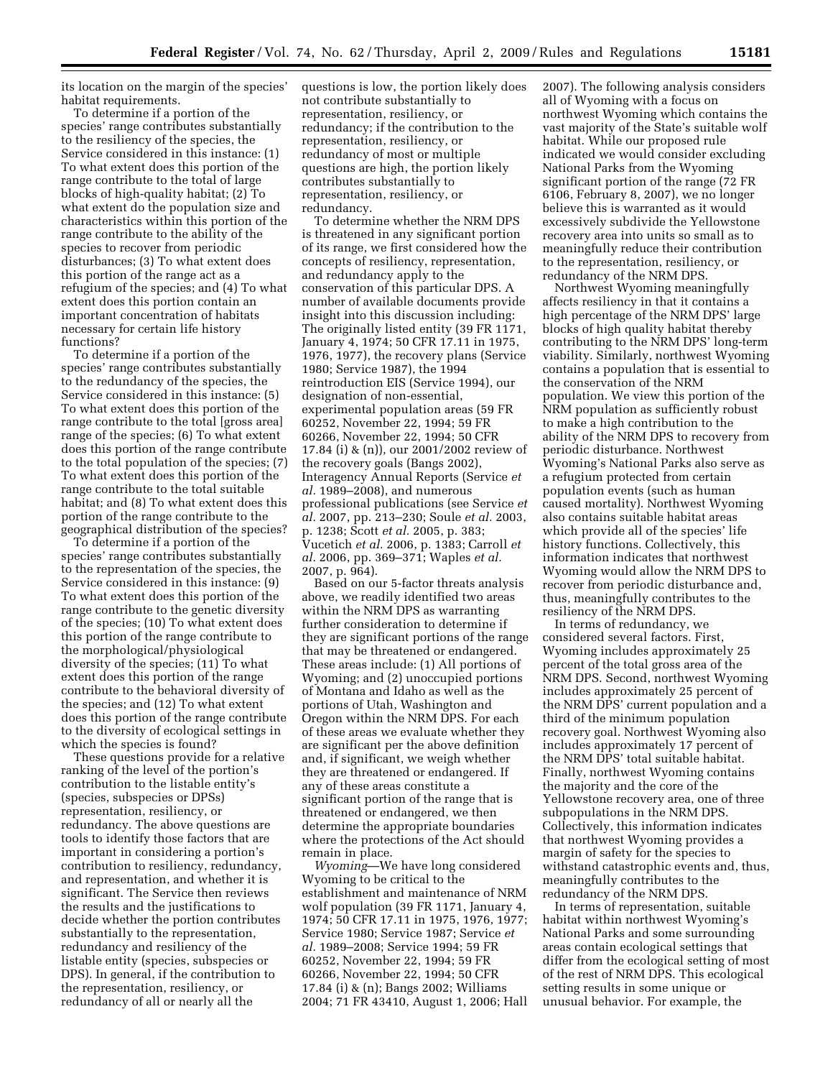its location on the margin of the species' habitat requirements.

To determine if a portion of the species' range contributes substantially to the resiliency of the species, the Service considered in this instance: (1) To what extent does this portion of the range contribute to the total of large blocks of high-quality habitat; (2) To what extent do the population size and characteristics within this portion of the range contribute to the ability of the species to recover from periodic disturbances; (3) To what extent does this portion of the range act as a refugium of the species; and (4) To what extent does this portion contain an important concentration of habitats necessary for certain life history functions?

To determine if a portion of the species' range contributes substantially to the redundancy of the species, the Service considered in this instance: (5) To what extent does this portion of the range contribute to the total [gross area] range of the species; (6) To what extent does this portion of the range contribute to the total population of the species; (7) To what extent does this portion of the range contribute to the total suitable habitat; and (8) To what extent does this portion of the range contribute to the geographical distribution of the species?

To determine if a portion of the species' range contributes substantially to the representation of the species, the Service considered in this instance: (9) To what extent does this portion of the range contribute to the genetic diversity of the species; (10) To what extent does this portion of the range contribute to the morphological/physiological diversity of the species; (11) To what extent does this portion of the range contribute to the behavioral diversity of the species; and (12) To what extent does this portion of the range contribute to the diversity of ecological settings in which the species is found?

These questions provide for a relative ranking of the level of the portion's contribution to the listable entity's (species, subspecies or DPSs) representation, resiliency, or redundancy. The above questions are tools to identify those factors that are important in considering a portion's contribution to resiliency, redundancy, and representation, and whether it is significant. The Service then reviews the results and the justifications to decide whether the portion contributes substantially to the representation, redundancy and resiliency of the listable entity (species, subspecies or DPS). In general, if the contribution to the representation, resiliency, or redundancy of all or nearly all the

questions is low, the portion likely does not contribute substantially to representation, resiliency, or redundancy; if the contribution to the representation, resiliency, or redundancy of most or multiple questions are high, the portion likely contributes substantially to representation, resiliency, or redundancy.

To determine whether the NRM DPS is threatened in any significant portion of its range, we first considered how the concepts of resiliency, representation, and redundancy apply to the conservation of this particular DPS. A number of available documents provide insight into this discussion including: The originally listed entity (39 FR 1171, January 4, 1974; 50 CFR 17.11 in 1975, 1976, 1977), the recovery plans (Service 1980; Service 1987), the 1994 reintroduction EIS (Service 1994), our designation of non-essential, experimental population areas (59 FR 60252, November 22, 1994; 59 FR 60266, November 22, 1994; 50 CFR 17.84 (i) & (n)), our 2001/2002 review of the recovery goals (Bangs 2002), Interagency Annual Reports (Service *et al.* 1989–2008), and numerous professional publications (see Service *et al.* 2007, pp. 213–230; Soule *et al.* 2003, p. 1238; Scott *et al.* 2005, p. 383; Vucetich *et al.* 2006, p. 1383; Carroll *et al.* 2006, pp. 369–371; Waples *et al.*  2007, p. 964).

Based on our 5-factor threats analysis above, we readily identified two areas within the NRM DPS as warranting further consideration to determine if they are significant portions of the range that may be threatened or endangered. These areas include: (1) All portions of Wyoming; and (2) unoccupied portions of Montana and Idaho as well as the portions of Utah, Washington and Oregon within the NRM DPS. For each of these areas we evaluate whether they are significant per the above definition and, if significant, we weigh whether they are threatened or endangered. If any of these areas constitute a significant portion of the range that is threatened or endangered, we then determine the appropriate boundaries where the protections of the Act should remain in place.

*Wyoming*—We have long considered Wyoming to be critical to the establishment and maintenance of NRM wolf population (39 FR 1171, January 4, 1974; 50 CFR 17.11 in 1975, 1976, 1977; Service 1980; Service 1987; Service *et al.* 1989–2008; Service 1994; 59 FR 60252, November 22, 1994; 59 FR 60266, November 22, 1994; 50 CFR 17.84 (i) & (n); Bangs 2002; Williams 2004; 71 FR 43410, August 1, 2006; Hall

2007). The following analysis considers all of Wyoming with a focus on northwest Wyoming which contains the vast majority of the State's suitable wolf habitat. While our proposed rule indicated we would consider excluding National Parks from the Wyoming significant portion of the range (72 FR 6106, February 8, 2007), we no longer believe this is warranted as it would excessively subdivide the Yellowstone recovery area into units so small as to meaningfully reduce their contribution to the representation, resiliency, or redundancy of the NRM DPS.

Northwest Wyoming meaningfully affects resiliency in that it contains a high percentage of the NRM DPS' large blocks of high quality habitat thereby contributing to the NRM DPS' long-term viability. Similarly, northwest Wyoming contains a population that is essential to the conservation of the NRM population. We view this portion of the NRM population as sufficiently robust to make a high contribution to the ability of the NRM DPS to recovery from periodic disturbance. Northwest Wyoming's National Parks also serve as a refugium protected from certain population events (such as human caused mortality). Northwest Wyoming also contains suitable habitat areas which provide all of the species' life history functions. Collectively, this information indicates that northwest Wyoming would allow the NRM DPS to recover from periodic disturbance and, thus, meaningfully contributes to the resiliency of the NRM DPS.

In terms of redundancy, we considered several factors. First, Wyoming includes approximately 25 percent of the total gross area of the NRM DPS. Second, northwest Wyoming includes approximately 25 percent of the NRM DPS' current population and a third of the minimum population recovery goal. Northwest Wyoming also includes approximately 17 percent of the NRM DPS' total suitable habitat. Finally, northwest Wyoming contains the majority and the core of the Yellowstone recovery area, one of three subpopulations in the NRM DPS. Collectively, this information indicates that northwest Wyoming provides a margin of safety for the species to withstand catastrophic events and, thus, meaningfully contributes to the redundancy of the NRM DPS.

In terms of representation, suitable habitat within northwest Wyoming's National Parks and some surrounding areas contain ecological settings that differ from the ecological setting of most of the rest of NRM DPS. This ecological setting results in some unique or unusual behavior. For example, the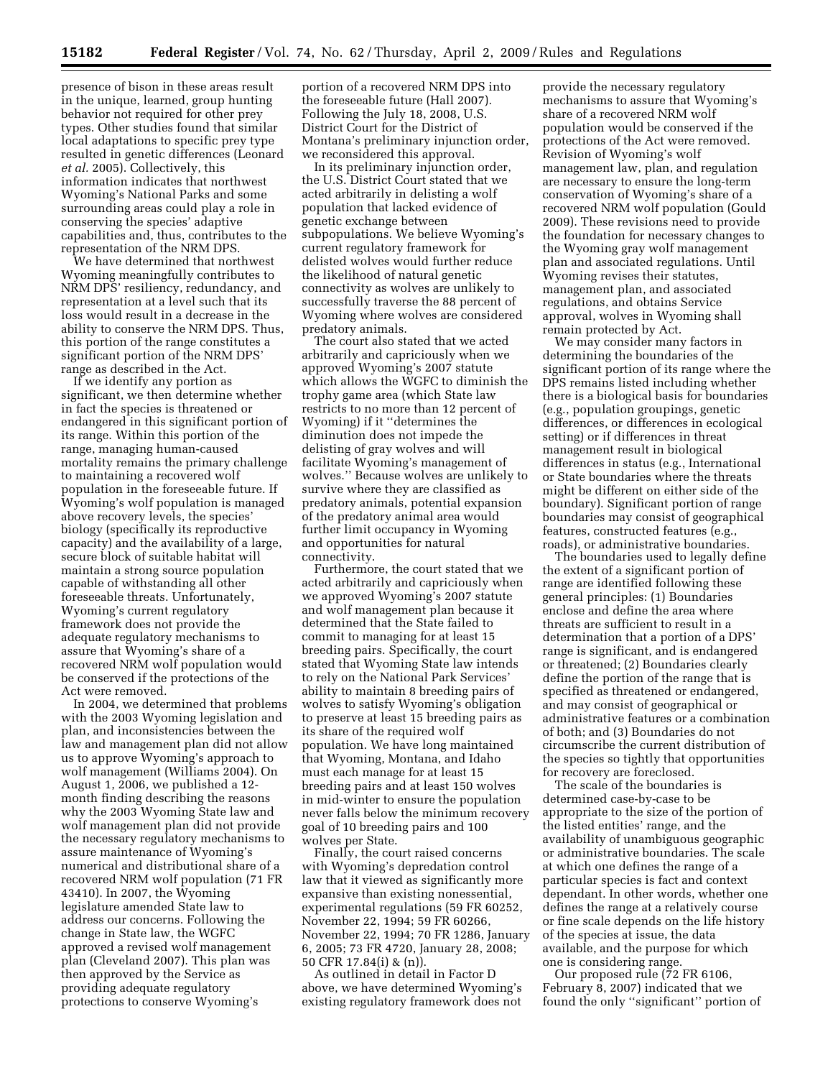presence of bison in these areas result in the unique, learned, group hunting behavior not required for other prey types. Other studies found that similar local adaptations to specific prey type resulted in genetic differences (Leonard *et al.* 2005). Collectively, this information indicates that northwest Wyoming's National Parks and some surrounding areas could play a role in conserving the species' adaptive capabilities and, thus, contributes to the representation of the NRM DPS.

We have determined that northwest Wyoming meaningfully contributes to NRM DPS' resiliency, redundancy, and representation at a level such that its loss would result in a decrease in the ability to conserve the NRM DPS. Thus, this portion of the range constitutes a significant portion of the NRM DPS' range as described in the Act.

If we identify any portion as significant, we then determine whether in fact the species is threatened or endangered in this significant portion of its range. Within this portion of the range, managing human-caused mortality remains the primary challenge to maintaining a recovered wolf population in the foreseeable future. If Wyoming's wolf population is managed above recovery levels, the species' biology (specifically its reproductive capacity) and the availability of a large, secure block of suitable habitat will maintain a strong source population capable of withstanding all other foreseeable threats. Unfortunately, Wyoming's current regulatory framework does not provide the adequate regulatory mechanisms to assure that Wyoming's share of a recovered NRM wolf population would be conserved if the protections of the Act were removed.

In 2004, we determined that problems with the 2003 Wyoming legislation and plan, and inconsistencies between the law and management plan did not allow us to approve Wyoming's approach to wolf management (Williams 2004). On August 1, 2006, we published a 12 month finding describing the reasons why the 2003 Wyoming State law and wolf management plan did not provide the necessary regulatory mechanisms to assure maintenance of Wyoming's numerical and distributional share of a recovered NRM wolf population (71 FR 43410). In 2007, the Wyoming legislature amended State law to address our concerns. Following the change in State law, the WGFC approved a revised wolf management plan (Cleveland 2007). This plan was then approved by the Service as providing adequate regulatory protections to conserve Wyoming's

portion of a recovered NRM DPS into the foreseeable future (Hall 2007). Following the July 18, 2008, U.S. District Court for the District of Montana's preliminary injunction order, we reconsidered this approval.

In its preliminary injunction order, the U.S. District Court stated that we acted arbitrarily in delisting a wolf population that lacked evidence of genetic exchange between subpopulations. We believe Wyoming's current regulatory framework for delisted wolves would further reduce the likelihood of natural genetic connectivity as wolves are unlikely to successfully traverse the 88 percent of Wyoming where wolves are considered predatory animals.

The court also stated that we acted arbitrarily and capriciously when we approved Wyoming's 2007 statute which allows the WGFC to diminish the trophy game area (which State law restricts to no more than 12 percent of Wyoming) if it ''determines the diminution does not impede the delisting of gray wolves and will facilitate Wyoming's management of wolves.'' Because wolves are unlikely to survive where they are classified as predatory animals, potential expansion of the predatory animal area would further limit occupancy in Wyoming and opportunities for natural connectivity.

Furthermore, the court stated that we acted arbitrarily and capriciously when we approved Wyoming's 2007 statute and wolf management plan because it determined that the State failed to commit to managing for at least 15 breeding pairs. Specifically, the court stated that Wyoming State law intends to rely on the National Park Services' ability to maintain 8 breeding pairs of wolves to satisfy Wyoming's obligation to preserve at least 15 breeding pairs as its share of the required wolf population. We have long maintained that Wyoming, Montana, and Idaho must each manage for at least 15 breeding pairs and at least 150 wolves in mid-winter to ensure the population never falls below the minimum recovery goal of 10 breeding pairs and 100 wolves per State.

Finally, the court raised concerns with Wyoming's depredation control law that it viewed as significantly more expansive than existing nonessential, experimental regulations (59 FR 60252, November 22, 1994; 59 FR 60266, November 22, 1994; 70 FR 1286, January 6, 2005; 73 FR 4720, January 28, 2008; 50 CFR 17.84(i) & (n)).

As outlined in detail in Factor D above, we have determined Wyoming's existing regulatory framework does not

provide the necessary regulatory mechanisms to assure that Wyoming's share of a recovered NRM wolf population would be conserved if the protections of the Act were removed. Revision of Wyoming's wolf management law, plan, and regulation are necessary to ensure the long-term conservation of Wyoming's share of a recovered NRM wolf population (Gould 2009). These revisions need to provide the foundation for necessary changes to the Wyoming gray wolf management plan and associated regulations. Until Wyoming revises their statutes, management plan, and associated regulations, and obtains Service approval, wolves in Wyoming shall remain protected by Act.

We may consider many factors in determining the boundaries of the significant portion of its range where the DPS remains listed including whether there is a biological basis for boundaries (e.g., population groupings, genetic differences, or differences in ecological setting) or if differences in threat management result in biological differences in status (e.g., International or State boundaries where the threats might be different on either side of the boundary). Significant portion of range boundaries may consist of geographical features, constructed features (e.g., roads), or administrative boundaries.

The boundaries used to legally define the extent of a significant portion of range are identified following these general principles: (1) Boundaries enclose and define the area where threats are sufficient to result in a determination that a portion of a DPS' range is significant, and is endangered or threatened; (2) Boundaries clearly define the portion of the range that is specified as threatened or endangered, and may consist of geographical or administrative features or a combination of both; and (3) Boundaries do not circumscribe the current distribution of the species so tightly that opportunities for recovery are foreclosed.

The scale of the boundaries is determined case-by-case to be appropriate to the size of the portion of the listed entities' range, and the availability of unambiguous geographic or administrative boundaries. The scale at which one defines the range of a particular species is fact and context dependant. In other words, whether one defines the range at a relatively course or fine scale depends on the life history of the species at issue, the data available, and the purpose for which one is considering range.

Our proposed rule (72 FR 6106, February 8, 2007) indicated that we found the only ''significant'' portion of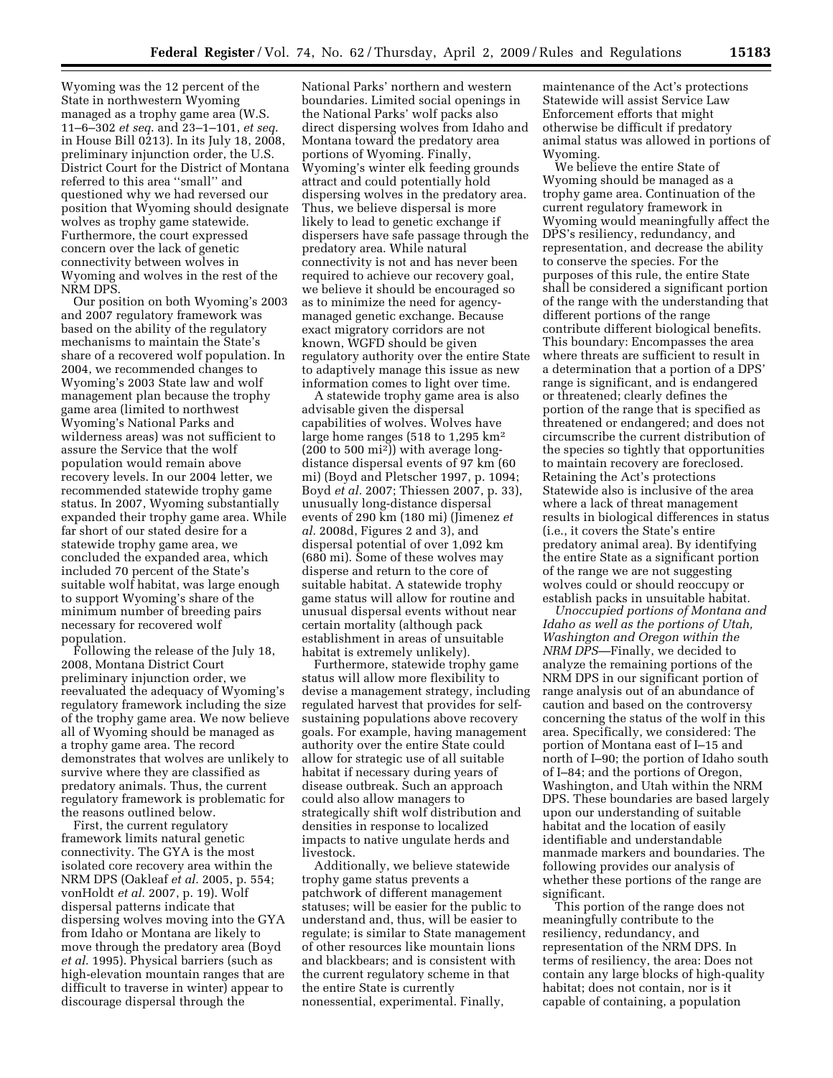Wyoming was the 12 percent of the State in northwestern Wyoming managed as a trophy game area (W.S. 11–6–302 *et seq*. and 23–1–101, *et seq*. in House Bill 0213). In its July 18, 2008, preliminary injunction order, the U.S. District Court for the District of Montana referred to this area ''small'' and questioned why we had reversed our position that Wyoming should designate wolves as trophy game statewide. Furthermore, the court expressed concern over the lack of genetic connectivity between wolves in Wyoming and wolves in the rest of the NRM DPS.

Our position on both Wyoming's 2003 and 2007 regulatory framework was based on the ability of the regulatory mechanisms to maintain the State's share of a recovered wolf population. In 2004, we recommended changes to Wyoming's 2003 State law and wolf management plan because the trophy game area (limited to northwest Wyoming's National Parks and wilderness areas) was not sufficient to assure the Service that the wolf population would remain above recovery levels. In our 2004 letter, we recommended statewide trophy game status. In 2007, Wyoming substantially expanded their trophy game area. While far short of our stated desire for a statewide trophy game area, we concluded the expanded area, which included 70 percent of the State's suitable wolf habitat, was large enough to support Wyoming's share of the minimum number of breeding pairs necessary for recovered wolf population.

Following the release of the July 18, 2008, Montana District Court preliminary injunction order, we reevaluated the adequacy of Wyoming's regulatory framework including the size of the trophy game area. We now believe all of Wyoming should be managed as a trophy game area. The record demonstrates that wolves are unlikely to survive where they are classified as predatory animals. Thus, the current regulatory framework is problematic for the reasons outlined below.

First, the current regulatory framework limits natural genetic connectivity. The GYA is the most isolated core recovery area within the NRM DPS (Oakleaf *et al.* 2005, p. 554; vonHoldt *et al.* 2007, p. 19). Wolf dispersal patterns indicate that dispersing wolves moving into the GYA from Idaho or Montana are likely to move through the predatory area (Boyd *et al.* 1995). Physical barriers (such as high-elevation mountain ranges that are difficult to traverse in winter) appear to discourage dispersal through the

National Parks' northern and western boundaries. Limited social openings in the National Parks' wolf packs also direct dispersing wolves from Idaho and Montana toward the predatory area portions of Wyoming. Finally, Wyoming's winter elk feeding grounds attract and could potentially hold dispersing wolves in the predatory area. Thus, we believe dispersal is more likely to lead to genetic exchange if dispersers have safe passage through the predatory area. While natural connectivity is not and has never been required to achieve our recovery goal, we believe it should be encouraged so as to minimize the need for agencymanaged genetic exchange. Because exact migratory corridors are not known, WGFD should be given regulatory authority over the entire State to adaptively manage this issue as new information comes to light over time.

A statewide trophy game area is also advisable given the dispersal capabilities of wolves. Wolves have large home ranges (518 to 1,295 km2 (200 to 500 mi2)) with average longdistance dispersal events of 97 km (60 mi) (Boyd and Pletscher 1997, p. 1094; Boyd *et al.* 2007; Thiessen 2007, p. 33), unusually long-distance dispersal events of 290 km (180 mi) (Jimenez *et al.* 2008d, Figures 2 and 3), and dispersal potential of over 1,092 km (680 mi). Some of these wolves may disperse and return to the core of suitable habitat. A statewide trophy game status will allow for routine and unusual dispersal events without near certain mortality (although pack establishment in areas of unsuitable habitat is extremely unlikely).

Furthermore, statewide trophy game status will allow more flexibility to devise a management strategy, including regulated harvest that provides for selfsustaining populations above recovery goals. For example, having management authority over the entire State could allow for strategic use of all suitable habitat if necessary during years of disease outbreak. Such an approach could also allow managers to strategically shift wolf distribution and densities in response to localized impacts to native ungulate herds and livestock.

Additionally, we believe statewide trophy game status prevents a patchwork of different management statuses; will be easier for the public to understand and, thus, will be easier to regulate; is similar to State management of other resources like mountain lions and blackbears; and is consistent with the current regulatory scheme in that the entire State is currently nonessential, experimental. Finally,

maintenance of the Act's protections Statewide will assist Service Law Enforcement efforts that might otherwise be difficult if predatory animal status was allowed in portions of Wyoming.

We believe the entire State of Wyoming should be managed as a trophy game area. Continuation of the current regulatory framework in Wyoming would meaningfully affect the DPS's resiliency, redundancy, and representation, and decrease the ability to conserve the species. For the purposes of this rule, the entire State shall be considered a significant portion of the range with the understanding that different portions of the range contribute different biological benefits. This boundary: Encompasses the area where threats are sufficient to result in a determination that a portion of a DPS' range is significant, and is endangered or threatened; clearly defines the portion of the range that is specified as threatened or endangered; and does not circumscribe the current distribution of the species so tightly that opportunities to maintain recovery are foreclosed. Retaining the Act's protections Statewide also is inclusive of the area where a lack of threat management results in biological differences in status (i.e., it covers the State's entire predatory animal area). By identifying the entire State as a significant portion of the range we are not suggesting wolves could or should reoccupy or establish packs in unsuitable habitat.

*Unoccupied portions of Montana and Idaho as well as the portions of Utah, Washington and Oregon within the NRM DPS*—Finally, we decided to analyze the remaining portions of the NRM DPS in our significant portion of range analysis out of an abundance of caution and based on the controversy concerning the status of the wolf in this area. Specifically, we considered: The portion of Montana east of I–15 and north of I–90; the portion of Idaho south of I–84; and the portions of Oregon, Washington, and Utah within the NRM DPS. These boundaries are based largely upon our understanding of suitable habitat and the location of easily identifiable and understandable manmade markers and boundaries. The following provides our analysis of whether these portions of the range are significant.

This portion of the range does not meaningfully contribute to the resiliency, redundancy, and representation of the NRM DPS. In terms of resiliency, the area: Does not contain any large blocks of high-quality habitat; does not contain, nor is it capable of containing, a population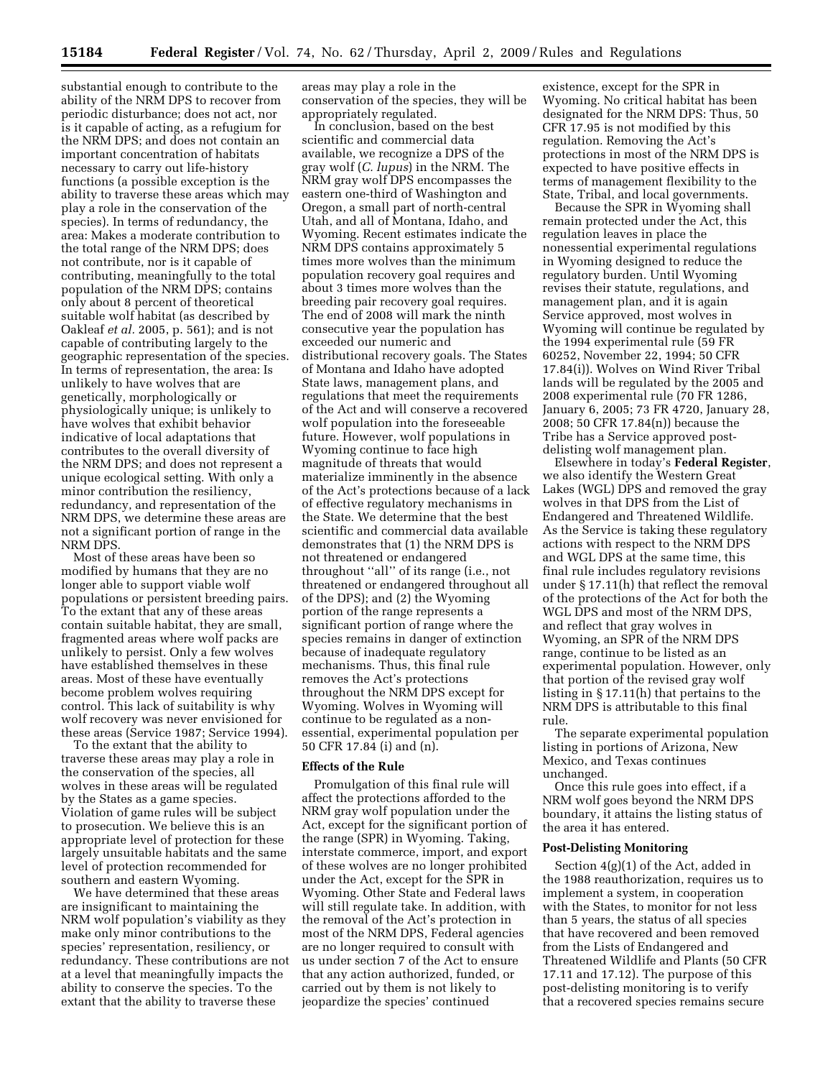substantial enough to contribute to the ability of the NRM DPS to recover from periodic disturbance; does not act, nor is it capable of acting, as a refugium for the NRM DPS; and does not contain an important concentration of habitats necessary to carry out life-history functions (a possible exception is the ability to traverse these areas which may play a role in the conservation of the species). In terms of redundancy, the area: Makes a moderate contribution to the total range of the NRM DPS; does not contribute, nor is it capable of contributing, meaningfully to the total population of the NRM DPS; contains only about 8 percent of theoretical suitable wolf habitat (as described by Oakleaf *et al.* 2005, p. 561); and is not capable of contributing largely to the geographic representation of the species. In terms of representation, the area: Is unlikely to have wolves that are genetically, morphologically or physiologically unique; is unlikely to have wolves that exhibit behavior indicative of local adaptations that contributes to the overall diversity of the NRM DPS; and does not represent a unique ecological setting. With only a minor contribution the resiliency, redundancy, and representation of the NRM DPS, we determine these areas are not a significant portion of range in the NRM DPS.

Most of these areas have been so modified by humans that they are no longer able to support viable wolf populations or persistent breeding pairs. To the extant that any of these areas contain suitable habitat, they are small, fragmented areas where wolf packs are unlikely to persist. Only a few wolves have established themselves in these areas. Most of these have eventually become problem wolves requiring control. This lack of suitability is why wolf recovery was never envisioned for these areas (Service 1987; Service 1994).

To the extant that the ability to traverse these areas may play a role in the conservation of the species, all wolves in these areas will be regulated by the States as a game species. Violation of game rules will be subject to prosecution. We believe this is an appropriate level of protection for these largely unsuitable habitats and the same level of protection recommended for southern and eastern Wyoming.

We have determined that these areas are insignificant to maintaining the NRM wolf population's viability as they make only minor contributions to the species' representation, resiliency, or redundancy. These contributions are not at a level that meaningfully impacts the ability to conserve the species. To the extant that the ability to traverse these

areas may play a role in the conservation of the species, they will be appropriately regulated.

In conclusion, based on the best scientific and commercial data available, we recognize a DPS of the gray wolf (*C. lupus*) in the NRM. The NRM gray wolf DPS encompasses the eastern one-third of Washington and Oregon, a small part of north-central Utah, and all of Montana, Idaho, and Wyoming. Recent estimates indicate the NRM DPS contains approximately 5 times more wolves than the minimum population recovery goal requires and about 3 times more wolves than the breeding pair recovery goal requires. The end of 2008 will mark the ninth consecutive year the population has exceeded our numeric and distributional recovery goals. The States of Montana and Idaho have adopted State laws, management plans, and regulations that meet the requirements of the Act and will conserve a recovered wolf population into the foreseeable future. However, wolf populations in Wyoming continue to face high magnitude of threats that would materialize imminently in the absence of the Act's protections because of a lack of effective regulatory mechanisms in the State. We determine that the best scientific and commercial data available demonstrates that (1) the NRM DPS is not threatened or endangered throughout ''all'' of its range (i.e., not threatened or endangered throughout all of the DPS); and (2) the Wyoming portion of the range represents a significant portion of range where the species remains in danger of extinction because of inadequate regulatory mechanisms. Thus, this final rule removes the Act's protections throughout the NRM DPS except for Wyoming. Wolves in Wyoming will continue to be regulated as a nonessential, experimental population per 50 CFR 17.84 (i) and (n).

#### **Effects of the Rule**

Promulgation of this final rule will affect the protections afforded to the NRM gray wolf population under the Act, except for the significant portion of the range (SPR) in Wyoming. Taking, interstate commerce, import, and export of these wolves are no longer prohibited under the Act, except for the SPR in Wyoming. Other State and Federal laws will still regulate take. In addition, with the removal of the Act's protection in most of the NRM DPS, Federal agencies are no longer required to consult with us under section 7 of the Act to ensure that any action authorized, funded, or carried out by them is not likely to jeopardize the species' continued

existence, except for the SPR in Wyoming. No critical habitat has been designated for the NRM DPS: Thus, 50 CFR 17.95 is not modified by this regulation. Removing the Act's protections in most of the NRM DPS is expected to have positive effects in terms of management flexibility to the State, Tribal, and local governments.

Because the SPR in Wyoming shall remain protected under the Act, this regulation leaves in place the nonessential experimental regulations in Wyoming designed to reduce the regulatory burden. Until Wyoming revises their statute, regulations, and management plan, and it is again Service approved, most wolves in Wyoming will continue be regulated by the 1994 experimental rule (59 FR 60252, November 22, 1994; 50 CFR 17.84(i)). Wolves on Wind River Tribal lands will be regulated by the 2005 and 2008 experimental rule (70 FR 1286, January 6, 2005; 73 FR 4720, January 28, 2008; 50 CFR 17.84(n)) because the Tribe has a Service approved postdelisting wolf management plan.

Elsewhere in today's **Federal Register**, we also identify the Western Great Lakes (WGL) DPS and removed the gray wolves in that DPS from the List of Endangered and Threatened Wildlife. As the Service is taking these regulatory actions with respect to the NRM DPS and WGL DPS at the same time, this final rule includes regulatory revisions under § 17.11(h) that reflect the removal of the protections of the Act for both the WGL DPS and most of the NRM DPS, and reflect that gray wolves in Wyoming, an SPR of the NRM DPS range, continue to be listed as an experimental population. However, only that portion of the revised gray wolf listing in § 17.11(h) that pertains to the NRM DPS is attributable to this final rule.

The separate experimental population listing in portions of Arizona, New Mexico, and Texas continues unchanged.

Once this rule goes into effect, if a NRM wolf goes beyond the NRM DPS boundary, it attains the listing status of the area it has entered.

# **Post-Delisting Monitoring**

Section  $4(g)(1)$  of the Act, added in the 1988 reauthorization, requires us to implement a system, in cooperation with the States, to monitor for not less than 5 years, the status of all species that have recovered and been removed from the Lists of Endangered and Threatened Wildlife and Plants (50 CFR 17.11 and 17.12). The purpose of this post-delisting monitoring is to verify that a recovered species remains secure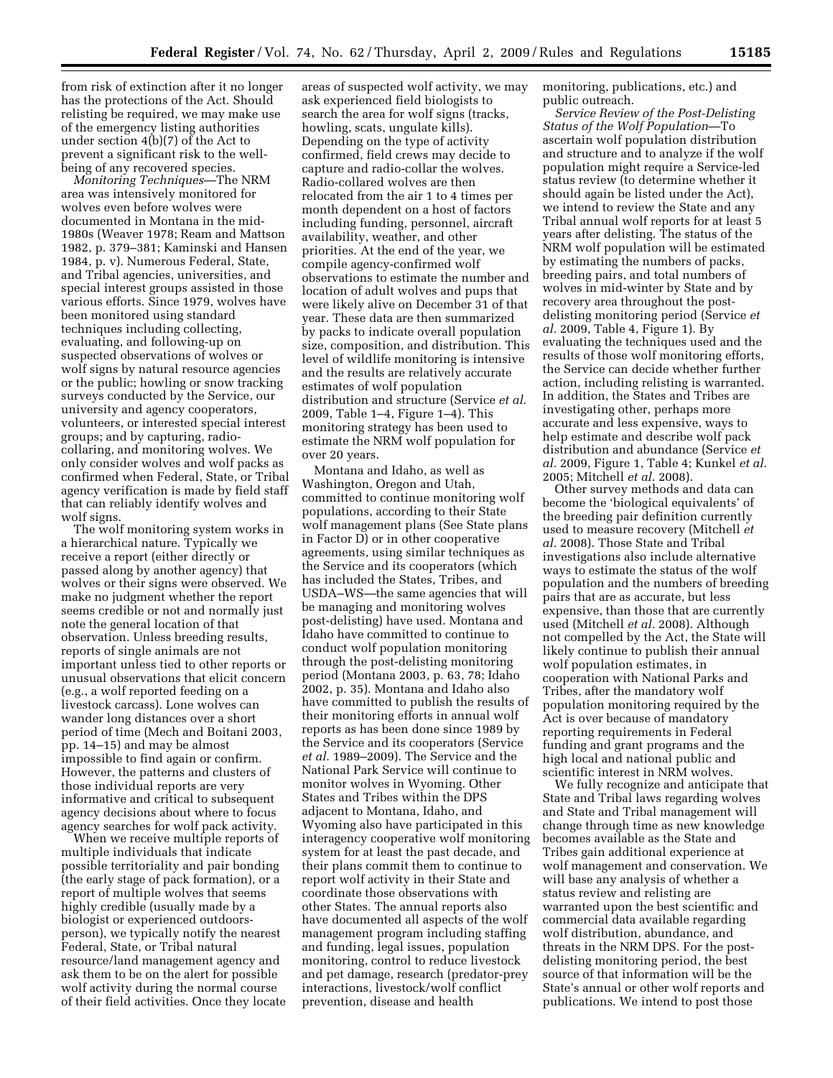from risk of extinction after it no longer has the protections of the Act. Should relisting be required, we may make use of the emergency listing authorities under section  $4(b)(7)$  of the Act to prevent a significant risk to the wellbeing of any recovered species.

*Monitoring Techniques*—The NRM area was intensively monitored for wolves even before wolves were documented in Montana in the mid-1980s (Weaver 1978; Ream and Mattson 1982, p. 379–381; Kaminski and Hansen 1984, p. v). Numerous Federal, State, and Tribal agencies, universities, and special interest groups assisted in those various efforts. Since 1979, wolves have been monitored using standard techniques including collecting, evaluating, and following-up on suspected observations of wolves or wolf signs by natural resource agencies or the public; howling or snow tracking surveys conducted by the Service, our university and agency cooperators, volunteers, or interested special interest groups; and by capturing, radiocollaring, and monitoring wolves. We only consider wolves and wolf packs as confirmed when Federal, State, or Tribal agency verification is made by field staff that can reliably identify wolves and wolf signs.

The wolf monitoring system works in a hierarchical nature. Typically we receive a report (either directly or passed along by another agency) that wolves or their signs were observed. We make no judgment whether the report seems credible or not and normally just note the general location of that observation. Unless breeding results, reports of single animals are not important unless tied to other reports or unusual observations that elicit concern (e.g., a wolf reported feeding on a livestock carcass). Lone wolves can wander long distances over a short period of time (Mech and Boitani 2003, pp. 14–15) and may be almost impossible to find again or confirm. However, the patterns and clusters of those individual reports are very informative and critical to subsequent agency decisions about where to focus agency searches for wolf pack activity.

When we receive multiple reports of multiple individuals that indicate possible territoriality and pair bonding (the early stage of pack formation), or a report of multiple wolves that seems highly credible (usually made by a biologist or experienced outdoorsperson), we typically notify the nearest Federal, State, or Tribal natural resource/land management agency and ask them to be on the alert for possible wolf activity during the normal course of their field activities. Once they locate areas of suspected wolf activity, we may ask experienced field biologists to search the area for wolf signs (tracks, howling, scats, ungulate kills). Depending on the type of activity confirmed, field crews may decide to capture and radio-collar the wolves. Radio-collared wolves are then relocated from the air 1 to 4 times per month dependent on a host of factors including funding, personnel, aircraft availability, weather, and other priorities. At the end of the year, we compile agency-confirmed wolf observations to estimate the number and location of adult wolves and pups that were likely alive on December 31 of that year. These data are then summarized by packs to indicate overall population size, composition, and distribution. This level of wildlife monitoring is intensive and the results are relatively accurate estimates of wolf population distribution and structure (Service *et al.*  2009, Table 1–4, Figure 1–4). This monitoring strategy has been used to estimate the NRM wolf population for over 20 years.

Montana and Idaho, as well as Washington, Oregon and Utah, committed to continue monitoring wolf populations, according to their State wolf management plans (See State plans in Factor D) or in other cooperative agreements, using similar techniques as the Service and its cooperators (which has included the States, Tribes, and USDA–WS—the same agencies that will be managing and monitoring wolves post-delisting) have used. Montana and Idaho have committed to continue to conduct wolf population monitoring through the post-delisting monitoring period (Montana 2003, p. 63, 78; Idaho 2002, p. 35). Montana and Idaho also have committed to publish the results of their monitoring efforts in annual wolf reports as has been done since 1989 by the Service and its cooperators (Service *et al.* 1989–2009). The Service and the National Park Service will continue to monitor wolves in Wyoming. Other States and Tribes within the DPS adjacent to Montana, Idaho, and Wyoming also have participated in this interagency cooperative wolf monitoring system for at least the past decade, and their plans commit them to continue to report wolf activity in their State and coordinate those observations with other States. The annual reports also have documented all aspects of the wolf management program including staffing and funding, legal issues, population monitoring, control to reduce livestock and pet damage, research (predator-prey interactions, livestock/wolf conflict prevention, disease and health

monitoring, publications, etc.) and public outreach.

*Service Review of the Post-Delisting Status of the Wolf Population*—To ascertain wolf population distribution and structure and to analyze if the wolf population might require a Service-led status review (to determine whether it should again be listed under the Act), we intend to review the State and any Tribal annual wolf reports for at least 5 years after delisting. The status of the NRM wolf population will be estimated by estimating the numbers of packs, breeding pairs, and total numbers of wolves in mid-winter by State and by recovery area throughout the postdelisting monitoring period (Service *et al.* 2009, Table 4, Figure 1). By evaluating the techniques used and the results of those wolf monitoring efforts, the Service can decide whether further action, including relisting is warranted. In addition, the States and Tribes are investigating other, perhaps more accurate and less expensive, ways to help estimate and describe wolf pack distribution and abundance (Service *et al.* 2009, Figure 1, Table 4; Kunkel *et al.*  2005; Mitchell *et al.* 2008).

Other survey methods and data can become the 'biological equivalents' of the breeding pair definition currently used to measure recovery (Mitchell *et al.* 2008). Those State and Tribal investigations also include alternative ways to estimate the status of the wolf population and the numbers of breeding pairs that are as accurate, but less expensive, than those that are currently used (Mitchell *et al.* 2008). Although not compelled by the Act, the State will likely continue to publish their annual wolf population estimates, in cooperation with National Parks and Tribes, after the mandatory wolf population monitoring required by the Act is over because of mandatory reporting requirements in Federal funding and grant programs and the high local and national public and scientific interest in NRM wolves.

We fully recognize and anticipate that State and Tribal laws regarding wolves and State and Tribal management will change through time as new knowledge becomes available as the State and Tribes gain additional experience at wolf management and conservation. We will base any analysis of whether a status review and relisting are warranted upon the best scientific and commercial data available regarding wolf distribution, abundance, and threats in the NRM DPS. For the postdelisting monitoring period, the best source of that information will be the State's annual or other wolf reports and publications. We intend to post those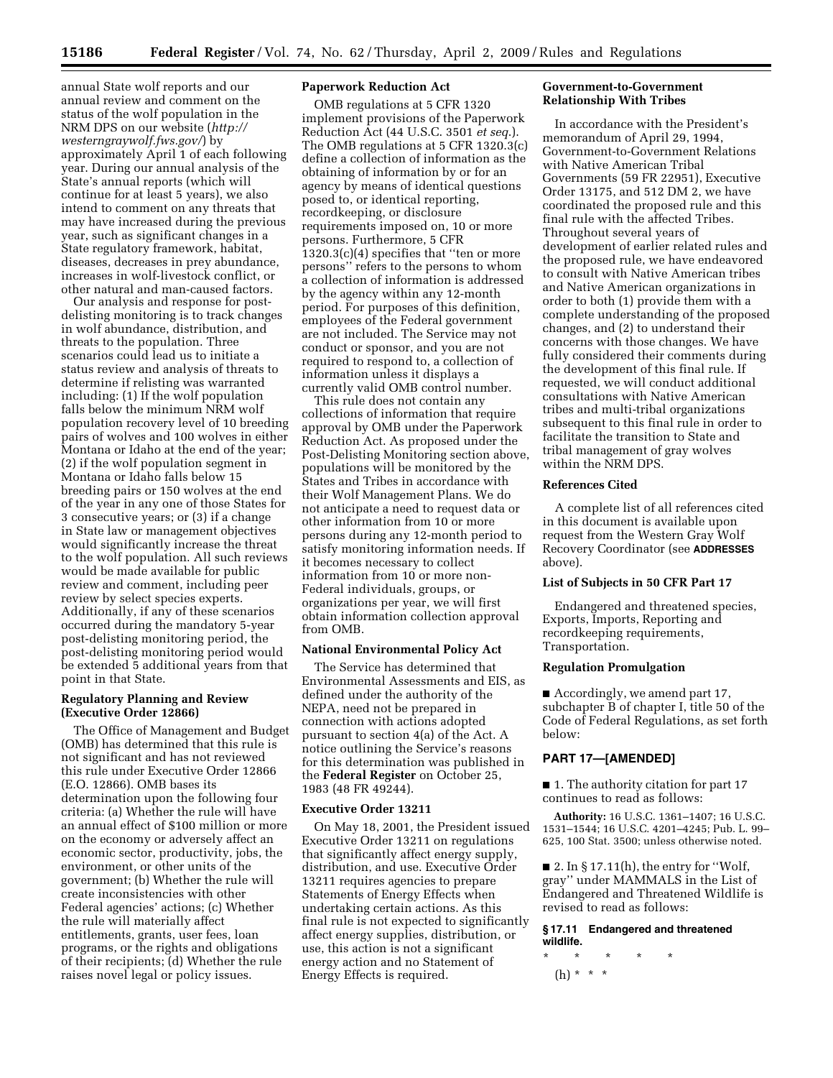annual State wolf reports and our annual review and comment on the status of the wolf population in the NRM DPS on our website (*http:// westerngraywolf.fws.gov/*) by approximately April 1 of each following year. During our annual analysis of the State's annual reports (which will continue for at least 5 years), we also intend to comment on any threats that may have increased during the previous year, such as significant changes in a State regulatory framework, habitat, diseases, decreases in prey abundance, increases in wolf-livestock conflict, or other natural and man-caused factors.

Our analysis and response for postdelisting monitoring is to track changes in wolf abundance, distribution, and threats to the population. Three scenarios could lead us to initiate a status review and analysis of threats to determine if relisting was warranted including: (1) If the wolf population falls below the minimum NRM wolf population recovery level of 10 breeding pairs of wolves and 100 wolves in either Montana or Idaho at the end of the year; (2) if the wolf population segment in Montana or Idaho falls below 15 breeding pairs or 150 wolves at the end of the year in any one of those States for 3 consecutive years; or (3) if a change in State law or management objectives would significantly increase the threat to the wolf population. All such reviews would be made available for public review and comment, including peer review by select species experts. Additionally, if any of these scenarios occurred during the mandatory 5-year post-delisting monitoring period, the post-delisting monitoring period would be extended 5 additional years from that point in that State.

### **Regulatory Planning and Review (Executive Order 12866)**

The Office of Management and Budget (OMB) has determined that this rule is not significant and has not reviewed this rule under Executive Order 12866 (E.O. 12866). OMB bases its determination upon the following four criteria: (a) Whether the rule will have an annual effect of \$100 million or more on the economy or adversely affect an economic sector, productivity, jobs, the environment, or other units of the government; (b) Whether the rule will create inconsistencies with other Federal agencies' actions; (c) Whether the rule will materially affect entitlements, grants, user fees, loan programs, or the rights and obligations of their recipients; (d) Whether the rule raises novel legal or policy issues.

# **Paperwork Reduction Act**

OMB regulations at 5 CFR 1320 implement provisions of the Paperwork Reduction Act (44 U.S.C. 3501 *et seq*.). The OMB regulations at 5 CFR 1320.3(c) define a collection of information as the obtaining of information by or for an agency by means of identical questions posed to, or identical reporting, recordkeeping, or disclosure requirements imposed on, 10 or more persons. Furthermore, 5 CFR 1320.3(c)(4) specifies that ''ten or more persons'' refers to the persons to whom a collection of information is addressed by the agency within any 12-month period. For purposes of this definition, employees of the Federal government are not included. The Service may not conduct or sponsor, and you are not required to respond to, a collection of information unless it displays a currently valid OMB control number.

This rule does not contain any collections of information that require approval by OMB under the Paperwork Reduction Act. As proposed under the Post-Delisting Monitoring section above, populations will be monitored by the States and Tribes in accordance with their Wolf Management Plans. We do not anticipate a need to request data or other information from 10 or more persons during any 12-month period to satisfy monitoring information needs. If it becomes necessary to collect information from 10 or more non-Federal individuals, groups, or organizations per year, we will first obtain information collection approval from OMB.

# **National Environmental Policy Act**

The Service has determined that Environmental Assessments and EIS, as defined under the authority of the NEPA, need not be prepared in connection with actions adopted pursuant to section 4(a) of the Act. A notice outlining the Service's reasons for this determination was published in the **Federal Register** on October 25, 1983 (48 FR 49244).

#### **Executive Order 13211**

On May 18, 2001, the President issued Executive Order 13211 on regulations that significantly affect energy supply, distribution, and use. Executive Order 13211 requires agencies to prepare Statements of Energy Effects when undertaking certain actions. As this final rule is not expected to significantly affect energy supplies, distribution, or use, this action is not a significant energy action and no Statement of Energy Effects is required.

# **Government-to-Government Relationship With Tribes**

In accordance with the President's memorandum of April 29, 1994, Government-to-Government Relations with Native American Tribal Governments (59 FR 22951), Executive Order 13175, and 512 DM 2, we have coordinated the proposed rule and this final rule with the affected Tribes. Throughout several years of development of earlier related rules and the proposed rule, we have endeavored to consult with Native American tribes and Native American organizations in order to both (1) provide them with a complete understanding of the proposed changes, and (2) to understand their concerns with those changes. We have fully considered their comments during the development of this final rule. If requested, we will conduct additional consultations with Native American tribes and multi-tribal organizations subsequent to this final rule in order to facilitate the transition to State and tribal management of gray wolves within the NRM DPS.

### **References Cited**

A complete list of all references cited in this document is available upon request from the Western Gray Wolf Recovery Coordinator (see **ADDRESSES** above).

# **List of Subjects in 50 CFR Part 17**

Endangered and threatened species, Exports, Imports, Reporting and recordkeeping requirements, Transportation.

### **Regulation Promulgation**

■ Accordingly, we amend part 17, subchapter B of chapter I, title 50 of the Code of Federal Regulations, as set forth below:

### **PART 17—[AMENDED]**

■ 1. The authority citation for part 17 continues to read as follows:

**Authority:** 16 U.S.C. 1361–1407; 16 U.S.C. 1531–1544; 16 U.S.C. 4201–4245; Pub. L. 99– 625, 100 Stat. 3500; unless otherwise noted.

 $\blacksquare$  2. In § 17.11(h), the entry for "Wolf, gray'' under MAMMALS in the List of Endangered and Threatened Wildlife is revised to read as follows:

# **§ 17.11 Endangered and threatened wildlife.**

\* \* \* \* \*  $(h) * * * *$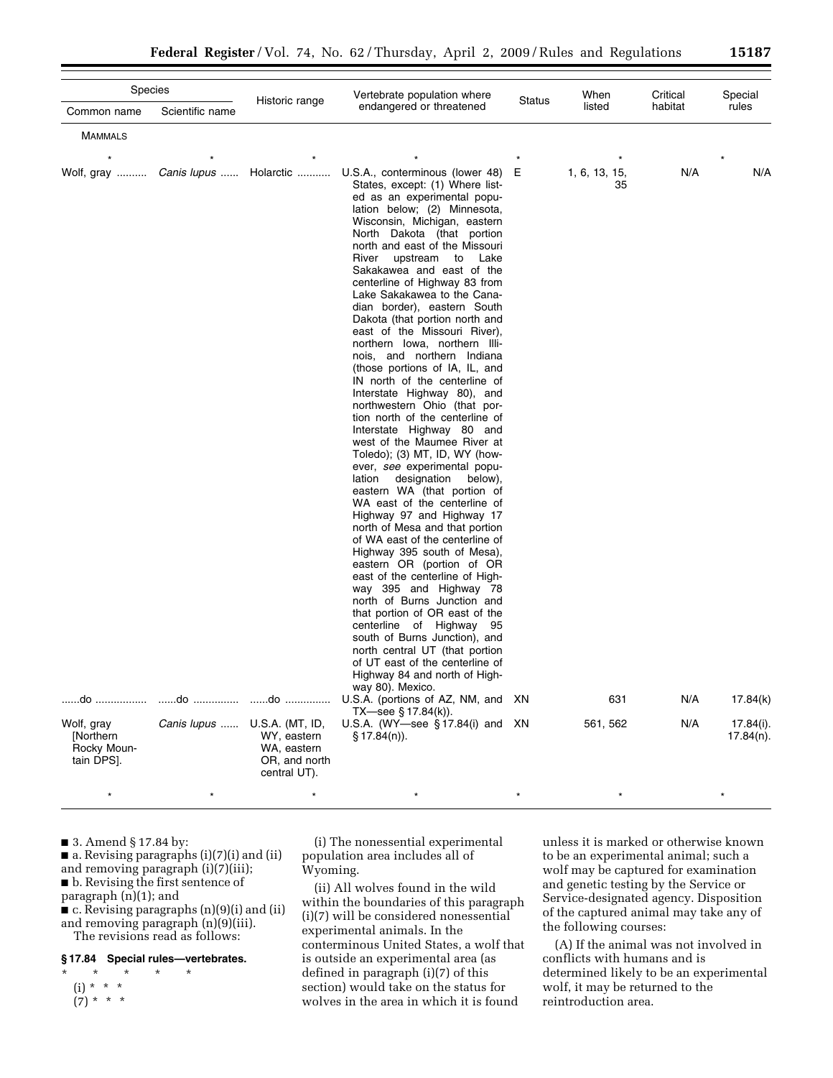| Species                                                                       |                 |                                               | Vertebrate population where                                                                                                                                                                                                                                                                                                                                                                                                                                                                                                                                                                                                                                                                                                                                                                                                                                                                                                                                                                                                                                                                                                                                                                                                                                                                                                                                                                                                                                                                                                               |        | When                                   | Critical          | Special                                                 |
|-------------------------------------------------------------------------------|-----------------|-----------------------------------------------|-------------------------------------------------------------------------------------------------------------------------------------------------------------------------------------------------------------------------------------------------------------------------------------------------------------------------------------------------------------------------------------------------------------------------------------------------------------------------------------------------------------------------------------------------------------------------------------------------------------------------------------------------------------------------------------------------------------------------------------------------------------------------------------------------------------------------------------------------------------------------------------------------------------------------------------------------------------------------------------------------------------------------------------------------------------------------------------------------------------------------------------------------------------------------------------------------------------------------------------------------------------------------------------------------------------------------------------------------------------------------------------------------------------------------------------------------------------------------------------------------------------------------------------------|--------|----------------------------------------|-------------------|---------------------------------------------------------|
| Common name                                                                   | Scientific name | Historic range                                | endangered or threatened                                                                                                                                                                                                                                                                                                                                                                                                                                                                                                                                                                                                                                                                                                                                                                                                                                                                                                                                                                                                                                                                                                                                                                                                                                                                                                                                                                                                                                                                                                                  | Status | listed                                 | habitat           | rules                                                   |
| <b>MAMMALS</b>                                                                |                 |                                               |                                                                                                                                                                                                                                                                                                                                                                                                                                                                                                                                                                                                                                                                                                                                                                                                                                                                                                                                                                                                                                                                                                                                                                                                                                                                                                                                                                                                                                                                                                                                           |        |                                        |                   |                                                         |
| Wolf, gray  Canis lupus  Holarctic<br>Wolf, gray<br>[Northern]<br>Rocky Moun- | Canis lupus     | U.S.A. (MT, ID,<br>WY, eastern<br>WA, eastern | U.S.A., conterminous (lower 48)<br>States, except: (1) Where list-<br>ed as an experimental popu-<br>lation below; (2) Minnesota,<br>Wisconsin, Michigan, eastern<br>North Dakota (that portion<br>north and east of the Missouri<br>River<br>upstream to Lake<br>Sakakawea and east of the<br>centerline of Highway 83 from<br>Lake Sakakawea to the Cana-<br>dian border), eastern South<br>Dakota (that portion north and<br>east of the Missouri River),<br>northern Iowa, northern Illi-<br>nois, and northern Indiana<br>(those portions of IA, IL, and<br>IN north of the centerline of<br>Interstate Highway 80), and<br>northwestern Ohio (that por-<br>tion north of the centerline of<br>Interstate Highway 80 and<br>west of the Maumee River at<br>Toledo); (3) MT, ID, WY (how-<br>ever, see experimental popu-<br>designation below),<br>lation<br>eastern WA (that portion of<br>WA east of the centerline of<br>Highway 97 and Highway 17<br>north of Mesa and that portion<br>of WA east of the centerline of<br>Highway 395 south of Mesa),<br>eastern OR (portion of OR<br>east of the centerline of High-<br>way 395 and Highway 78<br>north of Burns Junction and<br>that portion of OR east of the<br>centerline of Highway 95<br>south of Burns Junction), and<br>north central UT (that portion<br>of UT east of the centerline of<br>Highway 84 and north of High-<br>way 80). Mexico.<br>U.S.A. (portions of AZ, NM, and XN<br>TX—see $\S$ 17.84(k)).<br>U.S.A. (WY-see $§ 17.84(i)$ and XN<br>$\S$ 17.84(n)). | Е      | 1, 6, 13, 15,<br>35<br>631<br>561, 562 | N/A<br>N/A<br>N/A | $\star$<br>N/A<br>17.84(k)<br>17.84(i).<br>$17.84(n)$ . |
| tain DPS].                                                                    |                 | OR, and north<br>central UT).                 |                                                                                                                                                                                                                                                                                                                                                                                                                                                                                                                                                                                                                                                                                                                                                                                                                                                                                                                                                                                                                                                                                                                                                                                                                                                                                                                                                                                                                                                                                                                                           |        |                                        |                   |                                                         |
| $\star$                                                                       |                 |                                               |                                                                                                                                                                                                                                                                                                                                                                                                                                                                                                                                                                                                                                                                                                                                                                                                                                                                                                                                                                                                                                                                                                                                                                                                                                                                                                                                                                                                                                                                                                                                           |        |                                        |                   |                                                         |

■ 3. Amend § 17.84 by:

■ a. Revising paragraphs (i)(7)(i) and (ii) and removing paragraph (i)(7)(iii); ■ b. Revising the first sentence of paragraph (n)(1); and ■ c. Revising paragraphs (n)(9)(i) and (ii) and removing paragraph (n)(9)(iii).

The revisions read as follows:

# **§ 17.84 Special rules—vertebrates.**

\* \* \* \* \* (i) \* \* \*  $(7) * * * *$ 

(i) The nonessential experimental population area includes all of Wyoming.

(ii) All wolves found in the wild within the boundaries of this paragraph (i)(7) will be considered nonessential experimental animals. In the conterminous United States, a wolf that is outside an experimental area (as defined in paragraph (i)(7) of this section) would take on the status for wolves in the area in which it is found

unless it is marked or otherwise known to be an experimental animal; such a wolf may be captured for examination and genetic testing by the Service or Service-designated agency. Disposition of the captured animal may take any of the following courses:

(A) If the animal was not involved in conflicts with humans and is determined likely to be an experimental wolf, it may be returned to the reintroduction area.